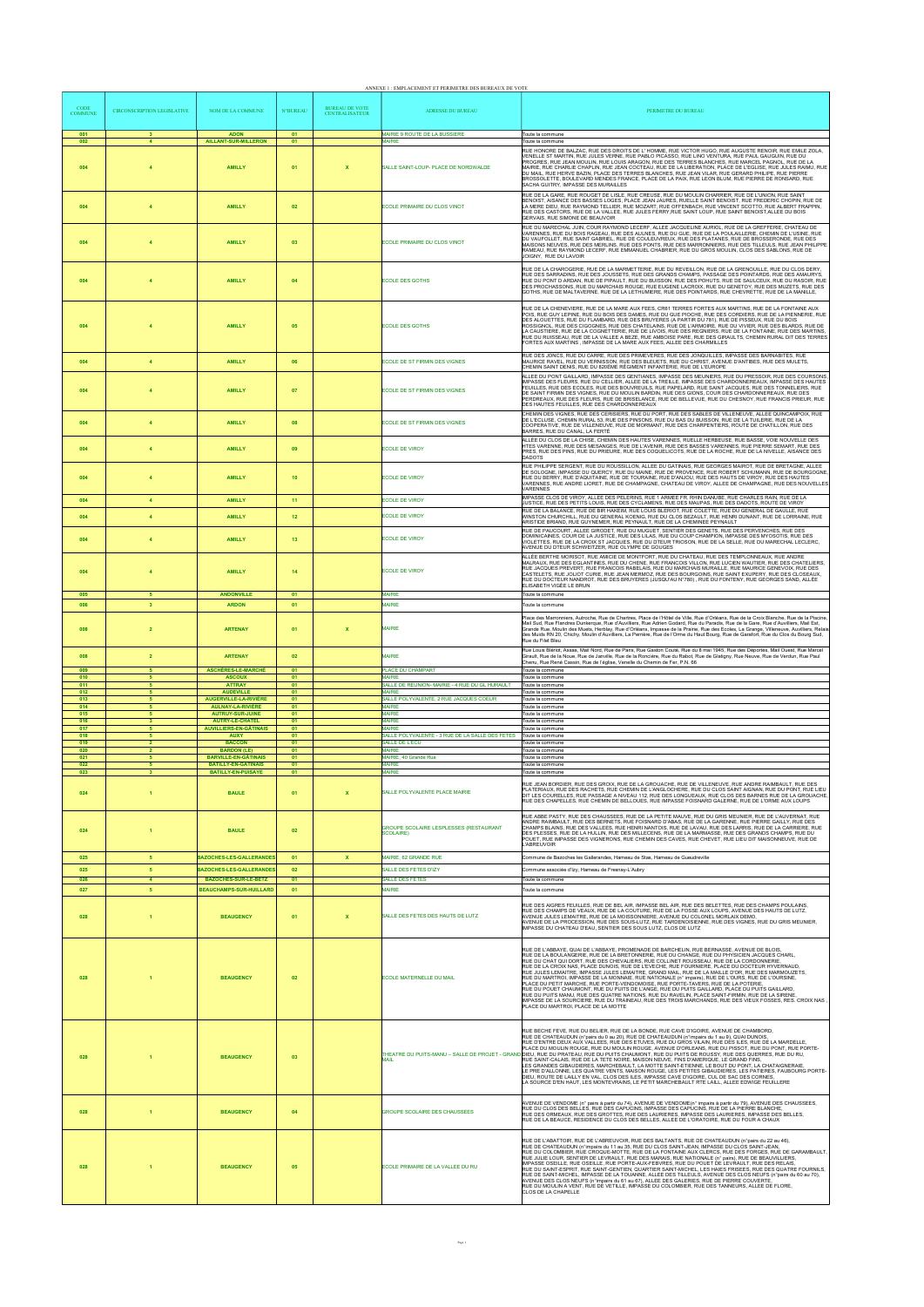|                               |                                    |                                                                                        |                 |                                                | ANNEXE 1 : EMPLACEMENT ET PERIMETRE DES BUREAUX DE VOTE          |                                                                                                                                                                                                                                                                                                                                                                                                                                                                                                                                                                                                                                                                                                                                                                                                                                                                                                                                                                                                                                                                                  |
|-------------------------------|------------------------------------|----------------------------------------------------------------------------------------|-----------------|------------------------------------------------|------------------------------------------------------------------|----------------------------------------------------------------------------------------------------------------------------------------------------------------------------------------------------------------------------------------------------------------------------------------------------------------------------------------------------------------------------------------------------------------------------------------------------------------------------------------------------------------------------------------------------------------------------------------------------------------------------------------------------------------------------------------------------------------------------------------------------------------------------------------------------------------------------------------------------------------------------------------------------------------------------------------------------------------------------------------------------------------------------------------------------------------------------------|
| <b>CODE</b><br><b>COMMUNE</b> | <b>CIRCONSCRIPTION LEGISLATIVE</b> | NOM DE LA COMMUNE                                                                      | <b>N°BUREAU</b> | <b>BUREAU DE VOTE</b><br><b>CENTRALISATEUR</b> | <b>ADRESSE DU BUREAU</b>                                         | PERIMETRE DU BUREAU                                                                                                                                                                                                                                                                                                                                                                                                                                                                                                                                                                                                                                                                                                                                                                                                                                                                                                                                                                                                                                                              |
| 001<br>002                    | 3 <sup>1</sup><br>$\overline{4}$   | <b>ADON</b><br><b>AILLANT-SUR-MILLERON</b>                                             | 01<br>01        |                                                | MAIRIE 9 ROUTE DE LA BUSSIERE<br><b>MAIRIE</b>                   | Toute la commune<br>Toute la commune                                                                                                                                                                                                                                                                                                                                                                                                                                                                                                                                                                                                                                                                                                                                                                                                                                                                                                                                                                                                                                             |
| 004                           | $\boldsymbol{A}$                   | <b>AMILLY</b>                                                                          | 01              | $\mathbf{x}$                                   | SALLE SAINT-LOUP- PLACE DE NORDWALDE                             | RUE HONORE DE BALZAC, RUE DES DROITS DE L'HOMME, RUE VICTOR HUGO, RUE AUGUSTE RENOIR, RUE EMILE ZOLA.<br>VENELLE ST MARTIN, RUE JULES VERNE, RUE PABLO PICASSO, RUE LINO VENTURA, RUE PAUL GAUGUIN, RUE DU<br>PROGRES, RUE JEAN MOULIN, RUE LOUIS ARAGON, RUE DES TERRES BLANCHES, RUE MARCEL PAGNOL, RUE DE LA<br>MAIRIE, RUE CHARLIE CHAPLIN, RUE JEAN COCTEAU, RUE DE LA LIBERATION, PLACE DE L'EGLISE, RUE JULES RAIMU, RUE<br>DU MAIL, RUE HERVE BAZIN, PLACE DES TERRES BLANCHES, RUE JEAN VILAR, RUE GERARD PHILIPE, RUE PIERRE<br>BROSSOLETTE, BOULEVARD MENDES FRANCE, PLACE DE LA PAIX, RUE LEON BLUM, RUE PIERRE DE RONSARD, RUE<br>SACHA GUITRY, IMPASSE DES MURAILLES                                                                                                                                                                                                                                                                                                                                                                                               |
| 004                           | $\overline{4}$                     | <b>AMILLY</b>                                                                          | 02              |                                                | ECOLE PRIMAIRE DU CLOS VINOT                                     | RUE DE LA GARE, RUE ROUGET DE LISLE, RUE CREUSE, RUE DU MOULIN CHARRIER, RUE DE L'UNION, RUE SAINT<br>BENOIST, AISANCE DES BASSES LOGES, PLACE JEAN JAURES, RUELLE SAINT BENOIST, RUE FREDERIC CHOPIN, RUE DE<br>LA MERE DIEU, RUE RAYMOND TELLIER, RUE MOZART, RUE OFFENBACH, RUE VINCENT SCOTTO, RUE ALBERT FRAPPIN,<br>RUE DES CASTORS, RUE DE LA VALLEE, RUE JULES FERRY, RUE SAINT LOUP, RUE SAINT BENOIST, ALLEE DU BOIS<br>GERVAIS, RUE SIMONE DE BEAUVOIR                                                                                                                                                                                                                                                                                                                                                                                                                                                                                                                                                                                                                |
| 004                           | $\overline{4}$                     | <b>AMILLY</b>                                                                          | 03              |                                                | ECOLE PRIMAIRE DU CLOS VINOT                                     | RUE DU MARECHAL JUIN, COUR RAYMOND LECERF, ALLEE JACQUELINE AURIOL, RUE DE LA GREFFERIE, CHATEAU DE<br>VARENNES, RUE DU BOIS RAGEAU, RUE DES AULNES, RUE DU GUE, RUE DE LA POULAILLERIE, CHEMIN DE L'USINE, RUE<br>DU VAUFOLLET, RUE SAINT GABRIEL, RUE DE COULEUVREUX, RUE DES PLATANES, RUE DE BROSSERONDE, RUE DES<br>MAISONS NEUVES, RUE DES MERLINS, RUE DES PONTS, RUE DES MARRONNIERS, RUE DES TILLEULS, RUE JEAN PHILIPPE<br>RAMEAU, RUE RAYMOND LECERF, RUE EMMANUEL CHABRIER, RUE DU GROS MOULIN, CLOS DES SABLONS, RUE DE<br>JOIGNY, RUE DU LAVOIR                                                                                                                                                                                                                                                                                                                                                                                                                                                                                                                    |
| 004                           |                                    | <b>AMILLY</b>                                                                          | 04              |                                                | <b>ECOLE DES GOTHS</b>                                           | RUE DE LA CHAROGERIE, RUE DE LA MARMETTERIE, RUE DU REVEILLON, RUE DE LA GRENOUILLE, RUE DU CLOS DERY,<br>RUE DES SARRADINS, RUE DES JOUSSETS, RUE DES GRANDS CHAMPS, PASSAGE DES POINTARDS, RUE DES AMAURYS,<br>RUE DU PONT D ARDAN, RUE DE PIPAULT, RUE DU BUISSON, RUE DES POHUTS, RUE DE SAULCEUX, RUE DU RASOIR, RUE<br>DES PROCHASSONS, RUE DU MARCHAIS ROUGE, RUE EUGENE LACROIX, RUE DU GENETOY, RUE DES MUZETS, RUE DES<br>GOTHS, RUE DE MALTAVERNE, RUE DE LA LETHUMIERE, RUE DES POINTARDS, RUE CHEVRETTE, RUE DE LA MANILLE,                                                                                                                                                                                                                                                                                                                                                                                                                                                                                                                                         |
| 004                           |                                    | <b>AMILLY</b>                                                                          | 05              |                                                | <b>ECOLE DES GOTHS</b>                                           | RUE DE LA CHENEVIERE, RUE DE LA MARE AUX FEES, CR61 TERRES FORTES AUX MARTINS, RUE DE LA FONTAINE AUX<br>POIS, RUE GUY LEPINE, RUE DU BOIS DES DAMES, RUE DU GUE PIOCHE, RUE DES CORDIERS, RUE DE LA PIENNERIE, RUE<br>DES ALOUETTES. RUE DU FLAMBARD, RUE DES BRUYERES (A PARTIR DU 781), RUE DE PISSEUX, RUE DU BOIS<br>ROSSIGNOL, RUE DES CIGOGNES, RUE DES CHATELAINS, RUE DE L'ARMOIRE, RUE DU VIVIER, RUE DES BLARDS, RUE DE<br>LA CAUSTIERE, RUE DE LA COGNETTERIE, RUE DE LIVOIS, RUE DES REGNIERS, RUE DE LA FONTAINE, RUE DES MARTINS,<br>RUE DU RUISSEAU, RUE DE LA VALLEE A BEZE, RUE AMBOISE PARE, RUE DES GIRAULTS, CHEMIN RURAL DIT DES TERRES<br>FORTES AUX MARTINS, IMPASSE DE LA MARE AUX FEES, ALLEE DES CHARMILLES                                                                                                                                                                                                                                                                                                                                           |
| 004                           | $\overline{4}$                     | <b>AMILLY</b>                                                                          | 06              |                                                | ECOLE DE ST FIRMIN DES VIGNES                                    | RUE DES JONCS, RUE DU CARRE, RUE DES PRIMEVERES, RUE DES JONQUILLES, IMPASSE DES BARNABITES, RUE<br>MAURICE RAVEL, RUE DU VERNISSON, RUE DES BLEUETS, RUE DU CHRIST, AVENUE D'ANTIBES, RUE DES MULETS,<br>CHEMIN SAINT DENIS, RUE DU 820ÈME RÉGIMENT INFANTERIE, RUE DE L'EUROPE                                                                                                                                                                                                                                                                                                                                                                                                                                                                                                                                                                                                                                                                                                                                                                                                 |
| 004                           |                                    | <b>AMILLY</b>                                                                          | 07              |                                                | ECOLE DE ST FIRMIN DES VIGNES                                    | ALLEE DU PONT GAILLARD. IMPASSE DES GENTIANES. IMPASSE DES MEUNIERS. RUE DU PRESSOIR. RUE DES COURSONS<br>IMPASSE DES FLEURS, RUE DU CELLIER, ALLEE DE LA TREILLE, IMPASSE DES CHARDONNEREAUX, IMPASSE DES HAUTES<br>FEUILLES, RUE DES ECOLES, RUE DES BOUVREUILS, RUE PAPELARD, RUE SAINT JACQUES, RUE DES TONNELIERS, RUE<br>DE SAINT FIRMIN DES VIGNES, RUE DU MOULIN BARDIN, RUE DES GIONS, COUR DES CHARDONNEREAUX, RUE DES<br>PERDREAUX, RUE DES FLEURS, RUE DE BRISELANCE, RUE DE BELLEVUE, RUE DU CHESNOY, RUE FRANCIS PRIEUR, RUE<br>DES HAUTES FEUILLES, RUE DES CHARDONNEREAUX                                                                                                                                                                                                                                                                                                                                                                                                                                                                                        |
| 004                           | $\overline{a}$                     | <b>AMILLY</b>                                                                          | 08              |                                                | ECOLE DE ST FIRMIN DES VIGNES                                    | CHEMIN DES VIGNES, RUE DES CERISIERS, RUE DU PORT, RUE DES SABLES DE VILLENEUVE, ALLEE QUINCAMPOIX, RUE<br>DE L'ECLUSE, CHEMIN RURAL 53, RUE DES PINSONS, RUE DU BAS DU BUISSON, RUE DE LA TUILERIE, RUE DE LA<br>COOPERATIVE, RUE DE VILLENEUVE, RUE DE MORMANT, RUE DES CHARPENTIERS, ROUTE DE CHATILLON, RUE DES<br>BARRES, RUE DU CANAL, LA FERTÉ                                                                                                                                                                                                                                                                                                                                                                                                                                                                                                                                                                                                                                                                                                                            |
| 004                           | $\overline{4}$                     | <b>AMILLY</b>                                                                          | 09              |                                                | <b>ECOLE DE VIROY</b>                                            | ALLÉE DU CLOS DE LA CHISE, CHEMIN DES HAUTES VARENNES, RUELLE HERBEUSE, RUE BASSE, VOIE NOUVELLE DES<br>HTES VARENNE, RUE DES MESANGES, RUE DE L'AVENIR, RUE DES BASSES VARENNES, RUE PIERRE SEMART, RUE DES<br>PRES, RUE DES PINS, RUE DU PRIEURE, RUE DES COQUELICOTS, RUE DE LA ROCHE, RUE DE LA NIVELLE, AISANCE DES<br><b>DADOTS</b>                                                                                                                                                                                                                                                                                                                                                                                                                                                                                                                                                                                                                                                                                                                                        |
| 004                           | $\overline{4}$                     | <b>AMILLY</b>                                                                          | 10 <sub>1</sub> |                                                | <b>ECOLE DE VIROY</b>                                            | RUE PHILIPPE SERGENT, RUE DU ROUSSILLON, ALLEE DU GATINAIS, RUE GEORGES MAIROT, RUE DE BRETAGNE, ALLEE<br>DE SOLOGNE, IMPASSE DU QUERCY, RUE DU MAINE, RUE DE PROVENCE, RUE ROBERT SCHUMANN, RUE DE BOURGOGNE<br>RUE DU BERRY, RUE D'AQUITAINE, RUE DE TOURAINE, RUE D'ANJOU, RUE DES HAUTS DE VIROY, RUE DES HAUTES<br>VARENNES, RUE ANDRE LIORET, RUE DE CHAMPAGNE, CHATEAU DE VIROY, ALLEE DE CHAMPAGNE, RUE DES NOUVELLES<br>VARENNES                                                                                                                                                                                                                                                                                                                                                                                                                                                                                                                                                                                                                                        |
| 004                           | $\overline{4}$                     | <b>AMILLY</b>                                                                          | 11              |                                                | <b>ECOLE DE VIROY</b>                                            | IMPASSE CLOS DE VIROY, ALLEE DES PELERINS, RUE 1 ARMEE FR. RHIN DANUBE, RUE CHARLES RAIN, RUE DE LA<br>JUSTICE, RUE DES PETITS LOUIS, RUE DES CYCLAMENS, RUE DES MAUPAS, RUE DES DADOTS, ROUTE DE VIROY                                                                                                                                                                                                                                                                                                                                                                                                                                                                                                                                                                                                                                                                                                                                                                                                                                                                          |
| 004                           | $\overline{4}$                     | <b>AMILLY</b>                                                                          | 12              |                                                | <b>ECOLE DE VIROY</b>                                            | RUE DE LA BALANCE, RUE DE BIR HAKEIM, RUE LOUIS BLERIOT, RUE COLETTE, RUE DU GENERAL DE GAULLE, RUE<br>WINSTON CHURCHILL, RUE DU GENERAL KOENIG, RUE DU CLOS BEZAULT, RUE HENRI DUNANT, RUE DE LORRAINE, RUE<br>ARISTIDE BRIAND, RUE GUYNEMER, RUE PEYNAULT, RUE DE LA CHEMINEE PEYNAULT                                                                                                                                                                                                                                                                                                                                                                                                                                                                                                                                                                                                                                                                                                                                                                                         |
| 004                           | $\overline{4}$                     | <b>AMILLY</b>                                                                          | 13              |                                                | <b>ECOLE DE VIROY</b>                                            | RUE DE PAUCOURT, ALLEE GIRODET, RUE DU MUGUET, SENTIER DES GENETS, RUE DES PERVENCHES, RUE DES<br>DOMINICAINES, COUR DE LA JUSTICE, RUE DES LILAS, RUE DU COUP CHAMPION, IMPASSE DES MYOSOTIS, RUE DES<br>VIOLETTES, RUE DE LA CROIX ST JACQUES, RUE DU DTEUR TRIOSON, RUE DE LA SELLE, RUE DU MARECHAL LECLERC,<br>AVENUE DU DTEUR SCHWEITZER, RUE OLYMPE DE GOUGES<br>ALLÉE BERTHE MORISOT, RUE AMICIE DE MONTFORT, RUE DU CHATEAU, RUE DES TEMPLONNEAUX, RUE ANDRE                                                                                                                                                                                                                                                                                                                                                                                                                                                                                                                                                                                                            |
| 004                           | $\boldsymbol{A}$                   | <b>AMILLY</b>                                                                          | 14              |                                                | ECOLE DE VIROY                                                   | MALRAUX. RUE DES EGLANTINES, RUE DU CHENE, RUE FRANCOIS VILLON, RUE LUCIEN WAUTIER, RUE DES CHATELIERS.<br>RUE JACQUES PREVERT, RUE FRANCOIS RABELAIS, RUE DU MARCHAIS MURAILLE, RUE MAURICE GENEVOIX, RUE DES<br>CASTELETS, RUE JOLIOT CURIE, RUE JEAN MERMOZ, RUE DES BOURGOINS, RUE SAINT EXUPERY, RUE DES CLOSEAUX,<br>RUE DU DOCTEUR NANDROT, RUE DES BRUYERES (JUSQU'AU N°780) , RUE DU FONTENY, RUE GEORGES SAND, ALLÉE<br>ELISABETH VIGÉE LE BRUN                                                                                                                                                                                                                                                                                                                                                                                                                                                                                                                                                                                                                        |
| 005<br>006                    | 5<br>$\overline{\mathbf{3}}$       | <b>ANDONVILLE</b><br><b>ARDON</b>                                                      | 01<br>01        |                                                | <b>MAIRIE</b><br><b>MAIRIE</b>                                   | Toute la commune<br>Toute la commune                                                                                                                                                                                                                                                                                                                                                                                                                                                                                                                                                                                                                                                                                                                                                                                                                                                                                                                                                                                                                                             |
| 008                           | $\overline{2}$                     | <b>ARTENAY</b>                                                                         | 01              | $\boldsymbol{\mathsf{x}}$                      | <b>MAIRIE</b>                                                    | Place des Marronniers, Autroche, Rue de Chartres, Place de l'Hôtel de Ville, Rue d'Orléans, Rue de la Croix Blanche, Rue de la Piscine,<br>Mail Sud, Rue Flandres Dunkerque, Rue d'Auvilliers, Rue Adrien Godard, Rue du Paradis, Rue de la Gare, Rue d'Auvilliers, Mail Est,<br>Grande Rue, Moulin des Muets, Herblay, Rue d'Orléans, Impasse de la Prairie, Rue des Ecoles, La Grange, Villeneuve, Auvilliers, Relais<br>des Muids RN 20, Chichy, Moulin d'Auvilliers, La Perrière, Rue de l'Orme du Haut Bourg, Rue de Garafort, Rue du Clos du Bourg Sud,<br>Rue du Filet Bleu                                                                                                                                                                                                                                                                                                                                                                                                                                                                                               |
| 008                           | $\overline{2}$                     | <b>ARTENAY</b>                                                                         | 02              |                                                | <b>MAIRIE</b>                                                    | Rue Louis Blériot, Assas, Mail Nord, Rue de Paris, Rue Gaston Couté, Rue du 8 mai 1945, Rue des Déportés, Mail Ouest, Rue Marcel<br>Girault. Rue de la Noue. Rue de Janville. Rue de la Roncière. Rue du Rabot. Rue de Glatigny, Rue Neuve. Rue de Verdun, Rue Paul<br>Chenu, Rue René Cassin, Rue de l'église, Venelle du Chemin de Fer, P.N. 66                                                                                                                                                                                                                                                                                                                                                                                                                                                                                                                                                                                                                                                                                                                                |
| 009<br>010                    | 5<br>5                             | <b>ASCHÈRES-LE-MARCHÉ</b><br><b>ASCOUX</b>                                             | 01<br>01        |                                                | PLACE DU CHAMPART<br><b>MAIRIE</b>                               | Toute la commune<br>Toute la commune                                                                                                                                                                                                                                                                                                                                                                                                                                                                                                                                                                                                                                                                                                                                                                                                                                                                                                                                                                                                                                             |
| 011<br>012                    | 5<br>5 <sub>5</sub>                | <b>ATTRAY</b><br><b>AUDEVILLE</b>                                                      | 01<br>01        |                                                | SALLE DE REUNION- MAIRIE - 4 RUE DU GL HURAULT<br><b>MAIRIE</b>  | Toute la commune<br>Toute la commune                                                                                                                                                                                                                                                                                                                                                                                                                                                                                                                                                                                                                                                                                                                                                                                                                                                                                                                                                                                                                                             |
| 013<br>014                    | 5 <sub>1</sub><br>5                | <b>AUGERVILLE-LA-RIVIÈRE</b><br><b>AULNAY-LA-RIVIÈRE</b>                               | 01<br>01        |                                                | SALLE POLYVALENTE, 2 RUE JACQUES COEUR<br><b>MAIRIE</b>          | Toute la commune<br>Toute la commune                                                                                                                                                                                                                                                                                                                                                                                                                                                                                                                                                                                                                                                                                                                                                                                                                                                                                                                                                                                                                                             |
| 015<br>016                    | 5<br>$\mathbf{3}$                  | <b>AUTRUY-SUR-JUINE</b><br><b>AUTRY-LE-CHÂTEL</b>                                      | 01<br>01        |                                                | <b>MAIRIE</b><br><b>MAIRIE</b>                                   | Toute la commune<br>Toute la commune                                                                                                                                                                                                                                                                                                                                                                                                                                                                                                                                                                                                                                                                                                                                                                                                                                                                                                                                                                                                                                             |
| 017<br>018                    | 5<br>5 <sub>1</sub>                | <b>AUVILLIERS-EN-GÂTINAIS</b><br><b>AUXY</b>                                           | 01<br>01        |                                                | <b>MAIRIE</b><br>SALLE POLYVALENTE - 3 RUE DE LA SALLE DES FETES | Toute la commune<br>Toute la commune                                                                                                                                                                                                                                                                                                                                                                                                                                                                                                                                                                                                                                                                                                                                                                                                                                                                                                                                                                                                                                             |
| 019<br>020                    | $\overline{2}$<br>$\overline{2}$   | <b>BACCON</b><br><b>BARDON (LE)</b>                                                    | 01<br>01        |                                                | <b>SALLE DE L'ECU</b><br><b>MAIRIE</b>                           | Toute la commune<br>Toute la commune                                                                                                                                                                                                                                                                                                                                                                                                                                                                                                                                                                                                                                                                                                                                                                                                                                                                                                                                                                                                                                             |
| 021<br>022<br>023             | 5<br>5<br>$\overline{\mathbf{3}}$  | <b>BARVILLE-EN-GÂTINAIS</b><br><b>BATILLY-EN-GÂTINAIS</b><br><b>BATILLY-EN-PUISAYE</b> | 01<br>01<br>01  |                                                | MAIRIE, 40 Grande Rue<br><b>MAIRIE</b><br><b>MAIRIE</b>          | Toute la commune<br>Toute la commune<br>Toute la commune                                                                                                                                                                                                                                                                                                                                                                                                                                                                                                                                                                                                                                                                                                                                                                                                                                                                                                                                                                                                                         |
| 024                           |                                    | <b>BAULE</b>                                                                           | 01              | $\mathbf{x}$                                   | SALLE POLYVALENTE PLACE MAIRIE                                   | RUE JEAN BORDIER, RUE DES GROIX, RUE DE LA GROUACHE, RUE DE VILLENEUVE, RUE ANDRE RAIMBAULT, RUE DES<br>PLATERIAUX, RUE DES RACHETS, RUE CHEMIN DE L'ANGLOCHERE, RUE DU CLOS SAINT AIGNAN, RUE DU PONT, RUE LIEU<br>DIT LES COURELLES, RUE PASSAGE A NIVEAU 112, RUE DES LONGUEAUX, RUE CLOS DES BARNES RUE DE LA GROUACHE,<br>RUE DES CHAPELLES, RUE CHEMIN DE BELLOUES, RUE IMPASSE FOISNARD GALERNE, RUE DE L'ORME AUX LOUPS                                                                                                                                                                                                                                                                                                                                                                                                                                                                                                                                                                                                                                                  |
| 024                           |                                    | <b>BAULE</b>                                                                           | 02              |                                                | GROUPE SCOLAIRE LESPLESSES (RESTAURANT<br><b>SCOLAIRE)</b>       | RUE ABBE PASTY, RUE DES CHAUSSEES, RUE DE LA PETITE MAUVE, RUE DU GRIS MEUNIER, RUE DE L'AUVERNAT, RUE<br>ANDRE RAIMBAULT, RUE DES BERNETS, RUE FOISNARD D'ABAS, RUE DE LA GARENNE, RUE PIERRE GAILLY, RUE DES<br>CHAMPS BLAINS, RUE DES VALLEES, RUE HENRI NANTOIS, RUE DE LAVAU, RUE DES LARRIS, RUE DE LA CARRIERE, RUE<br>DES PLESSES, RUE DE LA HULLIN, RUE DES MILLECENS, RUE DE LA MARMASSE, RUE DES GRANDS CHAMPS, RUE DU<br>POUET, RUE IMPASSE DES VIGNERONS, RUE CHEMIN DES CAVES, RUE CHEVET, RUE LIEU DIT MAISONNEUVE, RUE DE<br>L'ABREUVOIR                                                                                                                                                                                                                                                                                                                                                                                                                                                                                                                         |
| 025                           | 5 <sub>5</sub>                     | <b>BAZOCHES-LES-GALLERANDES</b>                                                        | 01              | $\mathbf{x}$                                   | MAIRIE, 62 GRANDE RUE                                            | Commune de Bazoches les Gallerandes, Hameau de Stas, Hameau de Gueudreville                                                                                                                                                                                                                                                                                                                                                                                                                                                                                                                                                                                                                                                                                                                                                                                                                                                                                                                                                                                                      |
| 025<br>026                    | 5<br>$\overline{4}$                | <b>BAZOCHES-LES-GALLERANDES</b><br><b>BAZOCHES-SUR-LE-BETZ</b>                         | 02<br>01        |                                                | SALLE DES FETES D'IZY<br>SALLE DES FETES                         | Commune associée d'Izy, Hameau de Fresnay-L'Aubry<br>Toute la commune                                                                                                                                                                                                                                                                                                                                                                                                                                                                                                                                                                                                                                                                                                                                                                                                                                                                                                                                                                                                            |
| 027                           | 5                                  | <b>BEAUCHAMPS-SUR-HUILLARD</b>                                                         | 01              |                                                | <b>MAIRIE</b>                                                    | Toute la commune                                                                                                                                                                                                                                                                                                                                                                                                                                                                                                                                                                                                                                                                                                                                                                                                                                                                                                                                                                                                                                                                 |
| 028                           |                                    | <b>BEAUGENCY</b>                                                                       | 01              | $\mathbf{x}$                                   | SALLE DES FETES DES HAUTS DE LUTZ                                | RUE DES AIGRES FEUILLES, RUE DE BEL AIR, IMPASSE BEL AIR, RUE DES BELETTES, RUE DES CHAMPS POULAINS,<br>RUE DES CHAMPS DE VEAUX, RUE DE LA COUTURE, RUE DE LA FOSSE AUX LOUPS, AVENUE DES HAUTS DE LUTZ,<br>AVENUE JULES LEMAITRE, RUE DE LA MOISSONNIERE, AVENUE DU COLONEL MORLAIX DEMO,<br>AVENUE DE LA PROCESSION, RUE DES SOUS-LUTZ, RUE TARDENOISIENNE, RUE DES VIGNES, RUE DU GRIS MEUNIER,<br>IMPASSE DU CHATEAU D'EAU, SENTIER DES SOUS LUTZ, CLOS DE LUTZ                                                                                                                                                                                                                                                                                                                                                                                                                                                                                                                                                                                                              |
| 028                           |                                    | <b>BEAUGENCY</b>                                                                       | 02              |                                                | <b>ECOLE MATERNELLE DU MAIL</b>                                  | RUE DE L'ABBAYE, QUAI DE L'ABBAYE, PROMENADE DE BARCHELIN, RUE BERNASSE, AVENUE DE BLOIS,<br>RUE DE LA BOULANGERIE, RUE DE LA BRETONNERIE, RUE DU CHANGE, RUE DU PHYSICIEN JACQUES CHARL,<br>RUE DU CHAT QUI DORT, RUE DES CHEVALIERS, RUE COLLINET ROUSSEAU, RUE DE LA CORDONNERIE,<br>RUE DE LA CROIX NAS, PLACE DUNOIS, RUE DE L'EVECHE, RUE FOURNIERE, PLACE DU DOCTEUR HYVERNAUD,<br>RUE JULES LEMAITRE. IMPASSE JULES LEMAITRE. GRAND MAIL. RUE DE LA MAILLE D'OR. RUE DES MARMOUZETS.<br>RUE DU MARTROI, IMPASSE DE LA MONNAIE, RUE NATIONALE (n° impairs), RUE DE L'OURS, RUE DE L'OURSINE,<br>PLACE DU PETIT MARCHE, RUE PORTE-VENDOMOISE, RUE PORTE-TAVERS, RUE DE LA POTERIE,<br>RUE DU POUET CHAUMONT, RUE DU PUITS DE L'ANGÉ, RUE DU PUITS GAILLARD, PLACE DU PUITS GAILLARD,<br>RUE DU PUITS MANU, RUE DES QUATRE NATIONS, RUE DU RAVELIN, PLACE SAINT-FIRMIN, RUE DE LA SIRENE,<br>IMPASSE DE LA SOURCIERE, RUE DU TRAINEAU, RUE DES TROIS MARCHANDS, RUE DES VIEUX FOSSES, RES. CROIX NAS<br>PLACE DU MARTROI, PLACE DE LA MOTTE                                 |
| 028                           | -1                                 | <b>BEAUGENCY</b>                                                                       | 03              |                                                | MAII                                                             | RUE BECHE FEVE, RUE DU BELIER, RUE DE LA BONDE, RUE CAVE D'IGOIRE, AVENUE DE CHAMBORD,<br>RUE DE CHATEAUDUN (n°pairs du 0 au 20), RUE DE CHATEAUDUN (n°impairs du 1 au 9), QUAI DUNOIS,<br>RUE D'ENTRE DEUX AUX VALLEES, RUE DES ETUVES, RUE DU GROS VILAIN, RUE DES ILES, RUE DE LA MARDELLE,<br>PLACE DU MOULIN ROUGE, RUE DU MOULIN ROUGE, AVENUE D'ORLEANS, RUE DU PISSOT, RUE DU PONT, RUE PORTE-<br>THEATRE DU PUITS-MANU – SALLE DE PROJET - GRAND <mark>I</mark> DIEU, RUE DU PRATEAU, RUE DU PUITS CHAUMONT, RUE DU PUITS DE ROUSSY, RUE DES QUERRES, RUE DU RU,<br>RUE SAINT-CALAIS, RUE DE LA TETE NOIRE, MAISON NEUVE, FINS D'AMERIQUE, LE GRAND FINS,<br>LES GRANDES GIBAUDIERES, MARCHEBAULT, LA MOTTE SAINT-ETIENNE, LE BOUT DU PONT, LA CHATAIGNERAIE,<br>LE PRE D'ALLONNE. LES QUATRE VENTS, MAISON ROUGE. LES PETITES GIBAUDIERES, LES PATIERES, FAUBOURG PORTE-<br>DIEU, ROUTE DE LAILLY EN VAL, CLOS DES ILES, IMPASSE CAVE D'IGOIRE, CUL DE SAC DES CORNES,<br>LA SOURCE D'EN HAUT, LES MONTEVRAINS, LE PETIT MARCHEBAULT RTE LAILL, ALLEE EDWIGE FEUILLERE |
| 028                           | $\blacktriangleleft$               | <b>BEAUGENCY</b>                                                                       | 04              |                                                | <b>GROUPE SCOLAIRE DES CHAUSSEES</b>                             | AVENUE DE VENDOME (n° pairs à partir du 74), AVENUE DE VENDOME(n° impairs à partir du 79), AVENUE DES CHAUSSEES,<br>RUE DU CLOS DES BELLES. RUE DES CAPUCINS. IMPASSE DES CAPUCINS. RUE DE LA PIERRE BLANCHE.<br>RUE DES ORMEAUX, RUE DES GROTTES, RUE DES LAURIERES, IMPASSE DES LAURIERES, IMPASSE DES BELLES,<br>RUE DE LA BEAUCE, RESIDENCE DU CLOS DES BELLES, ALLEE DE L'ORATOIRE, RUE DU FOUR A CHAUX                                                                                                                                                                                                                                                                                                                                                                                                                                                                                                                                                                                                                                                                     |
| 028                           |                                    | <b>BEAUGENCY</b>                                                                       | 05              |                                                | ECOLE PRIMAIRE DE LA VALLEE DU RU                                | RUE DE L'ABATTOIR, RUE DE L'ABREUVOIR, RUE DES BALTANTS, RUE DE CHATEAUDUN (n°pairs du 22 au 46),<br>RUE DE CHATEAUDUN (n°impairs du 11 au 35. RUE DU CLOS SAINT-JEAN, IMPASSE DU CLOS SAINT-JEAN,<br>RUE DU COLOMBIER, RUE CROQUE-MOTTE, RUE DE LA FONTAINE AUX CLERCS, RUE DES FORGES, RUE DE GARAMBAULT,<br>RUE JULIE LOUR, SENTIER DE LEVRAULT, RUE DES MARAIS, RUE NATIONALE (n° pairs), RUE DE BEAUVILLIERS,<br>IMPASSE OSEILLE, RUE OSEILLE, RUE PORTE-AUX-FEBVRES, RUE DU POUET DE LEVRAULT, RUE DES RELAIS,<br>RUE DU SAINT-ESPRIT, RUE SAINT-GENTIEN, QUARTIER SAINT-MICHEL, LES HAIES FRISEES, RUE DES QUATRE FOURNILS,<br>RUE DE SAINT-MICHEL, IMPASSE DE LA TOUANNE, ALLEE DES TILLEULS, AVENUE DES CLOS NEUFS (n°pairs du 60 au 70),<br>AVENUE DES CLOS NEUFS (n°impairs du 61 au 67), ALLEE DES GALERIES, RUE DE PIERRE COUVERTE,<br>RUE DU MOULIN A VENT. RUE DE VETILLE. IMPASSE DU COLOMBIER. RUE DES TANNEURS. ALLEE DE FLORE.<br>CLOS DE LA CHAPELLE                                                                                                         |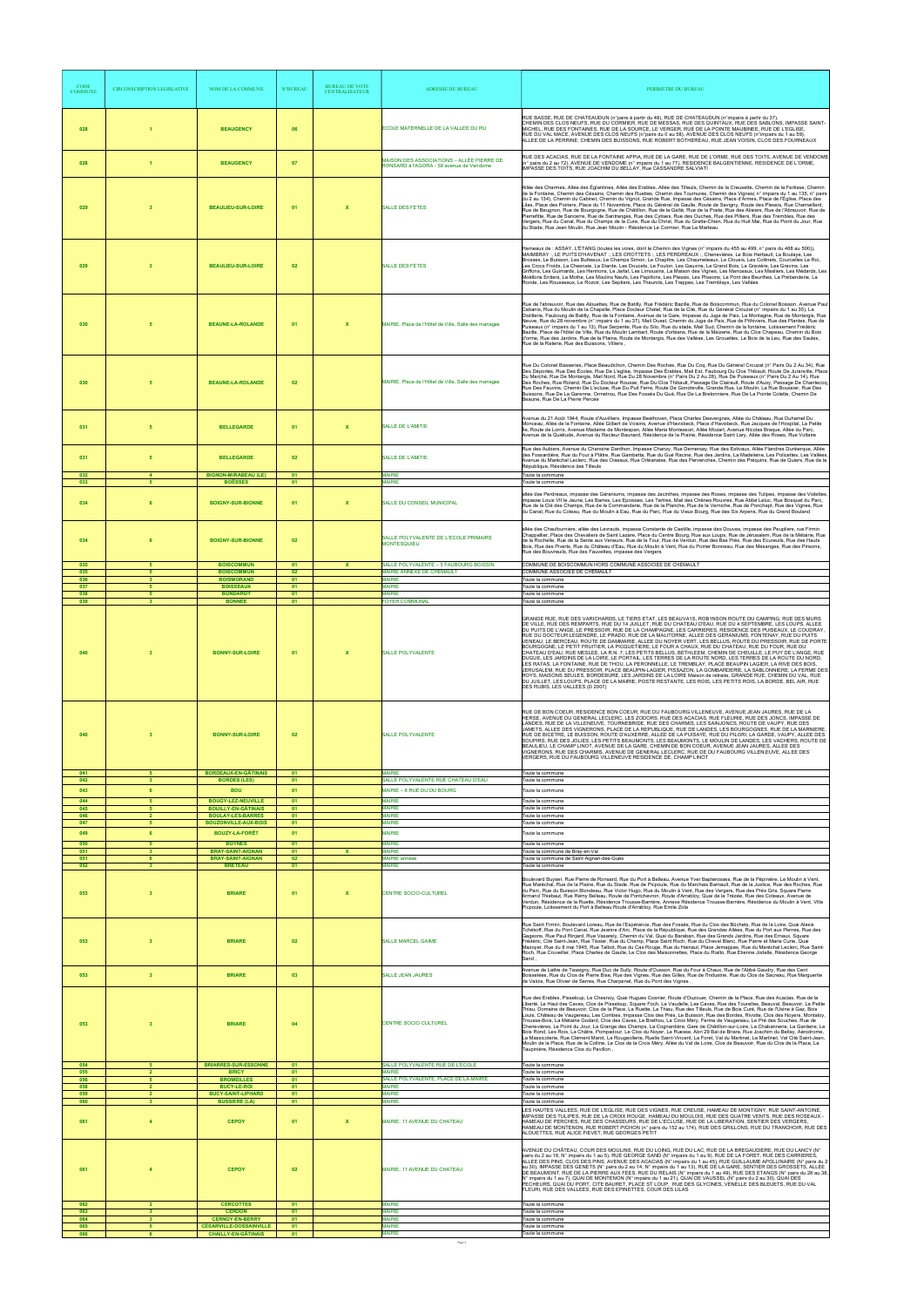| <b>CODE</b><br><b>COMMUNE</b> | <b>CIRCONSCRIPTION LEGISLATIVE</b>    | NOM DE LA COMMUNE                                                                     | <b>N°BUREAU</b>      | <b>BUREAU DE VOTE</b><br><b>CENTRALISATEUR</b> | ADRESSE DU BUREAU                                                                     | PERIMETRE DU BUREAU                                                                                                                                                                                                                                                                                                                                                                                                                                                                                                                                                                                                                                                                                                                                                                                                                                                                                                                                                                                                                                                                                                                                                                                                                                                                                                                                                         |
|-------------------------------|---------------------------------------|---------------------------------------------------------------------------------------|----------------------|------------------------------------------------|---------------------------------------------------------------------------------------|-----------------------------------------------------------------------------------------------------------------------------------------------------------------------------------------------------------------------------------------------------------------------------------------------------------------------------------------------------------------------------------------------------------------------------------------------------------------------------------------------------------------------------------------------------------------------------------------------------------------------------------------------------------------------------------------------------------------------------------------------------------------------------------------------------------------------------------------------------------------------------------------------------------------------------------------------------------------------------------------------------------------------------------------------------------------------------------------------------------------------------------------------------------------------------------------------------------------------------------------------------------------------------------------------------------------------------------------------------------------------------|
| 028                           | -1                                    | <b>BEAUGENCY</b>                                                                      | 06                   |                                                | ECOLE MATERNELLE DE LA VALLEE DU RU                                                   | RUE BASSE, RUE DE CHATEAUDUN (n°pairs à partir du 48), RUE DE CHATEAUDUN (n°impairs à partir du 37),<br>CHEMIN DES CLOS NEUFS, RUE DU CORMIER, RUE DE MESSAS, RUE DES QUINTAUX, RUE DES SABLONS, IMPASSE SAINT-<br>MICHEL, RUE DES FONTAINES, RUE DE LA SOURCE, LE VERGER, RUE DE LA POINTE MAUBINEE, RUE DE L'EGLISE,<br>RUE DU VAL MACE, AVENUE DES CLOS NEUFS (n°pairs du 0 au 58), AVENUE DES CLOS NEUFS (n°impairs du 1 au 59),<br>ALLEE DE LA PERRINE, CHEMIN DES BUISSONS, RUE ROBERT BOTHEREAU, RUE JEAN VOISIN, CLOS DES FOURNEAUX                                                                                                                                                                                                                                                                                                                                                                                                                                                                                                                                                                                                                                                                                                                                                                                                                                 |
| 028                           | $\overline{1}$                        | <b>BEAUGENCY</b>                                                                      | 07                   |                                                | MAISON DES ASSOCIATIONS - ALLÉE PIERRE DE<br>RONSARD à l'AGORA - 59 avenue de Vendome | RUE DES ACACIAS, RUE DE LA FONTAINE APPIA, RUE DE LA GARE, RUE DE L'ORME, RUE DES TOITS, AVENUE DE VENDOME<br>(n° pairs du 2 au 72), AVENUE DE VENDOME (n° impairs du 1 au 77), RESIDENCE BALGENTIENNE, RESIDENCE DE L'ORME,<br>IMPASSE DES TOITS, RUE JOACHIM DU BELLAY, Rue CASSANDRE SALVIATI                                                                                                                                                                                                                                                                                                                                                                                                                                                                                                                                                                                                                                                                                                                                                                                                                                                                                                                                                                                                                                                                            |
| 029                           | $\overline{\mathbf{3}}$               | <b>BEAULIEU-SUR-LOIRE</b>                                                             | 01                   | $\mathbf x$                                    | SALLE DES FETES                                                                       | Allée des Charmes, Allée des Églantines, Allée des Erables, Allée des Tilleuls, Chemin de la Creusette, Chemin de la Fertisse, Chemin<br>de la Fontaine, Chemin des Césains, Chemin des Ruettes, Chemin des Tournures, Chemin des Vignes( n° impairs du 1 au 135, n° pairs<br>du 2 au 134), Chemin du Cabinet, Chemin du Vignot, Grande Rue, Impasse des Césains, Place d'Armes, Place de l'Église, Place des<br>Lilas, Place des Poiriers, Place du 11 Novembre, Place du Général de Gaulle, Route de Savigny, Route des Plessis, Rue Chamaillard,<br>Rue de Beugnon, Rue de Bourgogne, Rue de Châtillon, Rue de la Gaîté, Rue de la Poste, Rue des Alisiers, Rue de l'Abreuvoir, Rue de<br>Pierrefitte, Rue de Sancerre, Rue de Santranges, Rue des Cytises, Rue des Ouches, Rue des Pilliers, Rue des Trembles, Rue des<br>Vergers, Rue du Canal, Rue du Champs de la Cure, Rue du Christ, Rue du Gratte-Chien, Rue du Huit Mai, Rue du Point du Jour, Rue<br>du Stade, Rue Jean Moulin, Rue Jean Moulin - Résidence Le Cormier, Rue Le Marteau                                                                                                                                                                                                                                                                                                                          |
| 029                           | $\overline{\mathbf{3}}$               | <b>BEAULIEU-SUR-LOIRE</b>                                                             | 02                   |                                                | <b>SALLE DES FETES</b>                                                                | Hameaux de : ASSAY, L'ÉTANG (toutes les voies, dont le Chemin des Vignes (n° impairs du 455 au 499, n° pairs du 468 au 500)),<br>MAIMBRAY: LE PUITS D'HAVENAT: LES CROTTETS: LES PERDREAUX: Chenevières, Le Bois Herbault, La Boulaye, Les<br>Les Crocs Froids, La Chesnaie, La Diarde, Les Doucets, Le Foulon, Les Gauvins, Le Grand Bois, La Gravière, Les Gravins, Les<br>Griffons, Les Guimards, Les Henrions, Le Jarlat, Les Limousins, La Maison des Vignes, Les Manceaux, Les Masliers, Les Médards, Les<br>Moëllons Entiers, La Mothe, Les Moulins Neufs, Les Papillons, Les Plessis, Les Plissons, Le Pont des Beurthes, La Prébenderie, La<br>Ronde, Les Rousseaux, Le Rozoir, Les Septiers, Les Theurots, Les Trappes, Les Tremblays, Les Vallées                                                                                                                                                                                                                                                                                                                                                                                                                                                                                                                                                                                                                |
| 030                           | 5                                     | <b>BEAUNE-LA-ROLANDE</b>                                                              | 01                   | $\mathbf{x}$                                   | MAIRIE, Place de l'Hôtel de Ville, Salle des mariages                                 | Rue de l'abreuvoir, Rue des Alouettes, Rue de Batilly, Rue Frédéric Bazille, Rue de Boiscommun, Rue du Colonel Boisson, Avenue Paul<br>Cabanis, Rue du Moulin de la Chapelle, Place Docteur Chatel, Rue de la Cité, Rue du Général Crouzat (n° impairs du 1 au 35), La<br>Distillerie, Faubourg de Batilly, Rue de la Fontaine, Avenue de la Gare, Impasse du Juge de Paix, La Montagne, Rue de Montargis, Rue<br>Neuve, Rue du 28 novembre (n° impairs du 1 au 37), Mail Ouest, Chemin du Juge de Paix, Rue de Pithiviers, Rue des Plantes, Rue de<br>Puiseaux (n° impairs du 1 au 13), Rue Serpente, Rue du Silo, Rue du stade, Mail Sud, Chemin de la fontaine, Lotissement Frédéric<br>Bazille, Place de l'hôtel de Ville, Rue du Moulin Lambart, Route d'orléans, Rue de la Maizerie, Rue du Clos Chapeau, Chemin du Bois<br>d'orme, Rue des Jardins, Rue de la Plaine, Route de Montargis, Rue des Vallées, Les Grouettes, Le Bois de la Leu, Rue des Saules,<br>Rue de la Raterie, Rue des Buissons, Villiers,                                                                                                                                                                                                                                                                                                                                                       |
| 030                           | 5                                     | <b>BEAUNE-LA-ROLANDE</b>                                                              | 02                   |                                                | MAIRIE, Place de l'Hôtel de Ville, Salle des mariages                                 | Rue Du Colonel Basseries, Place Beaudichon, Chemin Des Roches, Rue Du Coq, Rue Du Général Crouzat (n° Pairs Du 2 Au 34), Rue<br>Des Déportés, Rue Des Écoles, Rue De L'eglise, Impasse Des Érables, Mail Est, Faubourg Du Clos Thibault, Route De Juranville, Place<br>Du Marché, Rue De Montargis, Mail Nord, Rue Du 28 Novembre (n° Pairs Du 2 Au 28), Rue De Puiseaux (n° Pairs Du 2 Au 14), Rue<br>Des Roches, Rue Roland, Rue Du Docteur Rousse, Rue Du Clos Thibault, Passage De Clairault, Route d'Auxy, Passage De Chantecoq<br>Rue Des Fauvins, Chemin De L'ecluse, Rue Du Puit Ferre, Route De Gondreville, Grande Rue, Le Moulin, La Rue Boussier, Rue Des<br>Buissons, Rue De La Garenne, Ormetrou, Rue Des Fossés Du Gué, Rue De La Bretonniere, Rue De La Pointe Colette, Chemin De<br>Beaune, Rue De La Pierre Percée                                                                                                                                                                                                                                                                                                                                                                                                                                                                                                                                        |
| 031                           | 5                                     | <b>BELLEGARDE</b>                                                                     | 01                   | $\mathbf{x}$                                   | SALLE DE L'AMITIE                                                                     | Avenue du 21 Août 1944, Route d'Auvilliers, Impasse Beethoven, Place Charles Desvergnes, Allée du Château, Rue Duhamel Du<br>Monceau, Allée de la Fontaine, Allée Gilbert de Voisins, Avenue d'Havixbeck, Place d'Havixbeck, Rue Jacques de l'Hospital, La Petite<br>Île, Route de Lorris, Avenue Madame de Montespan, Allée Maria Montessori, Allée Mozart, Avenue Nicolas Braque, Allée du Parc,<br>Avenue de la Quiétude, Avenue du Recteur Baunard, Résidence de la Prairie, Résidence Saint Lary, Allée des Roses, Rue Voltaire                                                                                                                                                                                                                                                                                                                                                                                                                                                                                                                                                                                                                                                                                                                                                                                                                                        |
| 031                           | 5                                     | <b>BELLEGARDE</b>                                                                     | 02                   |                                                | SALLE DE L'AMITIE<br><b>MAIRIE</b>                                                    | Rue des Aubiers, Avenue du Chanoine Danthon, Impasse Chanzy, Rue Demersay, Rue des Estivaux, Allée Flandres Dunkerque, Allée<br>des Fossardière, Rue du Four à Plâtre, Rue Gambetta, Rue du Gué Racine, Rue des Jardins, La Madeleine, Les Policettes, Les Vallées<br>Avenue du Maréchal Leclerc, Rue des Oiseaux, Rue Orléanaise, Rue des Pervenches, Chemin des Préquins, Rue de Quiers, Rue de la<br>République, Résidence des Tilleuls<br>Toute la commune                                                                                                                                                                                                                                                                                                                                                                                                                                                                                                                                                                                                                                                                                                                                                                                                                                                                                                              |
| 032<br>033                    | $\overline{4}$<br>5                   | <b>BIGNON-MIRABEAU (LE)</b><br><b>BOËSSES</b>                                         | 01<br>01             |                                                | <b>MAIRIE</b>                                                                         | Toute la commune                                                                                                                                                                                                                                                                                                                                                                                                                                                                                                                                                                                                                                                                                                                                                                                                                                                                                                                                                                                                                                                                                                                                                                                                                                                                                                                                                            |
| 034                           | 6                                     | <b>BOIGNY-SUR-BIONNE</b>                                                              | 0 <sub>1</sub>       | $\mathbf{x}$                                   | SALLE DU CONSEIL MUNICIPAL                                                            | allée des Perdreaux, impasse des Géraniums, impasse des Jacinthes, impasse des Roses, impasse des Tulipes, impasse des Violettes,<br>impasse Louis VII le Jeune, Les Barres, Les Epoisses, Les Tertres, Mail des Chênes Rouvres, Rue Abbé Leluc, Rue Bosquet du Parc,<br>Rue de la Clé des Champs, Rue de la Commanderie, Rue de la Planche, Rue de la Verniche, Rue de Ponchapt, Rue des Vignes, Rue<br>du Canal, Rue du Coteau, Rue du Moulin à Eau, Rue du Parc, Rue du Vieux Bourg, Rue des Six Arpens, Rue du Grand Bouland                                                                                                                                                                                                                                                                                                                                                                                                                                                                                                                                                                                                                                                                                                                                                                                                                                            |
| 034                           |                                       | <b>BOIGNY-SUR-BIONNE</b>                                                              | 02                   |                                                | SALLE POLYVALENTE DE L'ECOLE PRIMAIRE<br><b>MONTESQUIEU</b>                           | allée des Chaufourniers, allée des Levrauts, impasse Constante de Castille, impasse des Douves, impasse des Peupliers, rue Firmin<br>Chappellier, Place des Chevaliers de Saint Lazare, Place du Centre Bourg, Rue aux Loups, Rue de Jérusalem, Rue de la Métairie, Rue<br>de la Rochelle, Rue de la Sente aux Veneurs, Rue de la Tour, Rue de Verdun, Rue des Bas Prés, Rue des Ecureuils, Rue des Hauts<br>Bois, Rue des Piverts, Rue du Château d'Eau, Rue du Moulin à Vent, Rue du Poirier Bonneau, Rue des Mésanges, Rue des Pinsons,<br>Rue des Bouvreuils, Rue des Fauvettes, impasse des Vergers                                                                                                                                                                                                                                                                                                                                                                                                                                                                                                                                                                                                                                                                                                                                                                    |
| 035<br>035<br>036             | 5<br>5<br>$\mathbf{R}$                | <b>BOISCOMMUN</b><br><b>BOISCOMMUN</b><br><b>BOISMORAND</b>                           | 01<br>02<br>01       | <b>X</b>                                       | SALLE POLYVALENTE - 5 FAUBOURG BOISSIN<br>MAIRIE ANNEXE DE CHEMAULT<br><b>MAIRIE</b>  | COMMUNE DE BOISCOMMUN HORS COMMUNE ASSOCIEE DE CHEMAULT<br>COMMUNE ASSOCIEE DE CHEMAULT<br>Toute la commune                                                                                                                                                                                                                                                                                                                                                                                                                                                                                                                                                                                                                                                                                                                                                                                                                                                                                                                                                                                                                                                                                                                                                                                                                                                                 |
| 037<br>038<br>039             | 5<br>5<br>$\mathbf{3}$                | <b>BOISSEAUX</b><br><b>BONDAROY</b><br><b>BONNÉE</b>                                  | 01<br>01<br>01       |                                                | <b>MAIRIE</b><br><b>MAIRIE</b><br><b>FOYER COMMUNAL</b>                               | Toute la commune<br>Toute la commune<br>Toute la commune                                                                                                                                                                                                                                                                                                                                                                                                                                                                                                                                                                                                                                                                                                                                                                                                                                                                                                                                                                                                                                                                                                                                                                                                                                                                                                                    |
| 040                           | $\overline{\mathbf{3}}$               | <b>BONNY-SUR-LOIRE</b>                                                                | 01                   | $\mathbf{x}$                                   | SALLE POLYVALENTE                                                                     | GRANDE RUE. RUE DES VARICHARDS. LE TIERS ETAT. LES BEAUVA1S, ROB1NSON ROUTE DU CAMPING. RUE DES MURS<br>DE VILLE, RUE DES REMPARTS, RUE DU 14 JUILLET, RUE DU CHATEAU D'EAU, RUE DU 4 SEPTEMBRE, LES LOUPS, ALLEE<br>DU PUITS DE L'ANGE. LE PRESSOIR, RUE DE LA CHAMPAGNE, LES CARRIERES, RESIDENCE DES PUISEAUX, LE COUDRAY,<br>RUE DU DOCTEUR LEGENDRE, LE PRADO, RUE DE LA MALITORNE, ALLEE DES GERANIUMS, FONTENAY, RUE DU PUITS<br>VENEAU, LE BERCEAU, ROUTE DE DAMMARIE, ALLEE DU NOYER VERT, LES BELLUS, ROUTE DU PRESSOIR, RUE DE PORTE<br>BOURGOGNE, LE PETIT FRUITIER, LA PICQUETIERE, LE FOUR A CHAUX, RUE DU CHATEAU, RUE DU FOUR, RUE DU<br>CHATEAU D'EAU. RUE MESLEE, LA R.N. 7, LES PETITS BELLUS, BETHLEEM, CHEMIN DE CHEUILLE, LE PUY DE L'ANGE, RUE<br>DUGUE, LES JARDINS DE LA LOIRE, LE PORTAIL, LES TERRES DE LA ROUTE NORD, LES TERRES DE LA ROUTE DU NORD,<br>LES RATAS, LA FONTAINE, RUE DE THOU, LA PERONNELLE, LE TREMBLAY, PLACE BEAUPIN LAGIER, LA RIVE DES BOIS,<br>JERUSALEM, RUE DU PRESSOIR, PLACE BEAUPIN-LAGIER, PISSAZON, LA GOMBARDERIE, LA SABLONNIERE, LA FERME DES<br>ROYS, MAISONS SEULES, BORDEBURE, LES JARDINS DE LA LOIRE Maison de retraite, GRANDE RUE, CHEMIN DU VAL, RUE<br>DU JUILLET, LES LOUPS, PLACE DE LA MAIRIE, POSTE RESTANTE, LES ROIS, LES PETITS ROIS, LA BORDE, BEL AIR, RUE<br>DES RUBIS, LES VALLEES (D 2007) |
| 040                           | $\overline{\mathbf{3}}$               | <b>BONNY-SUR-LOIRE</b>                                                                | 02                   |                                                | <b>SALLE POLYVALENTE</b>                                                              | RUE DE BON COEUR, RESIDENCE BON COEUR, RUE DU FAUBOURG VILLENEUVE, AVENUE JEAN JAURES, RUE DE LA<br>HERSE, AVENUE DU GENERAL LECLERC, LES ZODORS, RUE DES ACACIAS, RUE FLEURIE, RUE DES JONCS, IMPASSE DE<br>LANDES, RUE DE LA VILLENEUVE, TOURNEBRIDE, RUE DES CHARMIS, LES SAINJONCS, ROUTE DE VAUPY, RUE DES<br>JAMETS, ALLEE DES VIGNERONS, PLACE DE LA REPUBLIQUE, RUE DE LANDES, LES BOURGOGNES, RUE DE LA MARNIERE,<br>RUE DE BICETRE, LE BUISSON, ROUTE D'AUXERRE, ALLEE DE LA PUISAYE, RUE DU PILORI, LA GARDE, VAUPY, ALLEE DES<br>SOUPIRS, RUE DES JOLIES, LES PETITS BEAUMONTS, LES BEAUMONTS, LE MOULIN DE LANDES, LES VACHERS, ROUTE DE<br>BEAULIEU, LE CHAMP LINOT, AVENUE DE LA GARE, CHEMIN DE BON COEUR, AVENUE JEAN JAURES, ALLEE DES<br>VIGNERONS, RUE DES CHARMIS, AVENUE DE GENERAL LECLERC, RUE DE DU FAUBOURG VILLEN, EUVE, ALLEE DES<br>VERGERS, RUE DU FAUBOURG VILLENEUVE RESIDENCE DE, CHAMP LINOT                                                                                                                                                                                                                                                                                                                                                                                                                                              |
| 041<br>042                    | 5<br>$\overline{\mathbf{3}}$          | <b>BORDEAUX-EN-GÂTINAIS</b><br><b>BORDES (LES)</b>                                    | 01<br>01             |                                                | <b>MAIRIE</b><br>SALLE POLYVALENTE RUE CHATEAU D'EAU                                  | Toute la commune<br>Toute la commune                                                                                                                                                                                                                                                                                                                                                                                                                                                                                                                                                                                                                                                                                                                                                                                                                                                                                                                                                                                                                                                                                                                                                                                                                                                                                                                                        |
| 043<br>044                    | 6<br>5                                | <b>BOU</b><br><b>BOUGY-LEZ-NEUVILLE</b>                                               | 01<br>01             |                                                | MAIRIE - 8 RUE DU DU BOURG<br><b>MAIRIE</b>                                           | Toute la commune<br>Toute la commune                                                                                                                                                                                                                                                                                                                                                                                                                                                                                                                                                                                                                                                                                                                                                                                                                                                                                                                                                                                                                                                                                                                                                                                                                                                                                                                                        |
| 045<br>046<br>047             | 5<br>$\overline{2}$<br>5 <sup>5</sup> | <b>BOUILLY-EN-GÂTINAIS</b><br><b>BOULAY-LES-BARRES</b><br><b>BOUZONVILLE-AUX-BOIS</b> | 01<br>01<br>01       |                                                | <b>MAIRIE</b><br><b>MAIRIE</b><br><b>MAIRIE</b>                                       | Toute la commune<br>Toute la commune<br>Toute la commune                                                                                                                                                                                                                                                                                                                                                                                                                                                                                                                                                                                                                                                                                                                                                                                                                                                                                                                                                                                                                                                                                                                                                                                                                                                                                                                    |
| 049                           | 6                                     | <b>BOUZY-LA-FORÊT</b>                                                                 | 01                   |                                                | <b>MAIRIE</b>                                                                         | Toute la commune                                                                                                                                                                                                                                                                                                                                                                                                                                                                                                                                                                                                                                                                                                                                                                                                                                                                                                                                                                                                                                                                                                                                                                                                                                                                                                                                                            |
| 050<br>051<br>051             | 5<br>3<br>6                           | <b>BOYNES</b><br><b>BRAY-SAINT-AIGNAN</b><br><b>BRAY-SAINT-AIGNAN</b>                 | 01<br>01<br>02       | x                                              | <b>MAIRIE</b><br><b>MAIRIE</b><br><b>MAIRIE</b> annexe                                | Toute la commune<br>Toute la commune de Bray-en-Val<br>Toute la commune de Saint Aignan-des-Gués                                                                                                                                                                                                                                                                                                                                                                                                                                                                                                                                                                                                                                                                                                                                                                                                                                                                                                                                                                                                                                                                                                                                                                                                                                                                            |
| 052<br>053                    | $\overline{\mathbf{3}}$<br>3          | <b>BRETEAU</b><br><b>BRIARE</b>                                                       | 01<br>0 <sub>1</sub> | $\mathbf{x}$                                   | <b>MAIRIE</b><br>CENTRE SOCIO-CULTUREL                                                | Toute la commune<br>Boulevard Buyser, Rue Pierre de Ronsard, Rue du Port à Belleau, Avenue Yver Bapterosses, Rue de la Pépinière, Le Moulin à Vent,<br>Rue Maréchal, Rue de la Plaine, Rue du Stade, Rue de Picpoule, Rue du Marchais Barnault, Rue de la Justice, Rue des Roches, Rue<br>du Parc, Rue du Buisson Blondeau, Rue Victor Hugo, Rue du Moulin à Vent, Rue des Vergers, Rue des Prés Gris, Square Pierre<br>Armand Thiebaut, Rue Rémy Belleau, Route de Pontchevron, Route d'Arrabloy, Quai de la Trézée, Rue des Coteaux, Avenue de<br>Verdun, Résidence de la Ruette, Résidence Trousse-Barrière, Annexe Résidence Trousse-Barrière, Résidence du Moulin à Vent, Villa<br>Picpoule, Lotissement du Port à Belleau Route d'Arrabloy, Rue Emile Zola                                                                                                                                                                                                                                                                                                                                                                                                                                                                                                                                                                                                            |
| 053                           | $\overline{\mathbf{3}}$               | <b>BRIARE</b>                                                                         | 02                   |                                                | SALLE MARCEL GAIME                                                                    | Rue Saint Firmin, Boulevard Loreau, Rue de l'Espérance, Rue des Fossés, Rue du Clos des Bûchets, Rue de la Loire, Quai Alexis<br>Tchékoff, Rue du Pont Canal, Rue Jeanne d'Arc. Place de la République, Rue des Grandes Allées, Rue du Port aux Pierres, Rue des<br>Gageons, Rue Paul Rinjard, Rue Vasarely, Chemin du Val, Quai du Baraban, Rue des Grands Jardins, Rue des Emaux, Square<br>Frédéric, Cité Saint-Jean, Rue Tissier, Rue du Champ, Place Saint Roch, Rue du Cheval Blanc, Rue Pierre et Marie Curie, Quai<br>Mazoyer, Rue du 8 mai 1945, Rue Talbot, Rue du Cas Rouge, Rue du Hainaut, Place Jemappes, Rue du Maréchal Leclerc, Rue Saint-<br>Roch, Rue Cruveiller, Place Charles de Gaulle, Le Clos des Maisonnettes, Place du Rialto, Rue Etienne Jodelle, Résidence George<br>Sand                                                                                                                                                                                                                                                                                                                                                                                                                                                                                                                                                                      |
| 053                           | $\overline{\mathbf{3}}$               | <b>BRIARE</b>                                                                         | 03                   |                                                | SALLE JEAN JAURES                                                                     | Avenue de Lattre de Tassigny, Rue Duc de Sully, Route d'Ousson, Rue du Four à Chaux, Rue de l'Abbé Gaudry, Rue des Cent<br>Boisselées, Rue du Clos de Pierre Bise, Rue des Vignes, Rue des Gilles, Rue de l'Industrie, Rue du Clos de Sacreau, Rue Marguerite<br>de Valois, Rue Olivier de Serres, Rue Charpenet, Rue du Pont des Vignes,                                                                                                                                                                                                                                                                                                                                                                                                                                                                                                                                                                                                                                                                                                                                                                                                                                                                                                                                                                                                                                   |
| 053                           | 3                                     | <b>BRIARE</b>                                                                         | 04                   |                                                | CENTRE SOCIO CULTUREL                                                                 | Rue des Erables, Pisseloup, Le Chesnoy, Quai Hugues Cosnier, Route d'Ouzouer, Chemin de la Place, Rue des Acacias, Rue de la<br>Liberté, Le Haut des Caves, Clos de Pisseloup, Square Foch, La Vaudelle, Les Caves, Rue des Tourelles, Beauval, Beauvoir, La Petite<br>Thiau, Domaine de Beauvoir, Clos de la Place, La Ruette, La Thiau, Rue des Tilleuls, Rue de Bois Curé, Rue de l'Usine à Gaz, Bois<br>Louis, Château de Vaugereau, Les Combes, Impasse Clos des Prés, Le Buisson, Rue des Bordes, Rivotte, Clos des Noyers, Montaloy,<br>Trousse-Bois, La Métairie Godard, Clos des Caves, Le Brethou, La Croix Méry, Ferme de Vaugereau, Le Pré des Souches, Rue de<br>Chenevières, Le Point du Jour, La Grange des Champs, La Cognardière, Gare de Châtillon-sur-Loire, La Chabannerie, La Garderie, Le<br>Bois Rond, Les Rois, La Châtre, Pompadour, Le Clos du Nover, La Ruesse, Abri 29 Bal de Briare, Rue Joachim du Bellav, Aérodrome,<br>La Massicoterie, Rue Clément Marot, La Rougeollerie, Ruelle Saint-Vincent, La Foret, Val du Martinet, Le Martinet, Val Cité Saint-Jean,<br>Moulin de la Place, Rue de la Colline, Le Clos de la Croix Méry, Allée du Val de Loire, Clos de Beauvoir, Rue du Clos de la Place, La<br>Taupinière, Résidence Clos du Pavillon,                                                                                          |
| 054<br>055                    | 5<br>$\overline{2}$<br>5              | <b>BRIARRES-SUR-ESSONNE</b><br><b>BRICY</b>                                           | 01<br>01             |                                                | SALLE POLYVALENTE RUE DE L'ECOLE<br>MAIRIE                                            | Toute la commune<br>Toute la commune                                                                                                                                                                                                                                                                                                                                                                                                                                                                                                                                                                                                                                                                                                                                                                                                                                                                                                                                                                                                                                                                                                                                                                                                                                                                                                                                        |
| 056<br>058<br>059             | $\overline{2}$<br>$\overline{2}$      | <b>BROMEILLES</b><br><b>BUCY-LE-ROI</b><br><b>BUCY-SAINT-LIPHARD</b>                  | 01<br>01<br>01       |                                                | SALLE POLYVALENTE, PLACE DE LA MAIRIE<br><b>MAIRIE</b><br><b>MAIRIE</b>               | Toute la commune<br>Toute la commune<br>Toute la commune                                                                                                                                                                                                                                                                                                                                                                                                                                                                                                                                                                                                                                                                                                                                                                                                                                                                                                                                                                                                                                                                                                                                                                                                                                                                                                                    |
| 060<br>061                    | 3<br>$\overline{4}$                   | <b>BUSSIERE (LA)</b><br><b>CEPOY</b>                                                  | 01<br>01             | $\mathbf x$                                    | <b>MAIRIE</b><br>MAIRIE, 11 AVENUE DU CHATEAU                                         | Toute la commune<br>LES HAUTES VALLEES, RUE DE L'EGLISE, RUE DES VIGNES, RUE CREUSE, HAMEAU DE MONTIGNY, RUE SAINT-ANTOINE,<br>IMPASSE DES TULIPES, RUE DE LA CROIX ROUGE, HAMEAU DU MOULOIS, RUE DES QUATRE VENTS, RUE DES ROSEAUX -<br>HAMEAU DE PERCHES, RUE DES CHASSEURS, RUE DE L'ECLUSE, RUE DE LA LIBERATION, SENTIER DES VERGERS,<br>HAMEAU DE MONTENON, RUE ROBERT PICHON (n° pairs du 152 au 174), RUE DES GRILLONS, RUE DU TRANCHOIR, RUE DES<br>ALOUETTES, RUE ALICE FIEVET, RUE GEORGES PETIT                                                                                                                                                                                                                                                                                                                                                                                                                                                                                                                                                                                                                                                                                                                                                                                                                                                                 |
| 061                           | $\overline{4}$                        | <b>CEPOY</b>                                                                          | 02                   |                                                | MAIRIE, 11 AVENUE DU CHATEAU                                                          | "AVENUE DU CHÂTEAU, COUR DES MOULINS, RUE DU LOING, RUE DU LAC, RUE DE LA BREGAUDIERE, RUE DU LANCY (N<br>pairs du 2 au 16, N° impairs du 1 au 5), RUE GEORGE SAND (N° impairs du 1 au 9), RUE DE LA FORET, RUE DES CARRIERES,<br>ALLEE DES PINS, CLOS DES PINS, AVENUE DES ACACIAS (N° impairs du 1 au 45), RUE GUILLAUME APOLLINAIRE (N° pairs du 2<br>au 30). IMPASSE DES GENETS (N° pairs du 2 au 14. N° impairs du 1 au 13). RUE DE LA GARE. SENTIER DES GROSSETS. ALLEE<br>DE BEAUMONT, RUE DE LA PIERRE AUX FEES, RUE DU RELAIS (N° impairs du 1 au 49), RUE DES ETANGS (N° pairs du 28 au 38,<br>N° impairs du 1 au 7), QUAI DE MONTENON (N° impairs du 1 au 21), QUAI DE VAUSSEL (N° pairs du 2 au 30), QUAI DES<br>PECHEURS, QUAI DU PORT, CITE BAURET, PLACE ST LOUP, RUE DES GLYCINES, VENELLE DES BLEUETS, RUE DU VAL<br>FLEURI, RUE DES VALLEES, RUE DES EPINETTES, COUR DES LILAS                                                                                                                                                                                                                                                                                                                                                                                                                                                                            |
| 062<br>063<br>064             | $\overline{2}$<br>3<br>3              | <b>CERCOTTES</b><br><b>CERDON</b><br><b>CERNOY-EN-BERRY</b>                           | 01<br>01<br>01       |                                                | <b>MAIRIE</b><br><b>MAIRIE</b><br><b>MAIRIE</b>                                       | Toute la commune<br>Toute la commune<br>Toute la commune                                                                                                                                                                                                                                                                                                                                                                                                                                                                                                                                                                                                                                                                                                                                                                                                                                                                                                                                                                                                                                                                                                                                                                                                                                                                                                                    |
| 065<br>066                    | 5<br>6                                | <b>CÉSARVILLE-DOSSAINVILLE</b><br><b>CHAILLY-EN-GÂTINAIS</b>                          | 01<br>01             |                                                | <b>MAIRIE</b><br><b>MAIRIE</b><br>Page 2                                              | Toute la commune<br>Toute la commune                                                                                                                                                                                                                                                                                                                                                                                                                                                                                                                                                                                                                                                                                                                                                                                                                                                                                                                                                                                                                                                                                                                                                                                                                                                                                                                                        |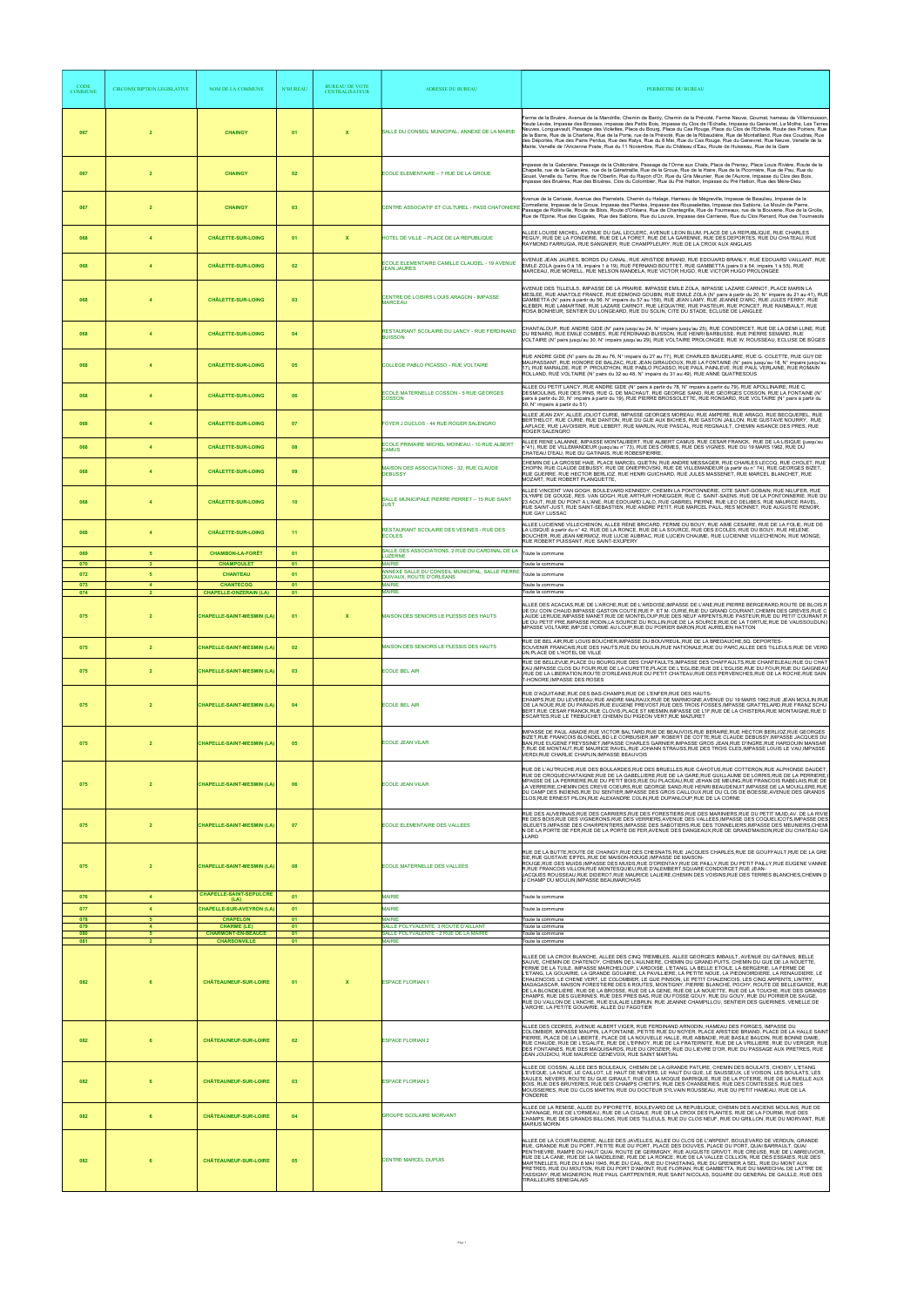| <b>CODE</b><br><b>COMMUNE</b> | <b>CIRCONSCRIPTION LEGISLATIVE</b> | <b>NOM DE LA COMMUNE</b>                                        | <b>N°BUREAU</b> | <b>BUREAU DE VOTE</b><br><b>CENTRALISATEUR</b> | <b>ADRESSE DU BUREAU</b>                                                                                      | PERIMETRE DU BUREAU                                                                                                                                                                                                                                                                                                                                                                                                                                                                                                                                                                                                                                                                                                                                                                                                                                                                                                                                                                                                                                        |
|-------------------------------|------------------------------------|-----------------------------------------------------------------|-----------------|------------------------------------------------|---------------------------------------------------------------------------------------------------------------|------------------------------------------------------------------------------------------------------------------------------------------------------------------------------------------------------------------------------------------------------------------------------------------------------------------------------------------------------------------------------------------------------------------------------------------------------------------------------------------------------------------------------------------------------------------------------------------------------------------------------------------------------------------------------------------------------------------------------------------------------------------------------------------------------------------------------------------------------------------------------------------------------------------------------------------------------------------------------------------------------------------------------------------------------------|
| 067                           | $\overline{2}$                     | <b>CHAINGY</b>                                                  | 01              | $\mathbf{x}$                                   | SALLE DU CONSEIL MUNICIPAL, ANNEXE DE LA MAIRIE                                                               | Ferme de la Bruère, Avenue de la Mandrille, Chemin de Bardy, Chemin de la Prévoté, Ferme Neuve, Goumat, hameau de Villemousson<br>Haute Levée, Impasse des Brosses, impasse des Petits Bois, Impasse du Clos de l'Echelle, Impasse du Genevret, La Mothe, Les Terres<br>Neuves, Longuevault, Passage des Violettes, Place du Bourg, Place du Cas Rouge, Place du Clos de l'Echelle, Route des Poiriers, Rue<br>de la Barre, Rue de la Charterie, Rue de la Porte, rue de la Prévoté, Rue de la Ribaudière, Rue de Montafiland, Rue des Coudras, Rue<br>des Déportés, Rue des Pains Perdus, Rue des Ratys, Rue du 8 Mai, Rue du Cas Rouge, Rue du Genevret, Rue Neuve, Venelle de la<br>Mairie, Venelle de l'Ancienne Poste, Rue du 11 Novembre, Rue du Château d'Eau, Route de Huisseau, Rue de la Gare                                                                                                                                                                                                                                                    |
| 067                           | $\overline{2}$                     | <b>CHAINGY</b>                                                  | 02              |                                                | ECOLE ELEMENTAIRE - 7 RUE DE LA GROUE                                                                         | mpasse de la Galanière, Passage de la Châtonière, Passage de l'Orme aux Chats, Place de Prenay, Place Louis Rivière, Route de la<br>Chapelle, rue de la Galanière, rue de la Génetraille, Rue de la Groue, Rue de la Haire, Rue de la Picornière, Rue de Pau, Rue du<br>Gouet, Venelle du Tertre, Rue de l'Oberlin, Rue du Rayon d'Or, Rue du Gris Meunier, Rue de l'Aurore, Impasse du Clos des Bois,<br>mpasse des Bruères, Rue des Bruères, Clos du Colombier, Rue du Pré Hatton, Impasse du Pré Hatton, Rue des Mère-Dieu                                                                                                                                                                                                                                                                                                                                                                                                                                                                                                                              |
| 067                           | $\overline{2}$                     | <b>CHAINGY</b>                                                  | 03              |                                                | CENTRE ASSOCIATIF ET CULTUREL - PASS CHATONIERE                                                               | Avenue de la Cerisaie, Avenue des Pierrelets, Chemin du Halage, Hameau de Mégreville, Impasse de Beaulieu, Impasse de la<br>Cormellerie, Impasse de la Groue, Impasse des Plantes, Impasse des Rousselettes, Impasse des Sablons, Le Moulin de Pierre,<br>Passage de Rollinville, Route de Blois, Route d'Orléans, Rue de Chantegrille, Rue de Fourneaux, rue de la Bouverie, Rue de la Grolle,<br>Rue de l'Epine, Rue des Cigales, Rue des Sablons, Rue du Louvre, Impasse des Carrieres, Rue du Clos Renard, Rue des Tournesols                                                                                                                                                                                                                                                                                                                                                                                                                                                                                                                          |
| 068                           | $\overline{4}$                     | <b>CHÂLETTE-SUR-LOING</b>                                       | 01              | x                                              | HOTEL DE VILLE - PLACE DE LA REPUBLIQUE                                                                       | ALLEE LOUISE MICHEL, AVENUE DU GAL LECLERC, AVENUE LEON BLUM, PLACE DE LA REPUBLIQUE, RUE CHARLES<br>PEGUY, RUE DE LA FONDERIE, RUE DE LA FORET, RUE DE LA GARENNE, RUE DES DEPORTES, RUE DU CHATEAU, RUE<br>RAYMOND FARRUGIA, RUE SANGNIER, RUE CHAMPFLEURY, RUE DE LA CROIX AUX ANGLAIS                                                                                                                                                                                                                                                                                                                                                                                                                                                                                                                                                                                                                                                                                                                                                                  |
| 068                           | $\overline{a}$                     | <b>CHÂLETTE-SUR-LOING</b>                                       | 02              |                                                | ECOLE ELEMENTAIRE CAMILLE CLAUDEL - 19 AVENUE<br><b>JEAN JAURES</b>                                           | AVENUE JEAN JAURES, BORDS DU CANAL, RUE ARISTIDE BRIAND, RUE EDOUARD BRANLY, RUE EDOUARD VAILLANT, RUE<br>EMILE ZOLA (pairs 0 à 18, impairs 1 à 19), RUE FERNAND BOUTTET, RUE GAMBETTA (pairs 0 à 54, impairs 1 à 55), RUE<br>MARCEAU, RÜE MORELL, RUE NELSON MANDELA, RUE VICTOR HUGO, RUE VICTOR HUGO PROLONGEE                                                                                                                                                                                                                                                                                                                                                                                                                                                                                                                                                                                                                                                                                                                                          |
| 068                           |                                    | <b>CHÂLETTE-SUR-LOING</b>                                       | 03              |                                                | CENTRE DE LOISIRS LOUIS ARAGON - IMPASSE<br><b>MARCEAU</b>                                                    | AVENUE DES TILLEULS, IMPASSE DE LA PRAIRIE, IMPASSE EMILE ZOLA, IMPASSE LAZARE CARNOT, PLACE MARIN LA<br>MESLEE, RUE ANATOLE FRANCE, RUE EDMOND GOUBIN, RUE EMILE ZOLA (N° pairs à partir du 20, N° impairs du 21 au 41), RUE<br>GAMBETTA (N° pairs à partir du 56, N° impairs du 57 au 159), RUE JEAN LAMY, RUE JEANNE D'ARC, RUE JULES FERRY, RUE<br>KLEBER, RUE LAMARTINE, RUE LAZARE CARNOT, RUE LEQUATRE, RUE PASTEUR, RUE PONCET, RUE RAIMBAULT, RUE<br>ROSA BONHEUR, SENTIER DU LONGEARD, RUE DU SOLIN, CITE DU STADE, ECLUSE DE LANGLEE                                                                                                                                                                                                                                                                                                                                                                                                                                                                                                            |
| 068                           |                                    | <b>CHÂLETTE-SUR-LOING</b>                                       | 04              |                                                | RESTAURANT SCOLAIRE DU LANCY - RUE FERDINAND<br><b>BUISSON</b>                                                | CHANTALOUP, RUE ANDRE GIDE (N° pairs jusqu'au 24, N° impairs jusqu'au 25), RUE CONDORCET, RUE DE LA DEMI LUNE, RUE<br>DU RENARD, RUE EMILE COMBES, RUE FERDINAND BUISSON, RUE HENRI BARBUSSE, RUE PIERRE SEMARD, RUE<br>VOLTAIRE (N° pairs jusqu'au 30, N° impairs jusqu'au 29), RUE VOLTAIRE PROLONGEE, RUE W. ROUSSEAU, ECLUSE DE BÛGES                                                                                                                                                                                                                                                                                                                                                                                                                                                                                                                                                                                                                                                                                                                  |
| 068                           | $\overline{a}$                     | <b>CHÂLETTE-SUR-LOING</b>                                       | 05              |                                                | COLLEGE PABLO PICASSO - RUE VOLTAIRE                                                                          | RUE ANDRE GIDE (N° pairs du 26 au 76, N° impairs du 27 au 77), RUE CHARLES BAUDELAIRE, RUE G. COLETTE, RUE GUY DE<br>MAUPASSANT, RUE HONORE DE BALZAC, RUE JEAN GIRAUDOUX, RUE LA FONTAINE (N° pairs jusqu'au 18, N° impairs jusqu'au<br>17), RUE MARALDE, RUE P. PROUD'HON, RUE PABLO PICASSO, RUE PAUL PAINLEVE, RUE PAUL VERLAINE, RUE ROMAIN<br>ROLLAND, RUE VOLTAIRE (N° pairs du 32 au 48, N° impairs du 31 au 49), RUE ANNE QUATRESOUS                                                                                                                                                                                                                                                                                                                                                                                                                                                                                                                                                                                                              |
| 068                           | $\overline{a}$                     | <b>CHÂLETTE-SUR-LOING</b>                                       | 06              |                                                | ECOLE MATERNELLE COSSON - 5 RUE GEORGES<br><b>COSSON</b>                                                      | ALLEE DU PETIT LANCY, RUE ANDRE GIDE (N° pairs à partir du 78. N° impairs à partir du 79), RUE APOLLINAIRE, RUE C.<br>DESMOULINS, RUE DES PINS, RUE G. DE MACHAUT, RUE GEORGE SAND, RUE GEORGÉS COSSON, RUE LA FONTAINE (N°<br>pairs à partir du 20, N° impairs à partir du 19), RUE PIERRE BROSSOLETTE, RUE RONSARD, RUE VOLTAIRE (N° pairs à partir du<br>50. N° impairs à partir du 51)                                                                                                                                                                                                                                                                                                                                                                                                                                                                                                                                                                                                                                                                 |
| 068                           |                                    | <b>CHÂLETTE-SUR-LOING</b>                                       | 07              |                                                | FOYER J DUCLOS - 44 RUE ROGER SALENGRO                                                                        | ALLEE JEAN ZAY, ALLEE JOLIOT CURIE, IMPASSE GEORGES MOREAU, RUE AMPERE, RUE ARAGO, RUE BECQUEREL, RUE<br>BERTHELOT, RUE CURIE, RUE DANTON, RUE DU GUE AUX BICHES, RUE GASTON JAILLON, RUE GUSTAVE NOURRY, RUE<br>LAPLACE, RUE LAVOISIER, RUE LEBERT, RUE MARLIN, RUE PASCAL, RUE REGNAULT, CHEMIN AISANCE DES PRES. RUE<br>ROGER SALENGRO                                                                                                                                                                                                                                                                                                                                                                                                                                                                                                                                                                                                                                                                                                                  |
| 068                           | $\overline{4}$                     | <b>CHÂLETTE-SUR-LOING</b>                                       | 08              |                                                | ECOLE PRIMAIRE MICHEL MOINEAU - 10 RUE ALBERT<br>CAMUS                                                        | ALLEE RENE LALANNE, IMPASSE MONTALIBERT, RUE ALBERT CAMUS, RUE CESAR FRANCK, RUE DE LA LISIQUE (jusqu'au<br>n°41), RUE DE VILLEMANDEUR (jusqu'au n° 73), RUE DES ORMES, RUE DES VIGNES, RUE DU 19 MARS 1962, RUE DU<br>CHATEAU D'EAU, RUE DU GATIÑAIS, RUE ROBESPIERRE,                                                                                                                                                                                                                                                                                                                                                                                                                                                                                                                                                                                                                                                                                                                                                                                    |
| 068                           | $\overline{4}$                     | <b>CHÂLETTE-SUR-LOING</b>                                       | 09              |                                                | MAISON DES ASSOCIATIONS - 32, RUE CLAUDE<br><b>DEBUSSY</b>                                                    | CHEMIN DE LA GROSSE HAIE, PLACE MARCEL QUETIN, RUE ANDRE MESSAGER, RUE CHARLES LECOQ, RUE CHOLET, RUE<br>CHOPIN, RUE CLAUDE DEBUSSY, RUE DE DNIEPROVSKI, RUE DE VILLEMANDEUR (à partir du n° 74), RUE GEORGES BIZET,<br>RUE GUERRE, RUE HECTOR BERLIOZ, RUE HENRI GUICHARD, RUE JULES MASSENET, RUE MARCEL BLANCHET, RUE<br>MOZART, RUE ROBERT PLANQUETTE,                                                                                                                                                                                                                                                                                                                                                                                                                                                                                                                                                                                                                                                                                                 |
| 068                           |                                    | <b>CHÂLETTE-SUR-LOING</b>                                       | 10              |                                                | SALLE MUNICIPALE PIERRE PERRET - 15 RUE SAINT<br><b>JUST</b>                                                  | ALLEE VINCENT VAN GOGH, BOULEVARD KENNEDY, CHEMIN LA PONTONNERIE, CITE SAINT-GOBAIN, RUE NILUFER, RUE<br>OLYMPE DE GOUGE, RES. VAN GOGH, RUE ARTHUR HONEGGER, RUE C. SAINT-SAENS, RUE DE LA PONTONNERIE, RUE DU<br>23 AOUT, RUE DU PONT A L'ANE, RUE EDOUARD LALO, RUE GABRIEL PIERNE, RUE LEO DELIBES, RUE MAURICE RAVEL,<br>RUE SAINT-JUST, RUE SAINT-SEBASTIEN, RUE ANDRE PETIT, RUE MARCEL PAUL, RES MONNET, RUE AUGUSTE RENOIR.<br>RUE GAY LUSSAC                                                                                                                                                                                                                                                                                                                                                                                                                                                                                                                                                                                                     |
| 068                           | $\overline{4}$                     | <b>CHÂLETTE-SUR-LOING</b>                                       | 11              |                                                | RESTAURANT SCOLAIRE DES VESINES - RUE DES<br><b>ECOLES</b><br>SALLE DES ASSOCIATIONS, 2 RUE DU CARDINAL DE LA | ALLEE LUCIENNE VILLECHENON, ALLEE RENE BRICARD, FERME DU BOUY, RUE AIME CESAIRE, RUE DE LA FOLIE, RUE DE<br>LA LISIQUE à partir du n° 42, RUE DE LA RONCE, RUE DE LA SOURCE, RUE DES ECOLES, RUE DU BOUY, RUE HELENE<br>BOUCHER. RUE JEAN MERMOZ. RUE LUCIE AUBRAC. RUE LUCIEN CHAUME. RUE LUCIENNE VILLECHENON. RUE MONGE.<br>RUE ROBERT PUISSANT, RUE SAINT-EXUPERY                                                                                                                                                                                                                                                                                                                                                                                                                                                                                                                                                                                                                                                                                      |
| 069<br>070<br>072             | 5<br>5                             | <b>CHAMBON-LA-FORÊT</b><br><b>CHAMPOULET</b><br><b>CHANTEAU</b> | 01<br>01<br>01  |                                                | <b>LUZERNE</b><br>WAIRIE<br>ANNEXE SALLE DU CONSEIL MUNICIPAL, SALLE PIERRE                                   | Toute la commune<br>Toute la commune<br>Toute la commune                                                                                                                                                                                                                                                                                                                                                                                                                                                                                                                                                                                                                                                                                                                                                                                                                                                                                                                                                                                                   |
| 073<br>074                    | $\overline{4}$                     | <b>CHANTECOQ</b><br><b>CHAPELLE-ONZERAIN (LA)</b>               | 01<br>01        |                                                | QUIVAUX, ROUTE D'ORLÉANS<br><b>MAIRIE</b><br><b>MAIRIE</b>                                                    | Toute la commune<br>Toute la commune                                                                                                                                                                                                                                                                                                                                                                                                                                                                                                                                                                                                                                                                                                                                                                                                                                                                                                                                                                                                                       |
|                               |                                    |                                                                 |                 |                                                |                                                                                                               | .<br>ALLEE DES ACACIAS,RUE DE L'ARCHE,RUE DE L'ARDOISE,IMPASSE DE L'ANE,RUE PIERRE BERGERARD,ROUTE DE BLOIS,R<br> UE DU COIN CHAUD,IMPASSE GASTON COUTE,RUE P. ET M. CURIE,RUE DU GRAND COURANT,CHEMIN DES GREVES,RUE C                                                                                                                                                                                                                                                                                                                                                                                                                                                                                                                                                                                                                                                                                                                                                                                                                                    |
| 075                           | $\overline{2}$                     | <b>CHAPELLE-SAINT-MESMIN (LA)</b>                               | 01              | $\mathbf{x}$                                   | MAISON DES SENIORS LE PLESSIS DES HAUTS                                                                       | LAUDE LERUDE. IMPASSE MANET.RUE DE MONTELOUP.RUE DES NEUF ARPENTS.RUE PASTEUR.RUE DU PETIT COURANT.R<br>UE DU PETIT PRE IMPASSE RODIN,LA SOURCE DU ROLLIN,RUE DE LA SOURCE,RUE DE LA TORTUE,RUE DE VAUSSOUDUN,<br>MPASSE VOLTAIRE.IMP.DE L'ORME AU LOUP.RUE DU POIRIER BARON.RUE AURELIEN HATTON                                                                                                                                                                                                                                                                                                                                                                                                                                                                                                                                                                                                                                                                                                                                                           |
| 075                           | $\overline{2}$                     | <b>CHAPELLE-SAINT-MESMIN (LA)</b>                               | 02              |                                                | MAISON DES SENIORS LE PLESSIS DES HAUTS                                                                       | RUE DE BEL AIR, RUE LOUIS BOUCHER, IMPASSE DU BOUVREUIL, RUE DE LA BREDAUCHE, SQ. DEPORTES-<br>SOUVENIR FRANCAIS,RUE DES HAUTS,RUE DU MOULIN,RUE NATIONALE,RUE DU PARC,ALLEE DES TILLEULS,RUE DE VERD<br>UN, PLACE DE L'HOTEL DE VILLE<br>RUE DE BELLEVUE,PLACE DU BOURG,RUE DES CHAFFAULTS,IMPASSE DES CHAFFAULTS,RUE CHANTELEAU,RUE DU CHAT                                                                                                                                                                                                                                                                                                                                                                                                                                                                                                                                                                                                                                                                                                              |
| 075                           | $\overline{2}$                     | <b>CHAPELLE-SAINT-MESMIN (LA)</b>                               | 03              |                                                | <b>ECOLE BEL AIR</b>                                                                                          | EAU, IMPASSE CLOS DU FOUR, RUE DE LA CURETTE, PLACE DE L'EGLISE, RUE DE L'EGLISE, RUE DU FOUR, RUE DU GAIGNEAU<br>RUE DE LA LIBERATION, ROUTE D'ORLEANS, RUE DU PETIT CHATEAU, RUE DES PERVENCHES, RUE DE LA ROCHE, RUE SAIN,<br>T-HONORE, IMPASSE DES ROSES                                                                                                                                                                                                                                                                                                                                                                                                                                                                                                                                                                                                                                                                                                                                                                                               |
| 075                           | $\overline{2}$                     | <b>CHAPELLE-SAINT-MESMIN (LA)</b>                               | 04              |                                                | <b>ECOLE BEL AIR</b>                                                                                          | RUE D'AQUITAINE, RUE DES BAS-CHAMPS, RUE DE L'ENFER, RUE DES HAUTS-<br>CHAMPS,RUE DU LEVEREAU,RUE ANDRE MALRAUX,RUE DE MARMOGNE,AVENUE DU 19 MARS 1962,RUE JEAN MOULIN,RUE<br>DE LA NOUE, RUE DU PARADIS, RUE EUGENE PREVOST, RUE DES TROIS FOSSES, IMPASSE GRATTELARD, RUE FRANZ SCHU<br>BERT,RUE CESAR FRANCK,RUE CLOVIS,PLACE ST MESMIN,IMPASSE DE L'IF,RUE DE LA CHISTERA,RUE MONTAIGNE,RUE D<br>ESCARTES, RUE LE TREBUCHET, CHEMIN DU PIGEON VERT, RUE MAZURET                                                                                                                                                                                                                                                                                                                                                                                                                                                                                                                                                                                        |
| 075                           | $\overline{2}$                     | <b>CHAPELLE-SAINT-MESMIN (LA)</b>                               | 05              |                                                | <b>ECOLE JEAN VILAR</b>                                                                                       | IMPASSE DE PAUL ABADIE,RUE VICTOR BALTARD,RUE DE BEAUVOIS,RUE BERAIRE,RUE HECTOR BERLIOZ,RUE GEORGES<br>BIZET,RUE FRANCOIS BLONDEL,BD LE CORBUSIER,IMP. ROBERT DE COTTE,RUE CLAUDE DEBUSSY,IMPASSE JACQUES DU<br>BAN,RUE EUGENE FREYSSINET,IMPASSE CHARLES GARNIER,IMPASSE GROS JEAN,RUE D'INGRE,RUE HARDOUIN MANSAR<br>T,RUE DE MONTAUT,RUE MAURICE RAVEL,RUE JOHANN STRAUSS,RUE DES TROIS CLES,IMPASSE LOUIS LE VAU,IMPASSE                                                                                                                                                                                                                                                                                                                                                                                                                                                                                                                                                                                                                              |
|                               |                                    |                                                                 |                 |                                                |                                                                                                               | VERDI, RUE CHARLIE CHAPLIN, IMPASSE BEAUVOIS                                                                                                                                                                                                                                                                                                                                                                                                                                                                                                                                                                                                                                                                                                                                                                                                                                                                                                                                                                                                               |
| 075                           | $\overline{2}$                     | <b>CHAPELLE-SAINT-MESMIN (LA)</b>                               | 06              |                                                | <b>ECOLE JEAN VILAR</b>                                                                                       | RUE DE L'AUTRUCHE,RUE DES BOULARDES,RUE DES BRUELLES,RUE CAHOTUS,RUE COTTERON,RUE ALPHONSE DAUDET<br>RUE DE CROQUECHATAIGNE, RUE DE LA GABELLIERE, RUE DE LA GARE, RUE GUILLAUME DE LORRIS, RUE DE LA PERRIERE,<br>MPASSE DE LA PERRIERE,RUE DU PETIT BOIS,RUE DU PLACEAU,RUE JEHAN DE MEUNG,RUE FRANCOIS RABELAIS,RUE DE<br>LA VERRERIE,CHEMIN DES CREVE COEURS,RUE GEORGE SAND,RUE HENRI BEAUDENUIT,IMPASSE DE LA MOUILLERE,RUE<br>DU CAMP DES INDIENS,RUE DU SENTIER,IMPASSE DES GROS CAILLOUX,RUE DU CLOS DE BOESSE,AVENUE DES GRANDS<br>CLOS, RUE ERNEST PILON, RUE ALEXANDRE COLIN, RUE DUPANLOUP, RUE DE LA CORNE                                                                                                                                                                                                                                                                                                                                                                                                                                   |
| 075                           | $\overline{2}$                     | <b>CHAPELLE-SAINT-MESMIN (LA)</b>                               | 07              |                                                | ECOLE ELEMENTAIRE DES VALLEES                                                                                 | RUE DES AUVERNAIS,RUE DES CARRIERS,RUE DES FORESTIERS,RUE DES MARINIERS,RUE DU PETIT MUID,AV. DE LA RIVIE<br>RE DES BOIS, RUE DES VIGNERONS, RUE DES VERRIERS, AVENUE DES VALLEES, IMPASSE DES COQUELICOTS, IMPASSE DES<br>BLEUETS, IMPASSE DES CHARPENTIERS, IMPASSE DES SABOTIERS, RUE DES TONNELIERS, IMPASSE DES MEUNIERS, CHEMI<br>N DE LA PORTE DE FER,RUE DE LA PORTE DE FER,AVENUE DES DANGEAUX,RUE DE GRAND MAISON,RUE DU CHATEAU GA<br>LLARD                                                                                                                                                                                                                                                                                                                                                                                                                                                                                                                                                                                                     |
| 075                           | $\overline{2}$                     | <b>CHAPELLE-SAINT-MESMIN (LA)</b>                               | 08              |                                                | ECOLE MATERNELLE DES VALLEES                                                                                  | RUE DE LA BUTTE, ROUTE DE CHAINGY, RUE DES CHESNATS, RUE JACQUES CHARLES, RUE DE GOUFFAULT, RUE DE LA GRE<br>SIE, RUE GUSTAVE EIFFEL, RUE DE MAISON-ROUGE, IMPASSE DE MAISON-<br>ROUGE.RUE DES MUIDS.IMPASSE DES MUIDS,RUE D'ORENTAY,RUE DE PAILLY,RUE DU PETIT PAILLY,RUE EUGENE VANNIE<br>R,RUE FRANCOIS VILLON,RUE MONTESQUIEU,RUE D'ALEMBERT,SQUARE CONDORCET,RUE JEAN-<br>JACQUES ROUSSEAU,RUE DIDEROT,RUE MAURICE LALIERE,CHEMIN DES VOISINS,RUE DES TERRES BLANCHES,CHEMIN D<br>U CHAMP DU MOULIN, IMPASSE BEAUMARCHAIS                                                                                                                                                                                                                                                                                                                                                                                                                                                                                                                             |
| 076                           | $\overline{4}$                     | <b>CHAPELLE-SAINT-SEPULCRE</b><br>(LA)                          | 01              |                                                | <b>MAIRIE</b>                                                                                                 | Toute la commune                                                                                                                                                                                                                                                                                                                                                                                                                                                                                                                                                                                                                                                                                                                                                                                                                                                                                                                                                                                                                                           |
| 077<br>078                    | $\overline{4}$<br>5                | <b>CHAPELLE-SUR-AVEYRON (LA)</b><br><b>CHAPELON</b>             | 01<br>01        |                                                | <b>MAIRIE</b><br>MAIRIF                                                                                       | Toute la commune<br>Toute la commune                                                                                                                                                                                                                                                                                                                                                                                                                                                                                                                                                                                                                                                                                                                                                                                                                                                                                                                                                                                                                       |
| 079<br>080                    | $\overline{a}$<br>5                | <b>CHARME (LE)</b><br><b>CHARMONT-EN-BEAUCE</b>                 | 01<br>01        |                                                | SALLE POLYVALENTE, 3 ROUTE D'AILLANT<br>SALLE POLYVALENTE - 2 RUE DE LA MAIRIE                                | Toute la commune<br>Toute la commune                                                                                                                                                                                                                                                                                                                                                                                                                                                                                                                                                                                                                                                                                                                                                                                                                                                                                                                                                                                                                       |
| 081<br>082                    | $\overline{2}$                     | <b>CHARSONVILLE</b><br><b>CHÂTEAUNEUF-SUR-LOIRE</b>             | 01<br>01        | $\mathbf{x}$                                   | <b>MAIRIE</b><br><b>ESPACE FLORIAN 1</b>                                                                      | Toute la commune<br>ALLEE DE LA CROIX BLANCHE, ALLEE DES CINQ TREMBLES, ALLEE GEORGES IMBAULT, AVENUE DU GATINAIS, BELLE<br>SAUVE, CHEMIN DE CHATENOY, CHEMIN DE L'AULNIERE, CHEMIN DU GRAND PUITS, CHEMIN DU GUE DE LA NOUETTE,<br>FERME DE LA TUILE, IMPASSE MARCHELOUP, L'ARDOISE, L'ETANG, LA BELLE ETOILE, LA BERGERIE, LA FERME DE<br>L'ETANG, LA GOUAIRIE, LA GRANDE GOUAIRIE, LA PAVILLIERE, LA PETITE NOUE, LA PIEDNOIRDIERE, LA RENAUDIERE, LE<br>CHALENCOIS, LE CHENE VERT, LE COLOMBIER, LE GUE PINSON, LE PETIT CHALENCOIS, LES CINQ ARPENTS, LINTRY,<br>MADAGASCAR, MAISON FORESTIERE DES 6 ROUTES, MONTIGNY, PIERRE BLANCHE, POCHY, ROUTE DE BELLEGARDE, RUE<br>DE LA BLONDELIERE, RUE DE LA BROSSE, RUE DE LA GENE, RUE DE LA NOUETTE, RUE DE LA TOUCHE, RUE DES GRANDS<br>CHAMPS, RUE DES GUERINES, RUE DES PRES BAS, RUE DU FOSSE GOUY, RUE DU GOUY, RUE DU POIRIER DE SAUGE,<br>RUE DU VALLON DE L'ANCHE. RUE EULALIE LEBRUN, RUE JEANNE CHAMPILLOU, SENTIER DES GUERINES, VENELLE DE<br>L'ARCHE, LA PETITE GOUAIRIE, ALLEE DU FAGOTIER |
| 082                           |                                    | <b>CHÂTEAUNEUF-SUR-LOIRE</b>                                    | 02              |                                                | <b>ESPACE FLORIAN 2</b>                                                                                       | ALLEE DES CEDRES, AVENUE ALBERT VIGER, RUE FERDINAND ARNODIN, HAMEAU DES FORGES, IMPASSE DU<br>COLOMBIER, IMPASSE MAUPIN, LA FONTAINE, PETITE RUE DU NOYER, PLACE ARISTIDE BRIAND, PLACE DE LA HALLE SAINT<br>PIERRE, PLACE DE LA LIBERTE, PLACE DE LA NOUVELLE HALLE, RUE ABBADIE, RUE BASILE BAUDIN, RUE BONNE DAME,<br>RUE CHAUDE, RUE DE L'EGALITE, RUE DE L'EPINOY, RUE DE LA FRATERNITE, RUE DE LA VRILLIERE, RUE DU VERGER, RUE<br>DES FONTAINES, RUE DES MAQUISARDS, RUE DU CROZIER, RUE DU LIEVRE D'OR, RUE DU PASSAGE AUX PRETRES, RUE<br>JEAN JOUDIOU, RUE MAURICE GENEVOIX, RUE SAINT MARTIAL                                                                                                                                                                                                                                                                                                                                                                                                                                                  |
| 082                           | 6                                  | <b>CHÂTEAUNEUF-SUR-LOIRE</b>                                    | 03              |                                                | <b>ESPACE FLORIAN 3</b>                                                                                       | ALLEE DE COSSIN, ALLEE DES BOULEAUX, CHEMIN DE LA GRANDE PATURE, CHEMIN DES BOULATS, CHOISY, L'ETANG<br>L'EVEQUE, LA NOUE, LE CAILLOT, LE HAUT DE NEVERS, LE HAUT DU GUE, LE SAUSSEUX, LE VOISON, LES BOULATS, LES<br>SAULES, NEVERS, ROUTE DU GUE GIRAULT, RUE DE LA MOQUE BARRIQUE, RUE DE LA POTERIE, RUE DE LA RUELLE AUX<br>BOIS, RUE DES BRUYERES, RUE DES CHAMPS CHETIFS, RUE DES CHANSERIES, RUE DES COMTESSES, RUE DES<br>MOUSSIERES, RUE DU CLOS MARTIN, RUE DU DOCTEUR SYLVAIN ROUSSEAU, RUE DU PETIT HAMEAU, RUE DE LA<br>FONDERIE                                                                                                                                                                                                                                                                                                                                                                                                                                                                                                             |
| 082                           | 6                                  | <b>CHÂTEAUNEUF-SUR-LOIRE</b>                                    | 04              |                                                | <b>GROUPE SCOLAIRE MORVANT</b>                                                                                | ALLEE DE LA REMISE, ALLEE DU PIPORETTE, BOULEVARD DE LA REPUBLIQUE, CHEMIN DES ANCIENS MOULINS, RUE DE<br>L'APANAGE, RUE DE L'ORMEAU, RUE DE LA CIGALE, RUE DE LA CROIX DES PLANTES, RUE DE LA FOURMI, RUE DES<br>CHAMPS, RUE DES GRANDS BILLONS, RUE DES TILLEULS, RUE DU CLOS NEUF, RUE DU GRILLON, RUE DU MORVANT, RUE<br><b>MARIUS MORIN</b>                                                                                                                                                                                                                                                                                                                                                                                                                                                                                                                                                                                                                                                                                                           |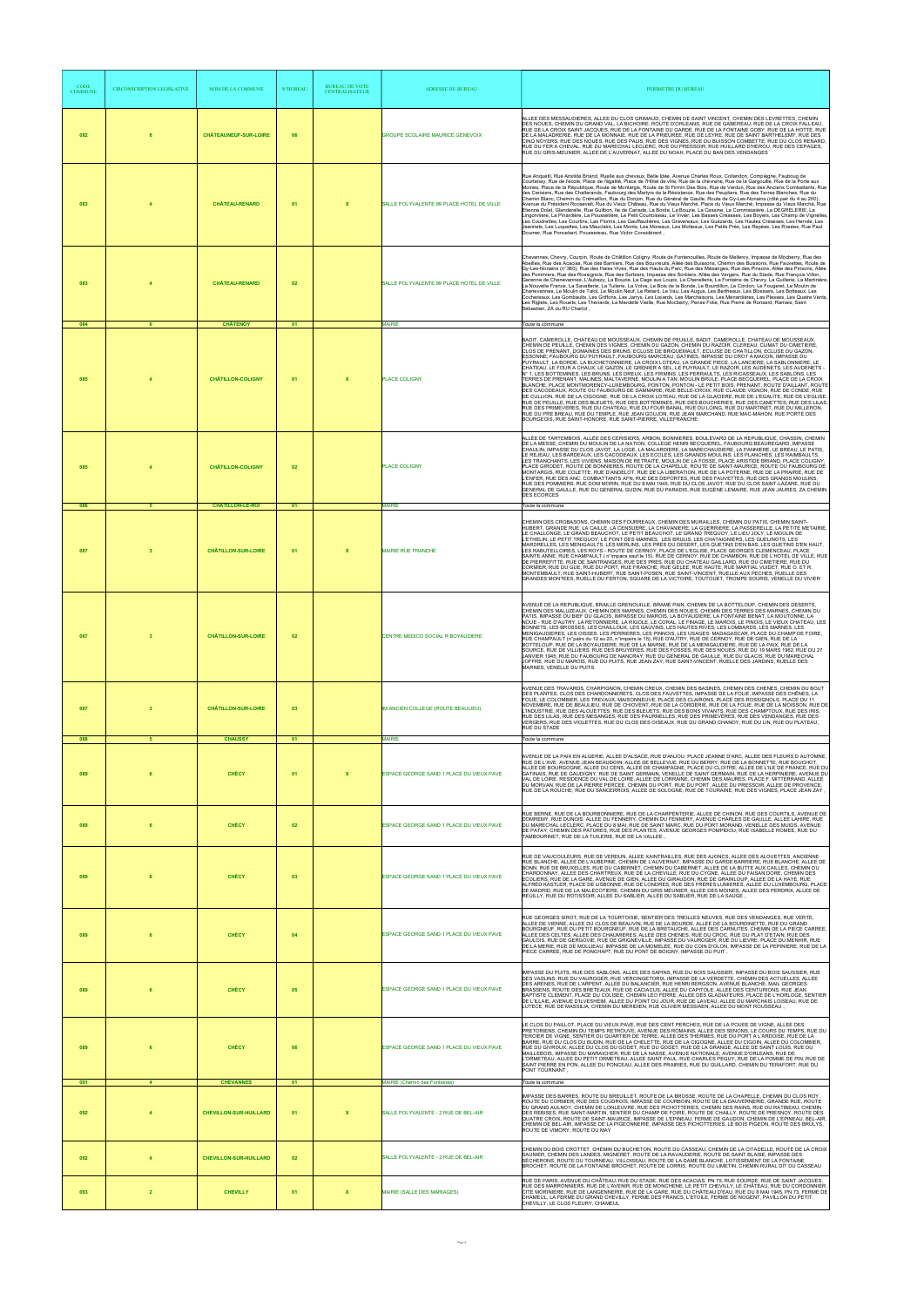| <b>CODE</b><br><b>COMMUNE</b> | CIRCONSCRIPTION LEGISLATIVE | <b>NOM DE LA COMMUNE</b>                            | <b>N°BUREAU</b> | <b>BUREAU DE VOTE</b><br><b>CENTRALISATEUR</b> | <b>ADRESSE DU BUREAU</b>                                                         | PERIMETRE DU BUREAU                                                                                                                                                                                                                                                                                                                                                                                                                                                                                                                                                                                                                                                                                                                                                                                                                                                                                                                                                                                                                                                                                                                                                                                                                                                                                                                                                                                                                                                                                                                                                                          |
|-------------------------------|-----------------------------|-----------------------------------------------------|-----------------|------------------------------------------------|----------------------------------------------------------------------------------|----------------------------------------------------------------------------------------------------------------------------------------------------------------------------------------------------------------------------------------------------------------------------------------------------------------------------------------------------------------------------------------------------------------------------------------------------------------------------------------------------------------------------------------------------------------------------------------------------------------------------------------------------------------------------------------------------------------------------------------------------------------------------------------------------------------------------------------------------------------------------------------------------------------------------------------------------------------------------------------------------------------------------------------------------------------------------------------------------------------------------------------------------------------------------------------------------------------------------------------------------------------------------------------------------------------------------------------------------------------------------------------------------------------------------------------------------------------------------------------------------------------------------------------------------------------------------------------------|
| 082                           | 6                           | <b>CHÂTEAUNEUF-SUR-LOIRE</b>                        | 06              |                                                | <b>GROUPE SCOLAIRE MAURICE GENEVOIX</b>                                          | ALLEE DES MESSAUDIERES, ALLEE DU CLOS GRIMAUD, CHEMIN DE SAINT VINCENT, CHEMIN DES LEVRETTES, CHEMIN<br>DES NOUES, CHEMIN DU GRAND VAL, LA BICHOIRE, ROUTE D'ORLEANS, RUE DE GABEREAU, RUE DE LA CROIX FALLEAU,<br>RUE DE LA CROIX SAINT JACQUES, RUE DE LA FONTAINE DU GARDE, RUE DE LA FONTAINE GOBY, RUE DE LA HOTTE, RUE<br>DE LA MALADRERIE, RUE DE LA MONNAIE, RUE DE LA PRIEUREE, RUE DE LEYRE, RUE DE SAINT BARTHELEMY, RUE DES<br>CINQ NOYERS, RUE DES NOUES, RUE DES PALIS, RUE DES VIGNES, RUE DU BUISSON COMBETTE, RUE DU CLOS RENARD,<br>RUE DU FER A CHEVAL, RUE DU MARECHAL LECLERC, RUE DU PRESSOIR, RUE HUILLARD D'HEROU, RUE DES CEPAGES,<br>RUE DU GRIS-MEUNIER, ALLEE DE L'AUVERNAT, ALLEE DU NOAH, PLACE DU BAN DES VENDANGES                                                                                                                                                                                                                                                                                                                                                                                                                                                                                                                                                                                                                                                                                                                                                                                                                                           |
| 083                           |                             | <b>CHÂTEAU-RENARD</b>                               | 01              | $\boldsymbol{\mathsf{x}}$                      | SALLE POLYVALENTE 99 PLACE HOTEL DE VILLE                                        | Rue Anquetil, Rue Aristide Briand, Ruelle aux chevaux, Belle Idée, Avenue Charles Roux, Collandon, Compiègne, Fauboug de<br>Courtenay, Rue de l'école, Place de l'égalité, Place de l'Hôtel de ville, Rue de la chèvrerie, Rue de la Gargouille, Rue de la Porte aux<br>Moines, Place de la République, Route de Montargis, Route de St Firmin Des Bois, Rue de Verdun, Rue des Anciens Combattants, Rue<br>des Cerisiers, Rue des Challerands, Faubourg des Martyrs de la Résistance, Rue des Peupliers, Rue des Terres Blanches, Rue du<br>Chemin Blanc, Chemin du Crémaillon, Rue du Donjon, Rue du Général de Gaulle, Route de Gy-Les-Nonains (côté pair du 4 au 200),<br>Avenue du Président Roosevelt, Rue du Vieux Château, Rue du Vieux Marché, Place du Vieux Marché, Impasse du Vieux Marché, Rue<br>Etienne Dolet, Glanderelle, Rue Guilbon, Ile de Canada, La Borde, La Bouzie, La Cassine, La Commassière, La DEGRELERIE, La<br>Lingonnière, La Pinardière, La Poussetière, Le Petit Courtoiseau, Le Vivier, Les Basses Créasses, Les Boyers, Les Champ de Vignelles.<br>Les Coudrettes, Les Courtins, Les Florins, Les Gauffaudières, Les Gravereaux, Les Guézards, Les Hautes Créasses, Les Hervés, Les<br>Jeannets, Les Luquettes, Les Mauclairs, Les Monts, Les Moreaux, Les Motteaux, Les Petits Prés, Les Rapées, Les Rosées, Rue Paul<br>Doumer, Rue Poncebert, Poussereau, Rue Victor Considérant,                                                                                                                                                                      |
| 083<br>084                    | 6                           | <b>CHÂTEAU-RENARD</b><br><b>CHÂTENOY</b>            | 02<br>01        |                                                | SALLE POLYVALENTE 99 PLACE HOTEL DE VILLE<br><b>MAIRIE</b>                       | Chevannes, Chevry, Courpin, Route de Châtillon Coligny, Route de Fontenouilles, Route de Melleroy, Impasse de Mocberry, Rue des<br>Abeilles, Rue des Acacias, Rue des Barniers, Rue des Bouvreuils, Allée des Buissons, Chemin des Buissons, Rue Fauvettes, Route de<br>Gy-Les-Nonains (n°360), Rue des Haies Vives, Rue des Hauts du Parc, Rue des Mésanges, Rue des Pinsons, Allée des Pinsons, Allée<br>des Pommiers, Rue des Rossignols, Rue des Sorbiers, Impasse des Sorbiers, Allée des Vergers, Rue du Stade, Rue François Villon,<br>Garenne de Chenevannes, L'Aubezy, La Bouzie, La Cage aux Loups, La Chenellerie, La Fontaine de Chevry, La Guillerie, La Martinière,<br>La Nouvelle France, La Savatterie, La Tuilerie, La Volve, Le Bois de la Bonde, Le Bourdillon, Le Cordon, Le Fougeret, Le Moulin de<br>Chenevannes, Le Moulin de Talot, Le Moulin Neuf, Le Retard, Le Vau, Les Augus, Les Bertheaux, Les Blossiers, Les Botteaux, Les<br>Cochereaux, Les Gombaults, Les Griffons, Les Jarrys, Les Lisiards, Les Marchaisons, Les Ménardières, Les Plesses, Les Quatre Vents,<br>Les Riglets, Les Rouets, Les Thenards, La Mardelle Vieille, Rue Mocberry, Pense Folie, Rue Pierre de Ronsard, Ramais, Saint<br>Sébastien, ZA du RU Charlot,<br>Toute la commune                                                                                                                                                                                                                                                                                                          |
| 085                           |                             | <b>CHÂTILLON-COLIGNY</b>                            | 01              | $\boldsymbol{\mathsf{x}}$                      | <b>PLACE COLIGNY</b>                                                             | BADIT, CAMEROLLE, CHATEAU DE MOUSSEAUX, CHEMIN DE PEUILLE, BADIT, CAMEROLLE, CHATEAU DE MOUSSEAUX,<br>CHEMIN DE PEUILLE, CHEMIN DES VIGNES, CHEMIN DU GAZON, CHEMIN DU RAZOIR, CLEREAU, CLIMAT DU CIMETIERE,<br>CLOS DE PRENANT, DOMAINES DES BRUNS, ECLUSE DE BRIQUEMAULT, ECLUSE DE CHATILLON, ECLUSE DU GAZON,<br>ESSONNE, FAUBOURG DU PUYRAULT, FAUBOURG MARCEAU, GATINES, IMPASSE DU CROT A MACON, IMPASSE DU<br>PUYRAULT, LA BORDE, LA BUCHETONNIERE, LA CROIX LOTEAU, LA GRANDE PIECE, LA LANCIERE, LA SABLONNIERE, LE<br>CHATEAU, LE FOUR A CHAUX, LE GAZON, LE GRENIER A SEL, LE PUYRAULT, LE RAZOIR, LES AUDENETS, LES AUDENETS -<br>N° 1, LES BOTTEMINES, LES BRUNS, LES DREUX, LES FIRMINS, LES PERRAULTS, LES RICASSEAUX, LES SABLONS, LES<br>TERRES DE PRENANT, MALINES, MALTAVERNE, MOULIN A TAN, MOULIN BRULE, PLACE BECQUEREL, PLACE DE LA CROIX<br>BLANCHE, PLACE MONTMORENCY-LUXEMBOURG, PONTON, PONTON - LE PETIT BOIS, PRENANT, ROUTE D'AILLANT, ROUTE<br>DES CACODEAUX, ROUTE OU FAUBOURG DE DAMMARIE, RUE BELLE-CROIX, RUE CLAUDE VIGNON, RUE DE CONDE, RUE<br>DE CULLION, RUE DE LA CIGOGNE, RUE DE LA CROIX LOTEAU, RUE DE LA GLACIERE, RUE DE L'EGALITE, RUE DE L'EGLISE<br>RUE DE PEUILLE, RUE DES BLEUETS, RUE DES BOTTEMINES, RUE DES BOUCHERIES, RUE DES CANETTES, RUE DES LILAS<br>RUE DES PRIMEVERES, RUE DU CHATEAU, RUE DU FOUR BANAL, RUE DU LOING, RUE DU MARTINET, RUE DU MILLERON,<br>RUE DU PRE BREAU, RUE DU TEMPLE, RUE JEAN GOUJON, RUE JEAN MARCHAND, RUE MAC-MAHON, RUE PORTE DES<br>BOURGEOIS, RUE SAINT-HONORE, RUE SAINT-PIERRE, VILLEFRANCHE |
| 085<br>086                    | 5                           | <b>CHÂTILLON-COLIGNY</b><br><b>CHÂTILLON-LE-ROI</b> | 02<br>01        |                                                | PLACE COLIGNY<br><b>MAIRIE</b>                                                   | ALLÉE DE TARTEMBOIS, ALLÉE DES CERISIERS, ARBON, BONNIERES, BOULEVARD DE LA REPUBLIQUE, CHASSIN, CHEMIN<br>DE LA MESSE, CHEMIN DU MOULIN DE LA NATION, COLLEGE HENRI BECQUEREL, FAUBOURG BEAUREGARD, IMPASSE<br>CHAULIN, IMPASSE DU CLOS JAVOT, LA LOGE, LA MALARDIERE, LA MARECHAUDIERE, LA PANNIERE, LE BREAU, LE PATIS,<br>LE REJEAU, LES BARDEAUX, LES CACODEAUX, LES ECOLES, LES GRANDS MOULINS, LES PLANCHES, LES RAIMBAULTS,<br>LES TRANCHANTS, LES VIVIENS, MAISON DE RETRAITE, MOULIN DE LA FOSSE, PLACE ARISTIDE BRIAND, PLACE COLIGNY,<br>PLACE GIRODET, ROUTE DE BONNIERES, ROUTE DE LA CHAPELLE, ROUTE DE SAINT-MAURICE, ROUTE OU FAUBOURG DE<br>MONTARGIS, RUE COLETTE, RUE D'ANDELOT, RUE DE LA LIBERATION, RUE DE LA POTERNE, RUE DE LA PRAIRIE, RUE DE<br>L'ENFER, RUE DES ANC. COMBATTANTS AFN, RUE DES DEPORTES, RUE DES FAUVETTES, RUE DES GRANDS MOULINS,<br>RUE DES POMMIERS, RUE DOM MORIN, RUE DU 8 MAI 1945, RUE DU CLOS JAVOT, RUE DU CLOS SAINT-LAZARE, RUE DU<br>GENERAL DE GAULLE, RUE DU GENERAL GUDIN, RUE DU PARADIS, RUE EUGENE LEMAIRE, RUE JEAN JAURES, ZA CHEMIN<br><b>DES ECORCES</b><br>Toute la commune                                                                                                                                                                                                                                                                                                                                                                                                                                               |
| 087                           | $\mathbf{3}$                | <b>CHÂTILLON-SUR-LOIRE</b>                          | 01              | $\boldsymbol{\mathsf{x}}$                      | <b>MAIRIE RUE FRANCHE</b>                                                        | CHEMIN DES CROBASONS, CHEMIN DES FOURREAUX, CHEMIN DES MURAILLES, CHEMIN DU PATIS, CHEMIN SAINT-<br>HUBERT, GRANDE RUE, LA CAILLE, LA CENSUERE, LA CHAVANIERE, LA GUERRIERE, LA PASSERELLE, LA PETITE METAIRIE,<br>LE CHALLONGE, LE GRAND BEAUCHOT, LE PETIT BEAUCHOT, LE GRAND TREQUOY, LE LIEU JOLY, LE MOULIN DE<br>ETHELIN, LE PETIT TREQUOY, LE PONT DES MARNES, LES BRULIS, LES CHATAIGNIERS, LES GUELINOTS, LES".<br>MARDRELLES, LES MENIGAULTS, LES MERLINS, LES PRES DU DESERT, LES QUETINS D'EN BAS, LES QUETINS D'EN HAUT,<br>LES RABUTELLOIRES, LES ROYS - ROUTE DE CERNOY, PLACE DE L'EGLISE, PLACE GEORGES CLEMENCEAU, PLACE<br>SAINTE ANNE, RUE CHAMPAULT (n°impairs sauf le 15), RUE DE CERNOY, RUE DE CHAMBON, RUE DE L'HOTEL DE VILLE, RUE<br>DE PIERREFITTE, RUE DE SANTRANGES, RUE DES PRES, RUE DU CHATEAU GAILLARD, RUE DU CIMETIERE, RUE DU<br>CORMIER, RUE DU GUE, RUE DU PORT, RUE FRANCHE, RUE GELEE, RUE HAUTE, RUE MARTIAL VUIDET, RUE O, ET R.<br>MONTEMBAULT, RUE SAINT-HUBERT, RUE SAINT-POSEN, RUE SAINT-VINCENT, RUELLE AUX PECHES, RUELLE DES<br>GRANDES MONTEES, RUELLE DU FERTON, SQUARE DE LA VICTOIRE, TOUTOUET, TROMPE SOURIS, VENELLE DU VIVIER                                                                                                                                                                                                                                                                                                                                                                                                      |
| 087                           | $\mathbf{3}$                | <b>CHÂTILLON-SUR-LOIRE</b>                          | 02              |                                                | CENTRE MEDICO SOCIAL R BOYAUDIERE                                                | AVENUE DE LA REPUBLIQUE, BRAILLE GRENOUILLE, BRAME PAIN, CHEMIN DE LA BOTTELOUP, CHEMIN DES DESERTS<br>CHEMIN DES MALUZEAUX, CHEMIN DES MARNES, CHEMIN DES NOUES, CHEMIN DES TERRES DES MARNES, CHEMIN DU<br>PATIS, IMPASSE DU BIEF DU GLACIS, IMPASSE DU MAROIS, LA BOYAUDIERE, LA FONTAINE BENAT, LA MOUTONNE, LA<br>NOUE - RUE D'AUTRY. LA RETONNIERE. LA RIGOLE. LE CORAL. LE FINAGE. LE MAROIS. LE PINOIS. LE VIEUX CHATEAU. LES<br>BONNETS, LES BROSSES, LES CHAILLOUX, LES GAUVINS, LES HAUTES RIVES, LES LOMBARDS, LES MARNES, LES<br>MENIGAUDIERES. LES OISSES. LES PERRIERES. LES PINNOIS. LES USAGES. MADAGASCAR. PLACE DU CHAMP DE FOIRE.<br>RUE CHAMPAULT (n°pairs du 12 au 20, n°impairs le 15), RUE D'AUTRY, RUE DE CERNOY, RUE DE GIEN, RUE DE LA<br>BOTTELOUP, RUE DE LA BOYAUDIERE, RUE DE LA MARNE, RUE DE LA MENIGAUDIERE, RUE DE LA PAIX, RUE DE LA<br>SOURCE, RUE DE VILLIERS, RUE DES BRUYERES, RUE DES FOSSES, RUE DES NOUES, RUE DU 19 MARS 1962, RUE DU 27<br>JANVIER 1945, RUE DU FAUBOURG DE NANCRAY, RUE DU GENERAL DE GAULLE, RUE DU GLACIS, RUE DU MARECHAL<br>JOFFRE, RUE DU MAROIS, RUE DU PUITS, RUE JEAN ZAY, RUE SAINT-VINCENT, RUELLE DES JARDINS, RUELLE DES<br>MARNES, VENELLE DU PUITS                                                                                                                                                                                                                                                                                                                                                               |
| 087<br>088                    | $\mathbf{3}$<br>-5          | <b>CHÂTILLON-SUR-LOIRE</b><br><b>CHAUSSY</b>        | 03<br>01        |                                                | IM.ANCIEN COLLEGE (ROUTE BEAULIEU)<br><b>MAIRIE</b>                              | AVENUE DES TRAVARDS, CHARPIGNON, CHEMIN CREUX, CHEMIN DES BASINES, CHEMIN DES CHENES, CHEMIN DU BOUT<br>DES PLANTES, CLOS DES CHARDONNERETS, CLOS DES FAUVETTES, IMPASSE DE LA FOLIE, IMPASSE DES CHÊNES, LA<br>FOLIE, LE COLOMBIER, LES TREVAUX, MAISONNEUVE, PLACE DES CLAIRONS, PLACE DES ROSSIGNOLS, PLACE DU 11<br>NOVEMBRE, RUE DE BEAULIEU, RUE DE CHIOVENT, RUE DE LA CORDERIE, RUE DE LA FOLIE, RUE DE LA MOISSON, RUE DE<br>L'INDUSTRIE, RUE DES ALOUETTES, RUE DES BLEUETS, RUE DES BONS VIVANTS, RUE DES CHAMPTOUX, RUE DES IRIS,<br>RUE DES LILAS, RUE DES MESANGES, RUE DES PAURNELLES, RUE DES PRIMEVÈRES, RUE DES VENDANGES, RUE DES<br>VERGERS, RUE DES VIOLETTES, RUE DU CLOS DES OISEAUX, RUE DU GRAND CHANOY, RUE DU LIN, RUE DU PLATEAU,<br>RUE DU STADE<br>Toute la commune                                                                                                                                                                                                                                                                                                                                                                                                                                                                                                                                                                                                                                                                                                                                                                                            |
| 089                           |                             | <b>CHÉCY</b>                                        | 01              | $\mathbf x$                                    | ESPACE GEORGE SAND 1 PLACE DU VIEUX PAVE                                         | AVENUE DE LA PAIX EN ALGERIE, ALLEE D'ALSACE, RUE D'ANJOU, PLACE JEANNE D'ARC, ALLEE DES FLEURS D AUTOMNE,<br>RUE DE L'AVE, AVENUE JEAN BEAUDOIN, ALLEE DE BELLEVUE, RUE DU BERRY, RUE DE LA BONNETTE, RUE BOUCHOT,<br>ALLEE DE BOURGOGNE, ALLEE DU CENS, ALLEE DE CHAMPAGNE, PLACE DU CLOITRE, ALLEE DE L'ILE DE FRANCE, RUE DU<br>GATINAIS, RUE DE GAUDIGNY, RUE DE SAINT GERMAIN, VENELLE DE SAINT GERMAIN, RUE DE LA HERPINIERE, AVENUE DU<br>VAL DE LOIRE, RESIDENCE DU VAL DE LOIRE, ALLEE DE LORRAINE, CHEMIN DES MAURES, PLACE F. MITTERRAND, ALLEE<br>DU MORVAN, RUE DE LA PIERRE PERCEE, CHEMIN DU PORT, RUE DU PORT, ALLEE DU PRESSOIR, ALLEE DE PROVENCE,<br>RUE DE LA ROUCHE, RUE DU SANCERROIS, ALLEE DE SOLOGNE, RUE DE TOURAINE, RUE DES VIGNES, PLACE JEAN ZAY                                                                                                                                                                                                                                                                                                                                                                                                                                                                                                                                                                                                                                                                                                                                                                                                              |
| 089                           |                             | <b>CHÉCY</b>                                        | 02              |                                                | ESPACE GEORGE SAND 1 PLACE DU VIEUX PAVE                                         | RUE BERNE, RUE DE LA BOURBONNIERE, RUE DE LA CHARPENTERIE, ALLEE DE CHINON, RUE DES COURTILS, AVENUE DE<br>DOMREMY, RUE DUNOIS, ALLEE DU FENNERY, CHEMIN DU FENNERY, AVENUE CHARLES DE GAULLE, ALLEE LAHIRE, RUE<br>DU MARECHAL LECLERC, PLACE DU 8 MAI, RUE DE SAINT MARC, RUE DU PORT MORAND, VENELLE DES MUIDS, AVENUE<br>DE PATAY, CHEMIN DES PATURES, RUE DES PLANTES, AVENUE GEORGES POMPIDOU, RUE ISABELLE ROMEE, RUE DU<br>TAMBOURINET, RUE DE LA TUILERIE, RUE DE LA VALLEE,                                                                                                                                                                                                                                                                                                                                                                                                                                                                                                                                                                                                                                                                                                                                                                                                                                                                                                                                                                                                                                                                                                        |
| 089                           |                             | <b>CHÉCY</b>                                        | 03              |                                                | ESPACE GEORGE SAND 1 PLACE DU VIEUX PAVE                                         | RUE DE VAUCOULEURS, RUE DE VERDUN, ALLEE XAINTRAILLES, RUE DES AJONCS, ALLEE DES ALOUETTES, ANCIENNE<br>RUE BLANCHE, ALLEE DE L'AUBEPINE, CHEMIN DE L'AUVERNAT, IMPASSE DU GARDE BARRIERE, RUE BLANCHE, ALLEE DE<br>BONN, RUE DE BRUXELLES, RUE DU CABERNET, CHEMIN DU CABERNET, ALLEE DE LA BUTTE AUX CAILLES, CHÉMIN DU<br>CHARDONNAY, ALLEE DES CHARTREUX, RUE DE LA CHEVILLE, RUE DU CYGNE, ALLEE DU FAISAN DORE, CHEMIN DES<br>ECOLIERS, RUE DE LA GARE, AVENUE DE GIEN, ALLEE DU GIRAUDON, RUE DE GRAINLOUP, ALLEE DE LA HAYE, RUE<br>ALFRED KASTLER, PLACE DE LISBONNE, RUE DE LONDRES, RUE DES FRERES LUMIERES, ALLEE DU LUXEMBOURG, PLACE<br>DE MADRID, RUE DE LA MALECOTIERE, CHEMIN DU GRIS MEUNIER, ALLEE DES MOINES, ALLEE DES PERDRIX, ALLEE DE<br>REUILLY, RUE DU ROTISSOIR, ALLEE DU SABLIER, ALLEE DU SABLIER, RUE DE LA SAUGE,                                                                                                                                                                                                                                                                                                                                                                                                                                                                                                                                                                                                                                                                                                                                             |
| 089                           |                             | <b>CHÉCY</b>                                        | 04              |                                                | ESPACE GEORGE SAND 1 PLACE DU VIEUX PAVE                                         | RUE GEORGES SIROT, RUE DE LA TOURTOISIE, SENTIER DES TREILLES NEUVES, RUE DES VENDANGES, RUE VERTE,<br>ALLEE DE VIENNE, ALLEE DU CLOS DE BEAUVIN, RUE DE LA BOURDE, ALLEE DE LA BOURDINETTE, RUE DU GRAND<br>BOURGNEUF, RUE DU PETIT BOURGNEUF, RUE DE LA BRETAUCHE, ALLEE DES CARNUTES, CHEMIN DE LA PIECE CARREE,<br>ALLEE DES CELTES, ALLEE DES CHAUMIERES, ALLEE DES CHENES, RUE DU CROC, RUE DU PLAT D'ETAIN, RUE DES<br>GAULOIS, RUE DE GERGOVIE, RUE DE GRIGNEVILLE, IMPASSE DU VAUROGER, RUE DU LIEVRE, PLACE DU MENHIR, RUE<br>DE LA MERIE, RUE DE MOLLIEAU, IMPASSE DE LA MOMELEE, RUE DU COIN D'OLON, IMPASSE DE LA PEPINIERE, RUE DE LA<br>PIECE CARREE, RUE DE PONCHAPT, RUE DU PONT DE BOIGNY, IMPASSE DU PUIT,                                                                                                                                                                                                                                                                                                                                                                                                                                                                                                                                                                                                                                                                                                                                                                                                                                                                |
| 089                           |                             | <b>CHÉCY</b>                                        | 05              |                                                | ESPACE GEORGE SAND 1 PLACE DU VIEUX PAVE                                         | IMPASSE DU PUITS, RUE DES SABLONS, ALLEE DES SAPINS, RUE DU BOIS SAUSSIER, IMPASSE DU BOIS SAUSSIER, RUE<br>DES VASLINS, RUE DU VAUROGER, RUE VERCINGETORIX, IMPASSE DE LA VERDETTE, CHEMIN DES ACTUELLES, ALLEE<br>DES ARENES, RUE DE L'ARPENT, ALLEE DU BALANCIER, RUE HENRI BERGSON, AVENUE BLANCHE, MAIL GEORGES<br>BRASSENS, ROUTE DES BRETEAUX, RUE DE CACIACUS, ALLEE DU CAPITOLE, ALLEE DES CENTURIONS, RUE JEAN<br>BAPTISTE CLEMENT, PLACE DU COLISEE, CHEMIN LEO FERRE, ALLEE DES GLADIATEURS, PLACE DE L'HORLOGE, SENTIER<br>DE L'ILLAIE, AVENUE D'ILVESHEIM, ALLEE DU POINT DU JOUR, RUE DE LAVEAU, ALLEE DU MARCHAIS LOISEAU, RUE DE<br>LUTECE, RUE DE MASSILIA, CHEMIN DU MERIDIEN, RUE OLIVIER MESSIAEN, ALLEE DU MONT ROUSSEAU                                                                                                                                                                                                                                                                                                                                                                                                                                                                                                                                                                                                                                                                                                                                                                                                                                               |
| 089<br>091                    | 6<br>$\overline{4}$         | <b>CHÉCY</b><br><b>CHEVANNES</b>                    | 06<br>01        |                                                | ESPACE GEORGE SAND 1 PLACE DU VIEUX PAVE<br><b>MAIRIE</b> (Chemin des Fontaines) | E CLOS DU PAILLOT, PLACE DU VIEUX PAVE, RUE DES CENT PERCHES, RUE DE LA POUEE DE VIGNE, ALLEE DES<br>PRETORIENS, CHEMIN DU TEMPS RETROUVE, AVENUE DES ROMAINS, ALLEE DES SENONS, LE COURS DU TEMPS, RUE DU<br>TERCIER DE VIGNE, SENTIER DU QUARTIER DE TERRE, ALLEE DES THERMES, RUE DU PORT A L'ARDOISE, RUE DE LA<br>BARRE, RUE DU CLOS DU BUDIN, RUE DE LA CHELETTE, RUE DE LA CIGOGNE, ALLEE DU CIGOIN, ALLEE DU COLOMBIER,<br>RUE DU GIVROUX, ALLEE DU CLOS DU GODET, RUE DU GODET, RUE DE LA GRANGE, ALLEE DE SAINT LOUIS, RUE DU<br>MAILLEBOIS. IMPASSE DU MARAICHER. RUE DE LA NASSE. AVENUE NATIONALE. AVENUE D'ORLEANS. RUE DE<br>'ORMETEAU, ALLEE DU PETIT ORMETEAU, ALLEE SAINT PAUL, RUE CHARLES PEGUY, RUE DE LA POMME DE PIN, RUE DE<br>SAINT PIERRE EN PON, ALLEE DU PONCEAU, ALLEE DES PRAIRIES, RUE DU QUILLARD, CHEMIN DU TERAFORT, RUE DU<br>PONT TOURNANT,<br>Toute la commune                                                                                                                                                                                                                                                                                                                                                                                                                                                                                                                                                                                                                                                                                          |
| 092                           | $\overline{4}$              | <b>CHEVILLON-SUR-HUILLARD</b>                       | 01              | $\mathbf{x}$                                   | SALLE POLYVALENTE - 2 RUE DE BEL-AIR                                             | IMPASSE DES BARRES, ROUTE DU BREUILLET, ROUTE DE LA BROSSE, ROUTE DE LA CHAPELLE, CHEMIN DU CLOS ROY,<br>ROUTE DU CORMIER, RUE DES COUDROIS, IMPASSE DE COURBOIN, ROUTE DE LA DAUVERNERIE, GRANDE RUE, ROUTE<br>DU GRAND AULNOY, CHEMIN DE LONLEUVRE, RUE DES PICHOTTERIES, CHEMIN DES RAINS, RUE DU RATIBEAU, CHEMIN<br>DES REBISES, RUE SAINT-MARTIN, SENTIER DU CHAMP DE FOIRE, ROUTE DE CHAILLY, ROUTE DE PRESNOY, ROUTE DES<br>QUATRE CROIX, ROUTE DE SAINT-MAURICE, IMPASSE DE L'EPINEAU, FERME DE GAUDON, CHEMIN DE L'EPINEAU, BEL-AIR,<br>CHEMIN DE BEL-AIR, IMPASSE DE LA PIGEONNERIE, IMPASSE DES PICHOTTERIES, LE BOIS PIGEON, ROUTE DES BRÛLYS,<br>ROUTE DE VIMORY, ROUTE DU MAY                                                                                                                                                                                                                                                                                                                                                                                                                                                                                                                                                                                                                                                                                                                                                                                                                                                                                                 |
| 092                           | $\overline{4}$              | <b>CHEVILLON-SUR-HUILLARD</b>                       | 02              |                                                | SALLE POLYVALENTE - 2 RUE DE BEL-AIR                                             | CHEMIN DU BOIS CROTTET, CHEMIN DU BUCHETON, ROUTE DU CASSEAU, CHEMIN DE LA CITADELLE, ROUTE DE LA CROIX<br>SAUNIER, CHEMIN DES LANDES, MIGNERET, ROUTE DE LA RAVAUDERIE, ROUTE DE SAINT BLAISE, IMPASSE DES<br>SÈCHERONS, ROUTE DU TOURNEAU, VILLOISEAU, ROUTE DE LA DAME BLANCHE, LOTISSEMENT DE LA FONTAINE<br>BROCHET, ROUTE DE LA FONTAINE BROCHET, ROUTE DE LORRIS, ROUTE DU LIMETIN, CHEMIN RURAL DIT DU CASSEAU                                                                                                                                                                                                                                                                                                                                                                                                                                                                                                                                                                                                                                                                                                                                                                                                                                                                                                                                                                                                                                                                                                                                                                       |
| 093                           | $\overline{2}$              | <b>CHEVILLY</b>                                     | 01              | $\mathbf{x}$                                   | MAIRIE (SALLE DES MARIAGES)                                                      | RUE DE PARIS, AVENUE DU CHÂTEAU, RUE DU STADE, RUE DES ACACIAS, PN 75, RUE SOURDE, RUE DE SAINT JACQUES,<br>RUE DES MARRONNIERS, RUE DE L'AVENIR, RUE DE MONCHENE, LE PETIT CHEVILLY, LE CHÂTEAU, RUE DU CORDONNIER,<br>CITE MORINIERE, RUE DE LANGENNERIE, RUE DE LA GARE, RUE DU CHÂTEAU D'EAU, RUE DU 8 MAI 1945, PN 73, FERME DE<br>CHAMEUL, LA FERME DU GRAND CHEVILLY, FERME DES FRANCS, L'ETOILE, FERME DE NOGENT, PAVILLON DU PETIT<br>CHEVILLY, LE CLOS FLEURY, CHAMEUL                                                                                                                                                                                                                                                                                                                                                                                                                                                                                                                                                                                                                                                                                                                                                                                                                                                                                                                                                                                                                                                                                                             |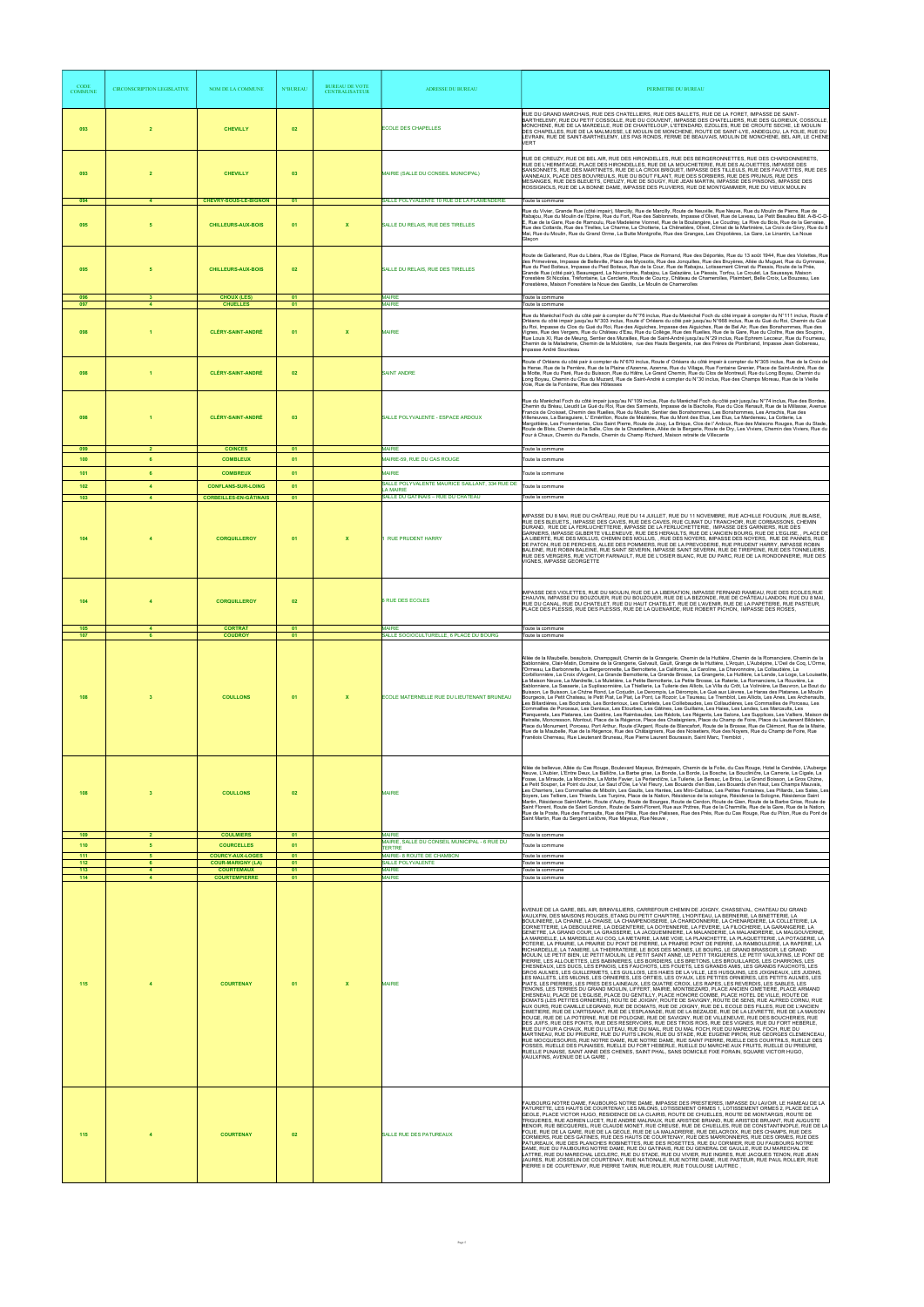| <b>CODE</b><br><b>COMMUNE</b> | <b>CIRCONSCRIPTION LEGISLATIVE</b>        | NOM DE LA COMMUNE                                                        | <b>N°BUREAU</b> | <b>BUREAU DE VOTE</b><br><b>CENTRALISATEUR</b> | <b>ADRESSE DU BUREAU</b>                                                          | PERIMETRE DU BUREAU                                                                                                                                                                                                                                                                                                                                                                                                                                                                                                                                                                                                                                                                                                                                                                                                                                                                                                                                                                                                                                                                                                                                                                                                                                                                                                                                                                                                                                                                                                                                                                                                                                                                                                                                                                                                                                                                                                                                                                                                                                                                                                                                                                                                                                                                                                                                                                                                                                                                                                                                                                                                                                                                                                                                                                                                                                                                                                  |
|-------------------------------|-------------------------------------------|--------------------------------------------------------------------------|-----------------|------------------------------------------------|-----------------------------------------------------------------------------------|----------------------------------------------------------------------------------------------------------------------------------------------------------------------------------------------------------------------------------------------------------------------------------------------------------------------------------------------------------------------------------------------------------------------------------------------------------------------------------------------------------------------------------------------------------------------------------------------------------------------------------------------------------------------------------------------------------------------------------------------------------------------------------------------------------------------------------------------------------------------------------------------------------------------------------------------------------------------------------------------------------------------------------------------------------------------------------------------------------------------------------------------------------------------------------------------------------------------------------------------------------------------------------------------------------------------------------------------------------------------------------------------------------------------------------------------------------------------------------------------------------------------------------------------------------------------------------------------------------------------------------------------------------------------------------------------------------------------------------------------------------------------------------------------------------------------------------------------------------------------------------------------------------------------------------------------------------------------------------------------------------------------------------------------------------------------------------------------------------------------------------------------------------------------------------------------------------------------------------------------------------------------------------------------------------------------------------------------------------------------------------------------------------------------------------------------------------------------------------------------------------------------------------------------------------------------------------------------------------------------------------------------------------------------------------------------------------------------------------------------------------------------------------------------------------------------------------------------------------------------------------------------------------------------|
| 093                           | $\overline{2}$                            | <b>CHEVILLY</b>                                                          | 02              |                                                | <b>ECOLE DES CHAPELLES</b>                                                        | RUE DU GRAND MARCHAIS, RUE DES CHATELLIERS, RUE DES BALLETS, RUE DE LA FORET, IMPASSE DE SAINT-<br>BARTHELEMY, RUE DU PETIT COSSOLLE, RUE DU COUVENT, IMPASSE DES CHATELLIERS, RUE DES GLORIEUX, COSSOLLE,<br>MONCHENE, RUE DE LA MARDELLE, RUE DE CHANTELOUP, L'ETENDARD, EZOLLES, RUE DE CROUTE SECHE, LE MOULIN<br>DES CHAPELLES, RUE DE LA MALMUSSE, LE MOULIN DE MONCHENE, ROUTE DE SAINT-LYE, ANDEGLOU, LA FOLIE, RUE DU<br>LEVRAIN, RUE DE SAINT-BARTHELEMY, LES PAS RONDS, FERME DE BEAUVAIS, MOULIN DE MONCHENE, BEL AIR, LE CHENE<br><b>VFRT</b>                                                                                                                                                                                                                                                                                                                                                                                                                                                                                                                                                                                                                                                                                                                                                                                                                                                                                                                                                                                                                                                                                                                                                                                                                                                                                                                                                                                                                                                                                                                                                                                                                                                                                                                                                                                                                                                                                                                                                                                                                                                                                                                                                                                                                                                                                                                                                           |
| 093                           | $\overline{2}$<br>$\overline{4}$          | <b>CHEVILLY</b><br><b>CHEVRY-SOUS-LE-BIGNON</b>                          | 03              |                                                | MAIRIE (SALLE DU CONSEIL MUNICIPAL)<br>SALLE POLYVALENTE 10 RUE DE LA FLAMENDERIE | RUE DE CREUZY, RUE DE BEL AIR, RUE DES HIRONDELLES, RUE DES BERGERONNETTES, RUE DES CHARDONNERETS,<br>RUE DE L'HERMITAGE, PLACE DES HIRONDELLES, RUE DE LA MOUCHETERIE, RUE DES ALOUETTES, IMPASSE DES<br>SANSONNETS, RUE DES MARTINETS, RUE DE LA CROIX BRIQUET, IMPASSE DES TILLEULS, RUE DES FAUVETTES, RUE DES<br>VANNEAUX, PLACE DES BOUVREUILS, RUE DU BOUT FILANT, RUE DES SORBIERS, RUE DES PRUNUS, RUE DES<br>MESANGES, RUE DES BLEUETS, CREÚZY, RUE DE SOUGY, RUE JEAN MARTIN, IMPASSE DES PINSONS, IMPASSE DES<br>ROSSIGNOLS, RUE DE LA BONNE DAME, IMPASSE DES PLUVIERS, RUE DE MONTGAMMIER, RUE DU VIEUX MOULIN<br>Toute la commune                                                                                                                                                                                                                                                                                                                                                                                                                                                                                                                                                                                                                                                                                                                                                                                                                                                                                                                                                                                                                                                                                                                                                                                                                                                                                                                                                                                                                                                                                                                                                                                                                                                                                                                                                                                                                                                                                                                                                                                                                                                                                                                                                                                                                                                                     |
| 094<br>095                    | 5                                         | <b>CHILLEURS-AUX-BOIS</b>                                                | 01<br>01        | $\mathbf{x}$                                   | SALLE DU RELAIS, RUE DES TIRELLES                                                 | Rue du Vivier, Grande Rue (côté impair), Marcilly, Rue de Marcilly, Route de Neuville, Rue Neuve, Rue du Moulin de Pierre, Rue de<br>Rabajou, Rue du Moulin de l'Epine, Rue du Fort, Rue des Sablonnets, Impasse d'Olivet, Rue de Laveau, Le Petit Beaulieu Bât. A-B-C-D-<br>E, Rue de la Gare, Rue de Ramoulu, Rue Madeleine Vionnet, Rue de la Boulangère, Le Coudray, La Rive du Bois, Rue de la Gervaise,<br>Rue des Cottards, Rue des Tirelles, Le Charme, La Chotterie, La Chênetière, Olivet, Climat de la Martinière, La Croix de Givry, Rue du 8<br>Mai, Rue du Moulin, Rue du Grand Orme, La Butte Montgrolle, Rue des Granges, Les Chipotières, La Gare, Le Linantin, La Noue<br>Glaçon                                                                                                                                                                                                                                                                                                                                                                                                                                                                                                                                                                                                                                                                                                                                                                                                                                                                                                                                                                                                                                                                                                                                                                                                                                                                                                                                                                                                                                                                                                                                                                                                                                                                                                                                                                                                                                                                                                                                                                                                                                                                                                                                                                                                                   |
| 095                           | 5                                         | <b>CHILLEURS-AUX-BOIS</b>                                                | 02              |                                                | SALLE DU RELAIS, RUE DES TIRELLES                                                 | Route de Gallerand, Rue du Libéra, Rue de l'Eglise, Place de Romand, Rue des Déportés, Rue du 13 août 1944, Rue des Violettes, Rue<br>des Primevères, Impasse de Belleville, Place des Myosotis, Rue des Jonquilles, Rue des Bruyères, Allée du Muguet, Rue du Gymnase,<br>Rue du Pied Boiteux, Impasse du Pied Boiteux, Rue de la Cour, Rue de Rabajou, Lotissement Climat du Plessis, Route de la Prée,<br>Grande Rue (côté pair), Beauregard, La Nourricerie, Rabajou, La Galazière, Le Plessis, Torfou, Le Croulet, La Saussaye, Maison<br>Forestière St Nicolas, Tréfontaine, La Cerclerie, Route de Courcy, Château de Chamerolles, Plaimbert, Belle Croix, Le Bouzeau, Les<br>Forestières, Maison Forestière la Noue des Gastils, Le Moulin de Chamerolles                                                                                                                                                                                                                                                                                                                                                                                                                                                                                                                                                                                                                                                                                                                                                                                                                                                                                                                                                                                                                                                                                                                                                                                                                                                                                                                                                                                                                                                                                                                                                                                                                                                                                                                                                                                                                                                                                                                                                                                                                                                                                                                                                    |
| 096<br>097                    | 3                                         | <b>CHOUX (LES)</b><br><b>CHUELLES</b>                                    | 01<br>01        |                                                | <b>MAIRIE</b><br><b>MAIRIE</b>                                                    | Toute la commune<br>Toute la commune<br>Rue du Maréchal Foch du côté pair à compter du N°76 inclus, Rue du Maréchal Foch du côté impair à compter du N°111 inclus, Route d                                                                                                                                                                                                                                                                                                                                                                                                                                                                                                                                                                                                                                                                                                                                                                                                                                                                                                                                                                                                                                                                                                                                                                                                                                                                                                                                                                                                                                                                                                                                                                                                                                                                                                                                                                                                                                                                                                                                                                                                                                                                                                                                                                                                                                                                                                                                                                                                                                                                                                                                                                                                                                                                                                                                           |
| 098                           |                                           | <b>CLÉRY-SAINT-ANDRÉ</b>                                                 | 01              | X                                              | <b>MAIRIE</b>                                                                     | Orléans du côté impair jusqu'au N°303 inclus, Route d' Orléans du côté pair jusqu'au N°668 inclus, Rue du Gué du Roi, Chemin du Gué<br>du Roi, Impasse du Clos du Gué du Roi, Rue des Aiguiches, Impasse des Aiguiches, Rue de Bel Air, Rue des Bonshommes, Rue des<br>Vignes, Rue des Vergers, Rue du Château d'Eau, Rue du Collège, Rue des Ruelles, Rue de la Gare, Rue du Cloître, Rue des Soupirs,<br>nus Louis XI, Rue de Meung, Sentier des Murailles, Rue de Saint-André jusqu'au N°29 inclus, Rue Ephrem Lecoeur, Rue du Fourneau,<br>Chemin de la Maladrerie, Chemin de la Mulotière, rue des Hauts Bergerets, rue des Frères de Pontbriand, Impasse Jean Gobereau,<br>Impasse André Sourdeau                                                                                                                                                                                                                                                                                                                                                                                                                                                                                                                                                                                                                                                                                                                                                                                                                                                                                                                                                                                                                                                                                                                                                                                                                                                                                                                                                                                                                                                                                                                                                                                                                                                                                                                                                                                                                                                                                                                                                                                                                                                                                                                                                                                                              |
| 098                           |                                           | <b>CLÉRY-SAINT-ANDRÉ</b>                                                 | 02              |                                                | <b>SAINT ANDRE</b>                                                                | Route d' Orléans du côté pair à compter du N°670 inclus, Route d' Orléans du côté impair à compter du N°305 inclus, Rue de la Croix de<br>la Herse, Rue de la Perrière, Rue de la Plaine d'Azenne, Azenne, Rue du Village, Rue Fontaine Grenier, Place de Saint-André, Rue de<br>la Motte, Rue du Paré, Rue du Buisson, Rue du Hâtre, Le Grand Chemin, Rue du Clos de Montreuil, Rue du Long Boyau, Chemin du<br>Long Boyau, Chemin du Clos du Muzard, Rue de Saint-André à compter du N°30 inclus, Rue des Champs Moreau, Rue de la Vieille<br>Voie, Rue de la Fontaine, Rue des Hôtesses                                                                                                                                                                                                                                                                                                                                                                                                                                                                                                                                                                                                                                                                                                                                                                                                                                                                                                                                                                                                                                                                                                                                                                                                                                                                                                                                                                                                                                                                                                                                                                                                                                                                                                                                                                                                                                                                                                                                                                                                                                                                                                                                                                                                                                                                                                                           |
| 098                           | $\overline{1}$                            | <b>CLÉRY-SAINT-ANDRÉ</b>                                                 | 03              |                                                | SALLE POLYVALENTE - ESPACE ARDOUX                                                 | Rue du Maréchal Foch du côté impair jusqu'au N°109 inclus, Rue du Maréchal Foch du côté pair jusqu'au N°74 inclus, Rue des Bordes,<br>Chemin du Bréau, Lieudit Le Gué du Roi, Rue des Sarments, Impasse de la Bacholle, Rue du Clos Renault, Rue de la Millasse, Avenue<br>Francis de Croisset, Chemin des Ruelles, Rue du Moulin, Sentier des Bonshommes, Les Bonshommes, Les Arrachis, Rue des<br>Villeneuves, La Baraguiere, L' Emérillon, Route de Mézières, Rue du Mont des Elus, Les Elus, Le Mardereau, La Cotterie, La<br>Margottière, Les Fromenteries, Clos Saint Pierre, Route de Jouy, La Brique, Clos de l'Ardoux, Rue des Maisons Rouges, Rue du Stade,<br>Route de Blois, Chemin de la Salle, Clos de la Chastellenie, Allée de la Bergerie, Route de Dry, Les Viviers, Chemin des Viviers, Rue du<br>Four à Chaux, Chemin du Paradis, Chemin du Champ Richard, Maison retraite de Villecante                                                                                                                                                                                                                                                                                                                                                                                                                                                                                                                                                                                                                                                                                                                                                                                                                                                                                                                                                                                                                                                                                                                                                                                                                                                                                                                                                                                                                                                                                                                                                                                                                                                                                                                                                                                                                                                                                                                                                                                                         |
| 099<br>100                    | $\overline{2}$<br>6                       | <b>COINCES</b><br><b>COMBLEUX</b>                                        | 01<br>01        |                                                | <b>MAIRIE</b><br><b>MAIRIE-59, RUE DU CAS ROUGE</b>                               | Toute la commune<br>Toute la commune                                                                                                                                                                                                                                                                                                                                                                                                                                                                                                                                                                                                                                                                                                                                                                                                                                                                                                                                                                                                                                                                                                                                                                                                                                                                                                                                                                                                                                                                                                                                                                                                                                                                                                                                                                                                                                                                                                                                                                                                                                                                                                                                                                                                                                                                                                                                                                                                                                                                                                                                                                                                                                                                                                                                                                                                                                                                                 |
| 101                           | 6                                         | <b>COMBREUX</b>                                                          | 01              |                                                | <b>MAIRIE</b><br>SALLE POLYVALENTE MAURICE SAILLANT, 334 RUE DE                   | Toute la commune                                                                                                                                                                                                                                                                                                                                                                                                                                                                                                                                                                                                                                                                                                                                                                                                                                                                                                                                                                                                                                                                                                                                                                                                                                                                                                                                                                                                                                                                                                                                                                                                                                                                                                                                                                                                                                                                                                                                                                                                                                                                                                                                                                                                                                                                                                                                                                                                                                                                                                                                                                                                                                                                                                                                                                                                                                                                                                     |
| 102<br>103                    | $\blacktriangleleft$<br>$\overline{4}$    | <b>CONFLANS-SUR-LOING</b><br><b>CORBEILLES-EN-GÂTINAIS</b>               | 01<br>01        |                                                | <b>A MAIRIE</b><br>SALLE DU GATINAIS - RUE DU CHÂTEAU                             | Toute la commune<br>Toute la commune                                                                                                                                                                                                                                                                                                                                                                                                                                                                                                                                                                                                                                                                                                                                                                                                                                                                                                                                                                                                                                                                                                                                                                                                                                                                                                                                                                                                                                                                                                                                                                                                                                                                                                                                                                                                                                                                                                                                                                                                                                                                                                                                                                                                                                                                                                                                                                                                                                                                                                                                                                                                                                                                                                                                                                                                                                                                                 |
| 104                           | $\overline{4}$                            | <b>CORQUILLEROY</b>                                                      | 01              | $\mathbf{x}$                                   | <b>RUE PRUDENT HARRY</b>                                                          | IMPASSE DU 8 MAI, RUE DU CHÂTEAU, RUE DU 14 JUILLET, RUE DU 11 NOVEMBRE, RUE ACHILLE FOUQUIN, ,RUE BLAISE,<br>RUE DES BLEUETS IMPASSE DES CAVES. RUE DES CAVES. RUE CLIMAT DU TRANCHOIR. RUE CORBASSONS. CHEMIN<br>DURAND, RUE DE LA FERLUCHETTERIE, IMPASSE DE LA FERLUCHETTERIE, IMPASSE DES GARNIERS, RUE DES<br>GARNIERS, IMPASSE GILBERTE VILLENEUVE, RUE DES HERAULTS, RUE DE L'ANCIEN BOURG, RUE DE L'EGLISE, , PLACE DE<br>LA LIBERTÉ, RUE DES MOLLUS, CHEMIN DES MOLLUS, , RUE DES NOYERS, IMPASSE DES NOYERS, RUE DE PANNES, RUE<br>DE PATON, RUE DE PERCHES, ALLEE DES POMMIERS, RUE DE LA PREVODERIE, RUE PRUDENT HARRY, IMPASSE ROBIN<br>BALEINE. RUE ROBIN BALEINE. RUE SAINT SEVERIN. IMPASSE SAINT SEVERIN. RUE DE TIREPEINE. RUE DES TONNELIERS.<br>RUE DES VERGERS, RUE VICTOR FARNAULT, RUE DE L'OSIER BLANC, RUE DU PARC, RUE DE LA RONDONNERIE, RUE DES<br>/IGNES, IMPASSE GEORGETTE                                                                                                                                                                                                                                                                                                                                                                                                                                                                                                                                                                                                                                                                                                                                                                                                                                                                                                                                                                                                                                                                                                                                                                                                                                                                                                                                                                                                                                                                                                                                                                                                                                                                                                                                                                                                                                                                                                                                                                                                            |
| 104                           |                                           | <b>CORQUILLEROY</b>                                                      | 02              |                                                | <b>RUE DES ECOLES</b>                                                             | IMPASSE DES VIOLETTES, RUE DU MOULIN, RUE DE LA LIBERATION, IMPASSE FERNAND RAMEAU, RUE DES ECOLES,RUE<br>CHAUVIN, IMPASSE DU BOUZOUER, RUE DU BOUZOUER, RUE DE LA BEZONDE, RUE DE CHÂTEAU LANDON, RUE DU 8 MAI,<br>RUE DU CANAL, RUE DU CHATELET, RUE DU HAUT CHATELET, RUE DE L'AVENIR, RUE DE LA PAPETERIE, RUE PASTEUR,<br>PLACE DES PLESSIS, RUE DES PLESSIS, RUE DE LA QUENARDE, RUE ROBERT PICHON, IMPASSE DES ROSES.                                                                                                                                                                                                                                                                                                                                                                                                                                                                                                                                                                                                                                                                                                                                                                                                                                                                                                                                                                                                                                                                                                                                                                                                                                                                                                                                                                                                                                                                                                                                                                                                                                                                                                                                                                                                                                                                                                                                                                                                                                                                                                                                                                                                                                                                                                                                                                                                                                                                                         |
| 105<br>107                    | $\overline{4}$<br>6                       | <b>CORTRAT</b><br><b>COUDROY</b>                                         | 01<br>01        |                                                | <b>MAIRIF</b><br>SALLE SOCIOCULTURELLE, 6 PLACE DU BOURG                          | Toute la commune<br>Toute la commune                                                                                                                                                                                                                                                                                                                                                                                                                                                                                                                                                                                                                                                                                                                                                                                                                                                                                                                                                                                                                                                                                                                                                                                                                                                                                                                                                                                                                                                                                                                                                                                                                                                                                                                                                                                                                                                                                                                                                                                                                                                                                                                                                                                                                                                                                                                                                                                                                                                                                                                                                                                                                                                                                                                                                                                                                                                                                 |
| 108                           | 3                                         | <b>COULLONS</b>                                                          | 01              | $\boldsymbol{\mathsf{x}}$                      | ECOLE MATERNELLE RUE DU LIEUTENANT BRUNEAU                                        | Allée de la Maubelle, beaubois, Champgault, Chemin de la Grangerie, Chemin de la Huttière, Chemin de la Romanciere, Chemin de la<br>Sablonnière, Clair-Matin, Domaine de la Grangerie, Galvault, Gault, Grange de la Huttière, L'Arquin, L'Aubépine, L'Oeil de Coq, L'Orme,<br>l'Ormeau, La Barbonnette, La Bergeronnette, La Bernotterie, La Californie, La Caroline, La Chavonnoire, La Collaudière, La<br>Corbillonnière, La Croix d'Argent, La Grande Bernotterie, La Grande Brosse, La Grangerie, La Huttière, La Lande, La Loge, La Louisette,<br>La Maison Neuve, La Mardrelle, La Muletière, La Petite Bernotterie, La Petite Brosse, La Raterie, La Romanciere, La Rouvière, La<br>Sablonniere, La Sasserie, La Suplissonnière, La Thiellerie, La Tuilerie des Alliots, La Villa du Crōt, La Volinière, Le Beuvron, Le Bout du<br>Buisson, Le Buisson, Le Chźne Rond, Le Corjudin, Le Derompis, Le Dérompis, Le Gué aux Lièvres, Le Haras des Platanes, Le Moulin<br>Bourgeois, Le Petit Chateau, le Petit Piat, Le Piat, Le Pont, Le Rozoir, Le Taureau, Le Tremblot, Les Alliots, Les Anes, Les Archenaults,<br>Les Billardières, Les Bochards, Les Borderioux, Les Cartelets, Les Coillebaudes, Les Collaudières, Les Commailles de Porceau, Les<br>Commailles de Porceaux, Les Deniaux, Les Etourbes, Les Gātines, Les Guillains, Les Haies, Les Landes, Les Marcaults, Les<br>Planquerets, Les Platanes, Les Quétins, Les Raimbaudes, Les Rédots, Les Régents, Les Salons, Les Supplices, Les Valliers, Maison de<br>Retraite, Moncresson, Montout, Place de la Régence, Place des Chataigniers, Place du Champ de Foire, Place du Lieutenant Bildstein,<br>Place du Monument, Porceau, Port Arthur, Route d'Argent, Route de Blancafort, Route de la Brosse, Rue de Clémont, Rue de la Mairie,<br>Rue de la Maubelle, Rue de la Régence, Rue des Chataigniers, Rue des Noisetiers, Rue des Noyers, Rue du Champ de Foire, Rue<br>, Franēois Cherreau, Rue Lieutenant Bruneau, Rue Pierre Laurent Bourassin, Saint Marc, Tremblot                                                                                                                                                                                                                                                                                                                                                                                                                                                                                                                                                                                                                                                                                                                                                                                                                                                                      |
| 108<br>109                    | $\overline{\mathbf{3}}$<br>$\overline{2}$ | <b>COULLONS</b><br><b>COULMIERS</b>                                      | 02<br>01        |                                                | <b>MAIRIE</b><br><b>MAIRIE</b>                                                    | Allée de bellevue, Allée du Cas Rouge, Boulevard Mayeux, Brźmepain, Chemin de la Folie, du Cas Rouge, Hotel la Cendrée, L'Auberge<br>Neuve, L'Aubier, L'Entre Deux, La Balličre, La Barbe grise, La Bonde, La Borde, La Bosche, La Boucliničre, La Carrerie, La Cigale, La<br>Fosse, La Miraude, La Moriničre, La Motte Favier, La Perlandičre, La Tuilerie, Le Bersac, Le Briou, Le Grand Boisson, Le Gros Chzne,<br>Le Petit Souper, Le Point du Jour, Le Saut d'Oie, Le Val Fleury, Les Bouards d'en Bas, Les Bouards d'en Haut, Les Champs Mauvais,<br>Les Charriers, Les Commailles de Mibolin, Les Gaults, Les Hantes, Les Mini-Cailloux, Les Petites Fontaines, Les Pillards, Les Sales, Les<br>Soyers, Les Telliers, Les Thiards, Les Turpins, Place de la Nation, Résidence de la sologne, Résidence la Sologne, Résidence Saint<br>Martin, Résidence Saint-Martin, Route d'Autry, Route de Bourges, Route de Cerdon, Route de Gien, Route de la Barbe Grise, Route de<br>Saint Florent, Route de Saint Gondon, Route de Saint-Florent, Rue aux Prztres, Rue de la Charmille, Rue de la Gare, Rue de la Nation,<br>Rue de la Poste, Rue des Farnaults, Rue des Pālis, Rue des Palisses, Rue des Prés, Rue du Cas Rouge, Rue du Pilon, Rue du Pont de<br>Saint Martin, Rue du Sergent Leličvre, Rue Mayeux, Rue Neuve,                                                                                                                                                                                                                                                                                                                                                                                                                                                                                                                                                                                                                                                                                                                                                                                                                                                                                                                                                                                                                                                                                                                                                                                                                                                                                                                                                                                                                                                                                                                                                                                       |
| 110                           | 5                                         | <b>COURCELLES</b>                                                        | 01              |                                                | MAIRIE, SALLE DU CONSEIL MUNICIPAL - 6 RUE DU<br><b>TERTRE</b>                    | Toute la commune<br>Toute la commune                                                                                                                                                                                                                                                                                                                                                                                                                                                                                                                                                                                                                                                                                                                                                                                                                                                                                                                                                                                                                                                                                                                                                                                                                                                                                                                                                                                                                                                                                                                                                                                                                                                                                                                                                                                                                                                                                                                                                                                                                                                                                                                                                                                                                                                                                                                                                                                                                                                                                                                                                                                                                                                                                                                                                                                                                                                                                 |
| 111<br>112<br>113             | 5<br>6<br>$\overline{4}$                  | <b>COURCY-AUX-LOGES</b><br><b>COUR-MARIGNY (LA)</b><br><b>COURTEMAUX</b> | 01<br>01<br>01  |                                                | MAIRIE- 8 ROUTE DE CHAMBON<br>SALLE POLYVALENTE<br><b>MAIRIE</b>                  | Toute la commune<br>Toute la commune<br>Toute la commune                                                                                                                                                                                                                                                                                                                                                                                                                                                                                                                                                                                                                                                                                                                                                                                                                                                                                                                                                                                                                                                                                                                                                                                                                                                                                                                                                                                                                                                                                                                                                                                                                                                                                                                                                                                                                                                                                                                                                                                                                                                                                                                                                                                                                                                                                                                                                                                                                                                                                                                                                                                                                                                                                                                                                                                                                                                             |
| 114<br>115                    | $\overline{4}$<br>$\overline{4}$          | <b>COURTEMPIERRE</b><br><b>COURTENAY</b>                                 | 01<br>01        | X                                              | <b>MAIRIE</b><br><b>MAIRIE</b>                                                    | Toute la commune<br>AVENUE DE LA GARE, BEL AIR, BRINVILLIERS, CARREFOUR CHEMIN DE JOIGNY, CHASSEVAL, CHATEAU DU GRAND<br>.<br>VAULXFIN, DES MAISONS ROUGES, ETANG DU PETIT CHAPITRE, L'HOPITEAU, LA BERNERIE, LA BINETTERIE, LA<br>BOULINIERE, LA CHAINE, LA CHAISE, LA CHAMPENOISERIE, LA CHARDONNERIE, LA CHENARDIERE, LA COLLETERIE, LA<br>CORNETTERIE, LA DEBOULERIE, LA DEGENTERIE, LA DOYENNERIE, LA FEVERIE, LA FILOCHERIE, LA GARANGERIE, LA<br>GENETRE, LA GRAND COUR, LA GRASSERIE, LA JACQUEMINIERE, LA MALANDERIE, LA MALANDRERIE, LA MALGOUVERNE,<br>LA MARDELLE, LA MARDELLE AU COQ, LA METAIRIE, LA MIE VOIE, LA PLANCHETTE, LA PLAQUETTERIE, LA POTAGERIE, LA<br>POTERIE, LA PRAIRIE, LA PRAIRIE DU PONT DE PIERRE, LA PRAIRIE PONT DE PIERRE, LA RAMBOULERIE, LA RAPERIE, LA<br>RICHARDELLE, LA TANIERE, LA THIERRATERIE, LE BOIS DES MOINES, LE BOURG, LE GRAND BRASSOIR, LE GRAND<br>MOULIN, LE PETIT BIEN, LE PETIT MOULIN, LE PETIT SAINT ANNE, LE PETIT TRIGUERES, LE PETIT VAULXFINS, LE PONT DE<br>PIERRE, LES ALLOUETTES, LES BABINIERES, LES BORDIERS, LES BRETONS, LES BROUILLARDS, LES CHARRONS, LES<br>CHESNEAUX, LES DUCS, LES EPINOIS, LES FAUCHOTS, LES FOUETS, LES GRANDS AMIS, LES GRANDS FAUCHOTS, LES<br>GROS AULNES, LES GUILLERMETS, LES GUILLOIS, LES HAIES DE LA VILLE, LES HUSQUINS, LES JOIGNEAUX, LES JUDINS,<br>LES MALLETS, LES MILONS, LES ORNIERES, LES ORTIES, LES OYAUX, LES PETITES ORNIERES, LES PETITS AULNES, LES<br>PIATS, LES PIERRES, LES PRES DES LAINEAUX, LES QUATRE CROIX, LES RAPES, LES REVERDIS, LES SABLES, LES<br>TENONS, LES TERRES DU GRAND MOULIN, LIFFERT, MAIRIE, MONTBEZARD, PLACE ANCIEN CIMETIERE, PLACE ARMAND<br>CHESNEAU, PLACE DE L'EGLISE, PLACE DU GENTILLY, PLACE HONORE COMBE, PLACE HOTEL DE VILLE, ROUTE DE<br>DOMATS (LES PETITES ORNIERES), ROUTE DE JOIGNY, ROUTE DE SAVIGNY, ROUTE DE SENS, RUE ALFRED CORNU, RUE<br>AUX OURS, RUE CAMILLE LEGRAND, RUE DE DOMATS, RUE DE JOIGNY, RUE DE L ECOLE DES FILLES, RUE DE L'ANCIEN<br>CIMETIERE, RUE DE L'ARTISANAT, RUE DE L'ESPLANADE, RUE DE LA BEZAUDE, RUE DE LA LEVRETTE, RUE DE LA MAISON<br>ROUGE, RUE DE LA POTERNE, RUE DE POLOGNE, RUE DE SAVIGNY, RUE DE VILLENEUVE, RUE DES BOUCHERIES, RUE<br>DES JUIFS, RUE DES PONTS, RUE DES RESERVOIRS, RUE DES TROIS ROIS, RUE DES VIGNES, RUE DU FORT HEBERLE,<br>RUE DU FOUR A CHAUX, RUE DU LUTEAU, RUE DU MAIL, RUE DU MAL FOCH, RUE DU MARECHAL FOCH, RUE DU<br>MARTINEAU, RUE DU PRIEURE, RUE DU PUITS LINON, RUE DU STADE, RUE EUGENE PIRON, RUE GEORGES CLEMENCEAU,<br>RUE MOCQUESOURIS, RUE NOTRE DAME, RUE NOTRE DAME, RUE SAINT PIERRE, RUELLE DES COURTRILS, RUELLE DES<br>FOSSES, RUELLE DES PUNAISES, RUELLE DU FORT HEBERLE, RUELLE DU MARCHE AUX FRUITS, RUELLE DU PRIEURE.<br>RUELLE PUNAISE, SAINT ANNE DES CHENES, SAINT PHAL, SANS DOMICILE FIXE FORAIN, SQUARE VICTOR HUGO,<br>VAULXFINS, AVENUE DE LA GARE |
| 115                           | $\overline{4}$                            | <b>COURTENAY</b>                                                         | 02              |                                                | <b>SALLE RUE DES PATUREAUX</b>                                                    | FAUBOURG NOTRE DAME, FAUBOURG NOTRE DAME, IMPASSE DES PRESTIERES, IMPASSE DU LAVOIR, LE HAMEAU DE LA<br>PATURETTE, LES HAUTS DE COURTENAY, LES MILONS, LOTISSEMENT ORMES 1, LOTISSEMENT ORMES 2, PLACE DE LA<br>GEOLE, PLACE VICTOR HUGO, RESIDENCE DE LA CLAIRIS, ROUTE DE CHUELLES, ROUTE DE MONTARGIS, ROUTE DE<br>TRIGUERES, RUE ADRIEN LUCET, RUE ANDRE MALRAUX, RUE ARISTIDE BRIAND, RUE ARISTIDE BRUANT, RUE AUGUSTE<br>RENOIR, RUE BECQUEREL, RUE CLAUDE MONET, RUE CREUSE, RUE DE CHUELLES, RUE DE CONSTANTINOPLE, RUE DE LA<br>FOLIE, RUE DE LA GARE, RUE DE LA GEOLE, RUE DE LA MALADRERIE, RUE DELACROIX, RUE DES CHAMPS, RUE DES<br>CORMIERS, RUE DES GATINES, RUE DES HAUTS DE COURTENAY, RUE DES MARRONNIERS, RUE DES ORMES, RUE DES<br>PATUREAUX, RUE DES PLANCHES ROBINETTES, RUE DES ROSETTES, RUE DU CORMIER, RUE DU FAUBOURG NOTRE<br>DAME, RUE DU FAUBOURG NOTRE DAME, RUE DU GATINAIS, RUE DU GENERAL DE GAULLE, RUE DU MARECHAL DE<br>LATTRE, RUE DU MARECHAL LECLERC, RUE DU STADE, RUE DU VIVIER, RUE INGRES, RUE JACQUES TENON, RUE JEAN<br>JAURES, RUE JOSSELIN DE COURTENAY, RUE NATIONALE, RUE NOTRE DAME, RUE PASTEUR, RUE PAUL ROLLIER, RUE<br>PIERRE II DE COURTENAY, RUE PIERRE TARIN, RUE ROLIER, RUE TOULOUSE LAUTREC.                                                                                                                                                                                                                                                                                                                                                                                                                                                                                                                                                                                                                                                                                                                                                                                                                                                                                                                                                                                                                                                                                                                                                                                                                                                                                                                                                                                                                                                                                                                                                                                                                                                            |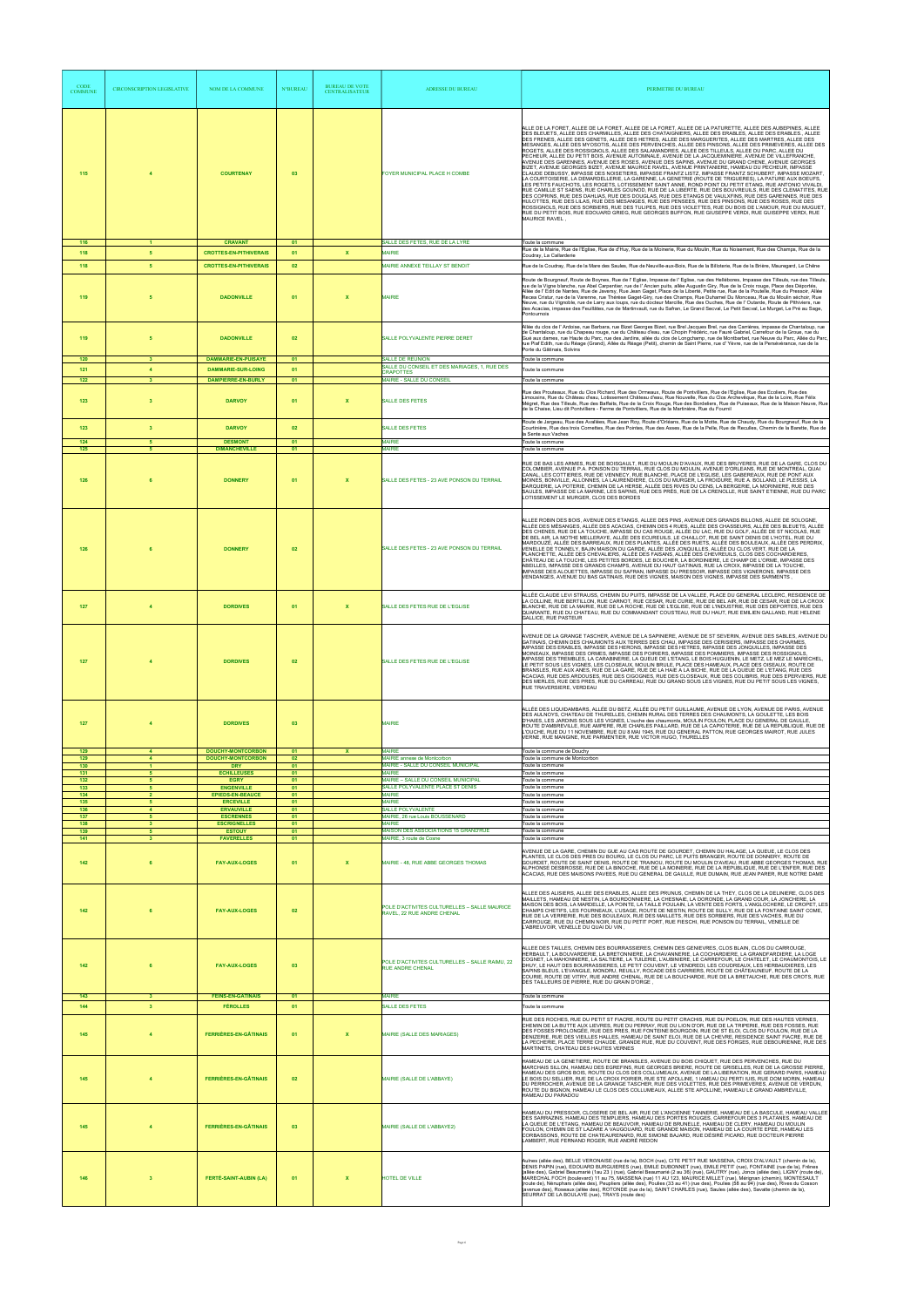| <b>CODE</b><br><b>COMMUNE</b> | CIRCONSCRIPTION LEGISLATIVE    | <b>NOM DE LA COMMUNE</b>                                  | <b>N°BUREAU</b> | <b>BUREAU DE VOTE</b><br><b>CENTRALISATEUR</b> | <b>ADRESSE DU BUREAU</b>                                                                    | PERIMETRE DU BUREAU                                                                                                                                                                                                                                                                                                                                                                                                                                                                                                                                                                                                                                                                                                                                                                                                                                                                                                                                                                                                                                                                                                                                                                                                                                                                                                                                                                                                                                                                                                                                                                                                                                                                                                                                        |
|-------------------------------|--------------------------------|-----------------------------------------------------------|-----------------|------------------------------------------------|---------------------------------------------------------------------------------------------|------------------------------------------------------------------------------------------------------------------------------------------------------------------------------------------------------------------------------------------------------------------------------------------------------------------------------------------------------------------------------------------------------------------------------------------------------------------------------------------------------------------------------------------------------------------------------------------------------------------------------------------------------------------------------------------------------------------------------------------------------------------------------------------------------------------------------------------------------------------------------------------------------------------------------------------------------------------------------------------------------------------------------------------------------------------------------------------------------------------------------------------------------------------------------------------------------------------------------------------------------------------------------------------------------------------------------------------------------------------------------------------------------------------------------------------------------------------------------------------------------------------------------------------------------------------------------------------------------------------------------------------------------------------------------------------------------------------------------------------------------------|
| 115                           |                                | <b>COURTENAY</b>                                          | 03              |                                                | FOYER MUNICIPAL PLACE H COMBE                                                               | ALLE DE LA FORET, ALLEE DE LA FORET, ALLEE DE LA FORET, ALLEE DE LA PATURETTE, ALLEE DES AUBEPINES, ALLEE<br>DES BLEUETS, ALLEE DES CHARMILLES, ALLEE DES CHATAIGNIERS, ALLEE DES ERABLES, ALLEE DES ERABLES., ALLEE<br>DES FRENES, ALLEE DES GENETS, ALLEE DES HETRES, ALLEE DES MARGUERITES, ALLEE DES MARTRES, ALLEE DES<br>MESANGES, ALLEE DES MYOSOTIS, ALLEE DES PERVENCHES, ALLEE DES PINSONS, ALLEE DES PRIMEVERES, ALLEE DES<br>ROGETS, ALLEE DES ROSSIGNOLS, ALLEE DES SALAMANDRES, ALLEE DES TILLEULS, ALLEE DU PARC, ALLEE DU<br>PECHEUR, ALLEE DU PETIT BOIS, AVENUE AUTOMNALE, AVENUE DE LA JACQUEMINIERE, AVENUE DE VILLEFRANCHE<br>AVENUE DES GARENNES, AVENUE DES ROSES, AVENUE DES SAPINS, AVENUE DU GRAND CHENE, AVENUE GEORGES<br>BIZET, AVENUE GEORGES BIZET, AVENUE MAURICE RAVEL, AVENUE PRINTANIERE, HAMEAU DU PECHEUR, IMPASSE<br>CLAUDE DEBUSSY, IMPASSE DES NOISETIERS, IMPASSE FRANTZ LISTZ, IMPASSE FRANTZ SCHUBERT, IMPASSE MOZART,<br>LA COURTOISERIE, LA DEMARDELLERIE, LA GARENNE, LA GENETRIE (ROUTE DE TRIGUERES), LA PATURE AUX BOEUFS,<br>LES PETITS FAUCHOTS, LES ROGETS, LOTISSEMENT SAINT ANNE, ROND POINT DU PETIT ETANG, RUE ANTONIO VIVALDI,<br>RUE CAMILLE ST SAENS, RUE CHARLES GOUNOD, RUE DE LA LIBERTE, RUE DES BOUVREUILS, RUE DES CLEMATITES, RUE<br>DES COPRINS, RUE DES DAHLIAS, RUE DES DOUGLAS, RUE DES ETANGS DE VAULXFINS, RUE DES GARENNES, RUE DES<br>HULOTTES, RUE DES LILAS, RUE DES MESANGES, RUE DES PENSEES, RUE DES PINSONS, RUE DES ROSES, RUE DES<br>ROSSIGNOLS, RUE DES SORBIERS, RUE DES TULIPES, RUE DES VIOLETTES, RUE DU BOIS DE L'AMOUR, RUE DU MUGUET<br>RUE DU PETIT BOIS, RUE EDOUARD GRIEG, RUE GEORGES BUFFON, RUE GIUSEPPE VERDI, RUE GUISEPPE VERDI, RUE<br>MAURICE RAVEL . |
| 116                           | $\blacktriangleleft$           | <b>CRAVANT</b>                                            | 01              |                                                | SALLE DES FETES, RUE DE LA LYRE                                                             | Toute la commune                                                                                                                                                                                                                                                                                                                                                                                                                                                                                                                                                                                                                                                                                                                                                                                                                                                                                                                                                                                                                                                                                                                                                                                                                                                                                                                                                                                                                                                                                                                                                                                                                                                                                                                                           |
| 118                           | 5                              | <b>CROTTES-EN-PITHIVERAIS</b>                             | 01              | $\mathbf x$                                    | <b>MAIRIE</b>                                                                               | Rue de la Mairie, Rue de l'Eglise, Rue de d'Huy, Rue de la Moinerie, Rue du Moulin, Rue du Noisement, Rue des Champs, Rue de la<br>Coudray, La Callarderie                                                                                                                                                                                                                                                                                                                                                                                                                                                                                                                                                                                                                                                                                                                                                                                                                                                                                                                                                                                                                                                                                                                                                                                                                                                                                                                                                                                                                                                                                                                                                                                                 |
| 118<br>119                    | 5<br>5                         | <b>CROTTES-EN-PITHIVERAIS</b><br><b>DADONVILLE</b>        | 02<br>01        | $\mathbf x$                                    | MAIRIE ANNEXE TEILLAY ST BENOIT<br><b>MAIRIE</b>                                            | Rue de la Coudray, Rue de la Mare des Saules, Rue de Neuville-aux-Bois, Rue de la Billoterie, Rue de la Brière, Mauregard, Le Chêne<br>Route de Bourgneuf, Route de Boynes, Rue de l' Eglise, Impasse de l' Eglise, rue des Hellébores, Impasse des Tilleuls, rue des Tilleuls,<br>rue de la Vigne blanche, rue Abel Carpentier, rue de l'Ancien puits, allée Augustin Giry, Rue de la Croix rouge, Place des Déportés,<br>Allée de l'Edit de Nantes, Rue de Javersy, Rue Jean Gaget, Place de la Liberté, Petite rue, Rue de la Poutelle, Rue du Pressoir, Allée<br>Recea Cristur, rue de la Varenne, rue Thérèse Gaget-Giry, rue des Champs, Rue Duhamel Du Monceau, Rue du Moulin séchoir, Rue<br>Neuve, rue du Vignoble, rue de Larry aux loups, rue du docteur Marcille, Rue des Ouches, Rue de l' Outarde, Route de Pithiviers, rue<br>des Acacias, impasse des Feuillâtes, rue de Martinvault, rue du Safran, Le Grand Secval, Le Petit Secval, Le Murget, Le Pré au Sage,<br>Pontournois                                                                                                                                                                                                                                                                                                                                                                                                                                                                                                                                                                                                                                                                                                                                                           |
| 119                           | 5                              | <b>DADONVILLE</b>                                         | 02              |                                                | SALLE POLYVALENTE PIERRE DERET                                                              | Allée du clos de l' Ardoise, rue Barbara, rue Bizet Georges Bizet, rue Brel Jacques Brel, rue des Carrières, impasse de Chantaloup, rue<br>de Chantaloup, rue du Chapeau rouge, rue du Château d'eau, rue Chopin Frédéric, rue Fauré Gabriel, Carrefour de la Groue, rue du<br>Gué aux dames, rue Haute du Parc, rue des Jardins, allée du clos de Longchamp, rue de Montbarbet, rue Neuve du Parc, Allée du Parc,<br>rue Piaf Edith, rue du Réage (Grand), Allée du Réage (Petit), chemin de Saint Pierre, rue d'Yèvre, rue de la Persévérance, rue de la<br>Porte du Gâtinais, Solvins                                                                                                                                                                                                                                                                                                                                                                                                                                                                                                                                                                                                                                                                                                                                                                                                                                                                                                                                                                                                                                                                                                                                                                   |
| 120<br>121                    | $\mathbf{3}$<br>$\overline{4}$ | <b>DAMMARIE-EN-PUISAYE</b><br><b>DAMMARIE-SUR-LOING</b>   | 01<br>01        |                                                | SALLE DE REUNION<br>SALLE DU CONSEIL ET DES MARIAGES, 1, RUE DES<br><b>CRAPOTTES</b>        | Toute la commune<br>Toute la commune                                                                                                                                                                                                                                                                                                                                                                                                                                                                                                                                                                                                                                                                                                                                                                                                                                                                                                                                                                                                                                                                                                                                                                                                                                                                                                                                                                                                                                                                                                                                                                                                                                                                                                                       |
| $122$                         | $\overline{\mathbf{3}}$        | <b>DAMPIERRE-EN-BURLY</b>                                 | 01              |                                                | MAIRIE - SALLE DU CONSEIL                                                                   | Toute la commune                                                                                                                                                                                                                                                                                                                                                                                                                                                                                                                                                                                                                                                                                                                                                                                                                                                                                                                                                                                                                                                                                                                                                                                                                                                                                                                                                                                                                                                                                                                                                                                                                                                                                                                                           |
| 123                           | $\overline{\mathbf{3}}$        | <b>DARVOY</b>                                             | 01              | $\boldsymbol{\mathsf{x}}$                      | <b>SALLE DES FETES</b>                                                                      | Rue des Prouteaux, Rue du Clos Richard, Rue des Ormeaux, Route de Pontvilliers, Rue de l'Eglise, Rue des Ecoliers, Rue des<br>Limousins, Rue du Château d'eau, Lotissement Château d'eau, Rue Nouvelle, Rue du Clos Archevêque, Rue de la Loire, Rue Félix<br>Mégret, Rue des Tilleuls, Rue des Baffaits, Rue de la Croix Rouge, Rue des Bordeliers, Rue de Puiseaux, Rue de la Maison Neuve, Rue<br>de la Chaise, Lieu dit Pontvilliers - Ferme de Pontvilliers, Rue de la Martinière, Rue du Fournil<br>Route de Jargeau, Rue des Avallées, Rue Jean Roy, Route d'Orléans, Rue de la Motte, Rue de Chaudy, Rue du Bourgneuf, Rue de la                                                                                                                                                                                                                                                                                                                                                                                                                                                                                                                                                                                                                                                                                                                                                                                                                                                                                                                                                                                                                                                                                                                   |
| 123<br>124                    | $\overline{\mathbf{3}}$<br>-5  | <b>DARVOY</b><br><b>DESMONT</b>                           | 02<br>01        |                                                | <b>SALLE DES FETES</b><br><b>MAIRIE</b>                                                     | Courtinière, Rue des trois Cornettes, Rue des Pointes, Rue des Asses, Rue de la Pelle, Rue de Reculles, Chemin de la Barette, Rue de<br>la Sente aux Vaches<br>Toute la commune                                                                                                                                                                                                                                                                                                                                                                                                                                                                                                                                                                                                                                                                                                                                                                                                                                                                                                                                                                                                                                                                                                                                                                                                                                                                                                                                                                                                                                                                                                                                                                            |
| $125$                         | $\overline{5}$                 | <b>DIMANCHEVILLE</b>                                      | 01              |                                                | <b>MAIRIE</b>                                                                               | Toute la commune                                                                                                                                                                                                                                                                                                                                                                                                                                                                                                                                                                                                                                                                                                                                                                                                                                                                                                                                                                                                                                                                                                                                                                                                                                                                                                                                                                                                                                                                                                                                                                                                                                                                                                                                           |
| 126                           |                                | <b>DONNERY</b>                                            | 01              | X                                              | SALLE DES FETES - 23 AVE PONSON DU TERRAIL                                                  | RUE DE BAS LES ARMES, RUE DE BOISGAULT, RUE DU MOULIN D'AVAUX, RUE DES BRUYERES, RUE DE LA GARE, CLOS DU<br>COLOMBIER, AVENUE P.A. PONSON DU TERRAIL, RUE CLOS DU MOULIN, AVENUE D'ORLEANS, RUE DE MONTREAL, QUAI<br>CANAL, LES COTTIERES, RUE DE VENNECY, RUE BLANCHE, PLACE DE L'EGLISE, LES GABEREAUX, RUE DE PONT AUX<br>MOINES, BONVILLE, ALLONNES, LA LAURENDIERE, CLOS DU MURGER, LA FROIDURE, RUE A. BOLLAND, LE PLESSIS, LA<br>DARQUERIE, LA POTERIE, CHEMIN DE LA HERSE, ALLÉE DES RIVES DU CENS, LA BERGERIE, LA MORINIERE, RUE DES<br>SAULES, IMPASSE DE LA MARINE, LES SAPINS, RUE DES PRÉS, RUE DE LA CRENOLLE, RUE SAINT ETIENNE, RUE DU PARC<br>LOTISSEMENT LE MURGER, CLOS DES BORDES                                                                                                                                                                                                                                                                                                                                                                                                                                                                                                                                                                                                                                                                                                                                                                                                                                                                                                                                                                                                                                                     |
| 126                           | 6                              | <b>DONNERY</b>                                            | 02              |                                                | SALLE DES FETES - 23 AVE PONSON DU TERRAIL                                                  | ALLEE ROBIN DES BOIS, AVENUE DES ETANGS, ALLEE DES PINS, AVENUE DES GRANDS BILLONS, ALLEE DE SOLOGNE,<br>ALLÉE DES MÉSANGES, ALLÉE DES ACACIAS, CHEMIN DES 4 RUES, ALLÉE DES CHASSEURS, ALLÉE DES BLEUETS, ALLÉE<br>DES CHENES, RUE DE LA TOUCHE, IMPASSE DU CAS ROUGE, ALLÉE DU LAC, RUE DU GOLF, ALLÉE DE ST NICOLAS, RUE<br>DE BEL AIR, LA MOTHE MELLERAYE, ALLÉE DES ECUREUILS, LE CHAILLOT, RUE DE SAINT DENIS DE L'HOTEL, RUE DU<br>MARDOUZÉ, ALLÉE DES BARREAUX, RUE DES PLANTES, ALLÉE DES RUETS, ALLÉE DES BOULEAUX, ALLÉE DES PERDRIX,<br>VENELLE DE TONNELY, BAJIN MAISON DU GARDE, ALLÉE DES JONQUILLES, ALLÉE DU CLOS VERT, RUE DE LA<br>PLANCHETTE, ALLÉE DES CHEVALIERS, ALLÉE DES FAISANS, ALLÉE DES CHEVREUILS, CLOS DES COCHARDIERES,<br>CHÂTEAU DE LA TOUCHE. LES PETITES BORDES. LE BOUCHER. LA BORDINIERE. LE CHAMP DE L'ORME. IMPASSE DES<br>ABEILLES, IMPASSE DES GRANDS CHAMPS, AVENUE DU HAUT GATINAIS, RUE LA CROIX, IMPASSE DE LA TOUCHE,<br>IMPASSE DES ALOUETTES, IMPASSE DU SAFRAN, IMPASSE DU PRESSOIR, IMPASSE DES VIGNERONS, IMPASSE DES<br>VENDANGES, AVENUE DU BAS GATINAIS, RUE DES VIGNES, MAISON DES VIGNES, IMPASSE DES SARMENTS,                                                                                                                                                                                                                                                                                                                                                                                                                                                                                                                                                                                   |
| 127                           | $\overline{4}$                 | <b>DORDIVES</b>                                           | 01              | $\boldsymbol{\mathsf{x}}$                      | SALLE DES FETES RUE DE L'EGLISE                                                             | ALLÉE CLAUDE LEVI STRAUSS, CHEMIN DU PUITS, IMPASSE DE LA VALLEE, PLACE DU GENERAL LECLERC, RESIDENCE DE<br>LA COLLINE, RUE BERTILLON, RUE CARNOT, RUE CESAR, RUE CURIE, RUE DE BEL AIR, RUE DE CESAR, RUE DE LA CROIX<br>BLANCHE, RUE DE LA MAIRIE, RUE DE LA ROCHE, RUE DE L'EGLISE, RUE DE L'INDUSTRIE, RUE DES DEPORTES, RUE DES<br>QUARANTE, RUE DU CHATEAU, RUE DU COMMANDANT COUSTEAU, RUE DU HAUT, RUE EMILIEN GALLAND, RUE HELENE<br><b>GALLICE, RUE PASTEUR</b>                                                                                                                                                                                                                                                                                                                                                                                                                                                                                                                                                                                                                                                                                                                                                                                                                                                                                                                                                                                                                                                                                                                                                                                                                                                                                  |
| 127                           | $\overline{4}$                 | <b>DORDIVES</b>                                           | 02              |                                                | SALLE DES FETES RUE DE L'EGLISE                                                             | AVENUE DE LA GRANGE TASCHER, AVENUE DE LA SAPINIERE, AVENUE DE ST SEVERIN, AVENUE DES SABLES, AVENUE DU<br>GATINAIS, CHEMIN DES CHAUMONTS AUX TERRES DES CHAU, IMPASSE DES CERISIERS, IMPASSE DES CHARMES,<br>IMPASSE DES ERABLES, IMPASSE DES HERONS, IMPASSE DES HETRES, IMPASSE DES JONQUILLES, IMPASSE DES<br>MOINEAUX, IMPASSE DES ORMES, IMPASSE DES POIRIERS, IMPASSE DES POMMIERS, IMPASSE DES ROSSIGNOLS,<br>IMPASSE DES TREMBLES, LA CARABINERIE, LA QUEUE DE L'ETANG, LE BOIS HUGUENIN, LE METZ, LE MEZ LE MARECHEL,<br>LE PETIT SOUS LES VIGNES, LES CLOSEAUX, MOULIN BRULE, PLACE DES HAMEAUX, PLACE DES OISEAUX, ROUTE DE<br>BRANSLES, RUE AUX ANES, RUE DE LA GARE, RUE DE LA HAIE A LA BICHE, RUE DE LA QUEUE DE L'ETANG, RUE DES<br>ACACIAS, RUE DES ARDOUSES, RUE DES CIGOGNES, RUE DES CLOSEAUX, RUE DES COLIBRIS, RUE DES EPERVIERS, RUE<br>DES MERLES, RUE DES PRES, RUE DU CARREAU, RUE DU GRAND SOUS LES VIGNES, RUE DU PETIT SOUS LES VIGNES,<br>RUE TRAVERSIERE, VERDEAU                                                                                                                                                                                                                                                                                                                                                                                                                                                                                                                                                                                                                                                                                                                                                          |
| 127                           | $\boldsymbol{4}$               | <b>DORDIVES</b>                                           | 03              |                                                | <b>MAIRIE</b>                                                                               | ALLÉE DES LIQUIDAMBARS, ALLÉE DU BETZ, ALLÉE DU PETIT GUILLAUME, AVENUE DE LYON, AVENUE DE PARIS, AVENUE<br>DES AULNOYS, CHATEAU DE THURELLES, CHEMIN RURAL DES TERRES DES CHAUMONTS, LA GOULETTE, LES BOIS<br>D'HAIES, LES JARDINS SOUS LES VIGNES, L'ouche des chaumonts, MOULIN FOULON, PLACE DU GENERAL DE GAULLE,<br>ROUTE D'AMBREVILLE, RUE AMPERE, RUE CHARLES PAILLARD, RUE DE LA CAPIOTERIE, RUE DE LA REPUBLIQUE, RUE DE<br>L'OUCHE, RUE DU 11 NOVEMBRE, RUE DU 8 MAI 1945, RUE DU GENERAL PATTON, RUE GEORGES MAIROT, RUE JULES<br>VERNE, RUE MANGINE, RUE PARMENTIER, RUE VICTOR HUGO, THURELLES                                                                                                                                                                                                                                                                                                                                                                                                                                                                                                                                                                                                                                                                                                                                                                                                                                                                                                                                                                                                                                                                                                                                               |
| 129<br>129                    | $\overline{4}$                 | <b>DOUCHY-MONTCORBON</b><br><b>DOUCHY-MONTCORBON</b>      | 01<br>02        | x                                              | <b>MAIRIE</b><br>MAIRIE annexe de Montcorbon                                                | Toute la commune de Douchy<br>Toute la commune de Montcorbon                                                                                                                                                                                                                                                                                                                                                                                                                                                                                                                                                                                                                                                                                                                                                                                                                                                                                                                                                                                                                                                                                                                                                                                                                                                                                                                                                                                                                                                                                                                                                                                                                                                                                               |
| 130<br>131<br>132             | 5<br>5                         | <b>DRY</b><br><b>ECHILLEUSES</b><br><b>EGRY</b>           | 01<br>01<br>01  |                                                | MAIRIE - SALLE DU CONSEIL MUNICIPAL<br><b>MAIRIF</b><br>MAIRIE - SALLE DU CONSEIL MUNICIPAL | Toute la commune<br>Toute la commune<br>Toute la commune                                                                                                                                                                                                                                                                                                                                                                                                                                                                                                                                                                                                                                                                                                                                                                                                                                                                                                                                                                                                                                                                                                                                                                                                                                                                                                                                                                                                                                                                                                                                                                                                                                                                                                   |
| 133<br>134                    | 5<br>$\overline{2}$            | <b>ENGENVILLE</b><br><b>EPIEDS-EN-BEAUCE</b>              | 01<br>01        |                                                | SALLE POLYVALENTE PLACE ST DENIS<br><b>MAIRIE</b>                                           | Toute la commune<br>Toute la commune                                                                                                                                                                                                                                                                                                                                                                                                                                                                                                                                                                                                                                                                                                                                                                                                                                                                                                                                                                                                                                                                                                                                                                                                                                                                                                                                                                                                                                                                                                                                                                                                                                                                                                                       |
| 135<br>136<br>137             | 5<br>$\overline{4}$<br>-5      | <b>ERCEVILLE</b><br><b>ERVAUVILLE</b><br><b>ESCRENNES</b> | 01<br>01<br>01  |                                                | <b>MAIRIE</b><br>SALLE POLYVALENTE<br>MAIRIE, 26 rue Louis BOUSSENARD                       | Toute la commune<br>Toute la commune<br>Toute la commune                                                                                                                                                                                                                                                                                                                                                                                                                                                                                                                                                                                                                                                                                                                                                                                                                                                                                                                                                                                                                                                                                                                                                                                                                                                                                                                                                                                                                                                                                                                                                                                                                                                                                                   |
| 138<br>139                    | $\overline{\mathbf{3}}$<br>5   | <b>ESCRIGNELLES</b><br><b>ESTOUY</b>                      | 01<br>01        |                                                | <b>MAIRIF</b><br>MAISON DES ASSOCIATIONS 15 GRAND'RUE                                       | Toute la commune<br>Toute la commune                                                                                                                                                                                                                                                                                                                                                                                                                                                                                                                                                                                                                                                                                                                                                                                                                                                                                                                                                                                                                                                                                                                                                                                                                                                                                                                                                                                                                                                                                                                                                                                                                                                                                                                       |
| 141                           | $\overline{\mathbf{3}}$        | <b>FAVERELLES</b>                                         | 01              |                                                | MAIRIE, 3 route de Cosne                                                                    | Toute la commune<br>AVENUE DE LA GARE, CHEMIN DU GUE AU CAS ROUTE DE GOURDET, CHEMIN DU HALAGE, LA QUEUE, LE CLOS DES                                                                                                                                                                                                                                                                                                                                                                                                                                                                                                                                                                                                                                                                                                                                                                                                                                                                                                                                                                                                                                                                                                                                                                                                                                                                                                                                                                                                                                                                                                                                                                                                                                      |
| 142                           | 6                              | <b>FAY-AUX-LOGES</b>                                      | 01              | $\boldsymbol{\mathsf{x}}$                      | MAIRIE - 48, RUE ABBE GEORGES THOMAS                                                        | PLANTES, LE CLOS DES PRES DU BOURG, LE CLOS DU PARC, LE PUITS BRANGER, ROUTE DE DONNERY, ROUTE DE<br>GOURDET, ROUTE DE SAINT DENIS, ROUTE DE TRAINOU, ROUTE DU MOULIN D'AVEAU, RUE ABBE GEORGES THOMAS, RUE<br>ALPHONSE DESBROSSE, RUE DE LA BINOCHE, RUE DE LA MOINERIE, RUE DE LA REPUBLIQUE, RUE DE L'ENFER, RUE DES<br>ACACIAS, RUE DES MAISONS PAVEES, RUE DU GENERAL DE GAULLE, RUE DUMAIN, RUE JEAN PARER, RUE NOTRE DAME                                                                                                                                                                                                                                                                                                                                                                                                                                                                                                                                                                                                                                                                                                                                                                                                                                                                                                                                                                                                                                                                                                                                                                                                                                                                                                                           |
| 142                           |                                | <b>FAY-AUX-LOGES</b>                                      | 02              |                                                | POLE D'ACTIVITES CULTURELLES - SALLE MAURICE<br>RAVEL, 22 RUE ANDRE CHENAL                  | ALLEE DES ALISIERS, ALLEE DES ERABLES, ALLEE DES PRUNUS, CHEMIN DE LA THEY, CLOS DE LA DELINIERE, CLOS DES<br>MAILLETS, HAMEAU DE NESTIN, LA BOURDONNIERE, LA CHESNAIE, LA DORONDE, LA GRAND COUR, LA JONCHERE, LA<br>MAISON DES BOIS, LA MARDELLE, LA POINTE, LA TAILLE POULAIN, LA VENTE DES FORTS, L'ANGLOCHERE, LE CROPET, LES<br>CHAMPS CHETIFS, LES FOURNEAUX, L'USAGE, ROUTE DE NESTIN, ROUTE DE SULLY, RUE DE LA FONTAINE SAINT COME,<br>RUE DE LA VERRERIE, RUE DES BOULEAUX, RUE DES MAILLETS, RUE DES SORBIERS, RUE DES VACHES, RUE DU<br>CARROUGE, RUE DU CHEMIN NOIR, RUE DU PETIT PORT, RUE FIESCHI, RUE PONSON DU TERRAIL, VENELLE DE<br>L'ABREUVOIR, VENELLE DU QUAI DU VIN,                                                                                                                                                                                                                                                                                                                                                                                                                                                                                                                                                                                                                                                                                                                                                                                                                                                                                                                                                                                                                                                               |
| 142                           |                                | <b>FAY-AUX-LOGES</b>                                      | 03              |                                                | POLE D'ACTIVITES CULTURELLES - SALLE RAIMU, 22<br><b>RUE ANDRE CHENAL</b>                   | ALLEE DES TAILLES, CHEMIN DES BOURRASSIERES, CHEMIN DES GENIEVRES, CLOS BLAIN, CLOS DU CARROUGE<br>HERBAULT, LA BOUVARDERIE, LA BRETONNIERE, LA CHAVANNERIE, LA COCHARDIERE, LA GRANDFARDIERE, LA LOGE<br>COGNET, LA MAHONNIERE, LA SALTIERE, LA TUILERIE, L'AUBINIERE, LE CARREFOUR, LE CHATELET, LE CHAUMONTOIS, LE<br>DHUY, LE HAUT DES BOURRASSIERES, LE PETIT COUVENT, LE VENDREDI, LES COUDREAUX, LES HERBAUDIERES, LES<br>SAPINS BLEUS, L'EVANGILE, MONDRU, REUILLY, ROCADE DES CARRIERS, ROUTE DE CHÂTEAUNEUF, ROUTE DE LA<br>COURIE, ROUTE DE VITRY, RUE ANDRE CHENAL, RUE DE LA BOUCHARDE, RUE DE LA BRETAUCHE, RUE DES CROTS, RUE<br>DES TAILLEURS DE PIERRE, RUE DU GRAIN D'ORGE,                                                                                                                                                                                                                                                                                                                                                                                                                                                                                                                                                                                                                                                                                                                                                                                                                                                                                                                                                                                                                                                              |
| 143<br>144                    | 3<br>$\overline{\mathbf{3}}$   | <b>FEINS-EN-GÂTINAIS</b><br><b>FÉROLLES</b>               | 01<br>01        |                                                | <b>MAIRIE</b><br>SALLE DES FETES                                                            | Toute la commune<br>Toute la commune                                                                                                                                                                                                                                                                                                                                                                                                                                                                                                                                                                                                                                                                                                                                                                                                                                                                                                                                                                                                                                                                                                                                                                                                                                                                                                                                                                                                                                                                                                                                                                                                                                                                                                                       |
| 145                           |                                | <b>FERRIÈRES-EN-GÂTINAIS</b>                              | 01              | $\boldsymbol{\mathsf{x}}$                      | MAIRIE (SALLE DES MARIAGES)                                                                 | RUE DES ROCHES, RUE DU PETIT ST FIACRE, ROUTE DU PETIT CRACHIS, RUE DU POELON, RUE DES HAUTES VERNES.<br>CHEMIN DE LA BUTTE AUX LIEVRES, RUE DU PERRAY, RUE DU LION D'OR, RUE DE LA TRIPERIE, RUE DES FOSSES, RUE<br>DES FOSSES PROLONGÉE, RUE DES PRES, RUE FONTEINE BOURGOIN, RUE DE ST ELOI, CLOS DU FOULON, RUE DE LA<br>DENIZERIE, RUE DES VIEILLES HALLES, HAMEAU DE SAINT ELOI, RUE DE LA CHEVRE, RESIDENCE SAINT FIACRE, RUE DE                                                                                                                                                                                                                                                                                                                                                                                                                                                                                                                                                                                                                                                                                                                                                                                                                                                                                                                                                                                                                                                                                                                                                                                                                                                                                                                    |
| 145                           | $\overline{4}$                 | <b>FERRIÈRES-EN-GÂTINAIS</b>                              | 02              |                                                | MAIRIE (SALLE DE L'ABBAYE)                                                                  | LA PECHERIE, PLACE TERRE CHAUDE, GRANDE RUE, RUE DU COUVENT, RUE DES FORGES, RUE DEBOURIENNE, RUE DES<br>MARTINETS, CHATEAU DES HAUTES VERNES<br>HAMEAU DE LA GENETIERE, ROUTE DE BRANSLES, AVENUE DU BOIS CHIQUET, RUE DES PERVENCHES, RUE DU<br>MARCHAIS SILLON, HAMEAU DES EGREFINS, RUE GEORGES BRIERE, ROUTE DE GRISELLES, RUE DE LA GROSSE PIERRE,<br>HAMEAU DES GROS BOIS, ROUTE DU CLOS DES COLLUMEAUX, AVENUE DE LA LIBERATION, RUE GERARD PARIS, HAMEAU<br>LE BOIS DU SELLIER, RUE DE LA CROIX POIRIER, RUE STE APOLLINE, 1 IAMEAU DU PERTI IUIS, RUE DOM MORIN, HAMEAU<br>DU PERROCHER. AVENUE DE LA GRANGE TASCHER. RUE DES VIOLETTES. RUE DES PRIMEVERES. AVENUE DE VERDUN.<br>ROUTE DU BIGNON, HAMEAU LE CLOS DES COLLUMEAUX, ALLEE STE APOLLINE, HAMEAU LE GRAND AMBREVILLE,<br>HAMEAU DU PARADOU                                                                                                                                                                                                                                                                                                                                                                                                                                                                                                                                                                                                                                                                                                                                                                                                                                                                                                                                           |
| 145                           | $\overline{4}$                 | <b>FERRIÈRES-EN-GÂTINAIS</b>                              | 03              |                                                | MAIRIE (SALLE DE L'ABBAYE2)                                                                 | HAMEAU DU PRESSOIR, CLOSERIE DE BEL AIR, RUE DE L'ANCIENNE TANNERIE, HAMEAU DE LA BASCULE, HAMEAU VALLEE<br>DES SARRAZINS, HAMEAU DES TEMPLIERS, HAMEAU DES PORTES ROUGES, CARREFOUR DES 3 PLATANES, HAMEAU DE<br>LA QUEUE DE L'ETANG, HAMEAU DE BEAUVOIR, HAMEAU DE BRUNELLE, HAMEAU DE CLERY, HAMEAU DU MOULIN<br>FOULON, CHEMIN DE ST LAZARE A VAUGOUARD, RUE GRANDE MAISON, HAMEAU DE LA COURTE EPEE, HAMEAU LES<br>CORBASSONS, ROUTE DE CHATEAURENARD, RUE SIMONE BAJARD, RUE DÉSIRÉ PICARD, RUE DOCTEUR PIERRE<br>LAMBERT, RUE FERNAND ROGER, RUE ANDRÉ REDON                                                                                                                                                                                                                                                                                                                                                                                                                                                                                                                                                                                                                                                                                                                                                                                                                                                                                                                                                                                                                                                                                                                                                                                        |
| 146                           | $\overline{\mathbf{3}}$        | <b>FERTÉ-SAINT-AUBIN (LA)</b>                             | 01              | $\mathbf x$                                    | HOTEL DE VILLE                                                                              | Aulnes (allée des), BELLE VERONAISE (rue de la), BOCH (rue), CITE PETIT RUE MASSENA, CROIX D'ALVAULT (chemin de la),<br>DENIS PAPIN (rue), EDOUARD BURGUIERES (rue), EMILE DUBONNET (rue), EMILE PETIT (rue), FONTAINE (rue de la), Frênes<br>(allée des), Gabriel Beaumarié (1au 23) (rue), Gabriel Beaumarié (2 au 36) (rue), GAUTRY (rue), Joncs (allée des), LIGNY (route de),<br>MARECHAL FOCH (boulevard) 11 au 75, MASSENA (rue) 11 AU 123, MAURICE MILLET (rue), Mérignan (chemin), MONTESAULT<br>(route de), Nénuphars (allée des), Peupliers (allée des), Poulies (33 au 41) (rue des), Poulies (58 au 94) (rue des), Rives du Cosson<br>(avenue des), Roseaux (allée des), ROTONDE (rue de la), SAINT CHARLES (rue), Saules (allée des), Savatte (chemin de la),<br>SEURRAT DE LA BOULAYE (rue), TRAYS (route des)                                                                                                                                                                                                                                                                                                                                                                                                                                                                                                                                                                                                                                                                                                                                                                                                                                                                                                                              |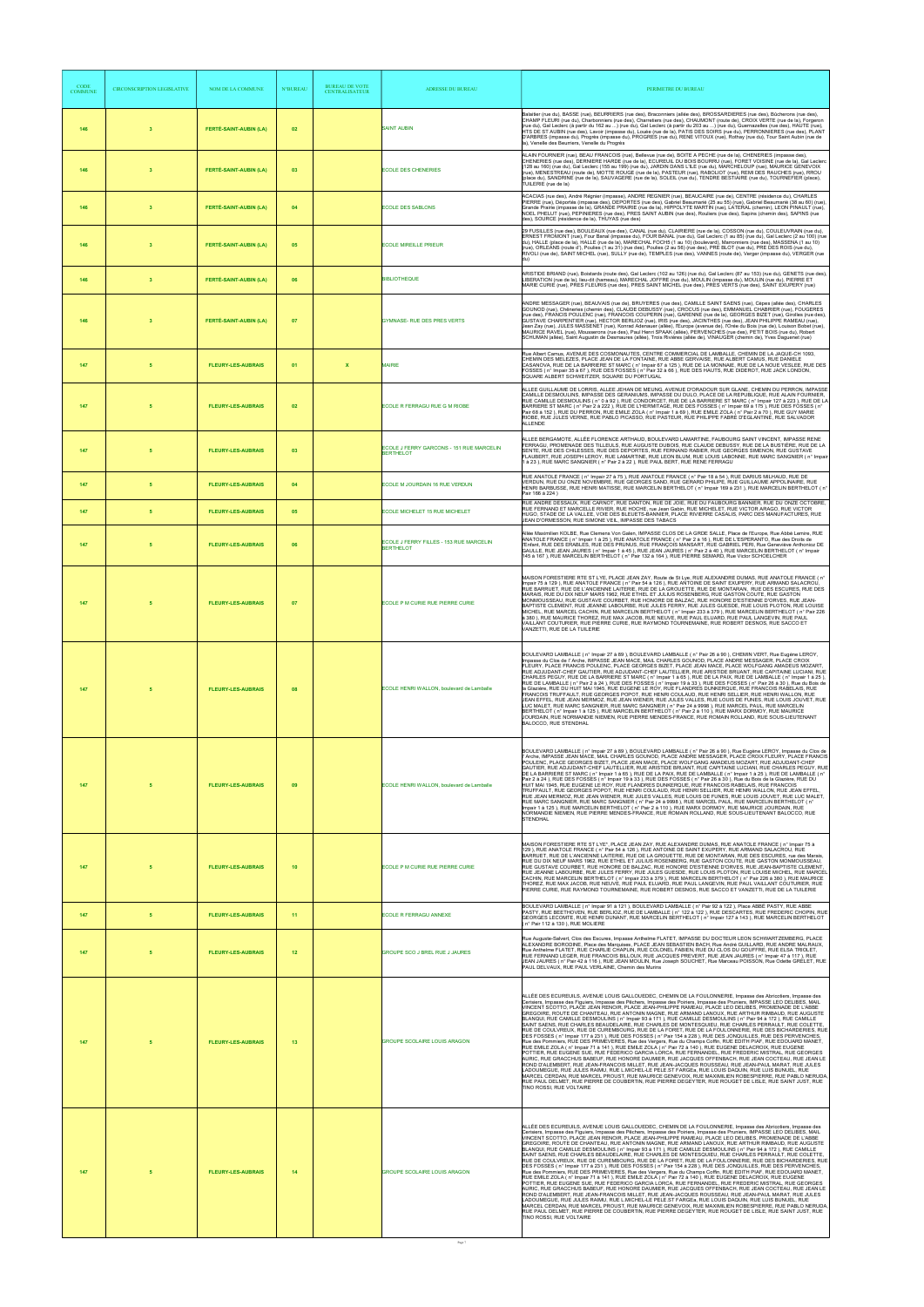| <b>CODE</b><br><b>COMMUNE</b> | CIRCONSCRIPTION LEGISLATIVE | NOM DE LA COMMUNE             | <b>N°BUREAU</b> | <b>BUREAU DE VOTE</b><br><b>CENTRALISATEUR</b> | ADRESSE DU BUREAU                                            | PERIMETRE DU BUREAU                                                                                                                                                                                                                                                                                                                                                                                                                                                                                                                                                                                                                                                                                                                                                                                                                                                                                                                                                                                                                                                                                                                                                                                                                                                                                                                                                                                                                                                                                                                                                                                                                                                                                                                                                                                                               |
|-------------------------------|-----------------------------|-------------------------------|-----------------|------------------------------------------------|--------------------------------------------------------------|-----------------------------------------------------------------------------------------------------------------------------------------------------------------------------------------------------------------------------------------------------------------------------------------------------------------------------------------------------------------------------------------------------------------------------------------------------------------------------------------------------------------------------------------------------------------------------------------------------------------------------------------------------------------------------------------------------------------------------------------------------------------------------------------------------------------------------------------------------------------------------------------------------------------------------------------------------------------------------------------------------------------------------------------------------------------------------------------------------------------------------------------------------------------------------------------------------------------------------------------------------------------------------------------------------------------------------------------------------------------------------------------------------------------------------------------------------------------------------------------------------------------------------------------------------------------------------------------------------------------------------------------------------------------------------------------------------------------------------------------------------------------------------------------------------------------------------------|
| 146                           | $\overline{\mathbf{3}}$     | <b>FERTÉ-SAINT-AUBIN (LA)</b> | 02              |                                                | <b>SAINT AUBIN</b>                                           | Balaitier (rue du), BASSE (rue), BEURRIERS (rue des), Braconniers (allée des), BROSSARDIERES (rue des), Bûcherons (rue des),<br>CHAMP FLEURI (rue du), Charbonniers (rue des), Charretiers (rue des), CHAUMONT (route de), CROIX VERTE (rue de la), Forgeron<br>(rue du), Gal Leclerc (à partir du 162 au ) (rue du), Gal Leclerc (à partir du 203 au ) (rue du), Guernazelles (rue des), HAUTE (rue),<br>HTS DE ST AUBIN (rue des), Lavoir (impasse du), Louée (rue de la), PATIS DES SOIRS (rue du), PERRONNIERES (rue des), PLANT<br>D'ARBRES (impasse du), Progrès (impasse du), PROGRES (rue du), RENE VITOUX (rue), Rothay (rue du), Tour Saint Aubin (rue de<br>la), Venelle des Beurriers, Venelle du Progrès                                                                                                                                                                                                                                                                                                                                                                                                                                                                                                                                                                                                                                                                                                                                                                                                                                                                                                                                                                                                                                                                                                             |
| 146                           | $\mathbf{3}$                | <b>FERTÉ-SAINT-AUBIN (LA)</b> | 03              |                                                | <b>ECOLE DES CHENERIES</b>                                   | ALAIN FOURNIER (rue), BEAU FRANCOIS (rue), Bellevue (rue de), BOITE A PECHE (rue de la), CHENERIES (impasse des),<br>CHENERIES (rue des), DERNIERE HARDE (rue de la), ECUREUIL DU BOIS BOURRU (rue), FORET VOISINE (rue de la), Gal Leclerc<br>(128 au 160) (rue du), Gal Leclerc (155 au 199) (rue du), JARDIN DANS L'ILE (rue du), MARCHELOUP (rue), MAURICE GENEVOIX<br>(rue), MENESTREAU (route de), MOTTE ROUGE (rue de la), PASTEUR (rue), RABOLIOT (rue), REMI DES RAUCHES (rue), RROU<br>(place du), SANDRINE (rue de la), SAUVAGERE (rue de la), SOLEIL (rue du), TENDRE BESTIAIRE (rue du), TOURNEFIER (place),<br>TUILERIE (rue de la)                                                                                                                                                                                                                                                                                                                                                                                                                                                                                                                                                                                                                                                                                                                                                                                                                                                                                                                                                                                                                                                                                                                                                                                 |
| 146                           | $\mathbf{3}$                | <b>FERTÉ-SAINT-AUBIN (LA)</b> | 04              |                                                | <b>ECOLE DES SABLONS</b>                                     | ACACIAS (rue des), André Régnier (impasse), ANDRE REGNIER (rue), BEAUCAIRE (rue de), CENTRE (résidence du), CHARLES<br>PIERRE (rue), Déportés (impasse des), DEPORTES (rue des), Gabriel Beaumarié (25 au 55) (rue), Gabriel Beaumarié (38 au 60) (rue),<br>Grande Prairie (impasse de la), GRANDE PRAIRIE (rue de la), HIPPOLYTE MARTIN (rue), LATERAL (chemin), LEON PINAULT (rue),<br>NOEL PHELUT (rue), PEPINIERES (rue des), PRES SAINT AUBIN (rue des), Rouliers (rue des), Sapins (chemin des), SAPINS (rue<br>des), SOURCE (résidence de la), THUYAS (rue des)                                                                                                                                                                                                                                                                                                                                                                                                                                                                                                                                                                                                                                                                                                                                                                                                                                                                                                                                                                                                                                                                                                                                                                                                                                                            |
| 146                           | $\mathbf{3}$                | <b>FERTÉ-SAINT-AUBIN (LA)</b> | 05              |                                                | <b>ECOLE MIREILLE PRIEUR</b>                                 | 29 FUSILLES (rue des), BOULEAUX (rue des), CANAL (rue du), CLAIRIERE (rue de la), COSSON (rue du), COULEUVRAIN (rue du),<br>ERNEST FROMONT (rue), Four Banal (impasse du), FOUR BANAL (rue du), Gal Leclerc (1 au 85) (rue du), Gal Leclerc (2 au 100) (rue<br>du), HALLE (place de la), HALLE (rue de la), MARECHAL FOCH5 (1 au 10) (boulevard), Marronniers (rue des), MASSENA (1 au 10)<br>(rue), ORLEANS (route d'), Poulies (1 au 31) (rue des), Poulies (2 au 56) (rue des), PRE BLOT (rue du), PRE DES ROIS (rue du),<br>RIVOLI (rue de), SAINT MICHEL (rue), SULLY (rue de), TEMPLES (rue des), VANNES (route de), Verger (impasse du), VERGER (rue                                                                                                                                                                                                                                                                                                                                                                                                                                                                                                                                                                                                                                                                                                                                                                                                                                                                                                                                                                                                                                                                                                                                                                       |
| 146                           | $\overline{\mathbf{3}}$     | <b>FERTÉ-SAINT-AUBIN (LA)</b> | 06              |                                                | <b>BIBLIOTHEQUE</b>                                          | ARISTIDE BRIAND (rue), Boistards (route des), Gal Leclerc (102 au 126) (rue du), Gal Leclerc (87 au 153) (rue du), GENETS (rue des),<br>LIBERATION (rue de la), lieu-dit (hameau), MARECHAL JOFFRE (rue du), MOULIN (impasse du), MOULIN (rue du), PIERRE ET<br>MARIE CURIE (rue), PRES FLEURIS (rue des), PRES SAINT MICHEL (rue des), PRES VERTS (rue des), SAINT EXUPERY (rue)                                                                                                                                                                                                                                                                                                                                                                                                                                                                                                                                                                                                                                                                                                                                                                                                                                                                                                                                                                                                                                                                                                                                                                                                                                                                                                                                                                                                                                                 |
| 146                           | $\mathbf{3}$                | FERTÉ-SAINT-AUBIN (LA)        | 07              |                                                | GYMNASE- RUE DES PRES VERTS                                  | ANDRE MESSAGER (rue), BEAUVAIS (rue de), BRUYERES (rue des), CAMILLE SAINT SAENS (rue), Cèpes (allée des), CHARLES<br>GOUNOD (rue), Chêneries (chemin des), CLAUDE DEBUSSY (rue), CROCUS (rue des), EMMANUEL CHABRIER (rue), FOUGERES<br>(rue des), FRANCIS POULENC (rue), FRANCOIS COUPERIN (rue), GARENNE (rue de la), GEORGES BIZET (rue), Girolles (rue des),<br>GUSTAVE CHARPENTIER (rue), HECTOR BERLIOZ (rue), IRIS (rue des), JACINTHES (rue des), JEAN PHILIPPE RAMEAU (rue),<br>Jean Zay (rue), JULES MASSENET (rue), Konrad Adenauer (allée), l'Europe (avenue de), l'Orée du Bois (rue de), Louison Bobet (rue),<br>MAURICE RAVEL (rue), Mousserons (rue des), Paul Henri SPAAK (allée), PERVENCHES (rue des), PETIT BOIS (rue du), Robert<br>SCHUMAN (allée), Saint Augustin de Desmaures (allée), Trois Rivières (allée de), VINAUGER (chemin de), Yves Daguenet (rue)                                                                                                                                                                                                                                                                                                                                                                                                                                                                                                                                                                                                                                                                                                                                                                                                                                                                                                                                              |
| 147                           | 5                           | <b>FLEURY-LES-AUBRAIS</b>     | 01              | $\mathbf{x}$                                   | <b>MAIRIE</b>                                                | Rue Albert Camus, AVENUE DES COSMONAUTES, CENTRE COMMERCIAL DE LAMBALLE, CHEMIN DE LA JAQUE-CH 1093,<br>CHEMIN DES MELEZES, PLACE JEAN DE LA FONTAINE, RUE ABBE GERVAISE, RUE ALBERT CAMUS, RUE DANIELE<br>CASANOVA, RUE DE LA BARRIERE ST MARC ( n° Impair 67 à 125 ), RUE DE LA MONNAIE, RUE DE LA NOUE VESLEE, RUE DES<br>FOSSES (n° Impair 35 à 67), RUE DES FOSSES (n° Pair 32 à 66), RUE DES HAUTS, RUE DIDEROT, RUE JACK LONDON,<br>SQUARE ALBERT SCHWEITZER, SQUARE DU PORTUGAL                                                                                                                                                                                                                                                                                                                                                                                                                                                                                                                                                                                                                                                                                                                                                                                                                                                                                                                                                                                                                                                                                                                                                                                                                                                                                                                                           |
| 147                           |                             | <b>FLEURY-LES-AUBRAIS</b>     | 02              |                                                | ECOLE R FERRAGU RUE G M RIOBE                                | ALLEE GUILLAUME DE LORRIS, ALLEE JEHAN DE MEUNG, AVENUE D'ORADOUR SUR GLANE, CHEMIN DU PERRON, IMPASSE<br>CAMILLE DESMOULINS, IMPASSE DES GERANIUMS, IMPASSE DU DULO, PLACE DE LA REPUBLIQUE, RUE ALAIN FOURNIER,<br>RUE CAMILLE DESMOULINS (n° 0 à 92), RUE CONDORCET, RUE DE LA BARRIERE ST MARC (n° Impair 127 à 223), RUE DE LA<br>BARRIERE ST MARC (n° Pair 2 à 222), RUE DE L'HERMITAGE, RUE DES FOSSES (n° Impair 69 à 175), RUE DES FOSSES (n°<br>Pair 68 à 152 ), RUE DU PERRON, RUE EMILE ZOLA (n° Impair 1 à 69 ), RUE EMILE ZOLA (n° Pair 2 à 70 ), RUE GUY MARIE<br>RIOBE, RUE JULES VERNE, RUE PABLO PICASSO, RUE PASTEUR, RUE PHILIPPE FABRE D'EGLANTINE, RUE SALVADOR<br><b>ALLENDE</b>                                                                                                                                                                                                                                                                                                                                                                                                                                                                                                                                                                                                                                                                                                                                                                                                                                                                                                                                                                                                                                                                                                                           |
| 147                           | -5                          | <b>FLEURY-LES-AUBRAIS</b>     | 03              |                                                | ECOLE J FERRY GARCONS - 151 RUE MARCELIN<br><b>BERTHELOT</b> | ALLEE BERGAMOTE, ALLÉE FLORENCE ARTHAUD, BOULEVARD LAMARTINE, FAUBOURG SAINT VINCENT, IMPASSE RENE<br>FERRAGU, PROMENADE DES TILLEULS, RUE AUGUSTE DUBOIS, RUE CLAUDE DEBUSSY, RUE DE LA BUSTIÈRE, RUE DE LA<br>SENTE, RUE DES CHILESSES, RUE DES DEPORTES, RUE FERNAND RABIER, RUE GEORGES SIMENON, RUE GUSTAVE<br>FLAUBERT, RUE JOSEPH LEROY, RUE LAMARTINE, RUE LEON BLUM, RUE LOUIS LABONNE, RUE MARC SANGNIER (n° Impair<br>1 à 23), RUE MARC SANGNIER (n° Pair 2 à 22), RUE PAUL BERT, RUE RENE FERRAGU                                                                                                                                                                                                                                                                                                                                                                                                                                                                                                                                                                                                                                                                                                                                                                                                                                                                                                                                                                                                                                                                                                                                                                                                                                                                                                                     |
| 147                           | 5                           | <b>FLEURY-LES-AUBRAIS</b>     | 04              |                                                | ECOLE M JOURDAIN 16 RUE VERDUN                               | RUE ANATOLE FRANCE (n° Impair 27 à 75), RUE ANATOLE FRANCE (n° Pair 18 à 54), RUE DARIUS MILHAUD, RUE DE<br>VERDUN, RUE DU ONZE NOVEMBRE, RUE GEORGES SAND, RUE GERARD PHILIPE, RUE GUILLAUME APPOLINAIRE, RUE<br>HENRI BARBUSSE, RUE HENRI MATISSE, RUE MARCELIN BERTHELOT (n° Impair 169 à 231), RUE MARCELIN BERTHELOT (n°<br>Pair 166 à 224)                                                                                                                                                                                                                                                                                                                                                                                                                                                                                                                                                                                                                                                                                                                                                                                                                                                                                                                                                                                                                                                                                                                                                                                                                                                                                                                                                                                                                                                                                  |
| 147                           | 5                           | <b>FLEURY-LES-AUBRAIS</b>     | 05              |                                                | ECOLE MICHELET 15 RUE MICHELET                               | RUE ANDRE DESSAUX, RUE CARNOT, RUE DANTON, RUE DE JOIE, RUE DU FAUBOURG BANNIER, RUE DU ONZE OCTOBRE,<br>RUE FERNAND ET MARCELLE RIVIER, RUE HOCHE, rue Jean Gabin, RUE MICHELET, RUE VICTOR ARAGO, RUE VICTOR<br>HUGO, STADE DE LA VALLEE, VOIE DES BLEUETS-BANNIER, PLACE RIVIERRE CASALIS, PARC DES MANUFACTURES, RUE<br>JEAN D'ORMESSON, RUE SIMONE VEIL, IMPASSE DES TABACS                                                                                                                                                                                                                                                                                                                                                                                                                                                                                                                                                                                                                                                                                                                                                                                                                                                                                                                                                                                                                                                                                                                                                                                                                                                                                                                                                                                                                                                  |
| 147                           | -5                          | <b>FLEURY-LES-AUBRAIS</b>     | 06              |                                                | ECOLE J FERRY FILLES - 153 RUE MARCELIN<br><b>BERTHELOT</b>  | Allée Maximilien KOLBE, Rue Clemens Von Galen, IMPASSE CLOS DE LA GRDE SALLE, Place de l'Europe, Rue Abbé Lemire, RUE<br>ANATOLE FRANCE (n° Impair 1 à 25), RUE ANATOLE FRANCE (n° Pair 2 à 16), RUE DE L'ESPERANTO, Rue des Droits de<br>l'Enfant, RUE DES ERABLES, RUE DES PRUNUS, RUE FRANÇOIS MANSART, RUE GABRIEL PERI, Rue Geneviève Anthonioz DE<br>GAULLE, RUE JEAN JAURES (n° Impair 1 à 45), RUE JEAN JAURES (n° Pair 2 à 40), RUE MARCELIN BERTHELOT (n° Impair<br>145 à 167), RUE MARCELIN BERTHELOT (n° Pair 132 à 164), RUE PIERRE SEMARD, Rue Victor SCHOELCHER                                                                                                                                                                                                                                                                                                                                                                                                                                                                                                                                                                                                                                                                                                                                                                                                                                                                                                                                                                                                                                                                                                                                                                                                                                                    |
| 147                           |                             | <b>FLEURY-LES-AUBRAIS</b>     | 07              |                                                | ECOLE P M CURIE RUE PIERRE CURIE                             | MAISON FORESTIERE RTE ST LYE, PLACE JEAN ZAY, Route de St Lye, RUE ALEXANDRE DUMAS, RUE ANATOLE FRANCE ( n°<br>Impair 75 à 129), RUE ANATOLE FRANCE (n° Pair 54 à 126), RUE ANTOINE DE SAINT EXUPERY, RUE ARMAND SALACROU,<br>RUE BARRUET, RUE DE L'ANCIENNE LAITERIE, RUE DE LA GROUETTE, RUE DE MONTARAN, RUE DES ESCURES, RUE DES<br>MARAIS, RUE DU DIX NEUF MARS 1962, RUE ETHEL ET JULIUS ROSENBERG, RUE GASTON COUTE, RUE GASTON<br>MONMOUSSEAU. RUE GUSTAVE COURBET, RUE HONORE DE BALZAC, RUE HONORE D'ESTIENNE D'ORVES, RUE JEAN-<br>BAPTISTE CLEMENT, RUE JEANNE LABOURBE, RUE JULES FERRY, RUE JULES GUESDE, RUE LOUIS PLOTON, RUE LOUISE<br>MICHEL, RUE MARCEL CACHIN, RUE MARCELIN BERTHELOT (n° Impair 233 à 379). RUE MARCELIN BERTHELOT (n° Pair 226<br>à 380), RUE MAURICE THOREZ, RUE MAX JACOB, RUE NEUVE, RUE PAUL ELUARD, RUE PAUL LANGEVIN, RUE PAUL<br>VAILLANT COUTURIER, RUE PIERRE CURIE, RUE RAYMOND TOURNEMAINE, RUE ROBERT DESNOS, RUE SACCO ET<br>VANZETTI. RUE DE LA TUILERIE                                                                                                                                                                                                                                                                                                                                                                                                                                                                                                                                                                                                                                                                                                                                                                                                                      |
| 147                           |                             | <b>FLEURY-LES-AUBRAIS</b>     | 08              |                                                | ECOLE HENRI WALLON, boulevard de Lamballe                    | BOULEVARD LAMBALLE (n° Impair 27 à 89), BOULEVARD LAMBALLE (n° Pair 26 à 90), CHEMIN VERT, Rue Eugène LEROY,<br>Impasse du Clos de l' Arche, IMPASSE JEAN MACE, MAIL CHARLES GOUNOD, PLACE ANDRE MESSAGER, PLACE CROIX<br>FLEURY, PLACE FRANCIS POULENC, PLACE GEORGES BIZET, PLACE JEAN MACE, PLACE WOLFGANG AMADEUS MOZART,<br>RUE ADJUDANT-CHEF GAUTIER, RUE ADJUDANT-CHEF LAUTELLIER, RUE ARISTIDE BRUANT, RUE CAPITAINE LUCIANI, RUE<br>CHARLES PEGUY, RUE DE LA BARRIERE ST MARC (n° Impair 1 à 65), RUE DE LA PAIX, RUE DE LAMBALLE (n° Impair 1 à 25),<br>RUE DE LAMBALLE (n° Pair 2 à 24), RUE DES FOSSES (n° Impair 19 à 33), RUE DES FOSSES (n° Pair 26 à 30), Rue du Bois de<br>la Glazière. RUE DU HUIT MAI 1945. RUE EUGENE LE ROY. RUE FLANDRES DUNKERQUE. RUE FRANCOIS RABELAIS. RUE<br>FRANCOIS TRUFFAULT, RUE GEORGES POPOT, RUE HENRI COULAUD, RUE HENRI SELLIER, RUE HENRI WALLON, RUE<br>JEAN EFFEL, RUE JEAN MERMOZ, RUE JEAN WIENER, RUE JULES VALLES, RUE LOUIS DE FUNES, RUE LOUIS JOUVET, RUE<br>LUC MALET, RUE MARC SANGNIER, RUE MARC SANGNIER ( n° Pair 24 à 9998 ), RUE MARCEL PAUL, RUE MARCELIN<br>BERTHELOT (n° Impair 1 à 125), RUE MARCELIN BERTHELOT (n° Pair 2 à 110), RUE MARX DORMOY, RUE MAURICE<br>JOURDAIN, RUE NORMANDIE NIEMEN, RUE PIERRE MENDES-FRANCE, RUE ROMAIN ROLLAND, RUE SOUS-LIEUTENANT<br>BALOCCO, RUE STENDHAL                                                                                                                                                                                                                                                                                                                                                                                                                                                            |
| 147                           |                             | <b>FLEURY-LES-AUBRAIS</b>     | 09              |                                                | ECOLE HENRI WALLON, boulevard de Lamballe                    | BOULEVARD LAMBALLE (n° Impair 27 à 89), BOULEVARD LAMBALLE (n° Pair 26 à 90), Rue Eugène LEROY, Impasse du Clos de<br>l'Arche, IMPASSE JEAN MACE, MAIL CHARLES GOUNOD, PLACE ANDRE MESSAGER, PLACE CROIX FLEURY, PLACE FRANCIS<br>POULENC, PLACE GEORGES BIZET, PLACE JEAN MACE, PLACE WOLFGANG AMADEUS MOZART, RUE ADJUDANT-CHEF<br>GAUTIER, RUE ADJUDANT-CHEF LAUTELLIER, RUE ARISTIDE BRUANT, RUE CAPITAINE LUCIANI, RUE CHARLES PEGUY, RUE<br>DE LA BARRIERE ST MARC (n° Impair 1 à 65), RUE DE LA PAIX, RUE DE LAMBALLE (n° Impair 1 à 25), RUE DE LAMBALLE (n°<br>Pair 2 à 24), RUE DES FOSSES (n° Impair 19 à 33), RUE DES FOSSES (n° Pair 26 à 30), Rue du Bois de la Glazière, RUE DU<br>HUIT MAI 1945, RUE EUGENE LE ROY, RUE FLANDRES DUNKERQUE, RUE FRANCOIS RABELAIS, RUE FRANCOIS<br>TRUFFAULT, RUE GEORGES POPOT, RUE HENRI COULAUD, RUE HENRI SELLIER, RUE HENRI WALLON, RUE JEAN EFFEL<br>RUE JEAN MERMOZ, RUE JEAN WIENER, RUE JULES VALLES, RUE LOUIS DE FUNES, RUE LOUIS JOUVET, RUE LUC MALET,<br>RUE MARC SANGNIER, RUE MARC SANGNIER ( n° Pair 24 à 9998 ), RUE MARCEL PAUL, RUE MARCELIN BERTHELOT ( n°<br>Impair 1 à 125), RUE MARCELIN BERTHELOT ( n° Pair 2 à 110), RUE MARX DORMOY, RUE MAURICE JOURDAIN, RUE<br>NORMANDIE NIEMEN, RUE PIERRE MENDES-FRANCE, RUE ROMAIN ROLLAND, RUE SOUS-LIEUTENANT BALOCCO, RUE<br><b>STENDHAL</b>                                                                                                                                                                                                                                                                                                                                                                                                                                                                  |
| 147                           |                             | <b>FLEURY-LES-AUBRAIS</b>     | 10              |                                                | ECOLE P M CURIE RUE PIERRE CURIE                             | MAISON FORESTIERE RTE ST LYE*, PLACE JEAN ZAY, RUE ALEXANDRE DUMAS, RUE ANATOLE FRANCE (n° Impair 75 à<br>129), RUE ANATOLE FRANCE (n° Pair 54 à 126), RUE ANTOINE DE SAINT EXUPERY, RUE ARMAND SALACROU, RUE<br>BARRUET, RUE DE L'ANCIENNE LAITERIE, RUE DE LA GROUETTE, RUE DE MONTARAN, RUE DES ESCURES, rue des Marais,<br>RUE DU DIX NEUF MARS 1962, RUE ETHEL ET JULIUS ROSENBERG, RUE GASTON COUTE, RUE GASTON MONMOUSSEAU,<br>RUE GUSTAVE COURBET, RUE HONORE DE BALZAC, RUE HONORE D'ESTIENNE D'ORVES, RUE JEAN-BAPTISTE CLEMENT,<br>RUE JEANNE LABOURBE, RUE JULES FERRY, RUE JULES GUESDE, RUE LOUIS PLOTON, RUE LOUISE MICHEL, RUE MARCEL<br>CACHIN, RUE MARCELIN BERTHELOT (n° Impair 233 à 379), RUE MARCELIN BERTHELOT (n° Pair 226 à 380), RUE MAURICE<br>THOREZ, RUE MAX JACOB, RUE NEUVÈ, RUE PAUL ELUARD, RUE PAUL LANGEVIN, RUE PAUL VAILLANT COUTURIER, RUE<br>PIERRE CURIE, RUE RAYMOND TOURNEMAINE, RUE ROBERT DESNOS, RUE SACCO ET VANZETTI, RUE DE LA TUILERIE                                                                                                                                                                                                                                                                                                                                                                                                                                                                                                                                                                                                                                                                                                                                                                                                                                           |
| 147                           | 5                           | <b>FLEURY-LES-AUBRAIS</b>     | 11              |                                                | <b>ECOLE R FERRAGU ANNEXE</b>                                | BOULEVARD LAMBALLE (n° Impair 91 à 121), BOULEVARD LAMBALLE (n° Pair 92 à 122), Place ABBÉ PASTY, RUE ABBE<br>PASTY, RUE BEETHOVEN, RUE BERLIOZ, RUE DE LAMBALLE (nº 122 à 122), RUE DESCARTES, RUE FREDERIC CHOPIN, RUE<br>GEORGES LECOMTE, RUE HENRI DUNANT, RUE MARCELIN BERTHELOT (n° Impair 127 à 143), RUE MARCELIN BERTHELOT<br>(n° Pair 112 à 130), RUE MOLIERE                                                                                                                                                                                                                                                                                                                                                                                                                                                                                                                                                                                                                                                                                                                                                                                                                                                                                                                                                                                                                                                                                                                                                                                                                                                                                                                                                                                                                                                           |
| 147                           |                             | <b>FLEURY-LES-AUBRAIS</b>     | 12              |                                                | <b>GROUPE SCO J BREL RUE J JAURES</b>                        | Rue Auguste-Salvert, Clos des Escures, Impasse Anthelme FLATET, IMPASSE DU DOCTEUR LEON SCHWARTZEMBERG, PLACE<br>ALEXANDRE BORODINE, Place des Marquises, PLACE JEAN SEBASTIEN BACH, Rue André GUILLARD, RUE ANDRE MALRAUX,<br>Rue Anthelme FLATET, RUE CHARLIE CHAPLIN, RUE COLONEL FABIEN, RUE DU CLOS DU GOUFFRE, RUE ELSA TRIOLET,<br>RUE FERNAND LEGER, RUE FRANCOIS BILLOUX, RUE JACQUES PREVERT, RUE JEAN JAURES (n° Impair 47 à 117 ), RUE<br>JEAN JAURES (n° Pair 42 à 116), RUE JEAN MOULIN, Rue Joseph SOUCHET, Rue Marceau POISSON, Rue Odette GRELET, RUE<br>PAUL DELVAUX, RUE PAUL VERLAINE, Chemin des Murins                                                                                                                                                                                                                                                                                                                                                                                                                                                                                                                                                                                                                                                                                                                                                                                                                                                                                                                                                                                                                                                                                                                                                                                                      |
| 147                           |                             | <b>FLEURY-LES-AUBRAIS</b>     | 13              |                                                | <b>GROUPE SCOLAIRE LOUIS ARAGON</b>                          | ALLÉE DES ECUREUILS, AVENUE LOUIS GALLOUEDEC, CHEMIN DE LA FOULONNERIE, Impasse des Abricotiers, Impasse des<br>Cerisiers, Impasse des Figuiers, Impasse des Pêchers, Impasse des Poiriers, Impasse des Pruniers, IMPASSE LEO DELIBES, MAIL<br>VINCENT SCOTTO, PLACE JEAN RENOIR, PLACE JEAN-PHILIPPE RAMEAU, PLACE LEO DELIBES, PROMENADE DE L'ABBE<br>GREGOIRE, ROUTE DE CHANTEAU, RUE ANTONIN MAGNE, RUE ARMAND LANOUX, RUE ARTHUR RIMBAUD, RUE AUGUSTE<br>BLANQUI, RUE CAMILLE DESMOULINS (n° Impair 93 à 171 ), RUE CAMILLE DESMOULINS (n° Pair 94 à 172 ), RUE CAMILLE<br>SAINT SAENS, RUE CHARLES BEAUDELAIRE, RUE CHARLES DE MONTESQUIEU, RUE CHARLES PERRAULT, RUE COLETTE,<br>RUE DE COULVREUX, RUE DE CUREMBOURG, RUE DE LA FORET, RUE DE LA FOULONNERIE, RUE DES BICHARDERIES, RUE<br>DES FOSSES (n° Impair 177 à 231), RUE DES FOSSES (n° Pair 154 à 228), RUE DES JONQUILLES, RUE DES PERVENCHES,<br>Rue des Pommiers, RUE DES PRIMEVERES, Rue des Vergers, Rue du Champs Coffin, RUE EDITH PIAF, RUE EDOUARD MANET,<br>RUE EMILE ZOLA ( n° Impair 71 à 141 ), RUE EMILE ZOLA ( n° Pair 72 à 140 ), RUE EUGENE DELACROIX, RUE EUGENE<br>POTTIER, RUE EUGENE SUE, RUE FEDERICO GARCIA LORCA, RUE FERNANDEL, RUE FREDERIC MISTRAL, RUE GEORGES<br>AURIC, RUE GRACCHUS BABEUF, RUE HONORE DAUMIER, RUE JACQUES OFFENBACH, RUE JEAN COCTEAU, RUE JEAN LE<br>ROND D'ALEMBERT, RUE JEAN-FRANCOIS MILLET, RUE JEAN-JACQUES ROUSSEAU, RUE JEAN-PAUL MARAT, RUE JULES<br>LADOUMEGUE, RUE JULES RAIMU, RUE L.MICHEL-LE PELE.ST FARGEA, RUE LOUIS DAQUIN, RUE LUIS BUNUEL, RUE<br>MARCEL CERDAN, RUE MARCEL PROUST, RUE MAURICE GENEVOIX, RUE MAXIMILIEN ROBESPIERRE, RUE PABLO NERUDA,<br>RUE PAUL DELMET, RUE PIERRE DE COUBERTIN, RUE PIERRE DEGEYTER, RUE ROUGET DE LISLE, RUE SAINT JUST, RUE<br>TINO ROSSI, RUE VOLTAIRE |
| 147                           | -5                          | <b>FLEURY-LES-AUBRAIS</b>     | 14              |                                                | <b>GROUPE SCOLAIRE LOUIS ARAGON</b>                          | ALLÉE DES ECUREUILS, AVENUE LOUIS GALLOUEDEC, CHEMIN DE LA FOULONNERIE, Impasse des Abricotiers, Impasse des<br>Cerisiers, Impasse des Figuiers, Impasse des Pêchers, Impasse des Poiriers, Impasse des Pruniers, IMPASSE LEO DELIBES, MAIL<br>VINCENT SCOTTO, PLACE JEAN RENOIR, PLACE JEAN-PHILIPPE RAMEAU, PLACE LEO DELIBES, PROMENADE DE L'ABBE<br>GREGOIRE, ROUTE DE CHANTEAU, RUE ANTONIN MAGNE, RUE ARMAND LANOUX, RUE ARTHUR RIMBAUD, RUE AUGUSTE<br>BLANQUI, RUE CAMILLE DESMOULINS (n° Impair 93 à 171), RUE CAMILLE DESMOULINS (n° Pair 94 à 172), RUE CAMILLE<br>SAINT SAENS, RUE CHARLES BEAUDELAIRE, RUE CHARLES DE MONTESQUIEU, RUE CHARLES PERRAULT, RUE COLETTE,<br>RUE DE COULVREUX, RUE DE CUREMBOURG, RUE DE LA FORET, RUE DE LA FOULONNERIE, RUE DES BICHARDERIES, RUE<br>DES FOSSES (n° Impair 177 à 231), RUE DES FOSSES (n° Pair 154 à 228), RUE DES JONQUILLES, RUE DES PERVENCHES,<br>Rue des Pommiers. RUE DES PRIMEVERES. Rue des Vergers. Rue du Champs Coffin, RUE EDITH PIAF, RUE EDOUARD MANET.<br>RUE EMILE ZOLA (n° Impair 71 à 141), RUE EMILE ZOLA (n° Pair 72 à 140), RUE EUGENE DELACROIX, RUE EUGENE<br>POTTIER, RUE EUGENE SUE, RUE FEDERICO GARCIA LORCA, RUE FERNANDEL, RUE FREDERIC MISTRAL, RUE GEORGES<br>AURIC, RUE GRACCHUS BABEUF, RUE HONORE DAUMIER, RUE JACQUES OFFENBACH, RUE JEAN COCTEAU, RUE JEAN LE<br>ROND D'ALEMBERT. RUE JEAN-FRANCOIS MILLET. RUE JEAN-JACQUES ROUSSEAU. RUE JEAN-PAUL MARAT. RUE JULES<br>LADOUMEGUE, RUE JULES RAIMU, RUE L.MICHEL-LE PELE.ST FARGEA, RUE LOUIS DAQUIN, RUE LUIS BUNUEL, RUE<br>MARCEL CERDAN, RUE MARCEL PROUST, RUE MAURICE GENEVOIX, RUE MAXIMILIEN ROBESPIERRE, RUE PABLO NERUDA,<br>RUE PAUL DELMET, RUE PIERRE DE COUBERTIN, RUE PIERRE DEGEYTER, RUE ROUGET DE LISLE, RUE SAINT JUST, RUE<br>TINO ROSSI, RUE VOLTAIRE       |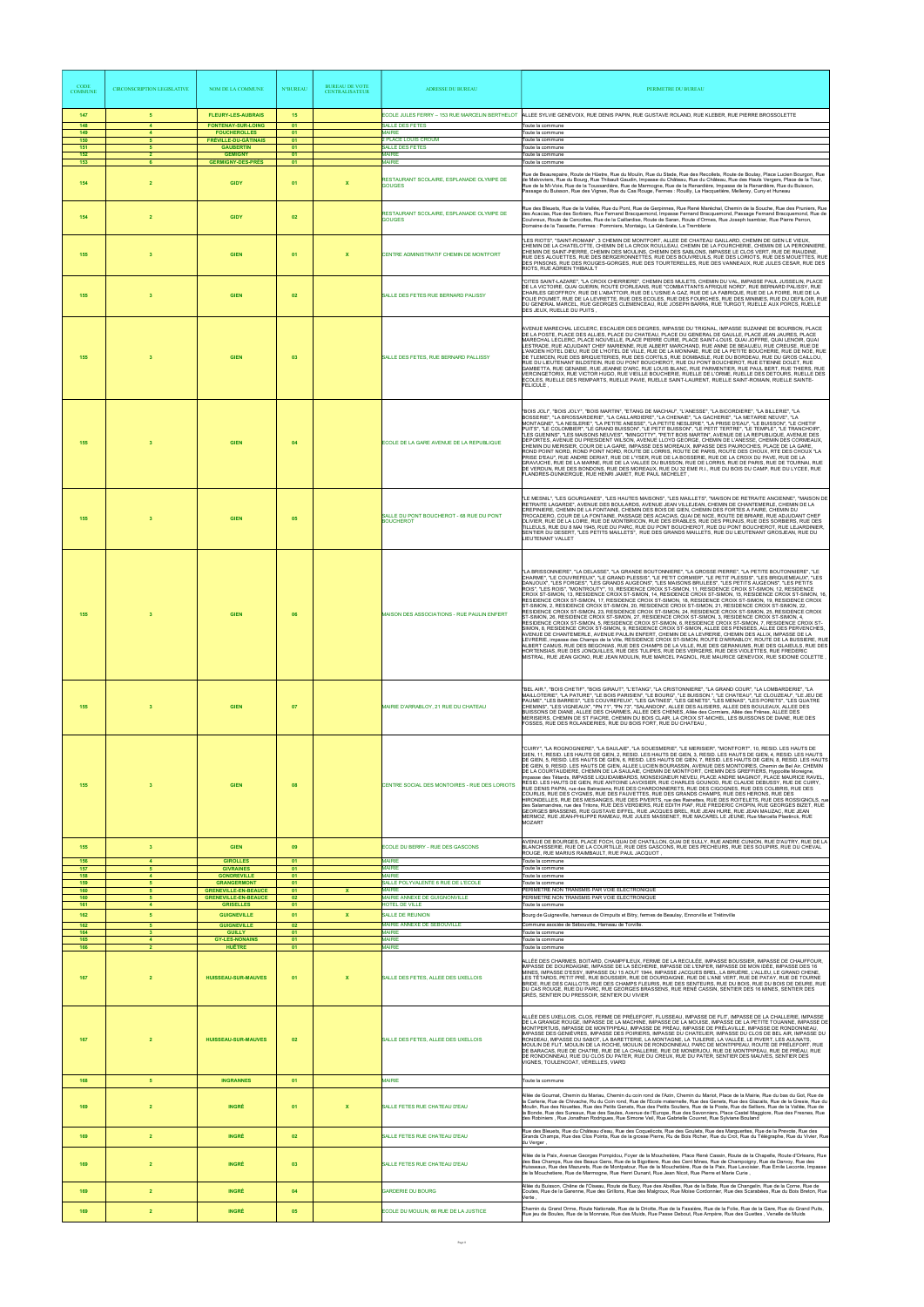| <b>CODE</b><br><b>COMMUNE</b> | <b>CIRCONSCRIPTION LEGISLATIVE</b>  | <b>NOM DE LA COMMUNE</b>                                   | <b>N°BUREAU</b> | <b>BUREAU DE VOTE</b><br><b>CENTRALISATEUR</b> | <b>ADRESSE DU BUREAU</b>                                                   | PERIMETRE DU BUREAU                                                                                                                                                                                                                                                                                                                                                                                                                                                                                                                                                                                                                                                                                                                                                                                                                                                                                                                                                                                                                                                                                                                                                                                                                                                                                                                                                                                                                                                                                                                                                                                                                                                                                                                                                                             |
|-------------------------------|-------------------------------------|------------------------------------------------------------|-----------------|------------------------------------------------|----------------------------------------------------------------------------|-------------------------------------------------------------------------------------------------------------------------------------------------------------------------------------------------------------------------------------------------------------------------------------------------------------------------------------------------------------------------------------------------------------------------------------------------------------------------------------------------------------------------------------------------------------------------------------------------------------------------------------------------------------------------------------------------------------------------------------------------------------------------------------------------------------------------------------------------------------------------------------------------------------------------------------------------------------------------------------------------------------------------------------------------------------------------------------------------------------------------------------------------------------------------------------------------------------------------------------------------------------------------------------------------------------------------------------------------------------------------------------------------------------------------------------------------------------------------------------------------------------------------------------------------------------------------------------------------------------------------------------------------------------------------------------------------------------------------------------------------------------------------------------------------|
| 147<br>148                    | -5<br>$\overline{4}$                | <b>FLEURY-LES-AUBRAIS</b><br><b>FONTENAY-SUR-LOING</b>     | 15<br>01        |                                                | <b>SALLE DES FETES</b>                                                     | ECOLE JULES FERRY – 153 RUE MARCELIN BERTHELOT NALLEE SYLVIE GENEVOIX, RUE DENIS PAPIN, RUE GUSTAVE ROLAND, RUE KLEBER, RUE PIERRE BROSSOLETTE<br>Toute la commune                                                                                                                                                                                                                                                                                                                                                                                                                                                                                                                                                                                                                                                                                                                                                                                                                                                                                                                                                                                                                                                                                                                                                                                                                                                                                                                                                                                                                                                                                                                                                                                                                              |
| 149<br>150                    | $\overline{4}$<br>$\sqrt{5}$        | <b>FOUCHEROLLES</b><br><b>FRÉVILLE-DU-GÂTINAIS</b>         | 01<br>01        |                                                | <b>MAIRIF</b><br>2 PLACE LOUIS CROUM                                       | Toute la commune<br>Toute la commune                                                                                                                                                                                                                                                                                                                                                                                                                                                                                                                                                                                                                                                                                                                                                                                                                                                                                                                                                                                                                                                                                                                                                                                                                                                                                                                                                                                                                                                                                                                                                                                                                                                                                                                                                            |
| 151<br>152                    | 5<br>$\overline{2}$                 | <b>GAUBERTIN</b><br><b>GÉMIGNY</b>                         | 01<br>01        |                                                | <b>SALLE DES FETES</b><br><b>MAIRIE</b>                                    | Toute la commune<br>Toute la commune                                                                                                                                                                                                                                                                                                                                                                                                                                                                                                                                                                                                                                                                                                                                                                                                                                                                                                                                                                                                                                                                                                                                                                                                                                                                                                                                                                                                                                                                                                                                                                                                                                                                                                                                                            |
| 153<br>154                    | 6<br>$\overline{2}$                 | <b>GERMIGNY-DES-PRÉS</b><br><b>GIDY</b>                    | 01<br>01        | $\mathbf x$                                    | <b>MAIRIE</b><br>RESTAURANT SCOLAIRE, ESPLANADE OLYMPE DE<br><b>GOUGES</b> | Toute la commune<br>Rue de Beaurepaire, Route de Hûetre, Rue du Moulin, Rue du Stade, Rue des Recollets, Route de Boulay, Place Lucien Bourgon, Rue<br>de Malvoviers, Rue du Bourg, Rue Thibault Gaudin, Impasse du Château, Rue du Château, Rue des Hauts Vergers, Place de la Tour,<br>Rue de la Mi-Voie, Rue de la Toussardière, Rue de Marmogne, Rue de la Renardière, Impasse de la Renardière, Rue du Buisson,<br>Passage du Buisson, Rue des Vignes, Rue du Cas Rouge, Fermes : Rouilly, La Hacquetière, Melleray, Cuny et Huneau                                                                                                                                                                                                                                                                                                                                                                                                                                                                                                                                                                                                                                                                                                                                                                                                                                                                                                                                                                                                                                                                                                                                                                                                                                                        |
| 154                           | $\overline{2}$                      | <b>GIDY</b>                                                | 02              |                                                | RESTAURANT SCOLAIRE, ESPLANADE OLYMPE DE<br><b>GOUGES</b>                  | Rue des Bleuets, Rue de la Vallée, Rue du Pont, Rue de Gerpinnes, Rue René Maréchal, Chemin de la Souche, Rue des Pruniers, Rue<br>des Acacias, Rue des Sorbiers, Rue Fernand Bracquemond, Impasse Fernand Bracquemond, Passage Fernand Bracquemond, Rue de<br>Coulvreux, Route de Cercottes, Rue de la Caillardise, Route de Saran, Route d'Ormes, Rue Joseph Isambier, Rue Pierre Perron,<br>Domaine de la Tassette, Fermes : Pommiers, Montaigu, La Générale, La Tremblerie                                                                                                                                                                                                                                                                                                                                                                                                                                                                                                                                                                                                                                                                                                                                                                                                                                                                                                                                                                                                                                                                                                                                                                                                                                                                                                                  |
| 155                           | $\mathbf{3}$                        | <b>GIEN</b>                                                | 01              | $\boldsymbol{\mathsf{x}}$                      | CENTRE ADMINISTRATIF CHEMIN DE MONTFORT                                    | "LES RIOTS", "SAINT-ROMAIN", 3 CHEMIN DE MONTFORT, ALLEE DE CHATEAU GAILLARD, CHEMIN DE GIEN LE VIEUX,<br>CHEMIN DE LA CHATELOTTE, CHEMIN DE LA CROIX ROULLEAU, CHEMIN DE LA FOURCHERIE, CHEMIN DE LA PERONNIERE,<br>CHEMIN DE SAINT-PIERRE, CHEMIN DES MOULINS, CHEMIN DES SABLONS, IMPASSE LE CLOS VERT, RUE DE RIAUDINE,<br>RUE DES ALOUETTES, RUE DES BERGERONNETTES, RUE DES BOUVREUILS, RUE DES LORIOTS, RUE DES MOUETTES, RUE<br>DES PINSONS, RUE DES ROUGES-GORGES, RUE DES TOURTERELLES, RUE DES VANNEAUX, RUE JULES CESAR, RUE DES<br>RIOTS, RUE ADRIEN THIBAULT                                                                                                                                                                                                                                                                                                                                                                                                                                                                                                                                                                                                                                                                                                                                                                                                                                                                                                                                                                                                                                                                                                                                                                                                                      |
| 155                           | -3                                  | <b>GIEN</b>                                                | 02              |                                                | SALLE DES FETES RUE BERNARD PALISSY                                        | "CITES SAINT-LAZARE", "LA CROIX CHERRIERE", CHEMIN DES MULETS, CHEMIN DU VAL, IMPASSE PAUL JUSSELIN, PLACE<br>DE LA VICTOIRE, QUAI GUERIN, ROUTE D'ORLEANS, RUE "COMBATTANTS AFRIQUE NORD", RUE BERNARD PALISSY, RUE<br>CHARLES GEOFFROY, RUE DE L'ABATTOIR, RUE DE L'USINE A GAZ, RUE DE LA FABRIQUE, RUE DE LA FOIRE, RUE DE LA<br>FOLIE POUMET, RUE DE LA LEVRETTE, RUE DES ECOLES, RUE DES FOURCHES, RUE DES MINIMES, RUE DU DEFILOIR, RUE<br>DU GENERAL MARCEL, RUE GEORGES CLEMENCEAU, RUE JOSEPH BARRA, RUE TURGOT, RUELLE AUX PORCS, RUELLE<br>DES JEUX, RUELLE DU PUITS,                                                                                                                                                                                                                                                                                                                                                                                                                                                                                                                                                                                                                                                                                                                                                                                                                                                                                                                                                                                                                                                                                                                                                                                                               |
| 155                           | $\mathbf{3}$                        | <b>GIEN</b>                                                | 03              |                                                | SALLE DES FETES, RUE BERNARD PALLISSY                                      | AVENUE MARECHAL LECLERC, ESCALIER DES DEGRES, IMPASSE DU TRIGNAL, IMPASSE SUZANNE DE BOURBON, PLACE<br>DE LA POSTE, PLACE DES ALLIES, PLACE DU CHATEAU, PLACE DU GENERAL DE GAULLE, PLACE JEAN JAURES, PLACE<br>MARECHAL LECLERC, PLACE NOUVELLE, PLACE PIERRE CURIE, PLACE SAINT-LOUIS, QUAI JOFFRE, QUAI LENOIR, QUAI<br>LESTRADE, RUE ADJÚDANT CHEF MARIENNE, RUE ALBERT MARCHAND, RUE ANNE DE BEAUJEU, RUE CREUSE, RUE DE<br>L'ANCIEN HOTEL DIEU. RUE DE L'HOTEL DE VILLE, RUE DE LA MONNAIE, RUE DE LA PETITE BOUCHERIE, RUE DE NOE, RUE<br>DE TLEMCEN, RUE DES BRIQUETERIES, RUE DES CORTILS, RUE DOMBASLE, RUE DU BORDEAU, RUE DU GROS CAILLOU,<br>RUE DU LIEUTENANT BILDSTEIN, RUE DU PONT BOUCHEROT, RUE DU PONT BOUCHEROT, RUE ETIENNE DOLET, RUE<br>GAMBETTA, RUE GENABIE, RUE JEANNE D'ARC, RUE LOUIS BLANC, RUE PARMENTIER, RUE PAUL BERT, RUE THIERS, RUE<br>VERCINGETORIX, RUE VICTOR HUGO, RUE VIEILLE BOUCHERIE, RUELLE DE L'ORME, RUELLE DES DETOURS, RUELLE DES<br>ECOLES, RUELLE DES REMPARTS, RUELLE PAVIE, RUELLE SAINT-LAURENT, RUELLE SAINT-ROMAIN, RUELLE SAINTE-<br>FELICULE,                                                                                                                                                                                                                                                                                                                                                                                                                                                                                                                                                                                                                                                                                         |
| 155                           | $\mathbf{3}$                        | <b>GIEN</b>                                                | 04              |                                                | ECOLE DE LA GARE AVENUE DE LA REPUBLIQUE                                   | "BOIS JOLI", "BOIS JOLY", "BOIS MARTIN", "ETANG DE MACHAU", "L'ANESSE", "LA BICORDIERE", "LA BILLERIE", "LA<br>BOSSERIE", "LA BROSSARDERIE", "LA CAILLARDIERE", "LA CHENAIE", "LA GACHERIE", "LA METAIRIE NEUVE", "LA<br>MONTAGNE", "LA NESLERIE", "LA PETITE ANESSE", "LA PETITE NESLERIE", "LA PRISE D'EAU", "LE BUISSON", "LE CHETIF<br>PUITS", "LE COLOMBIER", "LE GRAND BUISSON", "LE PETIT BUISSON", "LE PETIT TERTRE", "LE TEMPLE", "LE TRANCHOIR",<br>"LES GUENINS", "LES MAISONS NEUVES", "MINGOTTY", "PETIT BOIS MARTIN", AVENUE DE LA REPUBLIQUE, AVENUE DES<br>DEPORTES, AVENUE DU PRESIDENT WILSON, AVENUE LLOYD GEORGE, CHEMIN DE L'ANESSE, CHEMIN DES CORMEAUX,<br>CHEMIN DU MERISIER, COUR DE LA GARE, IMPASSE DES MOREAUX, IMPASSE DES PAUROCHES, PLACE DE LA GARE,<br>ROND POINT NORD, ROND POINT NORD, ROUTE DE LORRIS, ROUTE DE PARIS, ROUTE DES CHOUX, RTE DES CHOUX "LA<br>PRISE D'EAU", RUE ANDRE DERIAT, RUE DE L'YSER, RUE DE LA BOSSERIE, RUE DE LA CROIX DU PAVE, RUE DE LA<br>GRAVUCHE, RUE DE LA MARNE, RUE DE LA VALLEE DU BUISSON, RUE DE LORRIS, RUE DE PARIS, RUE DE TOURNAI, RUE<br>DE VERDUN, RUE DES BONDONS, RUE DES MOREAUX, RUE DU 32 EME R.I., RUE DU BOIS DU CAMP, RUE DU LYCEE, RUE<br>FLANDRES-DUNKERQUE, RUE HENRI JAMET, RUE PAUL MICHELET,                                                                                                                                                                                                                                                                                                                                                                                                                                                                                                        |
| 155                           | $\mathbf{3}$                        | <b>GIEN</b>                                                | 05              |                                                | SALLE DU PONT BOUCHEROT - 68 RUE DU PONT<br><b>BOUCHEROT</b>               | "LE MESNIL", "LES GOURGANES", "LES HAUTES MAISONS", "LES MAILLETS", "MAISON DE RETRAITE ANCIENNE", "MAISON DE<br>RETRAITE LAGARDE", AVENUE DES BOULARDS, AVENUE JEAN VILLEJEAN, CHEMIN DE CHANTEMERLE, CHEMIN DE LA<br>CREPINIERE, CHEMIN DE LA FONTAINE, CHEMIN DES BOIS DE GIEN, CHEMIN DES FORTES A FAIRE, CHEMIN DU<br>TROCADERO, COUR DE LA FONTAINE, PASSAGE DES ACACIAS, QUAI DE NICE, ROUTE DE BRIARE, RUE ADJUDANT CHEF<br>OLIVIER, RUE DE LA LOIRE, RUE DE MONTBRICON, RUE DES ERABLES, RUE DES PRUNUS, RUE DES SORBIERS, RUE DES<br>TILLEULS, RUE DU 8 MAI 1945, RUE DU PARC, RUE DU PONT BOUCHEROT, RUE DU PONT BOUCHEROT, RUE LEJARDINIER,<br>SENTIER DU DESERT. "LES PETITS MAILLETS". RUE DES GRANDS MAILLETS. RUE DU LIEUTENANT GROSJEAN. RUE DU<br>LIEUTENANT VALLET                                                                                                                                                                                                                                                                                                                                                                                                                                                                                                                                                                                                                                                                                                                                                                                                                                                                                                                                                                                                           |
| 155                           |                                     | <b>GIEN</b>                                                | 06              |                                                | MAISON DES ASSOCIATIONS - RUE PAULIN ENFERT                                | "LA BRISSONNIERE", "LA DELASSE", "LA GRANDE BOUTONNIERE", "LA GROSSE PIERRE", "LA PETITE BOUTONNIERE", "LE<br>CHARME", "LE COUVREFEUX", "LE GRAND PLESSIS", "LE PETIT CORMIER", "LE PETIT PLESSIS", "LES BRIQUEMEAUX", "LES<br>DANJOUX", "LES FORGES", "LES GRANDS AUGEONS", "LES MAISONS BRULEES", "LES PETITS AUGEONS", "LES PETITS<br>ROIS", "LES ROIS", "MONTROUTY", 10, RESIDENCE CROIX ST-SIMON, 11, RESIDENCE CROIX ST-SIMON, 12, RESIDENCE<br>CROIX ST-SIMON, 13, RESIDENCE CROIX ST-SIMON, 14, RESIDENCE CROIX ST-SIMON, 15, RESIDENCE CROIX ST-SIMON, 16,<br>RESIDENCE CROIX ST-SIMON, 17, RESIDENCE CROIX ST-SIMON, 18, RESIDENCE CROIX ST-SIMON, 19, RESIDENCE CROIX<br>ST-SIMON, 2, RESIDENCE CROIX ST-SIMON, 20, RESIDENCE CROIX ST-SIMON, 21, RESIDENCE CROIX ST-SIMON, 22<br>RESIDENCE CROIX ST-SIMON, 23, RESIDENCE CROIX ST-SIMON, 24, RESIDENCE CROIX ST-SIMON, 25, RESIDENCE CROIX<br>ST-SIMON, 26, RESIDENCE CROIX ST-SIMON, 27, RESIDENCE CROIX ST-SIMON, 3, RESIDENCE CROIX ST-SIMON, 4,<br>RESIDENCE CROIX ST-SIMON, 5, RESIDENCE CROIX ST-SIMON, 6, RESIDENCE CROIX ST-SIMON, 7, RESIDENCE CROIX ST-<br>SIMON, 8, RESIDENCE CROIX ST-SIMON, 9, RESIDENCE CROIX ST-SIMON, ALLEE DES PENSEES, ALLEE DES PERVENCHES,<br>AVENUE DE CHANTEMERLE, AVENUE PAULIN ENFERT, CHEMIN DE LA LEVRERIE, CHEMIN DES ALLIX, IMPASSE DE LA<br>LEVRERIE, impasse des Champs de la Ville, RESIDENCE CROIX ST-SIMON, ROUTE D'ARRABLOY, ROUTE DE LA BUSSIERE, RUE<br>ALBERT CAMUS, RUE DES BEGONIAS, RUE DES CHAMPS DE LA VILLE, RUE DES GERANIUMS, RUE DES GLAIEULS, RUE DES<br>HORTENSIAS, RUE DES JONQUILLES, RUE DES TULIPES, RUE DES VERGERS, RUE DES VIOLETTES, RUE FREDERIC<br>MISTRAL, RUE JEAN GIONO, RUE JEAN MOULIN, RUE MARCEL PAGNOL, RUE MAURICE GENEVOIX, RUE SIDONIE COLETTE |
| 155                           |                                     | <b>GIEN</b>                                                | 07              |                                                | MAIRIE D'ARRABLOY, 21 RUE DU CHATEAU                                       | "BEL AIR.", "BOIS CHETIF", "BOIS GIRAUT", "L'ETANG", "LA CRISTONNIERE", "LA GRAND COUR", "LA LOMBARDERIE", "LA<br>MAILLOTERIE", "LA PATURE", "LE BOIS PARISIEN", "LE BOURG", "LE BUISSON.", "LE CHATEAU", "LE CLOUZEAU", "LE JEU DE<br>PAUME", "LES BARRES", "LES COUVREFEUX", "LES GATINES", "LES GENETS", "LES MENAS", "LES PORETS", "LES QUATRE<br>CHEMINS", "LES VIGNEAUX", "PN 71", "PN 73", "SALANDON", ALLEE DES ALISIERS, ALLEE DES BOULEAUX, ALLEE DES<br>BUISSONS DE DIANE, ALLEE DES CHARMES, ALLEE DES CHENES, Allée des Cormiers, Allée des Frênes, ALLEE DES<br>MERISIERS, CHEMIN DE ST FIACRE, CHEMIN DU BOIS CLAIR, LA CROIX ST-MICHEL, LES BUISSONS DE DIANE, RUE DES<br>FOSSES, RUE DES ROLANDERIES, RUE DU BOIS FORT, RUE DU CHATEAU.                                                                                                                                                                                                                                                                                                                                                                                                                                                                                                                                                                                                                                                                                                                                                                                                                                                                                                                                                                                                                                        |
| 155                           |                                     | <b>GIEN</b>                                                | 08              |                                                | CENTRE SOCIAL DES MONTOIRES - RUE DES LORIOTS                              | "CUIRY", "LA ROGNOGNIERE", "LA SAULAIE", "LA SOUESMERIE", "LE MERISIER", "MONTFORT", 10, RESID. LES HAUTS DE<br>GIEN, 11, RESID. LES HAUTS DE GIEN, 2, RESID. LES HAUTS DE GIEN, 3, RESID. LES HAUTS DE GIEN, 4, RESID. LES HAUTS<br>DE GIEN, 5, RESID. LES HAUTS DE GIEN, 6, RESID. LES HAUTS DE GIEN, 7, RESID. LES HAUTS DE GIEN, 8, RESID. LES HAUTS<br>DE GIEN, 9, RESID. LES HAUTS DE GIEN, ALLEE LUCIEN BOURASSIN, AVENUE DES MONTOIRES, Chemin de Bel Air, CHEMIN<br>DE LA COURTAUDIERE, CHEMIN DE LA SAULAIE, CHEMIN DE MONTFORT, CHEMIN DES GREFFIERS, Hyppolite Moreigne,<br>impasse des Têtards, IMPASSE LIQUIDAMBARDS, MONSEIGNEUR NEVEU, PLACE ANDRE MAGINOT, PLACE MAURICE RAVEL,<br>RESID. LES HAUTS DE GIEN, RUE ANTOINE LAVOISIER, RUE CHARLES GOUNOD, RUE CLAUDE DEBUSSY, RUE DE CUIRY,<br>RUE DENIS PAPIN, rue des Batraciens, RUE DES CHARDONNERETS, RUE DES CIGOGNES, RUE DES COLIBRIS, RUE DES<br>COURLIS, RUE DES CYGNES, RUE DES FAUVETTES, RUE DES GRANDS CHAMPS, RUE DES HERONS, RUE DES<br>HIRONDELLES, RUE DES MESANGES, RUE DES PIVERTS, rue des Rainettes, RUE DES ROITELETS, RUE DES ROSSIGNOLS, rue<br>des Salamandres, rue des Tritons, RUE DES VERDIERS, RUE EDITH PIAF, RUE FREDERIC CHOPIN, RUE GEORGES BIZET, RUE<br>GEORGES BRASSENS, RUE GUSTAVE EIFFEL, RUE JACQUES BREL, RUE JEAN HURE, RUE JEAN MAUZAC, RUE JEAN<br>MERMOZ, RUE JEAN-PHILIPPE RAMEAU, RUE JULES MASSENET, RUE MACAREL LE JEUNE, Rue Marcella Plaetinck, RUE<br><b>MOZART</b>                                                                                                                                                                                                                                                                                                         |
|                               |                                     |                                                            |                 |                                                |                                                                            | AVENUE DE BOURGES, PLACE FOCH, QUAI DE CHATILLON, QUAI DE SULLY, RUE ANDRE CUNION, RUE D'AUTRY, RUE DE LA                                                                                                                                                                                                                                                                                                                                                                                                                                                                                                                                                                                                                                                                                                                                                                                                                                                                                                                                                                                                                                                                                                                                                                                                                                                                                                                                                                                                                                                                                                                                                                                                                                                                                       |
| 155                           | $\overline{\mathbf{3}}$<br>$\Delta$ | <b>GIEN</b>                                                | 09              |                                                | ECOLE DU BERRY - RUE DES GASCONS                                           | BLANCHISSERIE, RUE DE LA COURTILLE, RUE DES GASCONS, RUE DES PECHEURS, RUE DES SOUPIRS, RUE DU CHEVAL<br>ROUGE, RUE MARIUS RAIMBAULT, RUE PAUL JACQUOT                                                                                                                                                                                                                                                                                                                                                                                                                                                                                                                                                                                                                                                                                                                                                                                                                                                                                                                                                                                                                                                                                                                                                                                                                                                                                                                                                                                                                                                                                                                                                                                                                                          |
| 156<br>157<br>158             | 5<br>$\overline{4}$                 | <b>GIROLLES</b><br><b>GIVRAINES</b><br><b>GONDREVILLE</b>  | 01<br>01<br>01  |                                                | <b>MAIRIE</b><br><b>MAIRIE</b><br><b>MAIRIE</b>                            | Toute la commune<br>Toute la commune<br>Toute la commune                                                                                                                                                                                                                                                                                                                                                                                                                                                                                                                                                                                                                                                                                                                                                                                                                                                                                                                                                                                                                                                                                                                                                                                                                                                                                                                                                                                                                                                                                                                                                                                                                                                                                                                                        |
| 159<br>160                    | -5<br>-5                            | <b>GRANGERMONT</b>                                         | 01<br>01        | <b>X</b>                                       | SALLE POLYVALENTE 6 RUE DE L'ECOLE<br><b>MAIRIF</b>                        | Toute la commune<br>PERIMETRE NON TRANSMIS PAR VOIE ELECTRONIQUE                                                                                                                                                                                                                                                                                                                                                                                                                                                                                                                                                                                                                                                                                                                                                                                                                                                                                                                                                                                                                                                                                                                                                                                                                                                                                                                                                                                                                                                                                                                                                                                                                                                                                                                                |
| 160                           | -5                                  | <b>GRENEVILLE-EN-BEAUCE</b><br><b>GRENEVILLE-EN-BEAUCE</b> | 02              |                                                | MAIRIE ANNEXE DE GUIGNONVILLE                                              | PERIMETRE NON TRANSMIS PAR VOIE ELECTRONIQUE                                                                                                                                                                                                                                                                                                                                                                                                                                                                                                                                                                                                                                                                                                                                                                                                                                                                                                                                                                                                                                                                                                                                                                                                                                                                                                                                                                                                                                                                                                                                                                                                                                                                                                                                                    |
| 161<br>162                    | $\overline{4}$<br>-5                | <b>GRISELLES</b><br><b>GUIGNEVILLE</b>                     | 01<br>01        | x                                              | HOTEL DE VILLE<br>SALLE DE REUNION                                         | Toute la commune<br>Bourg de Guigneville, hameaux de Oimpuits et Bitry, fermes de Beaulay, Ennorville et Trétinville                                                                                                                                                                                                                                                                                                                                                                                                                                                                                                                                                                                                                                                                                                                                                                                                                                                                                                                                                                                                                                                                                                                                                                                                                                                                                                                                                                                                                                                                                                                                                                                                                                                                            |
| 162<br>164                    | -5<br>$\mathbf{3}$                  | <b>GUIGNEVILLE</b><br><b>GUILLY</b>                        | 02<br>01        |                                                | MAIRIE ANNEXE DE SEBOUVILLE<br><b>MAIRIE</b>                               | Commune asociée de Sébouville, Hameau de Torville.<br>Toute la commune                                                                                                                                                                                                                                                                                                                                                                                                                                                                                                                                                                                                                                                                                                                                                                                                                                                                                                                                                                                                                                                                                                                                                                                                                                                                                                                                                                                                                                                                                                                                                                                                                                                                                                                          |
| 165                           | $\overline{4}$<br>$\overline{2}$    | <b>GY-LES-NONAINS</b>                                      | 01              |                                                | <b>MAIRIE</b><br><b>MAIRIE</b>                                             | Toute la commune                                                                                                                                                                                                                                                                                                                                                                                                                                                                                                                                                                                                                                                                                                                                                                                                                                                                                                                                                                                                                                                                                                                                                                                                                                                                                                                                                                                                                                                                                                                                                                                                                                                                                                                                                                                |
| 166<br>167                    | $\overline{2}$                      | <b>HUÊTRE</b><br><b>HUISSEAU-SUR-MAUVES</b>                | 01<br>01        | x                                              | SALLE DES FETES, ALLEE DES UXELLOIS                                        | Toute la commune<br>ALLÉE DES CHARMES, BOITARD, CHAMPFILEUX, FERME DE LA RECULÉE, IMPASSE BOUSSIER, IMPASSE DE CHAUFFOUR,<br>IMPASSE DE DOURDAIGNE, IMPASSE DE LA SÈCHERIE, IMPASSE DE L'ENFER, IMPASSE DE MON IDÉE, IMPASSE DES 16<br>MINES, IMPASSE D'ESSY, IMPASSE DU 15 AOUT 1944, IMPASSE JACQUES BREL, LA BRUÈRE, L'ALLEU, LE GRAND CHENE,<br>LES TÉTARDS, PETIT PRÉ, RUE BOUSSIER, RUE DE DOURDAIGNE, RUE DE L'ANE VERT, RUE DE PATAY, RUE DE TOURNE<br>BRIDE, RUE DES CAILLOTS, RUE DES CHAMPS FLEURIS, RUE DES SENTEURS, RUE DU BOIS, RUE DU BOIS DE DEURE, RUE<br>DU CAS ROUGE, RUE DU PARC, RUE GEORGES BRASSENS, RUE RENÉ CASSIN, SENTIER DES 16 MINES, SENTIER DES<br>GRÈS, SENTIER DU PRESSOIR, SENTIER DU VIVIER                                                                                                                                                                                                                                                                                                                                                                                                                                                                                                                                                                                                                                                                                                                                                                                                                                                                                                                                                                                                                                                                 |
| 167                           |                                     | <b>HUISSEAU-SUR-MAUVES</b>                                 | 02              |                                                | SALLE DES FETES, ALLEE DES UXELLOIS                                        | ALLÉE DES UXELLOIS, CLOS, FERME DE PRÉLEFORT, FLUSSEAU, IMPASSE DE FLIT, IMPASSE DE LA CHALLERIE, IMPASSE<br>DE LA GRANGE ROUGE, IMPASSE DE LA MACHINE, IMPASSE DE LA MOUISE, IMPASSE DE LA PETITE TOUANNE, IMPASSE DE<br>MONTPERTUIS, IMPASSE DE MONTPIPEAU, IMPASSE DE PRÉAU, IMPASSE DE PRÉLAVILLE, IMPASSE DE RONDONNEAU,<br>IMPASSE DES GENIÈVRES, IMPASSE DES POIRIERS, IMPASSE DU CHATELIER, IMPASSE DU CLOS DE BEL AIR, IMPASSE DU<br>RONDEAU, IMPASSE DU SABOT, LA BARETTERIE, LA MONTAGNE, LA TUILERIE, LA VALLÉE, LE PIVERT, LES AULNATS,<br>MOULIN DE FLIT, MOULIN DE LA ROCHE, MOULIN DE RONDONNEAU, PARC DE MONTPIPEAU, ROUTE DE PRÉLEFORT, RUE<br>DE BARACAS, RUE DE CHATRE, RUE DE LA CHALLERIE, RUE DE MONERJOU, RUE DE MONTPIPEAU, RUE DE PRÉAU, RUE<br>DE RONDONNEAU, RUE DU CLOS DU PATER, RUE DU CREUX, RUE DU PATER, SENTIER DES MAUVES, SENTIER DES<br>VIGNES, TOULENCOAT, VÉRELLES, VIARD                                                                                                                                                                                                                                                                                                                                                                                                                                                                                                                                                                                                                                                                                                                                                                                                                                                                               |
| 168                           | $5\phantom{.0}$                     | <b>INGRANNES</b>                                           | 01              |                                                | MAIRIE                                                                     | Toute la commune                                                                                                                                                                                                                                                                                                                                                                                                                                                                                                                                                                                                                                                                                                                                                                                                                                                                                                                                                                                                                                                                                                                                                                                                                                                                                                                                                                                                                                                                                                                                                                                                                                                                                                                                                                                |
| 169                           | $\overline{2}$                      | <b>INGRÉ</b>                                               | 01              | $\mathbf{x}$                                   | SALLE FETES RUE CHATEAU D'EAU                                              | Allée de Goumat, Chemin du Mariau, Chemin du coin rond de l'Azin, Chemin du Mariot, Place de la Mairie, Rue du bas du Got, Rue de<br>lla Carlerie. Rue de Chivache. Ru du Coin rond. Rue de l'Ecole maternelle. Rue des Genets. Rue des Glazaits. Rue de la Gresie. Rue du<br>Moulin, Rue des Nouettes, Rue des Petits Genets, Rue des Petits Souliers, Rue de la Poste, Rue de Selliers, Rue de la Vallée, Rue de<br>la Bonde, Rue des Sureaux, Rue des Saules, Avenue de l'Europe, Rue des Savonniers, Place Castel Maggiore, Rue des Fresnes, Rue<br>des Robiniers, Rue Jonathan Rodrigues, Rue Simone Veil, Rue Gabrielle Couvret, Rue Sylviane Bouland                                                                                                                                                                                                                                                                                                                                                                                                                                                                                                                                                                                                                                                                                                                                                                                                                                                                                                                                                                                                                                                                                                                                     |
| 169                           | $\overline{2}$                      | <b>INGRÉ</b>                                               | 02              |                                                | SALLE FETES RUE CHATEAU D'EAU                                              | Rue des Bleuets. Rue du Château d'eau. Rue des Coquelicots. Rue des Goulets. Rue des Marquerites. Rue de la Prevote. Rue des<br>Grands Champs, Rue des Clos Points, Rue de la grosse Pierre, Ru de Bois Richer, Rue du Crot, Rue du Télégraphe, Rue du Vivier, Rue                                                                                                                                                                                                                                                                                                                                                                                                                                                                                                                                                                                                                                                                                                                                                                                                                                                                                                                                                                                                                                                                                                                                                                                                                                                                                                                                                                                                                                                                                                                              |
| 169                           | $\overline{2}$                      | <b>INGRÉ</b>                                               | 03              |                                                | SALLE FETES RUE CHATEAU D'EAU                                              | du Verger,<br>Allée de la Paix, Avenue Georges Pompidou, Fover de la Mouchetière, Place René Cassin, Route de la Chapelle, Route d'Orleans, Rue<br>des Bas Champs, Rue des Beaux Gens, Rue de la Bigottiere, Rue des Cent Mines, Rue de Champoigny, Rue de Darvoy, Rue des<br>Huisseaux. Rue des Mazurets. Rue de Montpatour. Rue de la Mouchetière. Rue de la Paix. Rue Lavoisier. Rue Emile Leconte, Impasse<br>de la Mouchetiere, Rue de Marmogne, Rue Henri Dunant, Rue Jean Nicot, Rue Pierre et Marie Curie,                                                                                                                                                                                                                                                                                                                                                                                                                                                                                                                                                                                                                                                                                                                                                                                                                                                                                                                                                                                                                                                                                                                                                                                                                                                                              |
| 169                           | $\overline{2}$                      | <b>INGRÉ</b>                                               | 04              |                                                | <b>GARDERIE DU BOURG</b>                                                   | Allée du Buisson, Chêne de l'Oiseau, Route de Bucy, Rue des Abeilles, Rue de la Bate, Rue de Changelin, Rue de la Corne, Rue de<br>Coutes, Rue de la Garenne, Rue des Grillons, Rue des Malgroux, Rue Moise Cordonnier, Rue des Scarabées, Rue du Bois Breton, Rue                                                                                                                                                                                                                                                                                                                                                                                                                                                                                                                                                                                                                                                                                                                                                                                                                                                                                                                                                                                                                                                                                                                                                                                                                                                                                                                                                                                                                                                                                                                              |
| 169                           | $\overline{2}$                      | <b>INGRÉ</b>                                               | 05              |                                                | ECOLE DU MOULIN, 66 RUE DE LA JUSTICE                                      | Verte.<br>Chemin du Grand Orme, Route Nationale, Rue de la Driotte, Rue de la Fassière, Rue de la Folie, Rue de la Gare, Rue du Grand Puits,<br>Rue jeu de Boules, Rue de la Monnaie, Rue des Muids, Rue Passe Debout, Rue Ampère, Rue des Guettes, Venelle de Muids                                                                                                                                                                                                                                                                                                                                                                                                                                                                                                                                                                                                                                                                                                                                                                                                                                                                                                                                                                                                                                                                                                                                                                                                                                                                                                                                                                                                                                                                                                                            |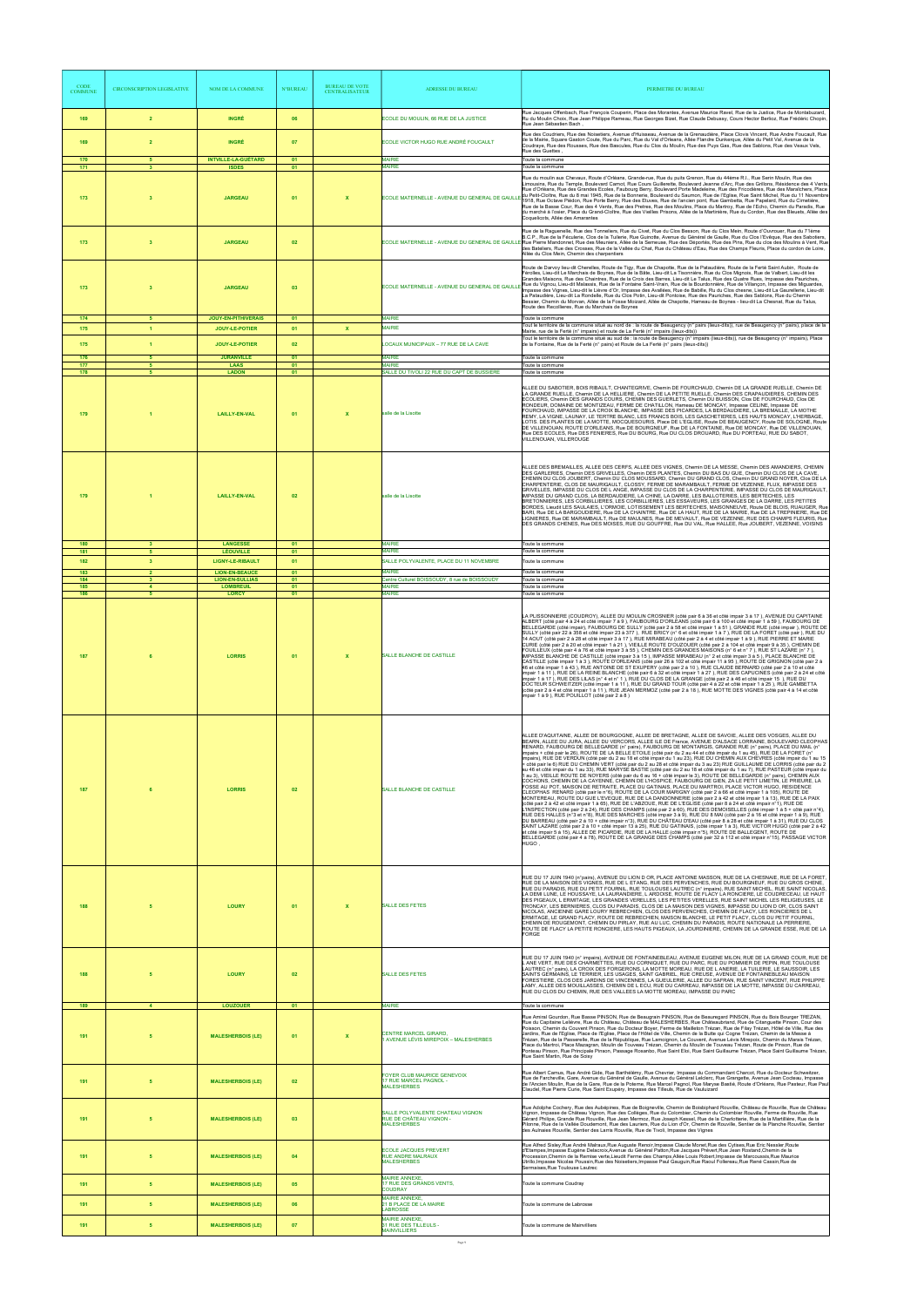| <b>CODE</b><br><b>COMMUNE</b> | <b>CIRCONSCRIPTION LEGISLATIVE</b>             | NOM DE LA COMMUNE                                          | <b>N°BUREAL</b> | <b>BUREAU DE VOTE</b><br><b>CENTRALISATEUR</b> | <b>ADRESSE DU BUREAU</b>                                                          | PERIMETRE DU BUREAU                                                                                                                                                                                                                                                                                                                                                                                                                                                                                                                                                                                                                                                                                                                                                                                                                                                                                                                                                                                                                                                                                                                                                                                                                                                                                                                                                                                                                                                                                                                                                                                                                                                                                                                                                                                                                                                                                                                                                                                                                                                                                                                                                                                                                                                                                                                                                  |
|-------------------------------|------------------------------------------------|------------------------------------------------------------|-----------------|------------------------------------------------|-----------------------------------------------------------------------------------|----------------------------------------------------------------------------------------------------------------------------------------------------------------------------------------------------------------------------------------------------------------------------------------------------------------------------------------------------------------------------------------------------------------------------------------------------------------------------------------------------------------------------------------------------------------------------------------------------------------------------------------------------------------------------------------------------------------------------------------------------------------------------------------------------------------------------------------------------------------------------------------------------------------------------------------------------------------------------------------------------------------------------------------------------------------------------------------------------------------------------------------------------------------------------------------------------------------------------------------------------------------------------------------------------------------------------------------------------------------------------------------------------------------------------------------------------------------------------------------------------------------------------------------------------------------------------------------------------------------------------------------------------------------------------------------------------------------------------------------------------------------------------------------------------------------------------------------------------------------------------------------------------------------------------------------------------------------------------------------------------------------------------------------------------------------------------------------------------------------------------------------------------------------------------------------------------------------------------------------------------------------------------------------------------------------------------------------------------------------------|
| 169                           | $\overline{2}$                                 | <b>INGRÉ</b>                                               | 06              |                                                | ECOLE DU MOULIN, 66 RUE DE LA JUSTICE                                             | Rue Jacques Offenbach, Rue François Couperin, Place des Morantes, Avenue Maurice Ravel, Rue de la Justice, Rue de Montabuzard,<br>Ru du Moulin Choix, Rue Jean Philippe Rameau, Rue Georges Bizet, Rue Claude Debussy, Cours Hector Berlioz, Rue Frédéric Chopin,<br>Rue Jean Sébastien Bach.                                                                                                                                                                                                                                                                                                                                                                                                                                                                                                                                                                                                                                                                                                                                                                                                                                                                                                                                                                                                                                                                                                                                                                                                                                                                                                                                                                                                                                                                                                                                                                                                                                                                                                                                                                                                                                                                                                                                                                                                                                                                        |
| 169<br>170                    | $\overline{2}$<br>-5                           | <b>INGRÉ</b><br><b>INTVILLE-LA-GUÉTARD</b>                 | 07<br>01        |                                                | ECOLE VICTOR HUGO RUE ANDRÉ FOUCAULT<br><b>MAIRIE</b>                             | Rue des Coudriers, Rue des Noisetiers, Avenue d'Huisseau, Avenue de la Grenaudière, Place Clovis Vincent, Rue Andre Foucault, Rue<br>de la Mairie, Square Gaston Coute, Rue du Parc, Rue du Val d'Orleans, Allée Flandre Dunkerque, Allée du Petit Val, Avenue de la<br>Coudraye, Rue des Rousses, Rue des Bascules, Rue du Clos du Moulin, Rue des Puys Gas, Rue des Sablons, Rue des Veaux Vels,<br>Rue des Guettes<br>Toute la commune                                                                                                                                                                                                                                                                                                                                                                                                                                                                                                                                                                                                                                                                                                                                                                                                                                                                                                                                                                                                                                                                                                                                                                                                                                                                                                                                                                                                                                                                                                                                                                                                                                                                                                                                                                                                                                                                                                                            |
| 171                           | $\mathbf{3}$                                   | <b>ISDES</b>                                               | 01              |                                                | <b>MAIRIE</b>                                                                     | Toute la commune                                                                                                                                                                                                                                                                                                                                                                                                                                                                                                                                                                                                                                                                                                                                                                                                                                                                                                                                                                                                                                                                                                                                                                                                                                                                                                                                                                                                                                                                                                                                                                                                                                                                                                                                                                                                                                                                                                                                                                                                                                                                                                                                                                                                                                                                                                                                                     |
| 173                           | $\mathbf{3}$                                   | <b>JARGEAU</b>                                             | 01              | $\mathbf x$                                    | ECOLE MATERNELLE - AVENUE DU GENERAL DE GAULI                                     | Rue du moulin aux Chevaux, Route d'Orléans, Grande-rue, Rue du puits Grenon, Rue du 44ème R.I., Rue Serin Moulin, Rue des<br>Limousins, Rue du Temple, Boulevard Carnot, Rue Cours Guillerette, Boulevard Jeanne d'Arc, Rue des Grillons, Résidence des 4 Vents<br>Rue d'Orléans, Rue des Grandes Ecoles, Faubourg Berry, Boulevard Porte Madeleine, Rue des Fricodières, Rue des Maraîchers, Place<br>_ du Petit-Cloître, Rue du 8 mai 1945, Rue de la Bonnerie, Boulevard du Saumon, Rue de l'Eglise, Rue Saint Michel, Rue du 11 Novembre<br>1918, Rue Octave Piédon, Rue Porte Berry, Rue des Etuves, Rue de l'ancien pont, Rue Gambetta, Rue Papelard, Rue du Cimetière,<br>Rue de la Basse Cour, Rue des 4 Vents, Rue des Pretres, Rue des Moulins, Place du Martroy, Rue de l'Echo, Chemin du Paradis, Rue<br>du marché à l'osier, Place du Grand-Cloître, Rue des Vieilles Prisons, Allée de la Martinière, Rue du Cordon, Rue des Bleuets, Allée des<br>Coquelicots, Allée des Amarantes                                                                                                                                                                                                                                                                                                                                                                                                                                                                                                                                                                                                                                                                                                                                                                                                                                                                                                                                                                                                                                                                                                                                                                                                                                                                                                                                                                    |
| 173                           | $\overline{\mathbf{3}}$                        | <b>JARGEAU</b>                                             | 02              |                                                | ECOLE MATERNELLE - AVENUE DU GENERAL DE GAULI                                     | Rue de la Raguenelle, Rue des Tonneliers, Rue du Civet, Rue du Clos Besson, Rue du Clos Mein, Route d'Ouvrouer, Rue du 71ème<br>B.C.P., Rue de la Féculerie, Clos de la Tuilerie, Rue Guinotte, Avenue du Général de Gaulle, Rue du Clos l'Evêque, Rue des Sabotiers,<br>LE Rue Pierre Mandonnet, Rue des Meuniers, Allée de la Semeuse, Rue des Déportés, Rue des Pins, Rue du clos des Moulins à Vent, Rue<br>des Bateliers, Rue des Crosses, Rue de la Vallée du Chat, Rue du Château d'Eau, Rue des Champs Fleuris, Place du cordon de Loire,<br>Allée du Clos Mein, Chemin des charpentiers                                                                                                                                                                                                                                                                                                                                                                                                                                                                                                                                                                                                                                                                                                                                                                                                                                                                                                                                                                                                                                                                                                                                                                                                                                                                                                                                                                                                                                                                                                                                                                                                                                                                                                                                                                     |
| 173                           | $\overline{\mathbf{3}}$                        | <b>JARGEAU</b>                                             | 03              |                                                |                                                                                   | Route de Darvoy lieu-dit Cherelles, Route de Tigy, Rue de Chapotte, Rue de la Pataudière, Route de la Ferté Saint Aubin, Route de<br>Férolles, Lieu-dit Le Marchais de Boynes, Rue de la Bâte, Lieu-dit La Tisonnière, Rue du Clos Mignois, Rue de Valbert, Lieu-dit les<br>Grandes Maisons, Rue des Chaintres, Rue de la Croix des Barres, Lieu-dit Le Talus, Rue des Quatre Rues, Impasse des Pauriches,<br>ECOLE MATERNELLE - AVENUE DU GENERAL DE GAULLE Rue du Vignou, Lieu-dit Malassis, Rue de la Fontaine Saint-Vrain, Rue de la Bourdonnière, Rue de Villançon, Impasse des Miguardes,<br>lmpasse des Vignes. Lieu-dit le Lièvre d'Or. Impasse des Avallées. Rue de Babille. Ru du Clos chesne. Lieu-dit La Gaurellerie. Lieu-dit<br>La Pataudière, Lieu-dit La Rondelle, Rue du Clos Potin, Lieu-dit Pontoise, Rue des Pauriches, Rue des Sablons, Rue du Chemin<br>Bessier, Chemin du Morvan, Allée de la Fosse Moizard, Allée de Chapotte, Hameau de Boynes - lieu-dit La Chesnat, Rue du Talus,<br>Route des Recollieres, Rue du Marchais de Boynes                                                                                                                                                                                                                                                                                                                                                                                                                                                                                                                                                                                                                                                                                                                                                                                                                                                                                                                                                                                                                                                                                                                                                                                                                                                                                                     |
| 174<br>175                    | 5 <sub>5</sub><br>$\blacktriangleleft$         | <b>JOUY-EN-PITHIVERAIS</b><br>JOUY-LE-POTIER               | 01<br>01        | $\mathbf{x}$                                   | <b>MAIRIE</b><br><b>MAIRIE</b>                                                    | Toute la commune<br>Tout le territoire de la commune situé au nord de : la route de Beaugency (n° pairs (lieux-dits)), rue de Beaugency (n° pairs), place de la<br>Mairie, rue de la Ferté (n° impairs) et route de La Ferté (n° impairs (lieux-dits))                                                                                                                                                                                                                                                                                                                                                                                                                                                                                                                                                                                                                                                                                                                                                                                                                                                                                                                                                                                                                                                                                                                                                                                                                                                                                                                                                                                                                                                                                                                                                                                                                                                                                                                                                                                                                                                                                                                                                                                                                                                                                                               |
| 175                           | $\blacktriangleleft$                           | JOUY-LE-POTIER                                             | 02              |                                                | LOCAUX MUNICIPAUX - 77 RUE DE LA CAVE                                             | Tout le territoire de la commune situé au sud de : la route de Beaugency (n° impairs (lieux-dits)), rue de Beaugency (n° impairs), Place<br>de la Fontaine, Rue de la Ferté (n° pairs) et Route de La Ferté (n° pairs (lieux-dits))                                                                                                                                                                                                                                                                                                                                                                                                                                                                                                                                                                                                                                                                                                                                                                                                                                                                                                                                                                                                                                                                                                                                                                                                                                                                                                                                                                                                                                                                                                                                                                                                                                                                                                                                                                                                                                                                                                                                                                                                                                                                                                                                  |
| 176<br>177                    | 5<br>5                                         | <b>JURANVILLE</b><br><b>LAAS</b>                           | 01<br>01        |                                                | <b>MAIRIF</b><br><b>MAIRIF</b>                                                    | Toute la commune<br>Toute la commune                                                                                                                                                                                                                                                                                                                                                                                                                                                                                                                                                                                                                                                                                                                                                                                                                                                                                                                                                                                                                                                                                                                                                                                                                                                                                                                                                                                                                                                                                                                                                                                                                                                                                                                                                                                                                                                                                                                                                                                                                                                                                                                                                                                                                                                                                                                                 |
| 178                           | $\overline{5}$                                 | <b>LADON</b>                                               | 01              |                                                | SALLE DU TIVOLI 22 RUE DU CAPT DE BUSSIERE                                        | Toute la commune                                                                                                                                                                                                                                                                                                                                                                                                                                                                                                                                                                                                                                                                                                                                                                                                                                                                                                                                                                                                                                                                                                                                                                                                                                                                                                                                                                                                                                                                                                                                                                                                                                                                                                                                                                                                                                                                                                                                                                                                                                                                                                                                                                                                                                                                                                                                                     |
| 179                           |                                                | <b>LAILLY-EN-VAL</b>                                       | 01              | $\boldsymbol{\mathsf{x}}$                      | salle de la Lisotte                                                               | ALLEE DU SABOTIER, BOIS RIBAULT, CHANTEGRIVE, Chemin DE FOURCHAUD, Chemin DE LA GRANDE RUELLE, Chemin DE<br>LA GRANDE RUELLE, Chemin DE LA HELLIERE, Chemin DE LA PETITE RUELLE, Chemin DES CRAPAUDIERES, CHEMIN DES<br>ECOLIERS, Chemin DES GRANDS COURS, CHEMIN DES GUERLETS, Chemin DU BUISSON, Clos DE FOURCHAUD, Clos DE<br>RONDEUR, DOMAINE DE MONTIZEAU, FERME DE CHATILLON, Hameau DE MONCAY, Impasse CELINE, Impasse DE<br>FOURCHAUD, IMPASSE DE LA CROIX BLANCHE, IMPASSE DES PICARDES, LA BERDAUDIERE, LA BREMAILLE, LA MOTHE<br>REMY, LA VIGNE, LAUNAY, LE TERTRE BLANC, LES FRANCS BOIS, LES GASCHETIERES, LES HAUTS MONCAY, L'HERBAGE,<br>LOTIS. DES PLANTES DE LA MOTTE, MOCQUESOURIS, Place DE L'EGLISE, Route DE BEAUGENCY, Route DE SOLOGNE, Route<br>DE VILLENOUAN, ROUTE D'ORLEANS, Rue DE BOURGNEUF, Rue DE LA FONTAINE, Rue DE MONCAY, Rue DE VILLENOUAN,<br>Rue DES ECOLES, Rue DES FENIERES, Rue DU BOURG, Rue DU CLOS DROUARD, Rue DU PORTEAU, RUE DU SABOT,<br>VILLENOUAN, VILLEROUGE                                                                                                                                                                                                                                                                                                                                                                                                                                                                                                                                                                                                                                                                                                                                                                                                                                                                                                                                                                                                                                                                                                                                                                                                                                                                                                                                                      |
| 179                           |                                                | <b>LAILLY-EN-VAL</b>                                       | 02              |                                                | salle de la Lisotte                                                               | ALLEE DES BREMAILLES, ALLEE DES CERFS, ALLEE DES VIGNES, Chemin DE LA MESSE, Chemin DES AMANDIERS, CHEMIN<br>DES GARLERIES, Chemin DES GRIVELLES, Chemin DES PLANTES, Chemin DU BAS DU GUE, Chemin DU CLOS DE LA CAVE,<br>CHEMIN DU CLOS JOUBERT, Chemin DU CLOS MOUSSARD, Chemin DU GRAND CLOS, Chemin DU GRAND NOYER, Clos DE LA<br>CHARPENTERIE, CLOS DE MAURIGAULT, CLOSSY, FERME DE MARAMBAULT, FERME DE VEZENNE, FLUX, IMPASSE DES<br>GRIVELLES, IMPASSE DU CLOS DE LANGE, IMPASSE DU CLOS DE LA CHARPENTERIE, IMPASSE DU CLOS DE MAURIGAULT.<br>IMPASSE DU GRAND CLOS, LA BERDAUDIERE, LA CHINE, LA DARRE, LES BALLOTERIES, LES BERTECHES, LES<br>BRETONNIERES, LES CORBILLIERES, LES CORBILLIERES, LES ESSAVEURS, LES GRANGES DE LA DARRE, LES PETITES<br>BORDES, Lieudit LES SAULAIES, L'ORMOIE, LOTISSEMENT LES BERTECHES, MAISONNEUVE, Route DE BLOIS, RUAUGER, Rue<br>BARI, Rue DE LA BARGOUDIERE, Rue DE LA CHAINTRE, Rue DE LA HAUT, RUE DE LA MAIRIE, Rue DE LA TREPINIERE, Rue DE<br>LIGNIERES, Rue DE MARAMBAULT, Rue DE MAULNES, Rue DE MEVAULT, Rue DE VEZENNE, RUE DES CHAMPS FLEURIS, Rue<br>DES GRANDS CHENES, Rue DES MOISES, RUE DU GOUFFRE, Rue DU VAL, Rue HALLEE, Rue JOUBERT, VEZENNE, VOISINS                                                                                                                                                                                                                                                                                                                                                                                                                                                                                                                                                                                                                                                                                                                                                                                                                                                                                                                                                                                                                                                                                                                                           |
| 180<br>181                    |                                                | <b>LANGESSE</b><br><b>LÉOUVILLE</b>                        | 01<br>01        |                                                | <b>MAIRIE</b><br><b>MAIRIE</b>                                                    | Toute la commune<br>Toute la commune                                                                                                                                                                                                                                                                                                                                                                                                                                                                                                                                                                                                                                                                                                                                                                                                                                                                                                                                                                                                                                                                                                                                                                                                                                                                                                                                                                                                                                                                                                                                                                                                                                                                                                                                                                                                                                                                                                                                                                                                                                                                                                                                                                                                                                                                                                                                 |
| 182<br>183                    | $\overline{2}$                                 | <b>LIGNY-LE-RIBAULT</b><br><b>LION-EN-BEAUCE</b>           | - 01<br>01      |                                                | SALLE POLYVALENTE. PLACE DU 11 NOVEMBRE<br><b>MAIRIE</b>                          | l'oute la commune<br>Toute la commune                                                                                                                                                                                                                                                                                                                                                                                                                                                                                                                                                                                                                                                                                                                                                                                                                                                                                                                                                                                                                                                                                                                                                                                                                                                                                                                                                                                                                                                                                                                                                                                                                                                                                                                                                                                                                                                                                                                                                                                                                                                                                                                                                                                                                                                                                                                                |
| 184<br>185<br>186             | $\overline{\mathbf{3}}$<br>$\overline{4}$<br>5 | <b>LION-EN-SULLIAS</b><br><b>LOMBREUIL</b><br><b>LORCY</b> | 01<br>01<br>01  |                                                | Centre Culturel BOISSOUDY, 8 rue de BOISSOUDY<br><b>MAIRIE</b><br><b>MAIRIE</b>   | Toute la commune<br>Toute la commune<br>Toute la commune                                                                                                                                                                                                                                                                                                                                                                                                                                                                                                                                                                                                                                                                                                                                                                                                                                                                                                                                                                                                                                                                                                                                                                                                                                                                                                                                                                                                                                                                                                                                                                                                                                                                                                                                                                                                                                                                                                                                                                                                                                                                                                                                                                                                                                                                                                             |
| 187                           |                                                | <b>LORRIS</b>                                              | 01              | $\boldsymbol{\mathsf{x}}$                      | SALLE BLANCHE DE CASTILLE                                                         | LA PLISSONNIERE (COUDROY), ALLEE DU MOULIN CROSNIER (côté pair 6 à 36 et côté impair 3 à 17 ), AVENUE DU CAPITAINE<br>ALBERT (côté pair 4 à 24 et côté impair 7 à 9 ), FAUBOURG D'ORLÈANS (côté pair 6 à 100 et côté impair 1 à 59 ), FAUBOURG DE<br>BELLEGARDE (côté impair), FAUBOURG DE SULLY (côté pair 2 à 58 et côté impair 1 à 51), GRANDE RUE (côté impair), ROUTE DE<br>SULLY (côté pair 22 à 358 et côté impair 23 à 377), RUE BRICY (n° 6 et côté impair 1 à 7), RUE DE LA FORET (côté pair), RUE DU<br>14 AOUT (côté pair 2 à 28 et côté impair 3 à 17), RUE MIRABEAU (côté pair 2 à 4 et côté impair 1 à 9), RUE PIERRE ET MARIE<br>CURIE (côté pair 2 à 20 et côté impair 1 à 21), VIEILLE ROUTE D'OUZOUER (côté pair 2 à 104 et côté impair 9 à 35), CHEMIN DE<br>FOUILLEUX (côté pair 4 à 76 et côté impair 3 à 55 ), CHEMIN DES GRANDES MAISONS (n° 6 et n° 7 ), RUE ST LAZARE (n° 7 ),<br>IMPASSE BLANCHE DE CASTILLE (côté impair 3 à 15), IMPASSE MIRABEAU (n° 2 et côté impair 3 à 5), PLACE BLANCHE DE<br>CASTILLE (côté impair 1 à 3), ROUTE D'ORLEANS (côté pair 26 à 102 et côté impair 11 à 95), ROUTE DE GRIGNON (côté pair 2 à<br>46 et côté impair 1 a 43), RUE ANTOINE DE ST EXUPERY (côté pair 2 a 10), RUE CLAUDE BERNARD (côté pair 2 a 10 et côté<br>impair 1 à 11), RUE DE LA REINE BLANCHE (côté pair 6 à 32 et côté impair 1 à 27), RUE DES CAPUCINES (côté pair 2 à 24 et côté<br>impair 1 à 17), RUE DES LILAS (n° 4 et n° 1), RUE DU CLOS DE LA GRANGE (côté pair 2 à 46 et côté impair 15), RUE DU<br>DOCTEUR SCHWEITZER (côté impair 1 à 11), RUE DU GRAND TOUR (côté pair 4 à 22 et côté impair 1 à 25), RUE GAMBETTA<br>(côté pair 2 à 4 et côté impair 1 à 11), RUE JEAN MERMOZ (côté pair 2 à 18), RUE MOTTE DES VIGNES (côté pair 4 à 14 et côté<br>impair 1 à 9), RUE POUILLOT (côté pair 2 à 8)                                                                                                                                                                                                                                                                                                                                                                                                                                                                                                                     |
| 187                           |                                                | <b>LORRIS</b>                                              | 02              |                                                | SALLE BLANCHE DE CASTILLE                                                         | ALLEE D'AQUITAINE, ALLEE DE BOURGOGNE, ALLEE DE BRETAGNE, ALLEE DE SAVOIE, ALLEE DES VOSGES, ALLEE DU<br>BEARN, ALLEE DU JURA, ALLEE DU VERCORS, ALLEE ILE DE France, AVENUE D'ALSACE LORRAINE, BOULEVARD CLEOPHAS<br>RENARD, FAUBOURG DE BELLEGARDE (n° pairs), FAUBOURG DE MONTARGIS, GRANDE RUE (n° pairs), PLACE DU MAIL (n°<br>impairs + côté pair le 26), ROUTE DE LA BELLE ETOILE (côté pair du 2 au 44 et côté impair du 1 au 45), RUE DE LA FORET (n°<br>impairs), RUE DE VERDUN (côté pair du 2 au 18 et côté impair du 1 au 23), RUE DU CHEMIN AUX CHEVRES (côté impair du 1 au 15<br>+ côté pair le 6) RUE DU CHEMIN VERT (côté pair du 2 au 28 et côté impair du 3 au 23) RUE GUILLAUME DE LORRIS (côté pair du 2<br>au 46 et côté impair du 1 au 33), RUE MARYSE BASTIE (côté pair du 2 au 18 et côté impair du 1 au 7), RUE PASTEUR (côté impair du<br>1 au 3), VIEILLE ROUTE DE NOYERS (côté pair du 6 au 16 + côté impair le 3), ROUTE DE BELLEGARDE (n° pairs), CHEMIN AUX<br>COCHONS, CHEMIN DE LA CAYENNE, CHEMIN DE L'HOSPICE, FAUBOURG DE GIEN, ZA LE PETIT LIMETIN, LE PRIEURE, LA<br>FOSSE AU POT, MAISON DE RETRAITE, PLACE DU GATINAIS, PLACE DU MARTROI, PLACE VICTOR HUGO, RESIDENCE<br>CLEOPHAS RENARD (côté pair le n°6), ROUTE DE LA COUR MARIGNY (côté pair 2 à 66 et côté impair 1 à 105), ROUTE DE<br>MONTEREAU, ROUTE DU GUE L'EVEQUE, RUE DE LA DANDONNERIE (côté pair 2 à 42 et côté impair 1 à 13), RUE DE LA PAIX<br>(côté pair 2 à 42 et côté impair 1 à 65), RUE DE L'ABZOUE, RUE DE L'EGLISE (côté pair 8 à 24 et côté impair n°1), RUE DE<br>L'INSPECTION (côté pair 2 à 24), RUE DES CHAMPS (côté pair 2 à 60), RUE DES DEMOISELLES (côté impair 1 à 5 + côté pair n°4),<br>RUE DES HALLES (n°3 et n°8), RUE DES MARCHES (côté impair 3 à 9), RUE DU 8 MAI (côté pair 2 à 16 et côté impair 1 à 9), RUE<br>DU BARREAU (côté pair 2 à 10 + côté impair n°3), RUE DU CHÂTEAU D'EAU (côté pair 8 à 28 et côté impair 1 à 31), RUE DU CLOS<br>SAINT LAZARE (côté pair 2 à 10 + côté impair 13 à 25), RUE DU GATINAIS, (côté impair 1 à 3), RUE VICTOR HUGO (côté pair 2 à 42<br>et côté impair 5 à 15), ALLEE DE PICARDIE, RUE DE LA HALLE (côté impair n°5), ROUTE DE BALLEGENT, ROUTE DE<br>BELLEGARDE (côté pair 4 à 78), ROUTE DE LA GRANGE DES CHAMPS (côté pair 32 à 112 et côté impair n°15), PASSAGE VICTOR<br>HUGO, |
| 188                           |                                                | <b>LOURY</b>                                               | 01              | X                                              | <b>SALLE DES FETES</b>                                                            | RUE DU 17 JUIN 1940 (n°pairs), AVENUE DU LION D OR, PLACE ANTOINE MASSON, RUE DE LA CHESNAIE, RUE DE LA FORET,<br>RUE DE LA MAISON DES VIGNES, RUE DE L ETANG, RUE DES PERVENCHES, RUE DU BOURGNEUF, RUE DU GROS CHENE,<br>.<br>RUE DU PARADIS, RUE DU PETIT FOURNIL, RUE TOULOUSE LAUTREC (n° impairs), RUE SAINT MICHEL, RUE SAINT NICOLAS,<br>LA DEMI LUNE, LE HOUSSAYE, LA LAURANDIERE, L ARDOISE, ROUTE DE FLACY LA RONCIERE, LE COUDRECEAU, LE HAUT<br>DES PIGEAUX, L ERMITAGE, LES GRANDES VERELLES, LES PETITES VERELLES, RUE SAINT MICHEL LES RELIGIEUSES, LE<br>TRONCAY, LES BERNIERES, CLOS DU PARADIS, CLOS DE LA MAISON DES VIGNES, IMPASSE DU LION D OR, CLOS SAINT<br>NICOLAS, ANCIENNE GARE LOURY REBRECHIEN, CLOS DES PERVENCHES, CHEMIN DE FLACY, LES RONCIERES DE L<br>ERMITAGE, LE GRAND FLACY, ROUTE DE REBRECHIEN, MAISON BLANCHE, LE PETIT FLACY, CLOS DU PETIT FOURNIL,<br>CHEMIN DE ROUGEMONT, CHEMIN DU PIRLAY, RUE AU LUC, CHEMIN DU PARADIS, ROUTE NATIONALE LA PERRIERE,<br>ROUTE DE FLACY LA PETITE RONCIERE, LES HAUTS PIGEAUX, LA JOURDINIERE, CHEMIN DE LA GRANDE ESSE, RUE DE LA<br>FORGE                                                                                                                                                                                                                                                                                                                                                                                                                                                                                                                                                                                                                                                                                                                                                                                                                                                                                                                                                                                                                                                                                                                                                                                                                                          |
| 188                           |                                                | <b>LOURY</b>                                               | 02              |                                                | <b>SALLE DES FETES</b>                                                            | RUE DU 17 JUIN 1940 (n° impairs), AVENUE DE FONTAINEBLEAU, AVENUE EUGENE MILON, RUE DE LA GRAND COUR, RUE DE<br>L ANE VERT, RUE DES CHARMETTES, RUE DU CORNIQUET, RUE DU PARC, RUE DU POMMIER DE PEPIN, RUE TOULOUSE<br>LAUTREC (n° pairs), LA CROIX DES FORGERONS, LA MOTTE MOREAU, RUE DE L ANERIE, LA TUILERIE, LE SAUSSOIR, LES<br>SAINTS GERMAINS, LE TERRIER, LES USAGES, SAINT GABRIEL, RUE CREUSE, AVENUE DE FONTAINEBLEAU MAISON<br>FORESTIERE, CLOS DES JARDINS DE VINCENNES, LA GUEULERIE, ALLEE DU SAFRAN, RUE SAINT VINCENT, RUE PHILIPPE<br>LAMY, ALLEE DES MOUILLASSES, CHEMIN DE L ECU, RUE DU CARREAU, IMPASSE DE LA MOTTE, IMPASSE DU CARREAU,<br>RUE DU CLOS DU CHEMIN, RUE DES VALLEES LA MOTTE MOREAU, IMPASSE DU PARC                                                                                                                                                                                                                                                                                                                                                                                                                                                                                                                                                                                                                                                                                                                                                                                                                                                                                                                                                                                                                                                                                                                                                                                                                                                                                                                                                                                                                                                                                                                                                                                                                          |
| 189                           | $\overline{\mathbf{4}}$                        | <b>LOUZOUER</b>                                            | 01              |                                                | <b>MAIRIE</b>                                                                     | Toute la commune<br>Rue Amiral Gourdon, Rue Basse PINSON, Rue de Beaugrain PINSON, Rue de Beauregard PINSON, Rue du Bois Bourger TREZAN,                                                                                                                                                                                                                                                                                                                                                                                                                                                                                                                                                                                                                                                                                                                                                                                                                                                                                                                                                                                                                                                                                                                                                                                                                                                                                                                                                                                                                                                                                                                                                                                                                                                                                                                                                                                                                                                                                                                                                                                                                                                                                                                                                                                                                             |
| 191                           |                                                | <b>MALESHERBOIS (LE)</b>                                   | 01              |                                                | CENTRE MARCEL GIRARD,<br>1 AVENUE LÉVIS MIREPOIX – MALESHERBES                    | Rue du Capitaine Lelièvre, Rue du Château, Château de MALESHERBES, Rue Châteaubriand, Rue de Citanguette Pinson, Cour des<br>Poisson, Chemin du Couvent Pinson, Rue du Docteur Boyer, Ferme de Mailleton Trézan, Rue de Filay Trézan, Hôtel de Ville, Rue des<br>Jardins, Rue de l'Eglise, Place de l'Eglise, Place de l'Hôtel de Ville, Chemin de la Butte qui Cogne Trézan, Chemin de la Messe à<br>Trézan, Rue de la Passerelle, Rue de la République, Rue Lamoignon, Le Couvent, Avenue Lévis Mirepoix, Chemin du Marais Trézan,<br>Place du Martroi, Place Mazagran, Moulin de Touveau Trézan, Chemin du Moulin de Touveau Trézan, Route de Pinson, Rue de<br>Ponteau Pinson, Rue Principale Pinson, Passage Rosanbo, Rue Saint Eloi, Rue Saint Guillaume Trézan, Place Saint Guillaume Trézan,<br>Rue Saint Martin, Rue de Soisy                                                                                                                                                                                                                                                                                                                                                                                                                                                                                                                                                                                                                                                                                                                                                                                                                                                                                                                                                                                                                                                                                                                                                                                                                                                                                                                                                                                                                                                                                                                               |
| 191                           | 5                                              | <b>MALESHERBOIS (LE)</b>                                   | 02              |                                                | FOYER CLUB MAURICE GENEVOIX<br>17 RUE MARCEL PAGNOL -<br><b>MALESHERBES</b>       | Rue Albert Camus, Rue André Gide, Rue Barthélémy, Rue Chevrier, Impasse du Commandant Charcot, Rue du Docteur Schweitzer,<br>Rue de Farcheville, Gare, Avenue du Général de Gaulle, Avenue du Général Lelclerc, Rue Grangette, Avenue Jean Cocteau, Impasse<br>de l'Ancien Moulin, Rue de la Gare, Rue de la Poterne, Rue Marcel Pagnol, Rue Maryse Bastié, Route d'Orléans, Rue Pasteur, Rue Paul<br>Claudel, Rue Pierre Curie, Rue Saint Exupéry, Impasse des Tilleuls, Rue de Vauluizard                                                                                                                                                                                                                                                                                                                                                                                                                                                                                                                                                                                                                                                                                                                                                                                                                                                                                                                                                                                                                                                                                                                                                                                                                                                                                                                                                                                                                                                                                                                                                                                                                                                                                                                                                                                                                                                                          |
| 191                           | 5                                              | <b>MALESHERBOIS (LE)</b>                                   | 03              |                                                | SALLE POLYVALENTE CHATEAU VIGNON<br>RUE DE CHÂTEAU VIGNON -<br><b>MALESHERBES</b> | Rue Adolphe Cochery, Rue des Aubépines, Rue de Boigneville, Chemin de Boisbiphard Rouville, Château de Rouville, Rue de Château<br>Vignon, Impasse de Château Vignon, Rue des Collèges, Rue du Colombier, Chemin du Colombier Rouville, Ferme de Rouville, Rue<br>Gérard Philipe, Grande Rue Rouville, Rue Jean Mermoz, Rue Joseph Kessel, Rue de la Charlotterie, Rue de la Martillière, Rue de la<br>Pilonne, Rue de la Vallée Doudemont, Rue des Lauriers, Rue du Lion d'Or, Chemin de Rouville, Sentier de la Planche Rouville, Sentier<br>des Aulnaies Rouville, Sentier des Larris Rouville, Rue de Tivoli, Impasse des Vignes                                                                                                                                                                                                                                                                                                                                                                                                                                                                                                                                                                                                                                                                                                                                                                                                                                                                                                                                                                                                                                                                                                                                                                                                                                                                                                                                                                                                                                                                                                                                                                                                                                                                                                                                 |
| 191                           | 5 <sub>5</sub>                                 | <b>MALESHERBOIS (LE)</b>                                   | 04              |                                                | <b>ECOLE JACQUES PREVERT</b><br><b>RUE ANDRE MALRAUX</b><br><b>MALESHERBES</b>    | Rue Alfred Sisley, Rue André Malraux, Rue Auguste Renoir, Impasse Claude Monet, Rue des Cytises, Rue Eric Nessler, Route<br>d'Etampes Impasse Eugéne Delacroix Avenue du Général Patton Rue Jacques Prévert Rue Jean Rostand Chemin de la<br>Procession, Chemin de la Remise verte, Lieudit Ferme des Champs, Allée Louis Robert, Impasse de Marcoussis, Rue Maurice<br>Utrillo, Impasse Nicolas Poussin, Rue des Noisetiers, Impasse Paul Gauguin, Rue Raoul Follereau, Rue René Cassin, Rue de<br>Sermaises, Rue Toulouse Lautrec                                                                                                                                                                                                                                                                                                                                                                                                                                                                                                                                                                                                                                                                                                                                                                                                                                                                                                                                                                                                                                                                                                                                                                                                                                                                                                                                                                                                                                                                                                                                                                                                                                                                                                                                                                                                                                  |
| 191                           | 5 <sub>5</sub>                                 | <b>MALESHERBOIS (LE)</b>                                   | 05              |                                                | <b>MAIRIE ANNEXE,</b><br>17 RUE DES GRANDS VENTS.<br><b>COUDRAY</b>               | Toute la commune Coudrav                                                                                                                                                                                                                                                                                                                                                                                                                                                                                                                                                                                                                                                                                                                                                                                                                                                                                                                                                                                                                                                                                                                                                                                                                                                                                                                                                                                                                                                                                                                                                                                                                                                                                                                                                                                                                                                                                                                                                                                                                                                                                                                                                                                                                                                                                                                                             |
| 191                           | 5                                              | <b>MALESHERBOIS (LE)</b>                                   | 06              |                                                | MAIRIE ANNEXE,<br>21 B PLACE DE LA MAIRIE<br>LABROSSE                             | Toute la commune de Labrosse                                                                                                                                                                                                                                                                                                                                                                                                                                                                                                                                                                                                                                                                                                                                                                                                                                                                                                                                                                                                                                                                                                                                                                                                                                                                                                                                                                                                                                                                                                                                                                                                                                                                                                                                                                                                                                                                                                                                                                                                                                                                                                                                                                                                                                                                                                                                         |
| 191                           | 5 <sub>5</sub>                                 | <b>MALESHERBOIS (LE)</b>                                   | 07              |                                                | MAIRIE ANNEXE,<br>31 RUE DES TILLEULS -<br><b>MAINVILLIERS</b>                    | Toute la commune de Mainvilliers                                                                                                                                                                                                                                                                                                                                                                                                                                                                                                                                                                                                                                                                                                                                                                                                                                                                                                                                                                                                                                                                                                                                                                                                                                                                                                                                                                                                                                                                                                                                                                                                                                                                                                                                                                                                                                                                                                                                                                                                                                                                                                                                                                                                                                                                                                                                     |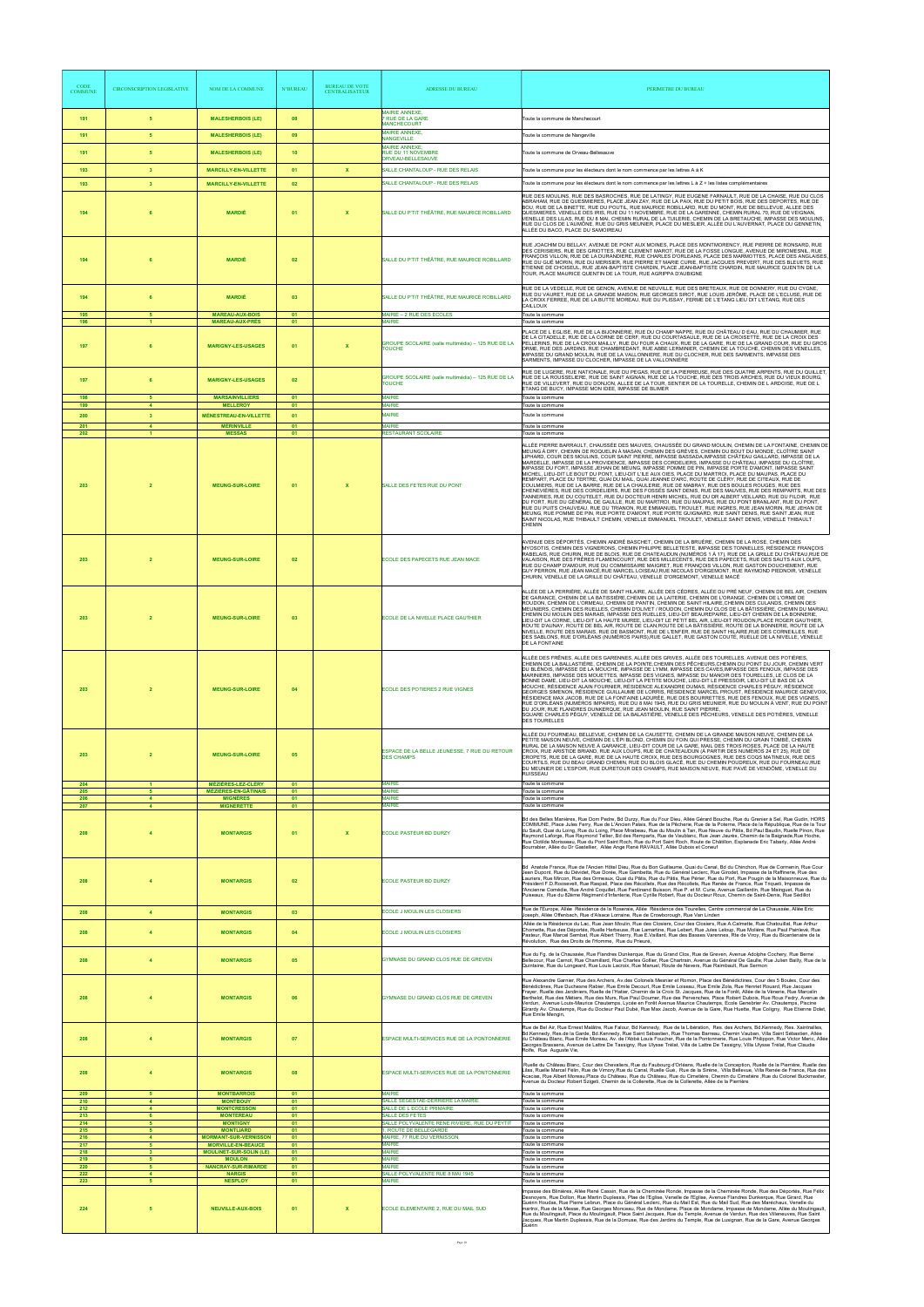| <b>CODE</b><br><b>COMMUNE</b> | <b>CIRCONSCRIPTION LEGISLATIVE</b>     | NOM DE LA COMMUNE                                                             | <b>N°BUREAU</b> | <b>BUREAU DE VOTE</b><br><b>CENTRALISATEUR</b> | <b>ADRESSE DU BUREAU</b>                                                                   | PERIMETRE DU BUREAU                                                                                                                                                                                                                                                                                                                                                                                                                                                                                                                                                                                                                                                                                                                                                                                                                                                                                                                                                                                                                                                                                                                                                                                                                                                                                                                                                                                                                                                                                                 |
|-------------------------------|----------------------------------------|-------------------------------------------------------------------------------|-----------------|------------------------------------------------|--------------------------------------------------------------------------------------------|---------------------------------------------------------------------------------------------------------------------------------------------------------------------------------------------------------------------------------------------------------------------------------------------------------------------------------------------------------------------------------------------------------------------------------------------------------------------------------------------------------------------------------------------------------------------------------------------------------------------------------------------------------------------------------------------------------------------------------------------------------------------------------------------------------------------------------------------------------------------------------------------------------------------------------------------------------------------------------------------------------------------------------------------------------------------------------------------------------------------------------------------------------------------------------------------------------------------------------------------------------------------------------------------------------------------------------------------------------------------------------------------------------------------------------------------------------------------------------------------------------------------|
| 191                           | 5 <sub>5</sub>                         | <b>MALESHERBOIS (LE)</b>                                                      | 08              |                                                | <b>MAIRIE ANNEXE,</b><br><b>7 RUE DE LA GARE</b><br><b>MANCHECOURT</b>                     | Toute la commune de Manchecourt                                                                                                                                                                                                                                                                                                                                                                                                                                                                                                                                                                                                                                                                                                                                                                                                                                                                                                                                                                                                                                                                                                                                                                                                                                                                                                                                                                                                                                                                                     |
| 191                           | 5                                      | <b>MALESHERBOIS (LE)</b>                                                      | 09              |                                                | MAIRIE ANNEXE.<br><b>NANGEVILLE</b>                                                        | Toute la commune de Nangeville                                                                                                                                                                                                                                                                                                                                                                                                                                                                                                                                                                                                                                                                                                                                                                                                                                                                                                                                                                                                                                                                                                                                                                                                                                                                                                                                                                                                                                                                                      |
| 191                           | -5                                     | <b>MALESHERBOIS (LE)</b>                                                      | 10 <sub>1</sub> |                                                | <b>MAIRIE ANNEXE,</b><br>RUE DU 11 NOVEMBRE<br>ORVEAU-BELLESAUVE                           | Toute la commune de Orveau-Bellesauve                                                                                                                                                                                                                                                                                                                                                                                                                                                                                                                                                                                                                                                                                                                                                                                                                                                                                                                                                                                                                                                                                                                                                                                                                                                                                                                                                                                                                                                                               |
| 193                           | $\mathbf{3}$                           | <b>MARCILLY-EN-VILLETTE</b>                                                   | 01              | $\mathbf x$                                    | SALLE CHANTALOUP - RUE DES RELAIS                                                          | Toute la commune pour les électeurs dont le nom commence par les lettres A à K                                                                                                                                                                                                                                                                                                                                                                                                                                                                                                                                                                                                                                                                                                                                                                                                                                                                                                                                                                                                                                                                                                                                                                                                                                                                                                                                                                                                                                      |
| 193                           | $\overline{\mathbf{3}}$                | <b>MARCILLY-EN-VILLETTE</b>                                                   | 02              |                                                | SALLE CHANTALOUP - RUE DES RELAIS                                                          | Toute la commune pour les électeurs dont le nom commence par les lettres L à Z + les listes complémentaires                                                                                                                                                                                                                                                                                                                                                                                                                                                                                                                                                                                                                                                                                                                                                                                                                                                                                                                                                                                                                                                                                                                                                                                                                                                                                                                                                                                                         |
| 194                           | 6                                      | <b>MARDIÉ</b>                                                                 | 01              | $\mathbf{x}$                                   | SALLE DU P'TIT THÉÂTRE, RUE MAURICE ROBILLARD                                              | RUE DES MOULINS, RUE DES BASROCHES, RUE DE LATINGY, RUE EUGENE FARNAULT, RUE DE LA CHAISE, RUE DU CLOS<br>ABRAHAM, RUE DE QUESMIERES, PLACE JEAN ZAY, RUE DE LA PAIX, RUE DU PETIT BOIS, RUE DES DEPORTES, RUE DE<br>BOU, RUE DE LA BINETTE, RUE DU POUTIL, RUE MAURICE ROBILLARD, RUE DU MONT, RUE DE BELLEVUE, ALLEE DES<br>QUESMIERES. VENELLE DES IRIS. RUE DU 11 NOVEMBRE. RUE DE LA GARENNE. CHEMIN RURAL 70. RUE DE VEIGNAN.<br>VENELLE DES LILAS, RUE DU 8 MAI, CHEMIN RURAL DE LA TUILERIE, CHEMIN DE LA BRETAUCHE, IMPASSE DES MOULINS,<br>RUE DU CLOS DE L'AUMÔNE. RUE DU GRIS MEUNIER. PLACE DU MESLIER. ALLÉE DU L'AUVERNAT. PLACE DU GENNETIN.<br>ALLÉE DU BACO, PLACE DU SAMOIREAU                                                                                                                                                                                                                                                                                                                                                                                                                                                                                                                                                                                                                                                                                                                                                                                                                   |
| 194                           |                                        | <b>MARDIÉ</b>                                                                 | 02              |                                                | SALLE DU P'TIT THÉÂTRE, RUE MAURICE ROBILLARD                                              | RUE JOACHIM DU BELLAY, AVENUE DE PONT AUX MOINES, PLACE DES MONTMORENCY, RUE PIERRE DE RONSARD, RUE<br>DES CERISIERS, RUE DES GRIOTTES, RUE CLEMENT MAROT, RUE DE LA FOSSE LONGUE, AVENUE DE MIROMESNIL, RUE<br>FRANÇOIS VILLON, RUE DE LA DURANDIERE, RUE CHARLES D'ORLEANS, PLACE DES MARMOTTES, PLACE DES ANGLAISES<br>RUE DU GUÉ MORIN, RUE DU MERISIER, RUE PIERRE ET MARIE CURIE, RUE JACQUES PREVERT, RUE DES BLEUETS, RUE<br>ETIENNE DE CHOISEUL, RUE JEAN-BAPTISTE CHARDIN, PLACE JEAN-BAPTISTE CHARDIN, RUE MAURICE QUENTIN DE LA<br>TOUR, PLACE MAURICE QUENTIN DE LA TOUR, RUE AGRIPPA D'AUBIGNE                                                                                                                                                                                                                                                                                                                                                                                                                                                                                                                                                                                                                                                                                                                                                                                                                                                                                                        |
| 194                           | 6                                      | <b>MARDIÉ</b>                                                                 | 03              |                                                | SALLE DU P'TIT THÉÂTRE, RUE MAURICE ROBILLARD                                              | RUE DE LA VEDELLE, RUE DE GENON, AVENUE DE NEUVILLE, RUE DES BRETEAUX, RUE DE DONNERY, RUE DU CYGNE.<br>RUE DU VAURET, RUE DE LA GRANDE MAISON, RUE GEORGES SIROT, RUE LOUIS JERÔME, PLACE DE L'ECLUSE, RUE DE<br>LA CROIX FERREE, RUE DE LA BUTTE MOREAU, RUE DU PLISSAY, FERME DE L'ETANG LIEU DIT L'ETANG, RUE DES<br>CAILLOUX                                                                                                                                                                                                                                                                                                                                                                                                                                                                                                                                                                                                                                                                                                                                                                                                                                                                                                                                                                                                                                                                                                                                                                                   |
| 195<br>196                    |                                        | <b>MAREAU-AUX-BOIS</b><br><b>MAREAU-AUX-PRÉS</b>                              | 01<br>01        |                                                | MAIRIE - 2 RUE DES ECOLES<br><b>MAIRIE</b>                                                 | Toute la commune<br>Toute la commune                                                                                                                                                                                                                                                                                                                                                                                                                                                                                                                                                                                                                                                                                                                                                                                                                                                                                                                                                                                                                                                                                                                                                                                                                                                                                                                                                                                                                                                                                |
| 197                           |                                        | <b>MARIGNY-LES-USAGES</b>                                                     | 01              | $\mathbf x$                                    | GROUPE SCOLAIRE (salle multimédia) - 125 RUE DE LA<br><b>TOUCHE</b>                        | PLACE DE L EGLISE, RUE DE LA BIJONNERIE, RUE DU CHAMP NAPPE, RUE DU CHÂTEAU D EAU, RUE DU CHAUMIER, RUE<br>DE LA CITADELLE, RUE DE LA CORNE DE CERF, RUE DU COURTASAULE, RUE DE LA CROISETTE, RUE DE LA CROIX DES<br>PELLERINS, RUE DE LA CROIX MAILLY, RUE DU FOUR A CHAUX, RUE DE LA GARE, RUE DE LA GRAND COUR, RUE DU GROS<br>ORME, RUE DES JARDINS, RUE CHAMBREDANT, RUE ABBE LERMINIER, CHEMIN DE LA TOUCHE, CHEMIN DES VENELLES,<br>IMPASSE DU GRAND MOULIN, RUE DE LA VALLONNIERE, RUE DU CLOCHER, RUE DES SARMENTS, IMPASSE DES<br>SARMENTS, IMPASSE DU CLOCHER, IMPASSE DE LA VALLONNIÈRE                                                                                                                                                                                                                                                                                                                                                                                                                                                                                                                                                                                                                                                                                                                                                                                                                                                                                                                 |
| 197                           | 6                                      | <b>MARIGNY-LES-USAGES</b>                                                     | 02              |                                                | GROUPE SCOLAIRE (salle multimédia) - 125 RUE DE LA<br><b>TOUCHE</b>                        | RUE DE LUGERE, RUE NATIONALE, RUE DU PEGAS, RUE DE LA PIERREUSE, RUE DES QUATRE ARPENTS, RUE DU QUILLET,<br>RUE DE LA ROUSSELIERE. RUE DE SAINT AIGNAN. RUE DE LA TOUCHE. RUE DES TROIS ARCHES. RUE DU VIEUX BOURG.<br>RUE DE VILLEVERT, RUE DU DONJON, ALLEE DE LA TOUR, SENTIER DE LA TOURELLE, CHEMIN DE L ARDOISE, RUE DE L<br>ETANG DE BUCY, IMPASSE MON IDEE, IMPASSE DE BLIMER                                                                                                                                                                                                                                                                                                                                                                                                                                                                                                                                                                                                                                                                                                                                                                                                                                                                                                                                                                                                                                                                                                                               |
| 198<br>199                    | 5<br>$\overline{4}$                    | <b>MARSAINVILLIERS</b><br><b>MELLEROY</b>                                     | 01<br>01        |                                                | <b>MAIRIE</b><br><b>MAIRIE</b>                                                             | Toute la commune<br>Toute la commune                                                                                                                                                                                                                                                                                                                                                                                                                                                                                                                                                                                                                                                                                                                                                                                                                                                                                                                                                                                                                                                                                                                                                                                                                                                                                                                                                                                                                                                                                |
| 200                           | $\overline{\mathbf{3}}$                | <b>MÉNESTREAU-EN-VILLETTE</b>                                                 | 01              |                                                | <b>MAIRIE</b>                                                                              | Toute la commune                                                                                                                                                                                                                                                                                                                                                                                                                                                                                                                                                                                                                                                                                                                                                                                                                                                                                                                                                                                                                                                                                                                                                                                                                                                                                                                                                                                                                                                                                                    |
| 201<br>202                    | $\Delta$                               | <b>MÉRINVILLE</b><br><b>MESSAS</b>                                            | 01<br>01        |                                                | <b>MAIRIE</b><br>RESTAURANT SCOLAIRE                                                       | Toute la commune<br>Toute la commune                                                                                                                                                                                                                                                                                                                                                                                                                                                                                                                                                                                                                                                                                                                                                                                                                                                                                                                                                                                                                                                                                                                                                                                                                                                                                                                                                                                                                                                                                |
| 203                           | $\overline{2}$                         | <b>MEUNG-SUR-LOIRE</b>                                                        | 01              | $\boldsymbol{\mathsf{x}}$                      | SALLE DES FETES RUE DU PONT                                                                | ALLÉE PIERRE BARRAULT, CHAUSSÉE DES MAUVES, CHAUSSÉE DU GRAND MOULIN, CHEMIN DE LA FONTAINE, CHEMIN DE<br>MEUNG À DRY, CHEMIN DE ROQUELIN À MASAN, CHEMIN DES GRÈVES, CHEMIN DU BOUT DU MONDE, CLOÎTRE SAINT<br>LIPHARD, COUR DES MOULINS, COUR SAINT PIERRE, IMPASSE BASSADA, IMPASSE CHÂTEAU GAILLARD, IMPASSE DE LA<br>MARDELLE, IMPASSE DE LA PROVIDENCE, IMPASSE DES CORDELIERS, IMPASSE DU CHÂTEAU, IMPASSE DU CLOÎTRE,<br>IMPASSE DU FORT, IMPASSE JEHAN DE MEUNG, IMPASSE POMME DE PIN, IMPASSE PORTE D'AMONT, IMPASSE SAINT<br>MICHEL, LIEU-DIT LE BOUT DU PONT, LIEU-DIT L'ILE AUX OIES, PLACE DU MARTROI, PLACE DU MAUPAS, PLACE DU<br>REMPART, PLACE DU TERTRE, QUAI DU MAIL, QUAI JEANNE D'ARC, ROUTE DE CLÉRY, RUE DE CITEAUX, RUE DE<br>COULMIERS, RUE DE LA BARRE, RUE DE LA CHAULERIE, RUE DE MABRAY, RUE DES BOULES ROUGES, RUE DES<br>CHENEVIÈRES. RUE DES CORDELIERS. RUE DES FOSSÉS SAINT DENIS. RUE DES MAUVES. RUE DES REMPARTS. RUE DES<br>TANNERIES, RUE DU COUTELET, RUE DU DOCTEUR HENRI MICHEL, RUE DU DR ALBERT VEILLARD, RUE DU FILOIR, RUE<br>DU FORT, RUE DU GÉNÉRAL DE GAULLE, RUE DU MARTROI, RUE DU MAUPAS, RUE DU PONT BRANLANT, RUE DU PONT,<br>RUE DU PUITS CHAUVEAU, RUE DU TRIANON, RUE EMMANUEL TROULET, RUE INGRES, RUE JEAN MORIN, RUE JEHAN DE<br>MEUNG, RUE POMME DE PIN, RUE PORTE D'AMONT, RUE PORTE GUIGNARD, RUE SAINT DENIS, RUE SAINT JEAN, RUE<br>SAINT NICOLAS. RUE THIBAULT CHEMIN. VENELLE EMMANUEL TROULET. VENELLE SAINT DENIS. VENELLE THIBAULT<br>CHEMIN |
|                               |                                        | <b>MEUNG-SUR-LOIRE</b>                                                        |                 |                                                | ECOLE DES PAPECETS RUE JEAN MACE                                                           | AVENUE DES DÉPORTÉS, CHEMIN ANDRÉ BASCHET, CHEMIN DE LA BRUÈRE, CHEMIN DE LA ROSE, CHEMIN DES<br>MYOSOTIS, CHEMIN DES VIGNERONS, CHEMIN PHILIPPE BELLETESTE, IMPASSE DES TONNELLES, RÉSIDENCE FRANÇOIS<br>RABELAIS. RUE CHURIN, RUE DE BLOIS, RUE DE CHATEAUDUN (NUMÉROS 1 À 17), RUE DE LA GRILLE DU CHÂTEAU RUE DE<br>ALAISON, RUE DES FRERES FLAMENCOURT, RUE DES MILLECENTS, RUE DES PAPECETS, RUE DES SAUTS AUX LOUPS<br>RUE DU CHAMP D'AMOUR, RUE DU COMMISSAIRE MAIGRET, RUE FRANÇOIS VILLON, RUE GASTON DOUCHEMENT, RUE<br>GUY PERRON, RUE JEAN MACÉ,RUE MARCEL LOISEAU,RUE NICOLAS D'ORGEMONT, RUE RAYMOND PIEDNOIR, VENELLE<br>CHURIN. VENELLE DE LA GRILLE DU CHÂTEAU. VENELLE D'ORGEMONT. VENELLE MACÉ                                                                                                                                                                                                                                                                                                                                                                                                                                                                                                                                                                                                                                                                                                                                                                                                  |
| 203                           | $\overline{2}$                         | <b>MEUNG-SUR-LOIRE</b>                                                        | 03              |                                                | ECOLE DE LA NIVELLE PLACE GAUTHIER                                                         | ALLÉE DE LA PERRIÈRE, ALLÉE DE SAINT HILAIRE, ALLÉE DES CÈDRES, ALLÉE DU PRÉ NEUF, CHEMIN DE BEL AIR, CHEMIN<br>DE GARANCE, CHEMIN DE LA BATISSIÈRE, CHEMIN DE LA LAITERIE, CHEMIN DE L'ORANGE, CHEMIN DE L'ORME DE<br>ROUDON. CHEMIN DE L'ORMEAU. CHEMIN DE PANTIN. CHEMIN DE SAINT HILAIRE CHEMIN DES CULANDS. CHEMIN DES<br>MEUNIERS, CHEMIN DES RUELLES, CHEMIN D'OLIVET / ROUDON, CHEMIN DU CLOS DE LA BÂTISSIÈRE, CHEMIN DU MARIAU,<br>CHEMIN DU MOULIN DES MARAIS, IMPASSE DES RUELLES, LIEU-DIT BEAUREPAIRE, LIEU-DIT CHEMIN DE LA BONNERIE,<br>LIEU-DIT LA CORNE, LIEU-DIT LA HAUTE MUREE, LIEU-DIT LE PETIT BEL AIR, LIEU-DIT ROUDON, PLACE ROGER GAUTHIER,<br>ROUTE D'AUNAY, ROUTE DE BEL AIR, ROUTE DE CLAN, ROUTE DE LA BÂTISSIÈRE, ROUTE DE LA BONNERIE, ROUTE DE LA<br>NIVELLE, ROUTE DES MARAIS, RUE DE BASMONT, RUE DE L'ENFER, RUE DE SAINT HILAIRE, RUE DES CORNEILLES, RUE<br>DES SABLONS, RUE D'ORLÉANS (NUMÉROS PAIRS),RUE GALLET, RUE GASTON COUTÉ, RUELLE DE LA NIVELLE, VENELLE<br><b>DE LA FONTAINE</b>                                                                                                                                                                                                                                                                                                                                                                                                                                                                                   |
| 203                           | $\overline{2}$                         | <b>MEUNG-SUR-LOIRE</b>                                                        | 04              |                                                | <b>ECOLE DES POTIERES 2 RUE VIGNES</b>                                                     | ALLÉE DES FRÊNES, ALLÉE DES GARENNES, ALLÉE DES GRIVES, ALLÉE DES TOURELLES, AVENUE DES POTIÈRES,<br>CHEMIN DE LA BALLASTIÈRE, CHEMIN DE LA POINTE,CHEMIN DES PÊCHEURS,CHEMIN DU POINT DU JOUR, CHEMIN VERT<br>DU BLÉNOIS, IMPASSE DE LA MOUCHE, IMPASSE DE LYMM, IMPASSE DES CAVES, IMPASSE DES FENOUX, IMPASSE DES<br>MARINIERS, IMPASSE DES MOUETTES, IMPASSE DES VIGNES, IMPASSE DU MANOIR DES TOURELLES, LE CLOS DE LA<br>BONNE DAME, LIEU-DIT LA MOUCHE, LIEU-DIT LA PETITE MOUCHE, LIEU-DIT LE PRESSOIR, LIEU-DIT LE BAS DE LA<br>MOUCHE, RÉSIDENCE ALAIN FOURNIER, RÉSIDENCE ALEXANDRE DUMAS, RÉSIDENCE CHARLES PÉGUY, RÉSIDENCE<br>GEORGES SIMENON, RÉSIDENCE GUILLAUME DE LORRIS, RÉSIDENCE MARCEL PROUST, RÉSIDENCE MAURICE GENEVOIX<br>RÉSIDENCE MAX JACOB, RUE DE LA FONTAINE LADURÉE, RUE DES BOURRETTES, RUE DES FENOUX, RUE DES VIGNES,<br>RUE D'ORLÉANS (NUMÉROS IMPAIRS), RUE DU 8 MAI 1945, RUE DU GRIS MEUNIER, RUE DU MOULIN À VENT, RUE DU POINT<br>DU JOUR, RUE FLANDRES DUNKERQUE, RUE JEAN MOULIN, RUE SAINT PIERRE,<br>SQUARE CHARLES PÉGUY, VENELLE DE LA BALASTIÈRE, VENELLE DES PÊCHEURS, VENELLE DES POTIÈRES, VENELLE<br><b>DES TOURELLES</b>                                                                                                                                                                                                                                                                                                                                        |
| 203<br>204                    | $\overline{2}$<br>$\mathbf{1}$         | <b>MEUNG-SUR-LOIRE</b><br><b>MÉZIÈRES-LEZ-CLÉRY</b>                           | 05<br>01        |                                                | ESPACE DE LA BELLE JEUNESSE, 7 RUE DU RETOUR<br><b>DES CHAMPS</b><br><b>MAIRIE</b>         | ALLÉE DU FOURNEAU, BELLEVUE, CHEMIN DE LA CAUSETTE, CHEMIN DE LA GRANDE MAISON NEUVE, CHEMIN DE LA<br>PETITE MAISON NEUVE, CHEMIN DE L'ÉPI BLOND, CHEMIN DU FOIN QUI PRESSE, CHEMIN DU GRAIN TOMBÉ, CHEMIN<br>RURAL DE LA MAISON NEUVE À GARANCE, LIEU-DIT COUR DE LA GARE, MAIL DES TROIS ROSES, PLACE DE LA HAUTE<br>CROIX, RUE ARISTIDE BRIAND, RUE AUX LOUPS, RUE DE CHATEAUDUN (À PARTIR DES NUMÉROS 24 ET 25), RUE DE<br>CROPETS, RUE DE LA GARE, RUE DE LA HAUTE CROIX, RUE DES BOURGOGNES, RUE DES COQS MATINEUX, RUE DES<br>COURTILS, RUE DU BEAU GRAND CHEMIN, RUE DU BLOIS GLACÉ, RUE DU CHEMIN POUDREUX, RUE DU FOURNEAU,RUE<br>DU MEUNIER DE L'ESPOIR, RUE DURETOUR DES CHAMPS, RUE MAISON NEUVE, RUE PAVÉ DE VENDÔME, VENELLE DU<br><b>RUISSEAU</b><br>Toute la commune                                                                                                                                                                                                                                                                                                                                                                                                                                                                                                                                                                                                                                                                                                                               |
| 205<br>206                    | 5 <sub>1</sub><br>$\blacktriangleleft$ | <b>MÉZIÈRES-EN-GÂTINAIS</b><br><b>MIGNÈRES</b>                                | 01<br>01        |                                                | <b>MAIRIE</b><br><b>MAIRIE</b>                                                             | Toute la commune<br>Toute la commune                                                                                                                                                                                                                                                                                                                                                                                                                                                                                                                                                                                                                                                                                                                                                                                                                                                                                                                                                                                                                                                                                                                                                                                                                                                                                                                                                                                                                                                                                |
| 207<br>208                    | $\overline{4}$                         | <b>MIGNERETTE</b><br><b>MONTARGIS</b>                                         | 01<br>01        | $\boldsymbol{\mathsf{x}}$                      | <b>MAIRIE</b><br><b>ECOLE PASTEUR BD DURZY</b>                                             | Toute la commune<br>Bd des Belles Manières, Rue Dom Pedre, Bd Durzy, Rue du Four Dieu, Allée Gérard Bouche, Rue du Grenier à Sel, Rue Gudin, HORS<br>COMMUNE, Place Jules Ferry, Rue de L'Ancien Palais, Rue de la Pêcherie, Rue de la Poterne, Place de la République, Rue de la Tour<br>du Sault, Quai du Loing, Rue du Loing, Place Mirabeau, Rue du Moulin à Tan, Rue Neuve du Pâtis, Bd Paul Baudin, Ruelle Pinon, Rue<br>Raymond Laforge, Rue Raymond Tellier, Bd des Remparts, Rue de Vaublanc, Rue Jean Jaurès, Chemin de la Baignade,Rue Hoche,<br>Rue Clotilde Morisseau, Rue du Pont Saint Roch, Rue du Port Saint Roch, Route de Châtillon, Esplanade Eric Tabarly, Allée André<br>Bourrabier, Allée du Dr Gastellier, Allée Ange René RAVAULT, Allée Dubois et Coneuf                                                                                                                                                                                                                                                                                                                                                                                                                                                                                                                                                                                                                                                                                                                                  |
| 208                           |                                        | <b>MONTARGIS</b>                                                              | 02              |                                                | <b>ECOLE PASTEUR BD DURZY</b>                                                              | Bd Anatole France, Rue de l'Ancien Hôtel Dieu, Rue du Bon Guillaume, Quai du Canal, Bd du Chinchon, Rue de Cormenin, Rue Cour<br>Jean Dupont, Rue du Dévidet, Rue Dorée, Rue Gambetta, Rue du Général Leclerc, Rue Girodet, Impasse de la Raffinerie, Rue des<br>Lauriers, Rue Mircon, Rue des Ormeaux, Quai du Pâtis, Rue du Pâtis, Rue Périer, Rue du Port, Rue Pougin de la Maisonneuve, Rue du<br>Président F.D.Roosevelt, Rue Raspail, Place des Récollets, Rue des Récollets, Rue Renée de France, Rue Triqueti, Impasse de<br>l'Ancienne Comédie, Rue André Coquillet, Rue Ferdinand Buisson, Rue P. et M. Curie, Avenue Gaillardin, Rue Mainquet, Rue du<br>Puiseaux, Rue du 82ème Régiment d'Infanterie, Rue Cyrille Robert, Rue du Docteur Roux, Chemin de Saint-Denis, Rue Sédillot                                                                                                                                                                                                                                                                                                                                                                                                                                                                                                                                                                                                                                                                                                                      |
| 208                           | $\overline{4}$                         | <b>MONTARGIS</b>                                                              | 03              |                                                | ECOLE J MOULIN LES CLOSIERS                                                                | Rue de l'Europe, Allée Résidence de la Roseraie, Allée Résidence des Tourelles, Centre commercial de La Chaussée, Allée Eric<br>Joseph, Allée Offenbach, Rue d'Alsace Lorraine, Rue de Crowborough, Rue Van Linden                                                                                                                                                                                                                                                                                                                                                                                                                                                                                                                                                                                                                                                                                                                                                                                                                                                                                                                                                                                                                                                                                                                                                                                                                                                                                                  |
| 208                           | $\overline{4}$                         | <b>MONTARGIS</b>                                                              | 04              |                                                | ECOLE J MOULIN LES CLOSIERS                                                                | Allée de la Résidence du Lac, Rue Jean Moulin, Rue des Closiers, Cour des Closiers, Rue A.Calmette, Rue Chatouillat, Rue Arthur<br>Chomette, Rue des Déportés, Ruelle Herbeuse, Rue Lamartine, Rue Lebert, Rue Jules Leloup, Rue Molière, Rue Paul Painlevé, Rue<br>Pasteur, Rue Marcel Sembat, Rue Albert Thierry, Rue E.Vaillant, Rue des Basses Varennes, Rte de Viroy, Rue du Bicentenaire de la<br>Révolution, Rue des Droits de l'Homme, Rue du Prieuré,                                                                                                                                                                                                                                                                                                                                                                                                                                                                                                                                                                                                                                                                                                                                                                                                                                                                                                                                                                                                                                                      |
| 208                           | $\overline{4}$                         | <b>MONTARGIS</b>                                                              | 05              |                                                | GYMNASE DU GRAND CLOS RUE DE GREVEN                                                        | Rue du Fg. de la Chaussée, Rue Flandres Dunkerque, Rue du Grand Clos, Rue de Greven, Avenue Adolphe Cochery, Rue Berne<br>Bellecour, Rue Carnot, Rue Chamillard, Rue Charles Gollier, Rue Chartrain, Avenue du Général De Gaulle, Rue Julien Bailly, Rue de la<br>Quintaine, Rue du Longeard, Rue Louis Lacroix, Rue Manuel, Route de Nevers, Rue Raimbault, Rue Sermon                                                                                                                                                                                                                                                                                                                                                                                                                                                                                                                                                                                                                                                                                                                                                                                                                                                                                                                                                                                                                                                                                                                                             |
| 208                           |                                        | <b>MONTARGIS</b>                                                              | 06              |                                                | GYMNASE DU GRAND CLOS RUE DE GREVEN                                                        | Rue Alexandre Garnier, Rue des Archers, Av.des Colonels Mesnier et Romon, Place des Bénédictines, Cour des 5 Boules, Cour des<br>Bénédictines, Rue Duchesne Rabier, Rue Emile Decourt, Rue Emile Loiseau, Rue Emile Zola, Rue Henriet Rouard, Rue Jacques<br>Frayer, Ruelle des Jardiniers, Ruelle de l'Hatier, Chemin de la Croix St. Jacques, Rue de la Forêt, Allée de la Vènerie, Rue Marcelin<br>Berthelot, Rue des Métiers, Rue des Murs, Rue Paul Doumer, Rue des Pervenches, Place Robert Dubois, Rue Roux Fedry, Avenue de<br>Verdun, Avenue Louis-Maurice Chautemps, Lycée en Forêt Avenue Maurice Chautemps, Ecole Genebrier Av. Chautemps, Piscine<br>Girardy Av. Chautemps, Rue du Docteur Paul Dubé, Rue Max Jacob, Avenue de la Gare, Rue Huette, Rue Coligny, Rue Etienne Dolet,<br>Rue Emile Mengin.                                                                                                                                                                                                                                                                                                                                                                                                                                                                                                                                                                                                                                                                                               |
| 208                           | $\overline{4}$                         | <b>MONTARGIS</b>                                                              | 07              |                                                | ESPACE MULTI-SERVICES RUE DE LA PONTONNERIE                                                | Rue de Bel Air, Rue Ernest Malâtre, Rue Falour, Bd Kennedy, Rue de la Libération, Res. des Archers, Bd.Kennedy, Res. Xaintrailles,<br>Bd.Kennedy, Res.de la Garde, Bd.Kennedy, Rue Saint Sébastien, Rue Thomas Barreau, Chemin Vauban, Villa Saint Sébastien, Allée<br>du Château Blanc, Rue Emile Moreau, Av. de l'Abbé Louis Foucher, Rue de la Pontonnerie, Rue Louis Philippon, Rue Victor Meric, Allée<br>Georges Brassens, Avenue de Lattre De Tassigny, Rue Ulysse Trélat, Villa de Lattre De Tassigny, Villa Ulysse Trélat, Rue Claudie<br>Rolfe, Rue Auguste Vie,                                                                                                                                                                                                                                                                                                                                                                                                                                                                                                                                                                                                                                                                                                                                                                                                                                                                                                                                          |
| 208<br>209                    | $\overline{4}$<br>5                    | <b>MONTARGIS</b><br><b>MONTBARROIS</b>                                        | 08<br>01        |                                                | ESPACE MULTI-SERVICES RUE DE LA PONTONNERIE<br><b>MAIRIF</b>                               | Ruelle du Château Blanc, Cour des Chevaliers, Rue du Faubourg d'Orléans, Ruelle de la Conception, Ruelle de la Pierrière, Ruelle des<br>Lilas, Ruelle Marcel Félin, Rue de Vimory,Rue du Canal, Ruelle Gué, Rue de la Sirène, Villa Bellevue, Villa Renée de France, Rue des<br>Acacias, Rue Albert Moreau, Place du Château, Rue du Château, Rue du Cimetière, Chemin du Cimetière , Rue du Colonel Buckmaster,<br>Avenue du Docteur Robert Szigeti, Chemin de la Collerette, Rue de la Collerette, Allée de la Pierrière<br>Toute la commune                                                                                                                                                                                                                                                                                                                                                                                                                                                                                                                                                                                                                                                                                                                                                                                                                                                                                                                                                                      |
| 210<br>212                    | $\overline{4}$<br>$\overline{4}$       | <b>MONTBOUY</b><br><b>MONTCRESSON</b>                                         | 01<br>01        |                                                | SALLE SEGESTAE-DERRIERE LA MAIRIE<br>SALLE DE L ECOLE PRIMAIRE                             | Toute la commune<br>Toute la commune                                                                                                                                                                                                                                                                                                                                                                                                                                                                                                                                                                                                                                                                                                                                                                                                                                                                                                                                                                                                                                                                                                                                                                                                                                                                                                                                                                                                                                                                                |
| 213<br>214                    | 6<br>5<br>5 <sup>1</sup>               | <b>MONTEREAU</b><br><b>MONTIGNY</b>                                           | 01<br>01<br>01  |                                                | SALLE DES FETES<br>SALLE POLYVALENTE RENE RIVIERE, RUE DU PEYTIT<br>1, ROUTE DE BELLEGARDE | Toute la commune<br>Toute la commune<br>Toute la commune                                                                                                                                                                                                                                                                                                                                                                                                                                                                                                                                                                                                                                                                                                                                                                                                                                                                                                                                                                                                                                                                                                                                                                                                                                                                                                                                                                                                                                                            |
| 215<br>216<br>217             | $\blacktriangleleft$<br>5              | <b>MONTLIARD</b><br><b>MORMANT-SUR-VERNISSON</b><br><b>MORVILLE-EN-BEAUCE</b> | 01<br>01        |                                                | MAIRIE, 77 RUE DU VERNISSON<br><b>MAIRIE</b>                                               | Toute la commune<br>Toute la commune                                                                                                                                                                                                                                                                                                                                                                                                                                                                                                                                                                                                                                                                                                                                                                                                                                                                                                                                                                                                                                                                                                                                                                                                                                                                                                                                                                                                                                                                                |
| 218<br>219                    | $\mathbf{3}$<br>5                      | <b>MOULINET-SUR-SOLIN (LE)</b><br><b>MOULON</b>                               | 01<br>01        |                                                | <b>MAIRIE</b><br><b>MAIRIE</b>                                                             | Toute la commune<br>Toute la commune                                                                                                                                                                                                                                                                                                                                                                                                                                                                                                                                                                                                                                                                                                                                                                                                                                                                                                                                                                                                                                                                                                                                                                                                                                                                                                                                                                                                                                                                                |
| 220<br>222                    | $\overline{5}$<br>$\blacktriangleleft$ | NANCRAY-SUR-RIMARDE<br><b>NARGIS</b>                                          | 01<br>01        |                                                | <b>MAIRIE</b><br>SALLE POLYVALENTE RUE 8 MAI 1945                                          | Toute la commune<br>Toute la commune                                                                                                                                                                                                                                                                                                                                                                                                                                                                                                                                                                                                                                                                                                                                                                                                                                                                                                                                                                                                                                                                                                                                                                                                                                                                                                                                                                                                                                                                                |
| 223                           | 5                                      | <b>NESPLOY</b>                                                                | 01              |                                                | <b>MAIRIE</b>                                                                              | Toute la commune<br>Impasse des Blinières, Allée René Cassin, Rue de la Cheminée Ronde, Impasse de la Cheminée Ronde, Rue des Déportés, Rue Félix                                                                                                                                                                                                                                                                                                                                                                                                                                                                                                                                                                                                                                                                                                                                                                                                                                                                                                                                                                                                                                                                                                                                                                                                                                                                                                                                                                   |
| 224                           | 5                                      | <b>NEUVILLE-AUX-BOIS</b>                                                      | 01              | $\boldsymbol{\mathsf{x}}$                      | ECOLE ELEMENTAIRE 2, RUE DU MAIL SUD                                                       | Desnoyers, Rue Dollon, Rue Martin Duplessis, Plae de l'Eglise, Venelle de l'Eglise, Avenue Flandres Dunkerque, Rue Girard, Rue<br>Guérin Houdas, Rue Pierre Lebrun, Place du Général Leclerc, Rue du Mail Est, Rue du Mail Sud, Rue des Maréchaux, Venelle du<br>martroi, Rue de la Messe, Rue Georges Monceau, Rue de Mondame, Place de Mondame, Impasse de Mondame, Allée du Moulingault,<br>Rue du Moulingault, Place du Moulingault, Place Saint Jacques, Rue du Temple, Avenue de Verdun, Rue des Villeneuves, Rue Saint<br>Jacques, Rue Martin Duplessis, Rue de la Domuse, Rue des Jardins du Temple, Rue de Lusignan, Rue de la Gare, Avenue Georges<br>Guérin                                                                                                                                                                                                                                                                                                                                                                                                                                                                                                                                                                                                                                                                                                                                                                                                                                              |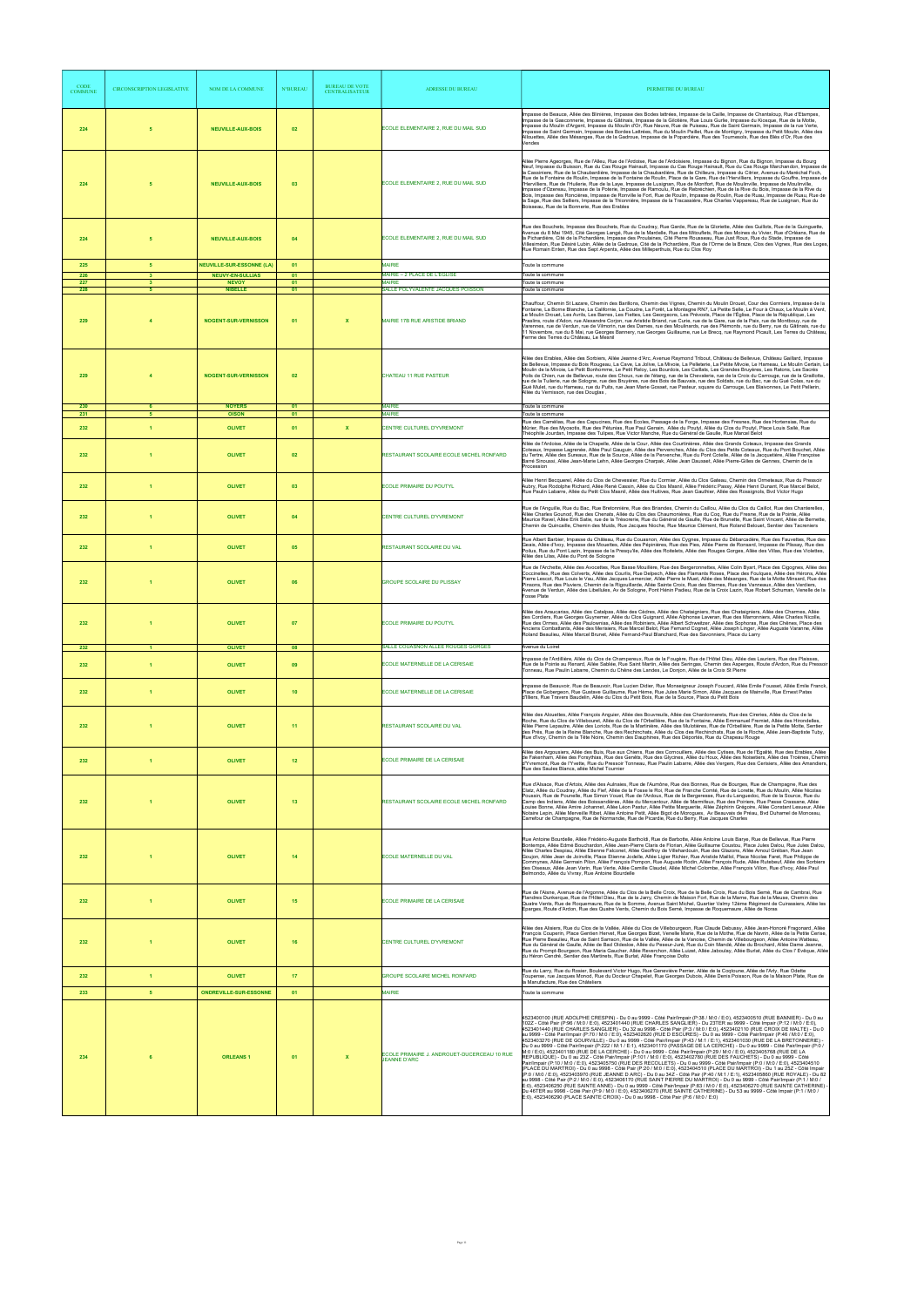| CODE<br><b>COMMUNE</b> | <b>CIRCONSCRIPTION LEGISLATIVE</b> | NOM DE LA COMMUNE                                           | <b>N°BUREAL</b> | <b>BUREAU DE VOTE</b><br><b>CENTRALISATEUR</b> | <b>ADRESSE DU BUREAU</b>                                               | PERIMETRE DU BUREAU                                                                                                                                                                                                                                                                                                                                                                                                                                                                                                                                                                                                                                                                                                                                                                                                                                                                                                                                                                                                                                                                                                                                                                                                                                                                                                                                                                                                                                                                                                                                                                                                                                                                                                                                                                                                                                                                            |
|------------------------|------------------------------------|-------------------------------------------------------------|-----------------|------------------------------------------------|------------------------------------------------------------------------|------------------------------------------------------------------------------------------------------------------------------------------------------------------------------------------------------------------------------------------------------------------------------------------------------------------------------------------------------------------------------------------------------------------------------------------------------------------------------------------------------------------------------------------------------------------------------------------------------------------------------------------------------------------------------------------------------------------------------------------------------------------------------------------------------------------------------------------------------------------------------------------------------------------------------------------------------------------------------------------------------------------------------------------------------------------------------------------------------------------------------------------------------------------------------------------------------------------------------------------------------------------------------------------------------------------------------------------------------------------------------------------------------------------------------------------------------------------------------------------------------------------------------------------------------------------------------------------------------------------------------------------------------------------------------------------------------------------------------------------------------------------------------------------------------------------------------------------------------------------------------------------------|
| 224                    | 5                                  | <b>NEUVILLE-AUX-BOIS</b>                                    | 02              |                                                | ECOLE ELEMENTAIRE 2, RUE DU MAIL SUD                                   | Impasse de Beauce, Allée des Blinières, Impasse des Bodes lattrées, Impasse de la Caille, Impasse de Chantaloup, Rue d'Etampes,<br>Impasse de la Gasconnerie, Impasse du Gâtinais, Impasse de la Gilotière, Rue Louis Gurlie, Impasse du Kiosque, Rue de la Motte,<br>Impasse du Moulin d'Argent, Impasse du Moulin d'Or. Rue Neuve, Rue de Puiseau, Rue de Saint Germain, Impasse de la rue Verte.<br>Impasse de Saint Germain, Impasse des Bordes Lattrées, Rue du Moulin Paillet, Rue de Montigny, Impasse du Petit Moulin, Allée des<br>Allouettes, Allée des Mésanges, Rue de la Gadroue, Impasse de la Popardière, Rue des Tournesols, Rue des Blés d'Or, Rue des<br>Vendes                                                                                                                                                                                                                                                                                                                                                                                                                                                                                                                                                                                                                                                                                                                                                                                                                                                                                                                                                                                                                                                                                                                                                                                                              |
| 224                    |                                    | <b>NEUVILLE-AUX-BOIS</b>                                    | 03              |                                                | ECOLE ELEMENTAIRE 2. RUE DU MAIL SUD                                   | Allée Pierre Ageorges, Rue de l'Alleu, Rue de l'Ardoise, Rue de l'Ardoisiere, Impasse du Bignon, Rue du Bignon, Impasse du Bourg<br>Neuf, Impasse du Buisson, Rue du Cas Rouge Hainault, Impasse du Cas Rouge Hainault, Rue du Cas Rouge Marchandon, Impasse de<br>la Cassiniere, Rue de la Chaubardière, Impasse de la Chaubardière, Rue de Chilleurs, Impasse du Citrier, Avenue du Maréchal Foch,<br>Rue de la Fontaine de Roulin, Impasse de la Fontaine de Roulin, Place de la Gare, Rue de l'Hervilliers, Impasse du Gouffre, Impasse de<br>l'Hervilliers, Rue de l'Huilerie, Rue de la Laye, Impasse de Lusignan, Rue de Montfort, Rue de Moulinville, Impasse de Moulinville,<br>Impasse d'Ozereau, Impasse de la Poterie, Impasse de Ramoulu, Rue de Rebréchien, Rue de la Rive du Bois, Impasse de la Rive du<br>Bois, Impasse des Roncières, Impasse de Ronville le Fort, Rue de Roulin, Impasse de Roulin, Rue de Ruau, Impasse de Ruau, Rue de<br>la Sage, Rue des Selliers, Impasse de la Thionnière, Impasse de la Tracassière, Rue Charles Vappereau, Rue de Lusignan, Rue du<br>Boisseau, Rue de la Bonnerie, Rue des Erables                                                                                                                                                                                                                                                                                                                                                                                                                                                                                                                                                                                                                                                                                                                                                 |
| 224                    | -5                                 | <b>NEUVILLE-AUX-BOIS</b>                                    | 04              |                                                | ECOLE ELEMENTAIRE 2, RUE DU MAIL SUD                                   | Rue des Bouchets, Impasse des Bouchets, Rue du Coudray, Rue Garde, Rue de la Gloriette, Allée des Guillots, Rue de la Guinguette,<br>Avenue du 8 Mai 1945, Cité Georges Langé, Rue de la Mardelle, Rue des Mitouflets, Rue des Moines du Vivier, Rue d'Orléans, Rue de<br>la Pichardière, Cité de la Pichardière, Impasse des Proulaines, Cité Pierre Rousseau, Rue Just Roux, Rue du Stade, Impasse de<br>Villesiméon, Rue Désiré Lubin, Allée de la Gadroue, Cité de la Pichardière, Rue de l'Orme de la Braze, Clos des Vignes, Rue des Loges,<br>Rue Romain Enten, Rue des Sept Arpents, Allée des Milleperthuis, Rue du Clos Roy                                                                                                                                                                                                                                                                                                                                                                                                                                                                                                                                                                                                                                                                                                                                                                                                                                                                                                                                                                                                                                                                                                                                                                                                                                                          |
| 225<br>226             | 5 <sub>5</sub><br>$\mathbf{3}$     | <b>NEUVILLE-SUR-ESSONNE (LA)</b><br><b>NEUVY-EN-SULLIAS</b> | 01<br>01        |                                                | <b>MAIRIE</b><br>MAIRIE - 2 PLACE DE L'EGLISE                          | Toute la commune<br>Toute la commune                                                                                                                                                                                                                                                                                                                                                                                                                                                                                                                                                                                                                                                                                                                                                                                                                                                                                                                                                                                                                                                                                                                                                                                                                                                                                                                                                                                                                                                                                                                                                                                                                                                                                                                                                                                                                                                           |
| 227<br>228             | $\mathbf{3}$<br>-5                 | <b>NEVOY</b><br><b>NIBELLE</b>                              | 01<br>01        |                                                | <b>MAIRIE</b><br>SALLE POLYVALENTE JACQUES POISSON                     | Toute la commune<br>Toute la commune                                                                                                                                                                                                                                                                                                                                                                                                                                                                                                                                                                                                                                                                                                                                                                                                                                                                                                                                                                                                                                                                                                                                                                                                                                                                                                                                                                                                                                                                                                                                                                                                                                                                                                                                                                                                                                                           |
| 229                    | $\mathbf{A}$                       | <b>NOGENT-SUR-VERNISSON</b>                                 | 01              | $\boldsymbol{\mathsf{x}}$                      | <b>MAIRIE 17B RUE ARISTIDE BRIAND</b>                                  | Chauffour, Chemin St Lazare, Chemin des Barillons, Chemin des Vignes, Chemin du Moulin Drouet, Cour des Cormiers, Impasse de la<br>Fontaine, La Borne Blanche, La Californie, La Coudre, La Forêt, La Montagne RN7, La Petite Selle, Le Four à Chaux, Le Moulin à Vent,<br>Le Moulin Drouet, Les Avrils, Les Barres, Les Fiettes, Les Georgeons, Les Prévosts, Place de l'Église, Place de la République, Les<br>Praslins, route d'Adon, rue Alexandre Corjon, rue Aristide Briand, rue Curie, rue de la Gare, rue de la Paix, rue de Montbouy, rue de<br>Varennes, rue de Verdun, rue de Vilmorin, rue des Dames, rue des Moulinards, rue des Plémonts, rue du Berry, rue du Gâtinais, rue du<br>11 Novembre, rue du 8 Mai, rue Georges Bannery, rue Georges Guillaume, rue Le Brecq, rue Raymond Picault, Les Terres du Château,<br>Ferme des Terres du Château, Le Mesnil                                                                                                                                                                                                                                                                                                                                                                                                                                                                                                                                                                                                                                                                                                                                                                                                                                                                                                                                                                                                                   |
| 229                    |                                    | <b>NOGENT-SUR-VERNISSON</b>                                 | 02              |                                                | CHATEAU 11 RUE PASTEUR<br><b>MAIRIE</b>                                | Allée des Erables, Allée des Sorbiers, Allée Jeanne d'Arc, Avenue Raymond Tribout, Château de Bellevue, Château Gaillard, Impasse<br>de Bellevue, Impasse du Bois Rougeau, La Cave, La Jolive, La Mivoie, La Pelleterie, La Petite Mivoie, Le Hameau, Le Moulin Certain, Le<br>Moulin de la Mivoie, Le Petit Bonhomme, Le Petit Reloy, Les Bourdois, Les Caillats, Les Grandes Bruyères, Les Ratons, Les Sacrés<br>Poils de Chien, rue de Bellevue, route des Choux, rue de l'étang, rue de la Chevalerie, rue de la Croix du Carrouge, rue de la Graillotte,<br>rue de la Tuilerie, rue de Sologne, rue des Bruyères, rue des Bois de Bauvais, rue des Soldats, rue du Bac, rue du Gué Colas, rue du<br>Gué Mulet, rue du Hameau, rue du Puits, rue Jean Marie Gosset, rue Pasteur, square du Carrouge, Les Blaivonnes, Le Petit Pellerin,<br>Allée du Vernisson, rue des Douglas,                                                                                                                                                                                                                                                                                                                                                                                                                                                                                                                                                                                                                                                                                                                                                                                                                                                                                                                                                                                                            |
| 230<br>231             | 6<br>-5                            | <b>NOYERS</b><br><b>OISON</b>                               | 01<br>01        |                                                | <b>MAIRIE</b>                                                          | Toute la commune<br>Toute la commune                                                                                                                                                                                                                                                                                                                                                                                                                                                                                                                                                                                                                                                                                                                                                                                                                                                                                                                                                                                                                                                                                                                                                                                                                                                                                                                                                                                                                                                                                                                                                                                                                                                                                                                                                                                                                                                           |
| 232<br>232             | $\overline{1}$                     | <b>OLIVET</b><br><b>OLIVET</b>                              | 01<br>02        | $\mathbf{x}$                                   | CENTRE CULTUREL D'YVREMONT<br>RESTAURANT SCOLAIRE ECOLE MICHEL RONFARD | Rue des Camélias, Rue des Capucines, Rue des Ecoles, Passage de la Forge, Impasse des Fresnes, Rue des Hortensias, Rue du<br>Mûrier, Rue des Myosotis, Rue des Pétunias, Rue Paul Genain, Allée du Poutyl, Allée du Clos du Poutyl, Place Louis Sallé, Rue<br>Théophile Jourdan, Impasse des Tulipes, Rue Victor Manche, Rue du Général de Gaulle, Rue Marcel Belot<br>Allée de l'Ardoise, Allée de la Chapelle, Allée de la Cour, Allée des Courtinières, Allée des Grands Coteaux, Impasse des Grands<br>Coteaux, Impasse Lagrenée, Allée Paul Gauguin, Allée des Pervenches, Allée du Clos des Petits Coteaux, Rue du Pont Bouchet, Allée<br>du Tertre, Allée des Sureaux, Rue de la Source, Allée de la Pervenche, Rue du Pont Cotelle, Allée de la Jacquetière, Allée Françoise<br>Barré Sinoussi, Allée Jean-Marie Lehn, Allée Georges Charpak, Allée Jean Dausset, Allée Pierre-Gilles de Gennes, Chemin de la<br>Procession                                                                                                                                                                                                                                                                                                                                                                                                                                                                                                                                                                                                                                                                                                                                                                                                                                                                                                                                                            |
| 232                    | $\overline{1}$                     | <b>OLIVET</b>                                               | 03              |                                                | <b>ECOLE PRIMAIRE DU POUTYL</b>                                        | Allée Henri Becquerel, Allée du Clos de Chevessier, Rue du Cormier, Allée du Clos Gateau, Chemin des Ormeteaux, Rue du Pressoir<br>Aubry, Rue Rodolphe Richard, Allée René Cassin, Allée du Clos Masnil, Allée Frédéric Passy, Allée Henri Dunant, Rue Marcel Belot,<br>Rue Paulin Labarre, Allée du Petit Clos Masnil, Allée des Huitives, Rue Jean Gauthier, Allée des Rossignols, Bvd Victor Hugo                                                                                                                                                                                                                                                                                                                                                                                                                                                                                                                                                                                                                                                                                                                                                                                                                                                                                                                                                                                                                                                                                                                                                                                                                                                                                                                                                                                                                                                                                           |
| 232                    | -1                                 | <b>OLIVET</b>                                               | 04              |                                                | CENTRE CULTUREL D'YVREMONT                                             | Rue de l'Anguille, Rue du Bac, Rue Bretonnière, Rue des Briandes, Chemin du Caillou, Allée du Clos du Caillot, Rue des Chanterelles<br>Allée Charles Gounod, Rue des Chenats, Allée du Clos des Chaumonières, Rue du Coq, Rue du Fresne, Rue de la Pointe, Allée<br>Maurice Ravel, Allée Erik Satie, rue de la Trésorerie, Rue du Général de Gaulle, Rue de Brunette, Rue Saint Vincent, Allée de Bernette,<br>Chemin de Quincaille, Chemin des Muids, Rue Jacques Nioche, Rue Maurice Clément, Rue Roland Belouet, Sentier des Tacreniers                                                                                                                                                                                                                                                                                                                                                                                                                                                                                                                                                                                                                                                                                                                                                                                                                                                                                                                                                                                                                                                                                                                                                                                                                                                                                                                                                     |
| 232                    | $\blacktriangleleft$               | <b>OLIVET</b>                                               | 05              |                                                | RESTAURANT SCOLAIRE DU VAL                                             | .<br>Rue Albert Barbier, Impasse du Château, Rue du Couasnon, Allée des Cygnes, Impasse du Débarcadère, Rue des Fauvettes, Rue des<br>Geais, Allée d'Ivoy, Impasse des Mouettes, Allée des Pépinières, Rue des Pies, Allée Pierre de Ronsard, Impasse de Plissay, Rue des<br>Poilus, Rue du Pont Lazin, Impasse de la Presqu'ile, Allée des Roitelets, Allée des Rouges Gorges, Allée des Villas, Rue des Violettes,<br>Allée des Lilas, Allée du Pont de Sologne                                                                                                                                                                                                                                                                                                                                                                                                                                                                                                                                                                                                                                                                                                                                                                                                                                                                                                                                                                                                                                                                                                                                                                                                                                                                                                                                                                                                                              |
| 232                    |                                    | <b>OLIVET</b>                                               | 06              |                                                | GROUPE SCOLAIRE DU PLISSAY                                             | Rue de l'Archette, Allée des Avocettes, Rue Basse Mouillère, Rue des Bergeronnettes, Allée Colin Byart, Place des Cigognes, Allée des<br>Coccinelles, Rue des Colverts, Allée des Courlis, Rue Delpech, Allée des Flamants Roses, Place des Foulques, Allée des Hérons, Allée<br>Pierre Lescot, Rue Louis le Vau, Allée Jacques Lemercier, Allée Pierre le Muet, Allée des Mésanges, Rue de la Motte Minsard, Rue des<br>Pinsons, Rue des Pluviers, Chemin de la Rigouillarde, Allée Sainte Croix, Rue des Sternes, Rue des Vanneaux, Allée des Verdiers,<br>Avenue de Verdun, Allée des Libellules, Av de Sologne, Pont Hénin Padieu, Rue de la Croix Lazin, Rue Robert Schuman, Venelle de la<br><b>Fosse Plate</b>                                                                                                                                                                                                                                                                                                                                                                                                                                                                                                                                                                                                                                                                                                                                                                                                                                                                                                                                                                                                                                                                                                                                                                          |
| 232                    |                                    | <b>OLIVET</b>                                               | 07              |                                                | <b>ECOLE PRIMAIRE DU POUTYL</b>                                        | Allée des Araucarias, Allée des Catalpas, Allée des Cèdres, Allée des Chataigniers, Rue des Chataigniers, Allée des Charmes, Allée<br>des Cordiers, Rue Georges Guynemer, Allée du Clos Guignard, Allée Alphonse Laveran, Rue des Marronniers, Allée Charles Nicolle,<br>Rue des Ormes, Allée des Paulownias, Allée des Robiniers, Allée Albert Schweitzer, Allée des Sophoras, Rue des Chênes, Place des<br>Anciens Combattants, Allée des Merisiers, Rue Marcel Belot, Rue Fernand Cognet, Allée Joseph Linger, Allée Auguste Varanne, Allée<br>Roland Beaulieu, Allée Marcel Brunet, Allée Fernand-Paul Blanchard, Rue des Savonniers, Place du Larry                                                                                                                                                                                                                                                                                                                                                                                                                                                                                                                                                                                                                                                                                                                                                                                                                                                                                                                                                                                                                                                                                                                                                                                                                                       |
| 232                    | -1.                                | <b>OLIVET</b>                                               | 08              |                                                | SALLE COUASNON ALLEE ROUGES GORGES                                     | Avenue du Loiret<br>Impasse de l'Ardillière, Allée du Clos de Champereux, Rue de la Fougère, Rue de l'Hôtel Dieu, Allée des Lauriers, Rue des Plaisses,                                                                                                                                                                                                                                                                                                                                                                                                                                                                                                                                                                                                                                                                                                                                                                                                                                                                                                                                                                                                                                                                                                                                                                                                                                                                                                                                                                                                                                                                                                                                                                                                                                                                                                                                        |
| 232                    | $\overline{1}$                     | <b>OLIVET</b>                                               | 09              |                                                | ECOLE MATERNELLE DE LA CERISAIE                                        | Rue de la Pointe au Renard, Allée Sablée, Rue Saint Martin, Allée des Seringas, Chemin des Asperges, Route d'Ardon, Rue du Pressoir<br>Tonneau, Rue Paulin Labarre, Chemin du Chêne des Landes, Le Donjon, Allée de la Croix St Pierre                                                                                                                                                                                                                                                                                                                                                                                                                                                                                                                                                                                                                                                                                                                                                                                                                                                                                                                                                                                                                                                                                                                                                                                                                                                                                                                                                                                                                                                                                                                                                                                                                                                         |
| 232                    | $\overline{1}$                     | <b>OLIVET</b>                                               | 10 <sub>1</sub> |                                                | ECOLE MATERNELLE DE LA CERISAIE                                        | Impasse de Beauvoir, Rue de Beauvoir, Rue Lucien Didier, Rue Monseigneur Joseph Foucard, Allée Emile Fousset, Allée Emile Franck,<br>Place de Gobergeon, Rue Gustave Guillaume, Rue Hème, Rue Jules Marie Simon, Allée Jacques de Mainville, Rue Ernest Patas<br>d'Illiers, Rue Travers Baudelin, Allée du Clos du Petit Bois, Rue de la Source, Place du Petit Bois                                                                                                                                                                                                                                                                                                                                                                                                                                                                                                                                                                                                                                                                                                                                                                                                                                                                                                                                                                                                                                                                                                                                                                                                                                                                                                                                                                                                                                                                                                                           |
| 232                    | -1                                 | <b>OLIVET</b>                                               | 11              |                                                | RESTAURANT SCOLAIRE DU VAL                                             | Allée des Alouettes, Allée François Anguier, Allée des Bouvreuils, Allée des Chardonnerets, Rue des Cireries, Allée du Clos de la<br>Roche, Rue du Clos de Villebouret, Allée du Clos de l'Orbellière, Rue de la Fontaine, Allée Emmanuel Fremiet, Allée des Hirondelles,<br>Allée Pierre Lepautre, Allée des Loriots, Rue de la Martinière, Allée des Mulotières, Rue de l'Orbellière, Rue de la Petite Motte, Sentier<br>des Prés, Rue de la Reine Blanche, Rue des Rechinchats, Allée du Clos des Rechinchats, Rue de la Roche, Allée Jean-Baptiste Tuby,<br>Rue d'Ivoy, Chemin de la Tête Noire, Chemin des Dauphines, Rue des Déportés, Rue du Chapeau Rouge                                                                                                                                                                                                                                                                                                                                                                                                                                                                                                                                                                                                                                                                                                                                                                                                                                                                                                                                                                                                                                                                                                                                                                                                                              |
| 232                    | $\overline{1}$                     | <b>OLIVET</b>                                               | 12              |                                                | ECOLE PRIMAIRE DE LA CERISAIE                                          | Allée des Argousiers, Allée des Buis, Rue aux Chiens, Rue des Cornouillers, Allée des Cytises, Rue de l'Egalité, Rue des Erables, Allée<br>de Fakenham, Allée des Forsythias, Rue des Genêts, Rue des Glycines, Allée du Houx, Allée des Noisetiers, Allée des Troënes, Chemi<br>d'Yvremont, Rue de l'Yvette, Rue du Pressoir Tonneau, Rue Paulin Labarre, Allée des Vergers, Rue des Cerisiers, Allée des Amandiers,<br>Rue des Saules Blancs, allée Michel Tournier                                                                                                                                                                                                                                                                                                                                                                                                                                                                                                                                                                                                                                                                                                                                                                                                                                                                                                                                                                                                                                                                                                                                                                                                                                                                                                                                                                                                                          |
| 232                    |                                    | <b>OLIVET</b>                                               | 13              |                                                | RESTAURANT SCOLAIRE ECOLE MICHEL RONFARD                               | Rue d'Alsace, Rue d'Artois, Allée des Aulnaies, Rue de l'Aumône, Rue des Bonnes, Rue de Bourges, Rue de Champagne, Rue des<br>Clatz, Allée du Coudray, Allée du Fief, Allée de la Fosse le Roi, Rue de Franche Comté, Rue de Lorette, Rue du Moulin, Allée Nicolas<br>Poussin, Rue de Pounelle, Rue Simon Vouet, Rue de l'Ardoux, Rue de la Bergeresse, Rue du Languedoc, Rue de la Source, Rue du<br>Camp des Indiens, Allée des Boissandières, Allée du Mercantour, Allée de Marmifeux, Rue des Poiriers, Rue Passe Crassane, Allée<br>Louise Bonne, Allée Amire Johannet, Allée Léon Pastur, Allée Petite Marguerite, Allée Zéphirin Grégoire, Allée Constant Lesueur, Allée<br>Notaire Lepin, Allée Merveille Ribet, Allée Antoine Petit, Allée Bigot de Morogues, Av Beauvais de Préau, Byd Duhamel de Monceau,<br>Carrefour de Champagne, Rue de Normandie, Rue de Picardie, Rue du Berry, Rue Jacques Charles                                                                                                                                                                                                                                                                                                                                                                                                                                                                                                                                                                                                                                                                                                                                                                                                                                                                                                                                                                           |
| 232                    |                                    | <b>OLIVET</b>                                               | 14              |                                                | ECOLE MATERNELLE DU VAL                                                | .<br>Rue Antoine Bourdelle, Allée Frédéric-Auguste Bartholdi, Rue de Barbotte, Allée Antoine Louis Barye, Rue de Bellevue, Rue Pierre<br>Bontemps, Allée Edmé Bouchardon, Allée Jean-Pierre Claris de Florian, Allée Guillaume Coust<br>Allée Charles Despiau, Allée Etienne Falconet, Allée Geoffroy de Villehardouin, Rue des Glazons, Allée Arnoul Gréban, Rue Jean<br>Goujon, Allée Jean de Joinville, Place Etienne Jodelle, Allée Ligier Richier, Rue Aristide Maillol, Place Nicolas Faret, Rue Philippe de<br>Commynes, Allée Germain Pilon, Allée François Pompon, Rue Auguste Rodin, Allée François Rude, Allée Rutebeuf, Allée des Sorbiers<br>des Oiseaux, Allée Jean Varin, Rue Verte, Allée Camille Claudel, Allée Michel Colombe, Allée François Villon, Rue d'Ivoy, Allée Paul<br>Belmondo, Allée du Vivray, Rue Antoine Bourdelle                                                                                                                                                                                                                                                                                                                                                                                                                                                                                                                                                                                                                                                                                                                                                                                                                                                                                                                                                                                                                                             |
| 232                    | $\blacktriangleleft$               | <b>OLIVET</b>                                               | 15              |                                                | ECOLE PRIMAIRE DE LA CERISAIE                                          | Rue de l'Aisne, Avenue de l'Argonne, Allée du Clos de la Belle Croix, Rue de la Belle Croix, Rue du Bois Semé, Rue de Cambrai, Rue<br>Flandres Dunkerque, Rue de l'Hôtel Dieu, Rue de la Jarry, Chemin de Maison Fort, Rue de la Marne, Rue de la Meuse, Chemin des<br>Quatre Vents, Rue de Roquemaure, Rue de la Somme, Avenue Saint Michel, Quartier Valmy 12ème Régiment de Cuirassiers, Allée les<br>Eparges, Route d'Ardon, Rue des Quatre Vents, Chemin du Bois Semé, Impasse de Roquemaure, Allée de Noras                                                                                                                                                                                                                                                                                                                                                                                                                                                                                                                                                                                                                                                                                                                                                                                                                                                                                                                                                                                                                                                                                                                                                                                                                                                                                                                                                                              |
| 232                    |                                    | <b>OLIVET</b>                                               | 16              |                                                | CENTRE CULTUREL D'YVREMONT                                             | Allée des Alisiers, Rue du Clos de la Vallée, Allée du Clos de Villebourgeon, Rue Claude Debussy, Allée Jean-Honoré Fragonard, Allée<br>François Couperin, Place Gentien Hervet, Rue Georges Bizet, Venelle Marie, Rue de la Mothe, Rue de Navrin, Allée de la Petite Cerise,<br>Rue Pierre Beaulieu, Rue de Saint Samson, Rue de la Vallée, Allée de la Vanoise, Chemin de Villebourgeon, Allée Antoine Watteau,<br>Rue du Général de Gaulle, Allée de Bad Oldesloe, Allée du Peseur-Juré, Rue du Coin Mandé, Allée du Brochard, Allée Dame Jeanne,<br>Rue du Prompt-Bourgeon, Rue Maria Gaucher, Allée Reverchon, Allée Luizet, Allée Jaboulay, Allée Burlat, Allée du Clos l' Evêque, Allée<br>du Héron Cendré, Sentier des Martinets, Rue Burlat, Allée Françoise Dolto                                                                                                                                                                                                                                                                                                                                                                                                                                                                                                                                                                                                                                                                                                                                                                                                                                                                                                                                                                                                                                                                                                                    |
| 232                    | $\blacktriangleleft$               | <b>OLIVET</b>                                               | 17              |                                                | <b>GROUPE SCOLAIRE MICHEL RONFARD</b>                                  | Rue du Larry, Rue du Rosier, Boulevard Victor Hugo, Rue Geneviève Perrier, Allée de la Cogtoune, Allée de l'Arly, Rue Odette<br>Toupense, rue Jacques Monod, Rue du Docteur Chapelet, Rue Georges Dubois, Allée Denis Poisson, Rue de la Maison Plate, Rue de<br>la Manufacture, Rue des Châteliers                                                                                                                                                                                                                                                                                                                                                                                                                                                                                                                                                                                                                                                                                                                                                                                                                                                                                                                                                                                                                                                                                                                                                                                                                                                                                                                                                                                                                                                                                                                                                                                            |
| 233                    | 5 <sub>1</sub>                     | <b>ONDREVILLE-SUR-ESSONNE</b>                               | 01              |                                                | <b>MAIRIE</b>                                                          | Toute la commune                                                                                                                                                                                                                                                                                                                                                                                                                                                                                                                                                                                                                                                                                                                                                                                                                                                                                                                                                                                                                                                                                                                                                                                                                                                                                                                                                                                                                                                                                                                                                                                                                                                                                                                                                                                                                                                                               |
| 234                    |                                    | <b>ORLEANS1</b>                                             | 01              |                                                | COLE PRIMAIRE J. ANDROUET-DUCERCEAU 10 RUE<br><b>JEANNE D'ARC</b>      | 4523400100 (RUE ADOLPHE CRESPIN) - Du 0 au 9999 - Côté Pair/Impair (P:38 / M:0 / E:0), 4523400510 (RUE BANNIER) - Du 0 au<br>102Z - Côté Pair (P:96 / M:0 / E:0), 4523401440 (RUE CHARLES SANGLIER) - Du 23TER au 9999 - Côté Imp<br>4523401440 (RUE CHARLES SANGLIER) - Du 32 au 9998 - Côté Pair (P:3 / M:0 / E:0), 4523402110 (RUE CROIX DE MALTE) - Du 0<br>au 9999 - Côté Pair/Impair (P:70 / M:0 / E:0), 4523402620 (RUE D ESCURES) - Du 0 au 9999 - Côté Pair/Impair (P:46 / M:0 / E:0),<br>4523403270 (RUE DE GOURVILLE) - Du 0 au 9999 - Côté Pair/Impair (P:43 / M:1 / E:1), 4523401030 (RUE DE LA BRETONNERIE) -<br>Du 0 au 9999 - Côté Pair/Impair (P:222 / M:1 / E:1), 4523401170 (PASSAGE DE LA CERCHE) - Du 0 au 9999 - Côté Pair/Impair (P:0 /<br>M:0 / E:0), 4523401180 (RUE DE LA CERCHE) - Du 0 au 9999 - Côté Pair/Impair (P:29 / M:0 / E:0), 4523405768 (RUE DE LA<br>REPUBLIQUE) - Du 0 au 23Z - Côté Pair/Impair (P:101 / M:0 / E:0), 4523402780 (RUE DES FAUCHETS) - Du 0 a<br>Pair/Impair (P:10 / M:0 / E:0), 4523405750 (RUE DES RECOLLETS) - Du 0 au 9999 - Côté Pair/Impair (P:0 / M:0 / E:0), 4523404510<br>(PLACE DU MARTROI) - Du 0 au 9998 - Côté Pair (P:20 / M:0 / E:0), 4523404510 (PLACE DU MARTROI) - Du 1 au 25Z - Côté Impair<br>(P:0 / M:0 / E:0). 4523403970 (RUE JEANNE D ARC) - Du 0 au 34Z - Côté Pair (P:40 / M:1 / E:1). 4523405860 (RUE ROYALE) - Du 82<br>au 9998 - Côté Pair (P:2 / M:0 / E:0), 4523406170 (RUE SAINT PIERRE DU MARTROI) - Du 0 au 9999 - Côté Pair/Impair (P:1 / M:0 /<br>E:0), 4523406250 (RUE SAINTE ANNE) - Du 0 au 9999 - Côté Pair/Impair (P:83 / M:0 / E:0), 4523406270 (RUE SAINTE CATHERINE) -<br>Du 46TER au 9998 - Côté Pair (P:9 / M:0 / E:0), 4523406270 (RUE SAINTE CATHERINE) - Du 53 au 9999 - Côté Impair (P:1 / M:0 /<br>E:0), 4523406290 (PLACE SAINTE CROIX) - Du 0 au 9998 - Côté Pair (P:6 / M:0 / E:0) |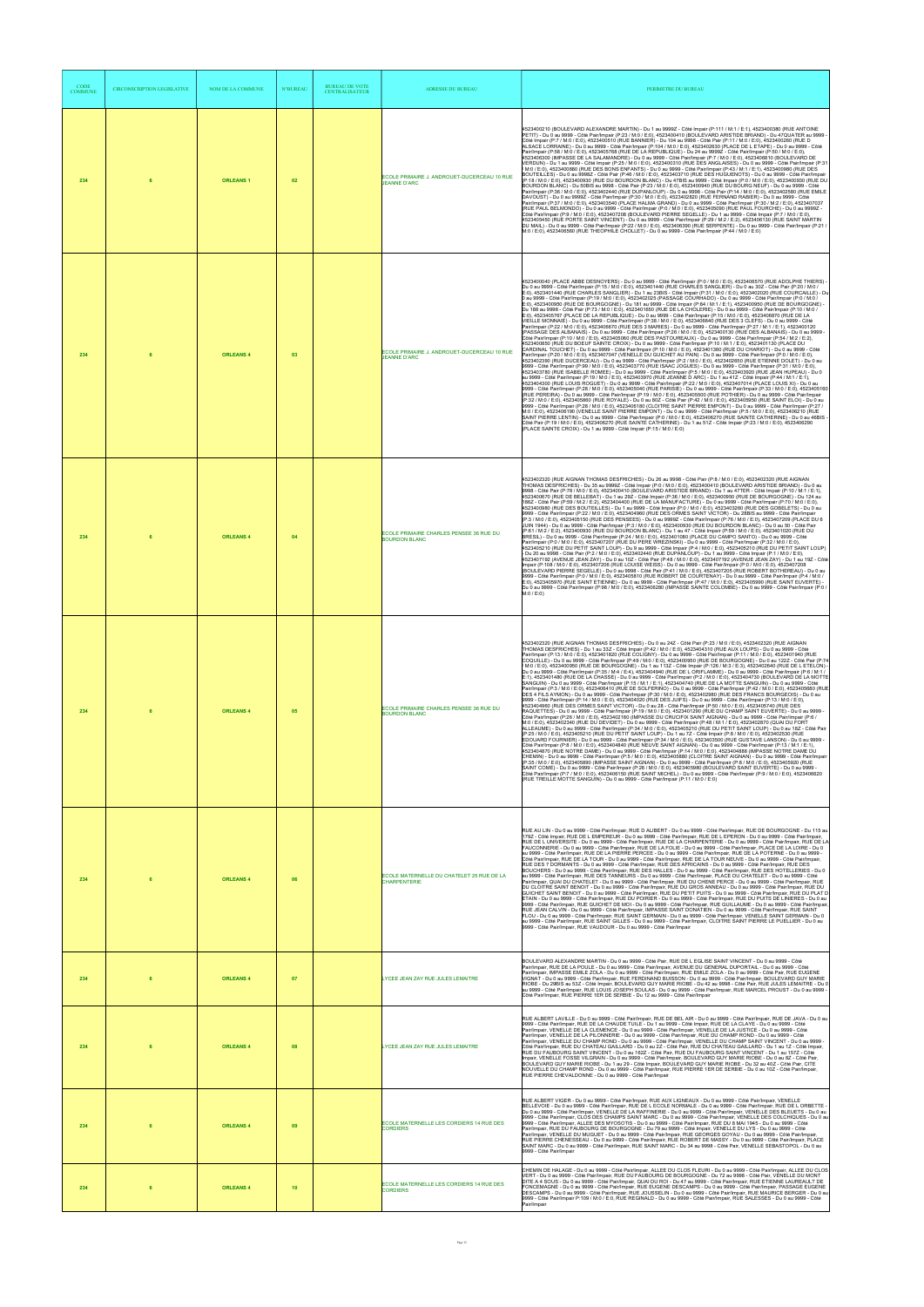| CODE<br><b>COMMUNE</b> | <b>CIRCONSCRIPTION LEGISLATIVE</b> | <b>NOM DE LA COMMUNE</b> | <b>N°BUREAU</b> | <b>BUREAU DE VOTE</b><br><b>CENTRALISATEUR</b> | <b>ADRESSE DU BUREAU</b>                                           | PERIMETRE DU BUREAU                                                                                                                                                                                                                                                                                                                                                                                                                                                                                                                                                                                                                                                                                                                                                                                                                                                                                                                                                                                                                                                                                                                                                                                                                                                                                                                                                                                                                                                                                                                                                                                                                                                                                                                                                                                                                                                                                                                                                                                                                                                                                                                                                                                                                                                                                                                                                                                                                                                                                                                                                                                                                                                                                                                                                                                                                                                                                                                                                                                                                                                                                                                                                                                                                                                                                                                                                                                                                                                                                         |
|------------------------|------------------------------------|--------------------------|-----------------|------------------------------------------------|--------------------------------------------------------------------|-------------------------------------------------------------------------------------------------------------------------------------------------------------------------------------------------------------------------------------------------------------------------------------------------------------------------------------------------------------------------------------------------------------------------------------------------------------------------------------------------------------------------------------------------------------------------------------------------------------------------------------------------------------------------------------------------------------------------------------------------------------------------------------------------------------------------------------------------------------------------------------------------------------------------------------------------------------------------------------------------------------------------------------------------------------------------------------------------------------------------------------------------------------------------------------------------------------------------------------------------------------------------------------------------------------------------------------------------------------------------------------------------------------------------------------------------------------------------------------------------------------------------------------------------------------------------------------------------------------------------------------------------------------------------------------------------------------------------------------------------------------------------------------------------------------------------------------------------------------------------------------------------------------------------------------------------------------------------------------------------------------------------------------------------------------------------------------------------------------------------------------------------------------------------------------------------------------------------------------------------------------------------------------------------------------------------------------------------------------------------------------------------------------------------------------------------------------------------------------------------------------------------------------------------------------------------------------------------------------------------------------------------------------------------------------------------------------------------------------------------------------------------------------------------------------------------------------------------------------------------------------------------------------------------------------------------------------------------------------------------------------------------------------------------------------------------------------------------------------------------------------------------------------------------------------------------------------------------------------------------------------------------------------------------------------------------------------------------------------------------------------------------------------------------------------------------------------------------------------------------------------|
| 234                    | 6                                  | <b>ORLEANS1</b>          | 02              |                                                | ECOLE PRIMAIRE J. ANDROUET-DUCERCEAU 10 RUE<br><b>JEANNE D'ARC</b> | 4523400210 (BOULEVARD ALEXANDRE MARTIN) - Du 1 au 9999Z - Côté Impair (P:111 / M:1 / E:1), 4523400380 (RUE ANTOINE<br>PETIT) - Du 0 au 9999 - Côté Pair/Impair (P:23 / M:0 / E:0), 4523400410 (BOULEVARD ARISTIDE BRIAND) - Du 47QUATER au 9999 -<br>Côté Impair (P:7 / M:0 / E:0), 4523400510 (RUE BANNIER) - Du 104 au 9998 - Côté Pair (P:11 / M:0 / E:0), 4523400260 (RUE D<br>ALSACE LORRAINE) - Du 0 au 9999 - Côté Pair/Impair (P:104 / M:0 / E:0), 4523402630 (PLACE DE L ETAPE) - Du 0 au 9999 - Côté<br>Pair/Impair (P:58 / M:0 / E:0), 4523405768 (RUE DE LA REPUBLIQUE) - Du 24 au 9999Z - Côté Pair/Impair (P:50 / M:0 / E:0),<br>4523406300 (IMPASSE DE LA SALAMANDRE) - Du 0 au 9999 - Côté Pair/Impair (P:7 / M:0 / E:0), 4523406810 (BOULEVARD DE<br>VERDUN) - Du 1 au 9999 - Côté Impair (P:25 / M:0 / E:0), 4523400310 (RUE DES ANGLAISES) - Du 0 au 9999 - Côté Pair/Impair (P:31<br>M:0 / E:0), 4523400880 (RUE DES BONS ENFANTS) - Du 0 au 9999 - Côté Pair/Impair (P:43 / M:1 / E:1), 4523400980 (RUE DES<br>BOUTEILLES) - Du 0 au 9998Z - Côté Pair (P:46 / M:0 / E:0), 4523403710 (RUE DES HUGUENOTS) - Du 0 au 9999 - Côté Pair/Impair<br>P. (18/ MO/ FEO), 4523400930 (RUE DU BOURDON BLANC) - Du 47BIS au 9999 - Côté Impair (P:0/ M:0/ FEO), 4523400930 (RUE DU<br> P:18/ M:0/ FEO), 4523400930 (RUE DU BOURDON BLANC) - Du 47BIS au 9999 - Côté Impair (P:0/ M:0/ FEO),<br>Pair/Impair (P:36 / M:0 / E:0), 4523402440 (RUE DUPANLOUP) - Du 0 au 9998 - Côté Pair (P:14 / M:0 / E:0), 4523402580 (RUE EMILE<br>DAVOUST) - Du 0 au 99992 - Côté Pair/Impair (P:30 / M:0 / E:0), 4523402820 (RUE FERNAND RABIER) - Du 0 au 9999 - Côté<br>Pair/Impair (P:37 / M:0 / E:0), 4523403540 (PLACE HALMA GRAND) - Du 0 au 9999 - Côté Pair/Impair (P:30 / M:2 / E:0), 4523407037<br>(RUE PAUL BELMONDO) - Du 0 au 9999 - Côté Pair/Impair (P:0 / M:0 / E:0), 4523405090 (RUE PAUL FOURCHE) - Du 0 au 9999Z -<br>Côté Pair/Impair (P:9 / M:0 / E:0), 4523407208 (BOULEVARD PIERRE SEGELLE) - Du 1 au 9999 - Côté Impair (P:7 / M:0 / E:0),<br>4523405450 (RUE PORTE SAINT VINCENT) - Du 0 au 9999 - Côté Pair/Impair (P:29 / M:2 / E:2), 4523406130 (RUE SAINT MARTIN<br>DU MAIL) - Du 0 au 9999 - Côté Pair/Impair (P:22 / M:0 / E:0), 4523406390 (RUE SERPENTE) - Du 0 au 9999 - Côté Pair/Impair (P:21 /<br>M:0 / E:0), 4523406560 (RUE THEOPHILE CHOLLET) - Du 0 au 9999 - Côté Pair/Impair (P:44 / M:0 / E:0)                                                                                                                                                                                                                                                                                                                                                                                                                                                                                                                                                                                                                                                                                                                                                                                                                                                                                                                                                                                                                                                                       |
| 234                    |                                    | <b>ORLEANS 4</b>         | 03              |                                                | ECOLE PRIMAIRE J. ANDROUET-DUCERCEAU 10 RUE<br><b>JEANNE D'ARC</b> | 4523400040 (PLACE ABBE DESNOYERS) - Du 0 au 9999 - Côté Pair/Impair (P:0 / M:0 / E:0), 4523406570 (RUE ADOLPHE THIERS)<br>Du 0 au 9999 - Côté Pair/Impair (P:15 / M:0 / E:0), 4523401440 (RUE CHARLES SANGLIER) - Du 0 au 30Z - Côté Pair (P:20 / M:0 /<br>E:0), 4523401440 (RUE CHARLES SANGLIER) - Du 1 au 23BIS - Côté Impair (P:31 / M:0 / É:0), 4523402020 (RUE COURCAILLE) - Du<br>0 au 9999 - Côté Pair/Impair (P:19 / M:0 / E:0), 4523402025 (PASSAGE COURHADO) - Du 0 au 9999 - Côté Pair/Impair (P:0 / M:0 /<br>E:0), 4523400950 (RUE DE BOURGOGNE) - Du 181 au 9999 - Côté Impair (P:84 / M:1 / E:1), 4523400950 (RUE DE BOURGOGNE) -<br>Du 188 au 9998 - Côté Pair (P:73 / M:0 / E:0), 4523401650 (RUE DE LA CHOLERIE) - Du 0 au 9999 - Côté Pair/Impair (P:10 / M:0 /<br>E:0), 4523405767 (PLACE DE LA REPUBLIQUE) - Du 0 au 9999 - Côté Pair/Impair (P:15 / M:0 / E:0), 4523406870 (RUE DE LA<br>VIEILLE MONNAIE) - Du 0 au 9999 - Côté Pair/Impair (P:38 / M:0 / E:0), 4523406640 (RUE DES 3 CLEFS) - Du 0 au 9999 - Côté<br>Pair/Impair (P:22 / M:0 / E:0), 4523406670 (RUE DES 3 MARIES) - Du 0 au 9999 - Côté Pair/Impair (P:27 / M:1 / E:1), 4523400120<br>(PASSAGE DES ALBANAIS) - Du 0 au 9999 - Côté Pair/Impair (P:26 / M:0 / E:0), 4523400130 (RUE DES ALBANAIS) - Du 0 au 9999 -<br>.<br>Côté Pair/Impair (P:10 / M:0 / E:0), 4523405060 (RUE DES PASTOUREAUX) - Du 0 au 9999 - Côté Pair/Impair (P:54 / M:2 / E:2),<br>4523400850 (RUE DU BOEUF SAINTE CROIX) - Du 0 au 9999 - Côté Pair/Impair (P:10 / M:1 / E:0), 4523401130 (PLACE DU<br>CARDINAL TOUCHET) - Du 0 au 9999 - Côté Pair/Impair (P:10 / M:0 / E:0), 4523401360 (RUE DU CHARIOT) - Du 0 au 9999 - Côté<br>Pair/Impair (P:20 / M:0 / E:0), 4523407047 (VENELLE DU GUICHET AU PAIN) - Du 0 au 9999 - Côté Pair/Impair (P:0 / M:0 / E:0),<br>4523402390 (RUE DUCERCEAU) - Du 0 au 9999 - Côté Pair/Impair (P:2 / M:0 / E:0), 4523402650 (RUE ETIENNE DOLET) - Du 0 au<br>9999 - Côté Pair/Impair (P:99 / M:0 / E:0), 4523403770 (RUE ISAAC ÙOGUES) - Du 0 au 9999 - Côté Pair/Impair (P:31 / M:0 / E:0),<br>4523403780 (RUE ISABELLE ROMEE) - Du 0 au 9999 - Côté Pair/Impair (P:5 / M:0 / E:0), 4523403920 (RUE JEAN HUPEAU) - Du 0<br>au 9999 - Côté Pair/Impair (P:19 / M:0 / E:0), 4523403970 (RUE JEANNE D ARC) - Du 1 au 41Z - Côté Impair (P:44 / M:1 / E:1),<br>4523404300 (RUE LOUIS ROGUET) - Du 0 au 9999 - Côté Pair/Impair (P:22 / M:0 / E:0), 4523407014 (PLACE LOUIS XI) - Du 0 au<br>9999 - Côté Pair/Impair (P:28 / M:0 / E:0), 4523405040 (RUE PARISIE) - Du 0 au 9999 - Côté Pair/Impair (P:33 / M:0 / E:0), 4523405160<br>(RUE PEREIRA) - Du 0 au 9999 - Côté Pair/Impair (P:19 / M:0 / E:0), 4523405500 (RUE POTHIER) - Du 0 au 9999 - Côté Pair/Impair<br>(P:32 / M:0 / E:0), 4523405860 (RUE ROYALE) - Du 0 au 80Z - Côté Pair (P:42 / M:0 / E:0), 4523405950 (RUE SAINT ELOI) - Du 0 au<br>9999 - Côté Pair/Impair (P:28 / M:0 / E:0), 4523406180 (CLOITRE SAINT PIERRE EMPONT) - Du 0 au 9999 - Côté Pair/Impair (P:27 /<br>M:0 / E:0), 4523406190 (VENELLE SAINT PIERRE EMPONT) - Du 0 au 9999 - Côté Pair/Impair (P:5 / M:0 / E:0), 4523406210 (RUE<br>SAINT PIERRE LENTIN) - Du 0 au 9999 - Côté Pair/Impair (P:0 / M:0 / E:0), 4523406270 (RUE SAINTE CATHERINE) - Du 0 au 46BIS -<br>Côté Pair (P:19 / M:0 / E:0), 4523406270 (RUE SAINTE CATHERINE) - Du 1 au 51Z - Côté Impair (P:23 / M:0 / E:0), 4523406290<br>(PLACE SAINTE CROIX) - Du 1 au 9999 - Côté Impair (P:15 / M:0 / E:0) |
| 234                    |                                    | <b>ORLEANS 4</b>         | 04              |                                                | ECOLE PRIMAIRE CHARLES PENSEE 36 RUE DU<br><b>BOURDON BLANC</b>    | 4523402320 (RUE AIGNAN THOMAS DESFRICHES) - Du 26 au 9998 - Côté Pair (P:8 / M:0 / E:0), 4523402320 (RUE AIGNAN<br>THOMAS DESFRICHES) - Du 35 au 9999Z - Côté Impair (P:0 / M:0 / E:0), 4523400410 (BOULEVARD ARISTIDE BRIAND) - Du 0 au<br>9998 - Côté Pair (P:78 / M:0 / E:0), 4523400410 (BOULEVARD ARISTIDE BRIAND) - Du 1 au 47TER - Côté Impair (P:10 / M:1 / E:1),<br>4523400670 (RUE DE BELLEBAT) - Du 1 au 292 - Côté Impair (P:36 / M:0 / E:0), 4523400950 (RUE DE BOURGOGNE) - Du 124 au<br>186Z - Côté Pair (P:59 / M:2 / E:2), 4523404400 (RUE DE LA MANUFACTURE) - Du 0 au 9999 - Côté Pair/Impair (P:70 / M:0 / E:0),<br>4523400980 (RUE DES BOUTEILLES) - Du 1 au 9999 - Côté Impair (P:0 / M:0 / E:0), 4523403260 (RUE DES GOBELETS) - Du 0 au<br>9999 - Côté Pair/Impair (P:22 / M:0 / E:0), 4523404960 (RUE DES ORMES SAINT VICTOR) - Du 28BIS au 9999 - Côté Pair/Impair<br>(P:3 / M:0 / E:0), 4523405150 (RUE DES PENSEES) - Du 0 au 9999Z - Côté Pair/Impair (P:76 / M:0 / E:0), 4523407209 (PLACE DU 6<br>JUIN 1944) - Du 0 au 9999 - Côté Pair/Impair (P:3 / M:0 / E:0), 4523400930 (RUE DU BOURDON BLANC) - Du 0 au 50 - Côté Pair<br>(P:61 / M:2 / E:2), 4523400930 (RUE DU BOURDON BLANC) - Du 1 au 47 - Côté Impair (P:59 / M:0 / E:0), 4523401020 (RUE DU<br>BRESIL) - Du 0 au 9999 - Côté Pair/Impair (P:24 / M:0 / E:0), 4523401080 (PLACE DU CAMPO SANTO) - Du 0 au 9999 - Côté<br>Pair/Impair (P:0 / M:0 / E:0), 4523407207 (RUE DU PERE WREZINSKI) - Du 0 au 9999 - Côté Pair/Impair (P:32 / M:0 / E:0),<br>4523405210 (RUE DU PETIT SAINT LOUP) - Du 9 au 9999 - Côté Impair (P:4 / M:0 / E:0), 4523405210 (RUE DU PETIT SAINT LOUP)<br>- Du 20 au 9998 - Côté Pair (P:2 / M:0 / E:0). 4523402440 (RUE DUPANLOUP) - Du 1 au 9999 - Côté Impair (P:1 / M:0 / E:0).<br>197 - Côté<br>523407192 (AVENUE JEAN ZAY) - Du 0 au 10Z - Côté Pair (P:48 / M:0 / E:0), 4523407192 (AVENUE JEAN ZAY) - Du 1 au<br>Impair (P:108 / M:0 / E:0), 4523407206 (RUE LOUISE WEISS) - Du 0 au 9999 - Côté Pair/Impair (P:0 / M:0 / E:0), 4523407208<br>(BOULEVARD PIERRE SEGELLE) - Du 0 au 9998 - Côté Pair (P:41 / M:0 / E:0), 4523407205 (RUE ROBERT BOTHEREAU) - Du 0 au<br>9999 - Côté Pair/Impair (P:0 / M:0 / E:0), 4523405810 (RUE ROBERT DE COURTENAY) - Du 0 au 9999 - Côté Pair/Impair (P:4 / M:0 /<br>E:0), 4523405970 (RUE SAINT ETIENNE) - Du 0 au 9999 - Côté Pair/Impair (P:47 / M:0 / E:0), 4523405990 (RUE SAINT EUVERTE) -<br>Du 0 au 9999 - Côté Pair/Impair (P:98 / M:0 / E:0), 4523406280 (IMPASSE SAINTE COLOMBE) - Du 0 au 9999 - Côté Pair/Impair (P:0 /<br>M:0 / E:0                                                                                                                                                                                                                                                                                                                                                                                                                                                                                                                                                                                                                                                                                                                                                                                                                                                                                              |
| 234                    |                                    | <b>ORLEANS 4</b>         | 05              |                                                | ECOLE PRIMAIRE CHARLES PENSEE 36 RUE DU<br><b>BOURDON BLANC</b>    | 4523402320 (RUE AIGNAN THOMAS DESFRICHES) - Du 0 au 24Z - Côté Pair (P:23 / M:0 / E:0), 4523402320 (RUE AIGNAN<br>THOMAS DESFRICHES) - Du 1 au 33Z - Côté Impair (P:42 / M:0 / E:0), 4523404310 (RUE AUX LOUPS) - Du 0 au 9999 - Côté<br>Pair/Impair (P:13 / M:0 / E:0), 4523401820 (RUE COLIGNY) - Du 0 au 9999 - Côté Pair/Impair (P:11 / M:0 / E:0), 4523401940 (RUE<br>COQUILLE) - Du 0 au 9999 - Côté Pair/Impair (P:49 / M:0 / E:0), 4523400950 (RUE DE BOURGOGNE) - Du 0 au 122Z - Côté Pair (P:74<br>/ M:0 / E:0), 4523400950 (RUE DE BOURGOGNE) - Du 1 au 113Z - Côté Impair (P:126 / M:3 / E:3), 4523402640 (RUE DE L ETELON) -<br>Du 0 au 9999 - Côté Pair/Impair (P:35 / M:4 / E:4), 4523404940 (RUE DE L ORIFLAMME) - Du 0 au 9999 - Côté Pair/Impair (P:6 / M:1 /<br>E:1), 4523401480 (RUE DE LA CHASSE) - Du 0 au 9999 - Côté Pair/Impair (P:2 / M:0 / E:0), 4523404730 (BOULEVARD DE LA MOTTE<br>SANGUIN) - Du 0 au 9999 - Côté Pair/Impair (P:15 / M:1 / E:1), 4523404740 (RUE DE LA MOTTE SANGUIN) - Du 0 au 9999 - Côté<br>Pair/Impair (P:3 / M:0 / E:0), 4523406410 (RUE DE SOLFERINO) - Du 0 au 9999 - Côté Pair/Impair (P:42 / M:0 / E:0), 4523405680 (RUE<br>DES 4 FILS AYMON) - Du 0 au 9999 - Côté Pair/Impair (P:30 / M:0 / E:0), 4523402980 (RUE DES FRANCS BOURGEOIS) - Du 0 au<br>9999 - Côté Pair/Impair (P:14 / M:0 / E:0), 4523404020 (RUE DES JUIFS) - Du 0 au 9999 - Côté Pair/Impair (P:13 / M:0 / E:0),<br>4523404960 (RUE DES ORMES SAINT VICTOR) - Du 0 au 28 - Côté Pair/Impair (P:50 / M:0 / E:0), 4523405740 (RUE DES<br>RAQUETTES) - Du 0 au 9999 - Côté Pair/Impair (P:19 / M:0 / E:0), 4523401290 (RUE DU CHAMP SAINT EUVERTE) - Du 0 au 9999 -<br>Côté Pair/Impair (P:26 / M:0 / E:0), 4523402180 (IMPASSE DU CRUCIFIX SAINT AIGNAN) - Du 0 au 9999 - Côté Pair/Impair (P:6 /<br>M:0 / E:0), 4523402340 (RUE DU DEVIDET) - Du 0 au 9999 - Côté Pair/Impair (P:48 / M:1 / E:0), 4523402870 (QUAI DU FORT<br>ALLEAUME) - Du 0 au 9999 - Côté Pair/Impair (P:34 / M:0 / E:0), 4523405210 (RUE DU PETIT SAINT LOUP) - Du 0 au 18Z - Côté Pair<br>(P:25 / M:0 / E:0), 4523405210 (RUE DU PETIT SAINT LOUP) - Du 1 au 7Z - Côté Impair (P:8 / M:0 / E:0), 4523402530 (RUE<br>EDOUARD FOURNIER) - Du 0 au 9999 - Côté Pair/Impair (P:34 / M:0 / E:0), 4523403500 (RUE GUSTAVE LANSON) - Du 0 au 9999 -<br>Côté Pair/Impair (P:8 / M:0 / E:0), 4523404840 (RUE NEUVE SAINT AIGNAN) - Du 0 au 9999 - Côté Pair/Impair (P:13 / M:1 / E:1),<br>4523404870 (RUE NOTRE DAME) - Du 0 au 9999 - Côté Pair/Impair (P:14 / M:0 / E:0), 4523404888 (IMPASSE NOTRE DAME DU<br>CHEMIN) - Du 0 au 9999 - Côté Pair/Impair (P:5 / M:0 / E:0), 4523405880 (CLOITRE SAINT AIGNAN) - Du 0 au 9999 - Côté Pair/Impair<br>(P:35 / M:0 / E:0), 4523405890 (IMPASSE SAINT AIGNAN) - Du 0 au 9999 - Côté Pair/Impair (P:8 / M:0 / E:0), 4523405920 (RUE<br>SAINT COME) - Du 0 au 9999 - Côté Pair/Impair (P:28 / M:0 / E:0), 4523405980 (BOULEVARD SAINT EUVERTE) - Du 0 au 9999<br>Côté Pair/Impair (P:7 / M:0 / E:0), 4523406150 (RUE SAINT MICHEL) - Du 0 au 9999 - Côté Pair/Impair (P:9 / M:0 / E:0), 4523406620<br>(RUE TREILLE MOTTE SANGUIN) - Du 0 au 9999 - Côté Pair/Impair (P:11 / M:0 / E:0)                                                                                                                                                                                                                                                                                    |
| 234                    |                                    | <b>ORLEANS 4</b>         | 06              |                                                | ECOLE MATERNELLE DU CHATELET 25 RUE DE LA<br><b>CHARPENTERIE</b>   | RUE AU LIN - Du 0 au 9999 - Côté Pair/Impair, RUE D ALIBERT - Du 0 au 9999 - Côté Pair/Impair, RUE DE BOURGOGNE - Du 115 au<br>179Z - Côté Impair, RUE DE L EMPEREUR - Du 0 au 9999 - Côté Pair/Impair, RUE DE L EPERON - Du 0 au 9999 - Côté Pair/Impair,<br>RUE DE L UNIVERSITE - Du 0 au 9999 - Côté Pair/Impair, RUE DE LA CHARPENTERIE - Du 0 au 9999 - Côté Pair/Impair, RUE DE LA<br>FAUCONNERIE - Du 0 au 9999 - Côté Pair/Impair, RUE DE LA FOLIE - Du 0 au 9999 - Côté Pair/Impair, PLACE DE LA LOIRE - Du 0<br>au 9999 - Côté Pair/Impair, RUE DE LA PIERRE PERCEE - Du 0 au 9999 - Côté Pair/Impair, RUE DE LA POTERNE - Du 0 au 9999 -<br>Côté Pair/Impair, RUE DE LA TOUR - Du 0 au 9999 - Côté Pair/Impair, RUE DE LA TOUR NEUVE - Du 0 au 9999 - Côté Pair/Impair,<br>RUE DES 7 DORMANTS - Du 0 au 9999 - Côté Pair/Impair, RUE DES AFRICAINS - Du 0 au 9999 - Côté Pair/Impair, RUE DES<br>BOUCHERS - Du 0 au 9999 - Côté Pair/Impair, RUE DES HALLES - Du 0 au 9999 - Côté Pair/Impair, RUE DES HOTELLERIES - Du 0<br>au 9999 - Côté Pair/Impair, RUE DES TANNEURS - Du 0 au 9999 - Côté Pair/Impair, PLACE DU CHATELET - Du 0 au 9999 - Côté<br>Pair/Impair, QUAI DU CHATELET - Du 0 au 9999 - Côté Pair/Impair, RUE DU CHENE PERCE - Du 0 au 9999 - Côté Pair/Impair, RUE<br>DU CLOITRE SAINT BENOIT - Du 0 au 9999 - Côté Pair/Impair, RUE DU GROS ANNEAU - Du 0 au 9999 - Côté Pair/Impair, RUE DU<br>GUICHET SAINT BENOIT - Du 0 au 9999 - Côté Pair/Impair, RUE DU PETIT PUITS - Du 0 au 9999 - Côté Pair/Impair, RUE DU PLAT D<br>ETAIN - Du 0 au 9999 - Côté Pair/Impair, RUE DU POIRIER - Du 0 au 9999 - Côté Pair/Impair, RUE DU PUITS DE LINIERES - Du 0 au<br>9999 - Côté Pair/Impair, RUE GUICHET DE MOI - Du 0 au 9999 - Côté Pair/Impair, RUE GUILLAUME - Du 0 au 9999 - Côté Pair/Impair<br>RUE JEAN CALVIN - Du 0 au 9999 - Côté Pair/Impair, IMPASSE SAINT DONATIEN - Du 0 au 9999 - Côté Pair/Impair, RUE SAINT<br>FLOU - Du 0 au 9999 - Côté Pair/Impair, RUE SAINT GERMAIN - Du 0 au 9999 - Côté Pair/Impair, VENELLE SAINT GERMAIN - Du 0<br>au 9999 - Côté Pair/Impair, RUE SAINT GILLES - Du 0 au 9999 - Côté Pair/Impair, CLOITRE SAINT PIERRE LE PUELLIER - Du 0 au<br>9999 - Côté Pair/Impair, RUE VAUDOUR - Du 0 au 9999 - Côté Pair/Impair                                                                                                                                                                                                                                                                                                                                                                                                                                                                                                                                                                                                                                                                                                                                                                                                                                                                                                                                                                                                                                                                                                                                                                                                                   |
| 234                    |                                    | <b>ORLEANS 4</b>         | 07              |                                                | YCEE JEAN ZAY RUE JULES LEMAITRE                                   | BOULEVARD ALEXANDRE MARTIN - Du 0 au 9999 - Côté Pair, RUE DE L EGLISE SAINT VINCENT - Du 0 au 9999 - Côté<br>Pair/Impair, RUE DE LA POULE - Du 0 au 9999 - Côté Pair/Impair, AVENUE DU GENERAL DUPORTAIL - Du 0 au 9999 - Côté<br>Pair/Impair, IMPASSE EMILE ZOLA - Du 0 au 9999 - Côté Pair/Impair, RUE EMILE ZOLA - Du 0 au 9999 - Côté Pair, RUE EUGENE<br>VIGNAT - Du 0 au 9999 - Côté Pair/Impair. RUE FERDINAND BUISSON - Du 0 au 9999 - Côté Pair/Impair. BOULEVARD GUY MARIE<br>RIOBE - Du 29BIS au 53Z - Côté Impair, BOULEVARD GUY MARIE RIOBE - Du 42 au 9998 - Côté Pair, RUE JULES LEMAITRE - Du 0<br>au 9999 - Côté Pair/Impair, RUE LOUIS JOSEPH SOULAS - Du 0 au 9999 - Côté Pair/Impair, RUE MARCEL PROUST - Du 0 au 9999 -<br>Côté Pair/Impair, RUE PIERRE 1ER DE SERBIE - Du 12 au 9999 - Côté Pair/Impair                                                                                                                                                                                                                                                                                                                                                                                                                                                                                                                                                                                                                                                                                                                                                                                                                                                                                                                                                                                                                                                                                                                                                                                                                                                                                                                                                                                                                                                                                                                                                                                                                                                                                                                                                                                                                                                                                                                                                                                                                                                                                                                                                                                                                                                                                                                                                                                                                                                                                                                                                                                                                                                                              |
| 234                    | 6                                  | <b>ORLEANS 4</b>         | 08              |                                                | LYCEE JEAN ZAY RUE JULES LEMAITRE                                  | RUE ALBERT LAVILLE - Du 0 au 9999 - Côté Pair/Impair, RUE DE BEL AIR - Du 0 au 9999 - Côté Pair/Impair, RUE DE JAVA - Du 0 au<br>9999 - Côté Pair/Impair, RUE DE LA CHAUDE TUILE - Du 1 au 9999 - Côté Impair, RUE DE LA CLAYE - Du 0 au 9999 - Côté<br>Pair/Impair, VENELLE DE LA CLEMENCE - Du 0 au 9999 - Côté Pair/Impair, VENELLE DE LA JUSTICE - Du 0 au 9999 - Côté<br>Pair/Impair, VENELLE DE LA PILONNERIE - Du 0 au 9999 - Côté Pair/Impair, RUE DU CHAMP ROND - Du 0 au 9999 - Côté<br>Pair/Impair, VENELLE DU CHAMP ROND - Du 0 au 9999 - Côté Pair/Impair, VENELLE DU CHAMP SAINT VINCENT - Du 0 au 9999 -<br>Côté Pair/Impair, RUE DU CHATEAU GAILLARD - Du 0 au 2Z - Côté Pair, RUE DU CHATEAU GAILLARD - Du 1 au 1Z - Côté Impair,<br>RUE DU FAUBOURG SAINT VINCENT - Du 0 au 1627 - Côlé Pair, RUE DU FAUBOURG SAINT VINCENT - Du 1 au 1577 - Côlé<br>Impair, VENELLE FOSSE VILGRAIN - Du 0 au 9999 - Côté Pair/Impair, BOULEVARD GUY MARIE RIOBE - Du 0 au 8Z - Côté Pair,<br>BOULEVARD GUY MARIE RIOBE - Du 1 au 29 - Côté Impair, BOULEVARD GUY MARIE RIOBE - Du 32 au 40Z - Côté Pair, CITE<br>NOUVELLE DU CHAMP ROND - Du 0 au 9999 - Côté Pair/Impair, RUE PIERRE 1ER DE SERBIE - Du 0 au 10Z - Côté Pair/Impair,<br>RUE PIERRE CHEVALDONNE - Du 0 au 9999 - Côté Pair/Impair                                                                                                                                                                                                                                                                                                                                                                                                                                                                                                                                                                                                                                                                                                                                                                                                                                                                                                                                                                                                                                                                                                                                                                                                                                                                                                                                                                                                                                                                                                                                                                                                                                                                                                                                                                                                                                                                                                                                                                                                                                                                                                                                                                                                        |
| 234                    | 6                                  | <b>ORLEANS 4</b>         | 09              |                                                | ECOLE MATERNELLE LES CORDIERS 14 RUE DES<br><b>CORDIERS</b>        | RUE ALBERT VIGER - Du 0 au 9999 - Côté Pair/Impair, RUE AUX LIGNEAUX - Du 0 au 9999 - Côté Pair/Impair, VENELLE<br>BELLEVOIE - Du 0 au 9999 - Côté Pair/Impair, RUE DE L ECOLE NORMALE - Du 0 au 9999 - Côté Pair/Impair, RUE DE L ORBETTE -<br>Du 0 au 9999 - Côté Pair/Impair, VENELLE DE LA RAFFINERIE - Du 0 au 9999 - Côté Pair/Impair, VENELLE DES BLEUETS - Du 0 au<br>9999 - Côté Pair/Impair. CLOS DES CHAMPS SAINT MARC - Du 0 au 9999 - Côté Pair/Impair, VENELLE DES COLCHIQUES - Du 0 au<br>9999 - Côté Pair/Impair, ALLEE DES MYOSOTIS - Du 0 au 9999 - Côté Pair/Impair, RUE DU 8 MAI 1945 - Du 0 au 9999 - Côté<br>Pair/Impair, RUE DU FAUBOURG DE BOURGOGNE - Du 79 au 9999 - Côté Impair, VENELLE DU LYS - Du 0 au 9999 - Côté<br>Pair/Impair, VENELLE DU MUGUET - Du 0 au 9999 - Côté Pair/Impair, RUE GEORGES GOYAU - Du 0 au 9999 - Côté Pair/Impair,<br>RUE PIERRE CHENESSEAU - Du 0 au 9999 - Côté Pair/Impair, RUE ROBERT DE MASSY - Du 0 au 9999 - Côté Pair/Impair, PLACE<br>SAINT MARC - Du 0 au 9999 - Côté Pair/Impair, RUE SAINT MARC - Du 34 au 9998 - Côté Pair, VENELLE SEBASTOPOL - Du 0 au<br>9999 - Côté Pair/Impair                                                                                                                                                                                                                                                                                                                                                                                                                                                                                                                                                                                                                                                                                                                                                                                                                                                                                                                                                                                                                                                                                                                                                                                                                                                                                                                                                                                                                                                                                                                                                                                                                                                                                                                                                                                                                                                                                                                                                                                                                                                                                                                                                                                                                                                                                                                                                    |
| 234                    |                                    | <b>ORLEANS 4</b>         | 10              |                                                | ECOLE MATERNELLE LES CORDIERS 14 RUE DES<br><b>CORDIERS</b>        | CHEMIN DE HALAGE - Du 0 au 9999 - Côté Pair/Impair, ALLEE DU CLOS FLEURI - Du 0 au 9999 - Côté Pair/Impair, ALLEE DU CLOS<br>VERT - Du 0 au 9999 - Côté Pair/Impair, RUE DU FAUBOURG DE BOURGOGNE - Du 72 au 9998 - Côté Pair, VENELLE DU MONT<br>DITE A 4 SOUS - Du 0 au 9999 - Côté Pair/Impair, QUAI DU ROI - Du 47 au 9999 - Côté Pair/Impair, RUE ETIENNE LAUREAULT DE<br>FONCEMAGNE - Du 0 au 9999 - Côté Pair/Impair, RUE EUGENE DESCAMPS - Du 0 au 9999 - Côté Pair/Impair, PASSAGE EUGENE<br>DESCAMPS - Du 0 au 9999 - Côté Pair/Impair, RUE JOUSSELIN - Du 0 au 9999 - Côté Pair/Impair, RUE MAURICE BERGER - Du 0 au<br>9999 - Côté Pair/Impair P:109 / M:0 / E:0, RUE REGINALD - Du 0 au 9999 - Côté Pair/Impair, RUE SALESSES - Du 0 au 9999 - Côté<br>Pair/Impair                                                                                                                                                                                                                                                                                                                                                                                                                                                                                                                                                                                                                                                                                                                                                                                                                                                                                                                                                                                                                                                                                                                                                                                                                                                                                                                                                                                                                                                                                                                                                                                                                                                                                                                                                                                                                                                                                                                                                                                                                                                                                                                                                                                                                                                                                                                                                                                                                                                                                                                                                                                                                                                                                                                             |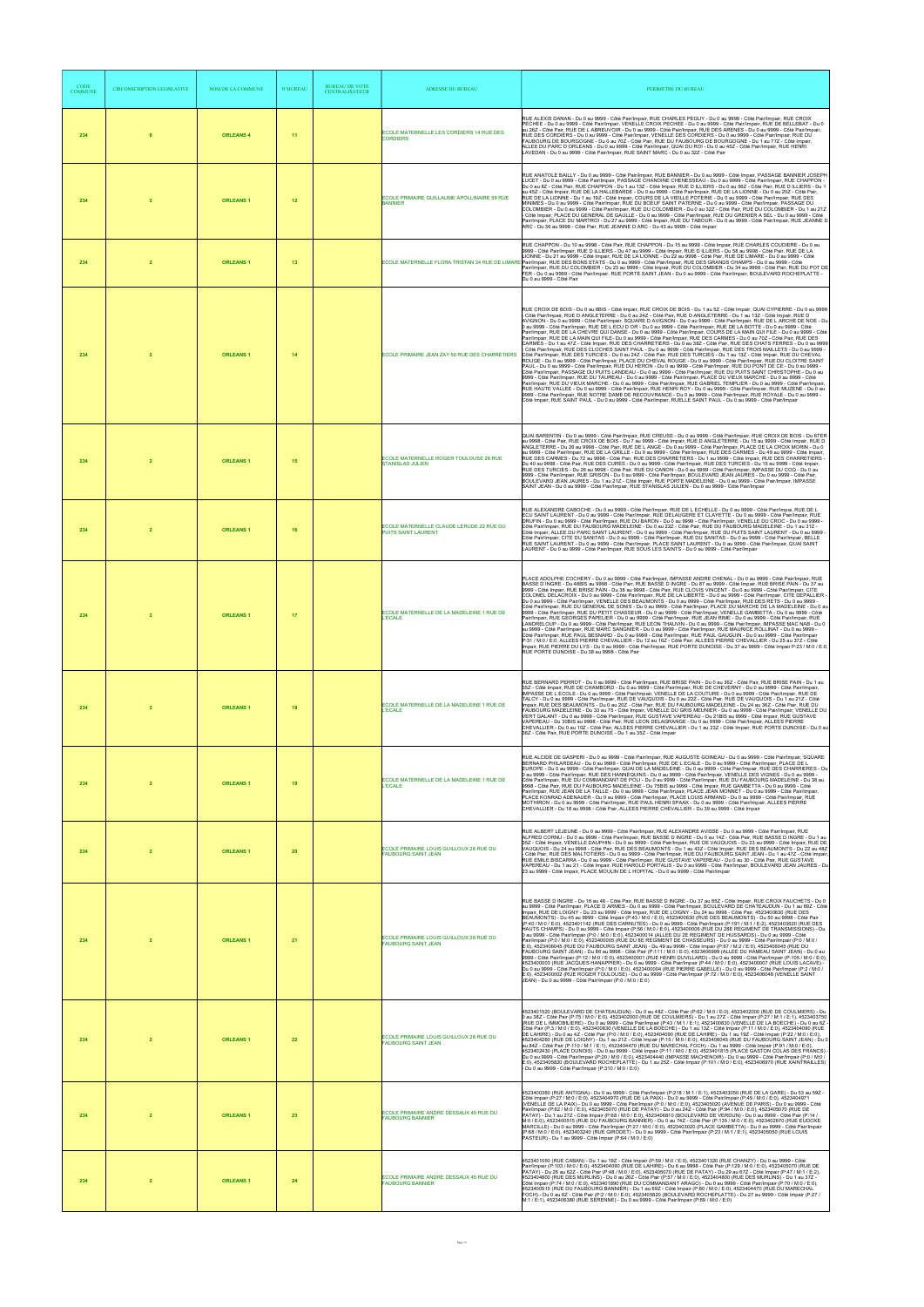| CODE<br><b>COMMUNE</b> | <b>CIRCONSCRIPTION LEGISLATIVE</b> | <b>NOM DE LA COMMUNE</b> | <b>N°BUREAU</b> | <b>BUREAU DE VOTE</b><br><b>CENTRALISATEUR</b> | <b>ADRESSE DU BUREAU</b>                                              | PERIMETRE DU BUREAU                                                                                                                                                                                                                                                                                                                                                                                                                                                                                                                                                                                                                                                                                                                                                                                                                                                                                                                                                                                                                                                                                                                                                                                                                                                                                                                                                                                                                                                                                                                                                                                                                                                                                                                                                                                                                                                                                                                                                                                                                                                                                                                                                        |
|------------------------|------------------------------------|--------------------------|-----------------|------------------------------------------------|-----------------------------------------------------------------------|----------------------------------------------------------------------------------------------------------------------------------------------------------------------------------------------------------------------------------------------------------------------------------------------------------------------------------------------------------------------------------------------------------------------------------------------------------------------------------------------------------------------------------------------------------------------------------------------------------------------------------------------------------------------------------------------------------------------------------------------------------------------------------------------------------------------------------------------------------------------------------------------------------------------------------------------------------------------------------------------------------------------------------------------------------------------------------------------------------------------------------------------------------------------------------------------------------------------------------------------------------------------------------------------------------------------------------------------------------------------------------------------------------------------------------------------------------------------------------------------------------------------------------------------------------------------------------------------------------------------------------------------------------------------------------------------------------------------------------------------------------------------------------------------------------------------------------------------------------------------------------------------------------------------------------------------------------------------------------------------------------------------------------------------------------------------------------------------------------------------------------------------------------------------------|
| 234                    | 6                                  | <b>ORLEANS 4</b>         | 11              |                                                | ECOLE MATERNELLE LES CORDIERS 14 RUE DES<br><b>CORDIERS</b>           | RUE ALEXIS DANAN - Du 0 au 9999 - Côté Pair/Impair, RUE CHARLES PEGUY - Du 0 au 9999 - Côté Pair/Impair, RUE CROIX<br>PECHEE - Du 0 au 9999 - Côté Pair/Impair, VENELLE CROIX PECHEE - Du 0 au 9999 - Côté Pair/Impair, RUE DE BELLEBAT - Du 0<br>au 26Z - Côté Pair, RUE DE L ABREUVOIR - Du 0 au 9999 - Côté Pair/Impair, RUE DES ARENES - Du 0 au 9999 - Côté Pair/Impair,<br>RUE DES CORDIERS - Du 0 au 9999 - Côté Pair/Impair, VENELLE DES CORDIERS - Du 0 au 9999 - Côté Pair/Impair, RUE DU<br>FAUBOURG DE BOURGOGNE - Du 0 au 70Z - Côté Pair, RUE DU FAUBOURG DE BOURGOGNE - Du 1 au 77Z - Côté Impair,<br>ALLEE DU PARC D ORLEANS - Du 0 au 9999 - Côté Pair/Impair, QUAI DU ROI - Du 0 au 45Z - Côté Pair/Impair, RUE HENRI<br>LAVEDAN - Du 0 au 9999 - Côté Pair/Impair, RUE SAINT MARC - Du 0 au 32Z - Côté Pair                                                                                                                                                                                                                                                                                                                                                                                                                                                                                                                                                                                                                                                                                                                                                                                                                                                                                                                                                                                                                                                                                                                                                                                                                                                                                                                                             |
| 234                    | $\overline{2}$                     | <b>ORLEANS1</b>          | 12              |                                                | ECOLE PRIMAIRE GUILLAUME APOLLINAIRE 59 RUE<br><b>BANNIER</b>         | RUE ANATOLE BAILLY - Du 0 au 9999 - Côté Pair/Impair, RUE BANNIER - Du 0 au 9999 - Côté Impair, PASSAGE BANNIER JOSEPH<br>LUCET - Du 0 au 9999 - Côté Pair/Impair, PASSAGE CHANOINE CHENESSEAU - Du 0 au 9999 - Côté Pair/Impair, RUE CHAPPON -<br>Du 0 au 8Z - Côté Pair, RUE CHAPPON - Du 1 au 13Z - Côté Impair, RUE D ILLIERS - Du 0 au 56Z - Côté Pair, RUE D ILLIERS - Du 1<br>au 45Z - Côté Impair. RUE DE LA HALLEBARDE - Du 0 au 9999 - Côté Pair/Impair. RUE DE LA LIONNE - Du 0 au 20Z - Côté Pair.<br>RUE DE LA LIONNE - Du 1 au 19Z - Côté Impair, COURS DE LA VIEILLE POTERIE - Du 0 au 9999 - Côté Pair/Impair, RUE DES<br>MINIMES - Du 0 au 9999 - Côté Pair/Impair, RUE DU BOEUF SAINT PATERNE - Du 0 au 9999 - Côté Pair/Impair, PASSAGE DU<br>COLOMBIER - Du 0 au 9999 - Côté Pair/Impair. RUE DU COLOMBIER - Du 0 au 32Z - Côté Pair. RUE DU COLOMBIER - Du 1 au 21Z<br>Côté Impair, PLACE DU GENERAL DE GAULLE - Du 0 au 9999 - Côté Pair/Impair, RUE DU GRENIER A SEL - Du 0 au 9999 - Côté<br>Pair/Impair, PLACE DU MARTROI - Du 27 au 9999 - Côté Impair, RUE DU TABOUR - Du 0 au 9999 - Côté Pair/Impair, RUE JEANNE D<br>ARC - Du 36 au 9998 - Côté Pair, RUE JEANNE D ARC - Du 43 au 9999 - Côté Impair                                                                                                                                                                                                                                                                                                                                                                                                                                                                                                                                                                                                                                                                                                                                                                                                                                                                                                                                         |
| 234                    | $\overline{2}$                     | <b>ORLEANS1</b>          | 13              |                                                |                                                                       | RUE CHAPPON - Du 10 au 9998 - Côté Pair, RUE CHAPPON - Du 15 au 9999 - Côté Impair, RUE CHARLES COUDIERE - Du 0 au<br>9999 - Côté Pair/Impair, RUE D ILLIERS - Du 47 au 9999 - Côté Impair, RUE D ILLIERS - Du 58 au 9998 - Côté Pair, RUE DE LA<br>LIONNE - Du 21 au 9999 - Côté Impair, RUE DE LA LIONNE - Du 22 au 9998 - Côté Pair, RUE DE LIMARE - Du 0 au 9999 - Côté<br>ECOLE MATERNELLE FLORA TRISTAN 34 RUE DE LIMARE Pair/Impair, RUE DES BONS ETATS - Du 0 au 9999 - Côté Pair/Impair, RUE DES GRANDS CHAMPS - Du 0 au 9999 - Côté<br>Pair/Impair, RUE DU COLOMBIER - Du 23 au 9999 - Côté Impair, RUE DU COLOMBIER - Du 34 au 9998 - Côté Pair, RUE DU POT DE<br>FER - Du 0 au 9999 - Côté Pair/Impair, RUE PORTE SAINT JEAN - Du 0 au 9999 - Côté Pair/Impair, BOULEVARD ROCHEPLATTE -<br>Du 0 au 9999 - Côté Pair                                                                                                                                                                                                                                                                                                                                                                                                                                                                                                                                                                                                                                                                                                                                                                                                                                                                                                                                                                                                                                                                                                                                                                                                                                                                                                                                            |
| 234                    | $\overline{2}$                     | <b>ORLEANS1</b>          | 14              |                                                | ECOLE PRIMAIRE JEAN ZAY 50 RUE DES CHARRETIERS                        | RUE CROIX DE BOIS - Du 0 au 6BIS - Côté Impair, RUE CROIX DE BOIS - Du 1 au 5Z - Côté Impair, QUAI CYPIERRE - Du 0 au 9999<br>- Côté Pair/Impair, RUE D ANGLETERRE - Du 0 au 24Z - Côté Pair, RUE D ANGLETERRE - Du 1 au 13Z - Côté Impair, RUE D<br>AVIGNON - Du 0 au 9999 - Côté Pair/Impair, SQUARE D AVIGNON - Du 0 au 9999 - Côté Pair/Impair, RUE DE L ARCHE DE NOE - Du<br>0 au 9999 - Côté Pair/Impair, RUE DE L ECU D OR - Du 0 au 9999 - Côté Pair/Impair, RUE DE LA BOTTE - Du 0 au 9999 - Côté<br>Pair/Impair, RUE DE LA CHEVRE QUI DANSE - Du 0 au 9999 - Côté Pair/Impair, COURS DE LA MAIN QUI FILE - Du 0 au 9999 - Côté<br>Pair/Impair, RUE DE LA MAIN QUI FILE- Du 0 au 9999 - Côté Pair/Impair, RUE DES CARMES - Du 0 au 70Z - Côté Pair, RUE DES<br>CARMES - Du 1 au 47Z - Côté Impair, RUE DES CHARRETIERS - Du 0 au 38Z - Côté Pair, RUE DES CHATS FERRES - Du 0 au 9999<br>Côté Pair/Impair, RUE DES CLOCHES SAINT PAUL - Du 0 au 9999 - Côté Pair/Impair, RUE DES TROIS MAILLETS - Du 0 au 9999 -<br>Côté Pair/Impair, RUE DES TURCIES - Du 0 au 24Z - Côté Pair, RUE DES TURCIES - Du 1 au 13Z - Côté Impair, RUE DU CHEVAL<br>ROUGE - Du 0 au 9999 - Côté Pair/Impair, PLACE DU CHEVAL ROUGE - Du 0 au 9999 - Côté Pair/Impair, RUE DU CLOITRE SAINT<br>PAUL - Du 0 au 9999 - Côté Pair/Impair, RUE DU HERON - Du 0 au 9999 - Côté Pair/Impair, RUE DU PONT DE CE - Du 0 au 9999 -<br>Côté Pair/Impair. PASSAGE DU PUITS LANDEAU - Du 0 au 9999 - Côté Pair/Impair. RUE DU PUITS SAINT CHRISTOPHE - Du 0 au<br>9999 - Côté Pair/Impair, RUE DU TAUREAU - Du 0 au 9999 - Côté Pair/Impair, PLACE DU VIEUX MARCHE - Du 0 au 9999 - Côté<br>Pair/Impair, RUE DU VIEUX MARCHE - Du 0 au 9999 - Côté Pair/Impair, RUE GABRIEL TEMPLIER - Du 0 au 9999 - Côté Pair/Impair,<br>RUE HAUTE VALLEE - Du 0 au 9999 - Côté Pair/Impair, RUE HENRI ROY - Du 0 au 9999 - Côté Pair/Impair, RUE MUZENE - Du 0 au<br>9999 - Côté Pair/Impair, RUE NOTRE DAME DE RECOUVRANCE - Du 0 au 9999 - Côté Pair/Impair, RUE ROYALE - Du 0 au 9999 -<br>Côté Impair, RUE SAINT PAUL - Du 0 au 9999 - Côté Pair/Impair, RUELLE SAINT PAUL - Du 0 au 9999 - Côté Pair/Impair |
| 234                    | $\overline{2}$                     | <b>ORLEANS1</b>          | 15              |                                                | ECOLE MATERNELLE ROGER TOULOUSE 28 RUE<br><b>STANISLAS JULIEN</b>     | QUAI BARENTIN - Du 0 au 9999 - Côté Pair/Impair, RUE CREUSE - Du 0 au 9999 - Côté Pair/Impair, RUE CROIX DE BOIS - Du 6TER<br>au 9998 - Côté Pair, RUE CROIX DE BOIS - Du 7 au 9999 - Côté Impair, RUE D ANGLETERRE - Du 15 au 9999 - Côté Impair, RUE D<br>ANGLETERRE - Du 26 au 9998 - Côté Pair, RUE DE L ANGE - Du 0 au 9999 - Côté Pair/Impair, PLACE DE LA CROIX MORIN - Du 0<br>au 9999 - Côté Pair/Impair, RUE DE LA GRILLE - Du 0 au 9999 - Côté Pair/Impair, RUE DES CARMES - Du 49 au 9999 - Côté Impair,<br>RUE DES CARMES - Du 72 au 9998 - Côté Pair, RUE DES CHARRETIERS - Du 1 au 9999 - Côté Impair, RUE DES CHARRETIERS -<br>Du 40 au 9998 - Côté Pair, RUE DES CURES - Du 0 au 9999 - Côté Pair/Impair, RUE DES TURCIES - Du 15 au 9999 - Côté Impair,<br>RUE DES TURCIES - Du 26 au 9998 - Côté Pair, RUE DU CANON - Du 0 au 9999 - Côté Pair/Impair, IMPASSE DU COQ - Du 0 au<br>9999 - Côté Pair/Impair, RUE GRISON - Du 0 au 9999 - Côté Pair/Impair, BOULEVARD JEAN JAURES - Du 0 au 9999 - Côté Pair,<br>BOULEVARD JEAN JAURES - Du 1 au 21Z - Côté Impair, RUE PORTE MADELEINE - Du 0 au 9999 - Côté Pair/Impair, IMPASSE<br>SAINT JEAN - Du 0 au 9999 - Côté Pair/Impair, RUE STANISLAS JULIEN - Du 0 au 9999 - Côté Pair/Impair                                                                                                                                                                                                                                                                                                                                                                                                                                                                                                                                                                                                                                                                                                                                                                                                                                                                                                                |
| 234                    | $\overline{2}$                     | <b>ORLEANS1</b>          | 16              |                                                | ECOLE MATERNELLE CLAUDE LERUDE 22 RUE DU<br>PUITS SAINT LAURENT       | RUE ALEXANDRE CABOCHE - Du 0 au 9999 - Côté Pair/Impair, RUE DE L ECHELLE - Du 0 au 9999 - Côté Pair/Impai, RUE DE L<br>ECU SAINT LAURENT - Du 0 au 9999 - Côté Pair/Impair, RUE DELAUGERE ET CLAYETTE - Du 0 au 9999 - Côté Pair/Impair, RUE<br>DRUFIN - Du 0 au 9999 - Côté Pair/Impair, RUE DU BARON - Du 0 au 9999 - Côté Pair/Impair, VENELLE DU CROC - Du 0 au 9999 -<br>Côté Pair/Impair, RUE DU FAUBOURG MADELEINE - Du 0 au 22Z - Côté Pair, RUE DU FAUBOURG MADELEINE - Du 1 au 31Z -<br>Côté Impair, ALLEE DU PARC SAINT LAURENT - Du 0 au 9999 - Côté Pair/Impair, RUE DU PUITS SAINT LAURENT - Du 0 au 9999<br>Côté Pair/Impair, CITE DU SANITAS - Du 0 au 9999 - Côté Pair/Impair, RUE DU SANITAS - Du 0 au 9999 - Côté Pair/Impair, BELLE<br>RUE SAINT LAURENT - Du 0 au 9999 - Côté Pair/Impair, PLACE SAINT LAURENT - Du 0 au 9999 - Côté Pair/Impair, QUAI SAINT<br>LAURENT - Du 0 au 9999 - Côté Pair/Impair, RUE SOUS LES SAINTS - Du 0 au 9999 - Côté Pair/Impair                                                                                                                                                                                                                                                                                                                                                                                                                                                                                                                                                                                                                                                                                                                                                                                                                                                                                                                                                                                                                                                                                                                                                                                     |
| 234                    | $\overline{2}$                     | <b>ORLEANS1</b>          | 17              |                                                | ECOLE MATERNELLE DE LA MADELEINE 1 RUE DE<br><b>L'ECALE</b>           | PLACE ADOLPHE COCHERY - Du 0 au 9999 - Côté Pair/Impair, IMPASSE ANDRE CHENAL - Du 0 au 9999 - Côté Pair/Impair, RUE<br>BASSE D INGRE - Du 48BIS au 9998 - Côté Pair, RUE BASSE D INGRE - Du 87 au 9999 - Côté Impair, RUE BRISE PAIN - Du 37 au<br>9999 - Côté Impair, RUE BRISE PAIN - Du 38 au 9998 - Côté Pair, RUE CLOVIS VINCENT - Du 0 au 9999 - Côté Pair/Impair, CITE<br>COLONEL DELACROIX - Du 0 au 9999 - Côté Pair/Impair, RUE DE LA LIBERTE - Du 0 au 9999 - Côté Pair/Impair, CITE DEPALLIER -<br>Du 0 au 9999 - Côté Pair/Impair, VENELLE DES BEAUMONTS - Du 0 au 9999 - Côté Pair/Impair, RUE DES RETS - Du 0 au 9999 -<br>Côté Pair/Impair, RUE DU GENERAL DE SONIS - Du 0 au 9999 - Côté Pair/Impair, PLACE DU MARCHE DE LA MADELEINE - Du 0 au<br>9999 - Côté Pair/Impair, RUE DU PETIT CHASSEUR - Du 0 au 9999 - Côté Pair/Impair, VENELLE GAMBETTA - Du 0 au 9999 - Côté<br>Pair/Impair, RUE GEORGES PAPELIER - Du 0 au 9999 - Côté Pair/Impair, RUE JEAN RIME - Du 0 au 9999 - Côté Pair/Impair, RUE<br>LANDRELOUP - Du 0 au 9999 - Côté Pair/Impair, RUE LEON THAUVIN - Du 0 au 9999 - Côté Pair/Impair, IMPASSE MAC NAB - Du 0<br>au 9999 - Côté Pair/Impair, RUE MARC SANGNIER - Du 0 au 9999 - Côté Pair/Impair, RUE MAURICE ROLLINAT - Du 0 au 9999 -<br>Côté Pair/Impair, RUE PAUL BESNARD - Du 0 au 9999 - Côté Pair/Impair, RUE PAUL GAUGUIN - Du 0 au 9999 - Côté Pair/Impair<br>P:31 / M:0 / E:0, ALLEES PIERRE CHEVALLIER - Du 12 au 16Z - Côté Pair, ALLEES PIERRE CHEVALLIER - Du 25 au 37Z - Côté<br>Impair, RUE PIERRE DU LYS - Du 0 au 9999 - Côté Pair/Impair, RUE PORTE DUNOISE - Du 37 au 9999 - Côté Impair P:23 / M:0 / E:0,<br>RUE PORTE DUNOISE - Du 38 au 9998 - Côté Pair                                                                                                                                                                                                                                                                                                                                                                                                                                                   |
| 234                    | $\overline{2}$                     | <b>ORLEANS1</b>          | 18              |                                                | ECOLE MATERNELLE DE LA MADELEINE 1 RUE DE<br><b>L'ECALE</b>           | RUE BERNARD PERROT - Du 0 au 9999 - Côté Pair/Impair, RUE BRISE PAIN - Du 0 au 36Z - Côté Pair, RUE BRISE PAIN - Du 1 au<br>35Z - Côté Impair, RUE DE CHAMBORD - Du 0 au 9999 - Côté Pair/Impair, RUE DE CHEVERNY - Du 0 au 9999 - Côté Pair/Impair,<br>IMPASSE DE L ECOLE - Du 0 au 9999 - Côté Pair/Impair, VENELLE DE LA COUTURE - Du 0 au 9999 - Côté Pair/Impair, RUE DE<br>TALCY - Du 0 au 9999 - Côté Pair/Impair, RUE DE VAUQUOIS - Du 0 au 22Z - Côté Pair, RUE DE VAUQUOIS - Du 1 au 21Z - Côté<br>Impair, RUE DES BEAUMONTS - Du 0 au 20Z - Côté Pair, RUE DU FAUBOURG MADELEINE - Du 24 au 36Z - Côté Pair, RUE DU<br>FAUBOURG MADELEINE - Du 33 au 75 - Côté Impair, VENELLE DU GRIS MEUNIER - Du 0 au 9999 - Côté Pair/Impair, VENELLE DU<br>VERT GALANT - Du 0 au 9999 - Côté Pair/Impair, RUE GUSTAVE VAPEREAU - Du 21BIS au 9999 - Côté Impair, RUE GUSTAVE<br>VAPEREAU - Du 30BIS au 9998 - Côté Pair, RUE LEON DELAGRANGE - Du 0 au 9999 - Côté Pair/Impair, ALLEES PIERRE<br>CHEVALLIER - Du 0 au 10Z - Côté Pair, ALLEES PIERRE CHEVALLIER - Du 1 au 23Z - Côté Impair, RUE PORTE DUNOISE - Du 0 au<br>36Z - Côté Pair, RUE PORTE DUNOISE - Du 1 au 35Z - Côté Impair                                                                                                                                                                                                                                                                                                                                                                                                                                                                                                                                                                                                                                                                                                                                                                                                                                                                                                                                                                                 |
| 234                    | $\overline{2}$                     | <b>ORLEANS1</b>          | 19              |                                                | ECOLE MATERNELLE DE LA MADELEINE 1 RUE DE<br><b>ECALE</b>             | RUE ALCIDE DE GASPERI - Du 0 au 9999 - Côté Pair/Impair, RUE AUGUSTE GOINEAU - Du 0 au 9999 - Côté Pair/Impair, SQUARE<br>BERNARD PHILARDEAU - Du 0 au 9999 - Côté Pair/Impair, RUE DE L ECALE - Du 0 au 9999 - Côté Pair/Impair, PLACE DE L<br>EUROPE - Du 0 au 9999 - Côté Pair/Impair, QUAI DE LA MADELEINE - Du 0 au 9999 - Côté Pair/Impair, RUE DES CHARRIERES - Du<br>0 au 9999 - Côté Pair/Impair, RUE DES HANNEQUINS - Du 0 au 9999 - Côté Pair/Impair, VENELLE DES VIGNES - Du 0 au 9999 -<br>Côté Pair/Impair, RUE DU COMMANDANT DE POLI - Du 0 au 9999 - Côté Pair/Impair, RUE DU FAUBOURG MADELEINE - Du 38 au<br>9998 - Côté Pair, RUE DU FAUBOURG MADELEINE - Du 75BIS au 9999 - Côté Impair, RUE GAMBETTA - Du 0 au 9999 - Côté<br>Pair/Impair, RUE JEAN DE LA TAILLE - Du 0 au 9999 - Côté Pair/Impair, PLACE JEAN MONNET - Du 0 au 9999 - Côté Pair/Impair,<br>PLACE KONRAD ADENAUER - Du 0 au 9999 - Côté Pair/Impair, PLACE LOUIS ARMAND - Du 0 au 9999 - Côté Pair/Impair, RUE<br>MOTHIRON - Du 0 au 9999 - Côté Pair/Impair, RUE PAUL HENRI SPAAK - Du 0 au 9999 - Côté Pair/Impair, ALLEES PIERRE<br>CHEVALLIER - Du 18 au 9998 - Côté Pair, ALLEES PIERRE CHEVALLIER - Du 39 au 9999 - Côté Impair                                                                                                                                                                                                                                                                                                                                                                                                                                                                                                                                                                                                                                                                                                                                                                                                                                                                                                                                                 |
| 234                    | $\overline{2}$                     | <b>ORLEANS1</b>          | 20              |                                                | ECOLE PRIMAIRE LOUIS GUILLOUX 28 RUE DU<br><b>FAUBOURG SAINT JEAN</b> | RUE ALBERT LEJEUNE - Du 0 au 9999 - Côté Pair/Impair, RUE ALEXANDRE AVISSE - Du 0 au 9999 - Côté Pair/Impair, RUE<br>ALFRED CORNU - Du 0 au 9999 - Côté Pair/Impair, RUE BASSE D INGRE - Du 0 au 14Z - Côté Pair, RUE BASSE D INGRE - Du 1 au<br>35Z - Côté Impair, VENELLE DAUPHIN - Du 0 au 9999 - Côté Pair/Impair, RUE DE VAUQUOIS - Du 23 au 9999 - Côté Impair, RUE DE<br>VAUQUOIS - Du 24 au 9998 - Côté Pair, RUE DES BEAUMONTS - Du 1 au 43Z - Côté Impair, RUE DES BEAUMONTS - Du 22 au 48Z<br>Côté Pair, RUE DES MALTOTIERS - Du 0 au 9999 - Côté Pair/Impair, RUE DU FAUBOURG SAINT JEAN - Du 1 au 47Z - Côté Impair<br>RUE EMILE BISCARRA - Du 0 au 9999 - Côté Pair/Impair, RUE GUSTAVE VAPEREAU - Du 0 au 30 - Côté Pair, RUE GUSTAVE<br>VAPEREAU - Du 1 au 21 - Côté Impair, RUE HAROLD PORTALIS - Du 0 au 9999 - Côté Pair/Impair, BOULEVARD JEAN JAURES - Du<br>23 au 9999 - Côté Impair, PLACE MOULIN DE L HOPITAL - Du 0 au 9999 - Côté Pair/Impair                                                                                                                                                                                                                                                                                                                                                                                                                                                                                                                                                                                                                                                                                                                                                                                                                                                                                                                                                                                                                                                                                                                                                                                                    |
| 234                    | $\overline{2}$                     | <b>ORLEANS1</b>          | 21              |                                                | ECOLE PRIMAIRE LOUIS GUILLOUX 28 RUE DU<br><b>FAUBOURG SAINT JEAN</b> | RUE BASSE D INGRE - Du 16 au 48 - Côté Pair, RUE BASSE D INGRE - Du 37 au 85Z - Côté Impair, RUE CROIX FAUCHETS - Du 0<br>au 9999 - Côté Pair/Impair, PLACE D ARMES - Du 0 au 9999 - Côté Pair/Impair, BOULEVARD DE CHATEAUDUN - Du 1 au 69Z - Côté<br>Impair, RUE DE LOIGNY - Du 23 au 9999 - Côté Impair, RUE DE LOIGNY - Du 24 au 9998 - Côté Pair, 4523400630 (RUE DES<br>BEAUMONTS) - Du 45 au 9999 - Côté Impair (P:43 / M:0 / E:0), 4523400630 (RUE DES BEAUMONTS) - Du 50 au 9998 - Côté Pair<br>(P:40 / M:0 / E:0), 4523401142 (RUE DES CARNUTES) - Du 0 au 9999 - Côté Pair/Impair (P:191 / M:1 / E:2), 4523403620 (RUE DES<br>HAUTS CHAMPS) - Du 0 au 9999 - Côté Impair (P:56 / M:0 / E:0), 4523400006 (RUE DU 28E REGIMENT DE TRANSMISSIONS) - Du<br>0 au 9999 - Côté Pair/Impair (P:0 / M:0 / E:0), 4523400014 (ALLEE DU 2E REGIMENT DE HUSSARDS) - Du 0 au 9999 - Côté<br>Pair/Impair (P:0 / M:0 / E:0), 4523400005 (RUE DU 8E REGIMENT DE CHASSEURS) - Du 0 au 9999 - Côté Pair/Impair (P:0 / M:0 /<br>E:0), 4523406045 (RUE DU FAUBOURG SAINT JEAN) - Du 49 au 9999 - Côté Impair (P:67 / M:2 / E:0), 4523406045 (RUE DU<br>FAÚBOURG SAINT JEAN) - Du 86 au 9998 - Côté Pair (P:111 / M:0 / E:0), 4523406999 (ALLEE DU HAMEAU SAINT JEAN) - Du 0 au<br>9999 - Côté Pair/Impair (P:12 / M:0 / E:0), 4523400001 (RUE HENRI DUVILLARD) - Du 0 au 9999 - Côté Pair/Impair (P:105 / M:0 / E:0),<br>4523400003 (RUE JACQUES HANAPPIER) - Du 0 au 9999 - Côté Pair/Impair (P:44 / M:0 / E:0), 4523400007 (RUE LOUIS LACAVE) -<br>Du 0 au 9999 - Côté Pair/Impair (P:0 / M:0 / E:0), 4523400004 (RUE PIERRE GABELLE) - Du 0 au 9999 - Côté Pair/Impair (P:2 / M:0 /<br>E:0), 4523400002 (RUE ROGER TOULOUSE) - Du 0 au 9999 - Côté Pair/Impair (P:72 / M:0 / E:0), 4523406048 (VENELLE SAINT<br>JEAN) - Du 0 au 9999 - Côté Pair/Impair (P:0 / M:0 / E:0)                                                                                                                                                                                                                                                                                                         |
| 234                    | $\overline{2}$                     | <b>ORLEANS1</b>          | 22              |                                                | ECOLE PRIMAIRE LOUIS GUILLOUX 28 RUE DU<br><b>FAUBOURG SAINT JEAN</b> | 4523401520 (BOULEVARD DE CHATEAUDUN) - Du 0 au 48Z - Côté Pair (P:62 / M:0 / E:0), 4523402000 (RUE DE COULMIERS) - Du<br>0 au 38Z - Côté Pair (P:75 / M:0 / E:0), 4523402000 (RUE DE COULMIERS) - Du 1 au 27Z - Côté Impair (P:27 / M:1 / E:1), 4523403750<br>(RUE DE L IMMOBILIERE) - Du 0 au 9999 - Côté Pair/Impair (P:43 / M:1 / E:1), 4523400830 (VENELLE DE LA BOECHE) - Du 0 au 6Z -<br>Côté Pair (P:3 / M:0 / E:0), 4523400830 (VENELLE DE LA BOECHE) - Du 1 au 13Z - Côté Impair (P:11 / M:0 / E:0), 4523404090 (RUE<br>DE LAHIRE) - Du 0 au 42 - Côté Pair (P:0 / M:0 / E:0), 4523404090 (RUE DE LAHIRE) - Du 1 au 19Z - Côté Impair (P:22 / M:0 / E:0),<br>4523404260 (RUE DE LOIGNY) - Du 1 au 21Z - Côté Impair (P:15 / M:0 / E:0), 4523406045 (RUE DU FAUBOURG SAINT JEAN) - Du 0<br>au 84Z - Côté Pair (P:110 / M:1 / E:1), 4523404470 (RUE DU MARECHAL FOCH) - Du 1 au 9999 - Côté Impair (P:91 / M:0 / E:0),<br>4523402430 (PLACE DUNOIS) - Du 0 au 9999 - Côté Impair (P:11 / M:0 / E:0), 4523401815 (PLACE GASTON COLAS DES FRANCS) -<br>Du 0 au 9999 - Côté Pair/Impair (P:20 / M:0 / E:0), 4523404440 (IMPASSE MACHENOIR) - Du 0 au 9999 - Côté Pair/Impair (P:0 / M:0 /<br>E:0), 4523405820 (BOULEVARD ROCHEPLATTE) - Du 1 au 25Z - Côté Impair (P:101 / M:0 / E:0), 4523406970 (RUE XAINTRAILLES)<br>- Du 0 au 9999 - Côté Pair/Impair (P:310 / M:0 / E:0)                                                                                                                                                                                                                                                                                                                                                                                                                                                                                                                                                                                                                                                                                                                                                                                          |
| 234                    | $\overline{2}$                     | <b>ORLEANS1</b>          | 23              |                                                | ECOLE PRIMAIRE ANDRE DESSAUX 45 RUE DU<br><b>FAUBOURG BANNIER</b>     | 4523400360 (RUE ANTIGNA) - Du 0 au 9999 - Côté Pair/Impair (P:218 / M:1 / E:1), 4523403050 (RUE DE LA GARE) - Du 53 au 59Z -<br>Côté Impair (P:27 / M:0 / E:0), 4523404970 (RUE DE LA PAIX) - Du 0 au 9999 - Côté Pair/Impair (P:49 / M:0 / E:0), 4523404971<br>(VENELLE DE LA PAIX) - Du 0 au 9999 - Côté Pair/Impair (P:0 / M:0 / E:0), 4523405020 (AVENUE DE PARIS) - Du 0 au 9999 - Côté<br>.<br>Pair/Impair (P:62 / M:0 / E:0), 4523405070 (RUE DE PATAY) - Du 0 au 24Z - Côté Pair (P:94 / M:0 / E:0), 4523405070 (RUE DE<br>PATAY) - Du 1 au 27Z - Côté Impair (P:68 / M:0 / E:0), 4523406810 (BOULEVARD DE VERDUN) - Du 0 au 9999 - Côté Pair (P:14 /<br>M:0 / E:0), 4523400515 (RUE DU FAUBOURG BANNIER) - Du 0 au 74Z - Côté Pair (P:135 / M:0 / E:0), 4523402670 (RUE EUDOXE<br>MARCILLE) - Du 0 au 9999 - Côté Pair/Impair (P:27 / M:0 / E:0), 4523403020 (PLACE GAMBETTA) - Du 0 au 9999 - Côté Pair/Impair<br>(P:68 / M:0 / E:0), 4523403240 (RUE GIRODET) - Du 0 au 9999 - Côté Pair/Impair (P:23 / M:1 / E:1), 4523405050 (RUE LOUIS<br>PASTEUR) - Du 1 au 9999 - Côté Impair (P:64 / M:0 / E:0)                                                                                                                                                                                                                                                                                                                                                                                                                                                                                                                                                                                                                                                                                                                                                                                                                                                                                                                                                                                                                                                           |
| 234                    | $\overline{2}$                     | <b>ORLEANS1</b>          | 24              |                                                | ECOLE PRIMAIRE ANDRE DESSAUX 45 RUE DU<br><b>FAUBOURG BANNIER</b>     | 4523401050 (RUE CABAN) - Du 1 au 19Z - Côté Impair (P:59 / M:0 / E:0), 4523401320 (RUE CHANZY) - Du 0 au 9999 - Côté<br>Pair/Impair (P:103 / M:0 / E:0), 4523404090 (RUE DE LAHIRE) - Du 6 au 9998 - Côté Pair (P:129 / M:0 / E:0), 4523405070 (RUE DE<br>PATAY) - Du 26 au 62Z - Côté Pair (P:48 / M:0 / E:0), 4523405070 (RUE DE PATAY) - Du 29 au 67Z - Côté Impair (P:47 / M:1 / E:2),<br>4523404800 (RUE DES MURLINS) - Du 0 au 26Z - Côté Pair (P:57 / M:0 / E:0), 4523404800 (RUE DES MURLINS) - Du 1 au 37Z -<br>Côté Impair (P:74 / M:0 / E:0), 4523401890 (RUE DU COMMANDANT ARAGO) - Du 0 au 9999 - Côté Pair/Impair (P:70 / M:0 / E:0),<br>4523400515 (RUE DU FAUBOURG BANNIER) - Du 1 au 69Z - Côté Impair (P:80 / M:0 / E:0), 4523404470 (RUE DU MARECHAL<br>FOCH) - Du 0 au 6Z - Côté Pair (P:2 / M:0 / E:0), 4523405820 (BOULEVARD ROCHEPLATTE) - Du 27 au 9999 - Côté Impair (P:27 /<br>M:1 / E:1), 4523406380 (RUE SERENNE) - Du 0 au 9999 - Côté Pair/Impair (P:69 / M:0 / E:0)                                                                                                                                                                                                                                                                                                                                                                                                                                                                                                                                                                                                                                                                                                                                                                                                                                                                                                                                                                                                                                                                                                                                                                         |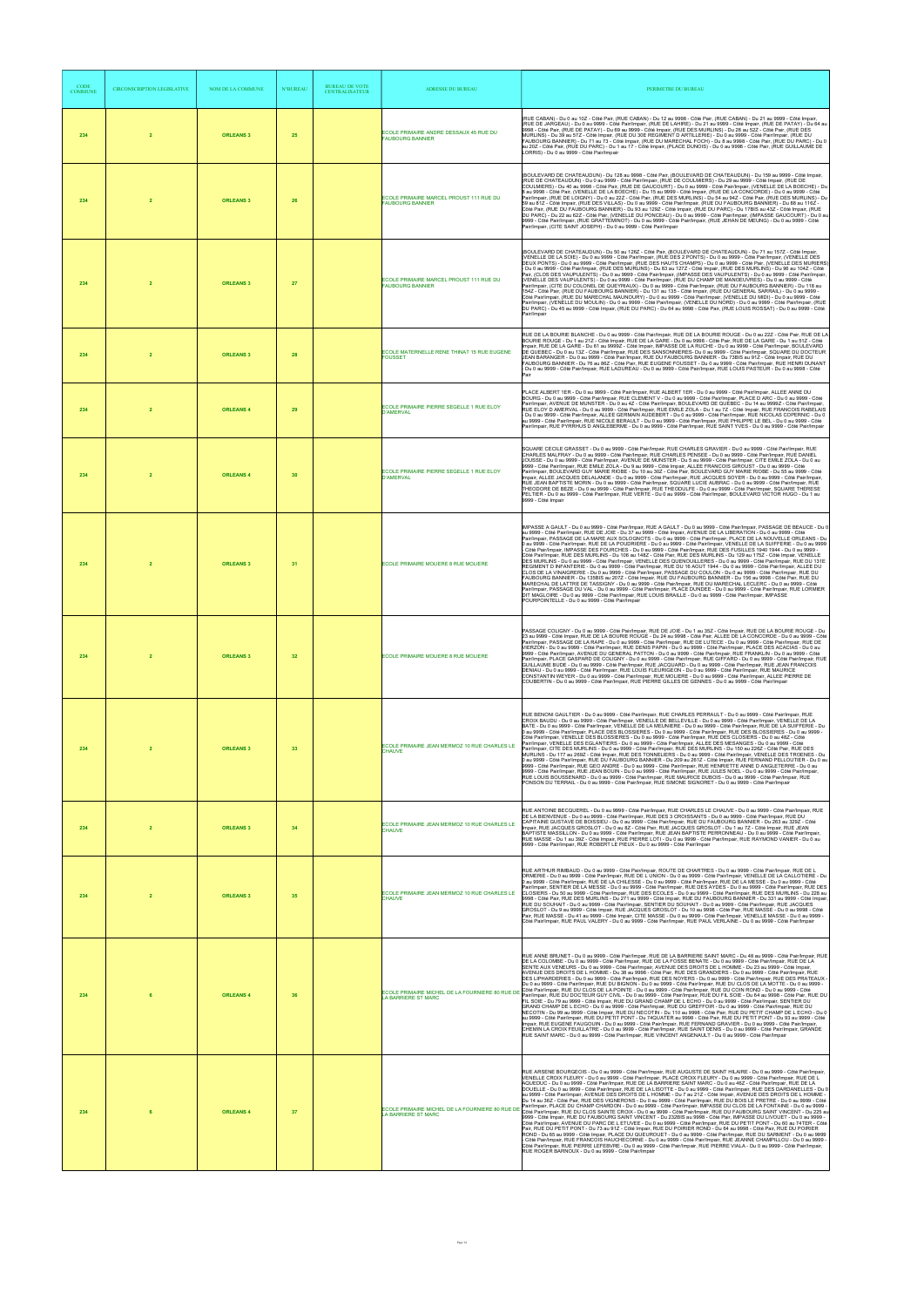| <b>CODE</b><br><b>COMMUNE</b> | <b>CIRCONSCRIPTION LEGISLATIVE</b> | <b>NOM DE LA COMMUNE</b> | <b>N°BUREAU</b> | <b>BUREAU DE VOTE</b><br><b>CENTRALISATEUR</b> | <b>ADRESSE DU BUREAU</b>                                                      | PERIMETRE DU BUREAU                                                                                                                                                                                                                                                                                                                                                                                                                                                                                                                                                                                                                                                                                                                                                                                                                                                                                                                                                                                                                                                                                                                                                                                                                                                                                                                                                                                                                                                                                                                                                                                                                                                                                                                                                                                                                                           |
|-------------------------------|------------------------------------|--------------------------|-----------------|------------------------------------------------|-------------------------------------------------------------------------------|---------------------------------------------------------------------------------------------------------------------------------------------------------------------------------------------------------------------------------------------------------------------------------------------------------------------------------------------------------------------------------------------------------------------------------------------------------------------------------------------------------------------------------------------------------------------------------------------------------------------------------------------------------------------------------------------------------------------------------------------------------------------------------------------------------------------------------------------------------------------------------------------------------------------------------------------------------------------------------------------------------------------------------------------------------------------------------------------------------------------------------------------------------------------------------------------------------------------------------------------------------------------------------------------------------------------------------------------------------------------------------------------------------------------------------------------------------------------------------------------------------------------------------------------------------------------------------------------------------------------------------------------------------------------------------------------------------------------------------------------------------------------------------------------------------------------------------------------------------------|
| 234                           | $\overline{2}$                     | <b>ORLEANS 3</b>         | 25              |                                                | ECOLE PRIMAIRE ANDRE DESSAUX 45 RUE DU<br><b>FAUBOURG BANNIER</b>             | (RUE CABAN) - Du 0 au 10Z - Côté Pair, (RUE CABAN) - Du 12 au 9998 - Côté Pair, (RUE CABAN) - Du 21 au 9999 - Côté Impair,<br>(RUE DE JARGEAU) - Du 0 au 9999 - Côté Pair/Impair, (RUE DE LAHIRE) - Du 21 au 9999 - Côté Impair, (RUE DE PATAY) - Du 64 au<br>9998 - Côté Pair, (RUE DE PATAY) - Du 69 au 9999 - Côté Impair, (RUE DES MURLINS) - Du 28 au 52Z - Côté Pair, (RUE DES<br>MURLINS) - Du 39 au 57Z - Côté Impair, (RUE DU 30E REGIMENT D ARTILLERIE) - Du 0 au 9999 - Côté Pair/Impair, (RUE DU<br>FAUBOURG BANNIER) - Du 71 au 73 - Côté Impair, (RUE DU MARECHAL FOCH) - Du 8 au 9998 - Côté Pair, (RUE DU PARC) - Du 0<br>au 20Z - Côté Pair, (RUE DU PARC) - Du 1 au 17 - Côté Impair, (PLACE DUNOIS) - Du 0 au 9998 - Côté Pair, (RUE GUILLAUME DE<br>LORRIS) - Du 0 au 9999 - Côté Pair/Impair                                                                                                                                                                                                                                                                                                                                                                                                                                                                                                                                                                                                                                                                                                                                                                                                                                                                                                                                                                                                                                             |
| 234                           | $\overline{2}$                     | <b>ORLEANS 3</b>         | 26              |                                                | ECOLE PRIMAIRE MARCEL PROUST 111 RUE DU<br><b>FAUBOURG BANNIER</b>            | (BOULEVARD DE CHATEAUDUN) - Du 128 au 9998 - Côté Pair, (BOULEVARD DE CHATEAUDUN) - Du 159 au 9999 - Côté Impair,<br>(RUE DE CHATEAUDUN) - Du 0 au 9999 - Côté Pair/Impair, (RUE DE COULMIERS) - Du 29 au 9999 - Côté Impair, (RUE DE<br>COULMIERS) - Du 40 au 9998 - Côté Pair, (RUE DE GAUCOURT) - Du 0 au 9999 - Côté Pair/Impair, (VENELLE DE LA BOECHE) - Du<br>8 au 9998 - Côté Pair, (VENELLE DE LA BOECHE) - Du 15 au 9999 - Côté Impair, (RUE DE LA CONCORDE) - Du 0 au 9999 - Côté<br>Pair/Impair, (RUE DE LOIGNY) - Du 0 au 22Z - Côté Pair, (RUE DES MURLINS) - Du 54 au 94Z - Côté Pair, (RUE DES MURLINS) - Du<br>59 au 81Z - Côté Impair, (RUE DES VILLAS) - Du 0 au 9999 - Côté Pair/Impair, (RUE DU FAUBOURG BANNIER) - Du 88 au 116Z -<br>Côté Pair, (RUE DU FAUBOURG BANNIER) - Du 93 au 129Z - Côté Impair, (RUE DU PARC) - Du 17BIS au 43Z - Côté Impair, (RUE<br>DU PARC) - Du 22 au 62Z - Côté Pair, (VENELLE DU PONCEAU) - Du 0 au 9999 - Côté Pair/Impair, (IMPASSE GAUCOURT) - Du 0 au<br>9999 - Côté Pair/Impair, (RUE GRATTEMINOT) - Du 0 au 9999 - Côté Pair/Impair, (RUE JEHAN DE MEUNG) - Du 0 au 9999 - Côté<br>Pair/Impair, (CITE SAINT JOSEPH) - Du 0 au 9999 - Côté Pair/Impair                                                                                                                                                                                                                                                                                                                                                                                                                                                                                                                                                                                                                                            |
| 234                           | $\overline{2}$                     | <b>ORLEANS 3</b>         | 27              |                                                | ECOLE PRIMAIRE MARCEL PROUST 111 RUE DU<br><b>FAUBOURG BANNIER</b>            | (BOULEVARD DE CHATEAUDUN) - Du 50 au 126Z - Côté Pair, (BOULEVARD DE CHATEAUDUN) - Du 71 au 157Z - Côté Impair,<br>(VENELLE DE LA SOIE) - Du 0 au 9999 - Côté Pair/Impair, (RUE DES 2 PONTS) - Du 0 au 9999 - Côté Pair/Impair, (VENELLE DES<br>DEUX PONTS) - Du 0 au 9999 - Côté Pair/Impair, (RUE DES HAUTS CHAMPS) - Du 0 au 9999 - Côté Pair, (VENELLE DES MURIERS)<br>- Du 0 au 9999 - Côté Pair/Impair, (RUE DES MURLINS) - Du 83 au 127Z - Côté Impair, (RUE DES MURLINS) - Du 96 au 104Z - Côté<br>Pair, (CLOS DES VAUPULENTS) - Du 0 au 9999 - Côté Pair/Impair, (IMPASSE DES VAUPULENTS) - Du 0 au<br>(VENELLE DES VAUPULENTS) - Du 0 au 9999 - Côté Pair/Impair, (RUE DU CHAMP DE MANOEUVRES) - Du 0 au 9999 - Côté<br>Pair/Impair, (CITE DU COLONEL DE QUEYRIAUX) - Du 0 au 9999 - Côté Pair/Impair, (RUE DU FAUBOURG BANNIER) - Du 118 au<br>154Z - Côté Pair, (RUE DU FAUBOURG BANNIER) - Du 131 au 135 - Côté Impair, (RUE DU GENERAL SARRAIL) - Du 0 au 9999 -<br>Côté Pair/Impair, (RUE DU MARECHAL MAUNOURY) - Du 0 au 9999 - Côté Pair/Impair, (VENELLE DU MIDI) - Du 0 au 9999 - Côté<br>Pair/Impair, (VENELLE DU MOULIN) - Du 0 au 9999 - Côté Pair/Impair, (VENELLE DU NORD) - Du 0 au 9999 - Côté Pair/Impair, (RUE<br>DU PARC) - Du 45 au 9999 - Côté Impair, (RUE DU PARC) - Du 64 au 9998 - Côté Pair, (RUE LOUIS ROSSAT) - Du 0 au 9999 - Côté<br>Pair/Impair                                                                                                                                                                                                                                                                                                                                                                                                                                                                      |
| 234                           | $\overline{2}$                     | <b>ORLEANS 3</b>         | 28              |                                                | ECOLE MATERNELLE RENE THINAT 15 RUE EUGENE<br><b>FOUSSET</b>                  | RUE DE LA BOURIE BLANCHE - Du 0 au 9999 - Côté Pair/Impair, RUE DE LA BOURIE ROUGE - Du 0 au 22Z - Côté Pair, RUE DE LA<br>BOURIE ROUGE - Du 1 au 21Z - Côté Impair, RUE DE LA GARE - Du 0 au 9998 - Côté Pair, RUE DE LA GARE - Du 1 au 51Z - Côté<br>Impair, RUE DE LA GARE - Du 61 au 9999Z - Côté Impair, IMPASSE DE LA RUCHE - Du 0 au 9999 - Côté Pair/Impair, BOULEVARD<br>DE QUEBEC - Du 0 au 13Z - Côté Pair/Impair, RUE DES SANSONNIERES- Du 0 au 9999 - Côté Pair/Impair, SQUARE DU DOCTEUR<br>JEAN BARANGER - Du 0 au 9999 - Côté Pair/Impair, RUE DU FAUBOURG BANNIER - Du 73BIS au 91Z - Côté Impair, RUE DU<br>FAUBOURG BANNIER - Du 76 au 86Z - Côté Pair, RUE EUGENE FOUSSET - Du 0 au 9999 - Côté Pair/Impair, RUE HENRI DUNANT<br>- Du 0 au 9999 - Côté Pair/Impair. RUE LADUREAU - Du 0 au 9999 - Côté Pair/Impair. RUE LOUIS PASTEUR - Du 0 au 9998 - Côté<br>Pair                                                                                                                                                                                                                                                                                                                                                                                                                                                                                                                                                                                                                                                                                                                                                                                                                                                                                                                                                                       |
| 234                           | $\overline{2}$                     | <b>ORLEANS 4</b>         | 29              |                                                | ECOLE PRIMAIRE PIERRE SEGELLE 1 RUE ELOY<br><b>D'AMERVAL</b>                  | PLACE ALBERT 1ER - Du 0 au 9999 - Côté Pair/Impair, RUE ALBERT 1ER - Du 0 au 9999 - Côté Pair/Impair, ALLEE ANNE DU<br>BOURG - Du 0 au 9999 - Côté Pair/Impair, RUE CLEMENT V - Du 0 au 9999 - Côté Pair/Impair, PLACE D ARC - Du 0 au 9999 - Côté<br>Pair/Impair, AVENUE DE MUNSTER - Du 0 au 42 - Côté Pair/Impair, BOULEVARD DE QUEBEC - Du 14 au 9999Z - Côté Pair/Impair,<br>RUE ELOY D AMERVAL - Du 0 au 9999 - Côté Pair/Impair, RUE EMILE ZOLA - Du 1 au 7Z - Côté Impair, RUE FRANCOIS RABELAIS<br>- Du 0 au 9999 - Côté Pair/Impair, ALLEE GERMAIN AUDEBERT - Du 0 au 9999 - Côté Pair/Impair, RUE NICOLAS COPERNIC - Du 0<br>au 9999 - Côté Pair/Impair, RUE NICOLE BERAULT - Du 0 au 9999 - Côté Pair/Impair, RUE PHILIPPE LE BEL - Du 0 au 9999 - Côté<br>Pair/Impair, RUE PYRRHUS D ANGLEBERME - Du 0 au 9999 - Côté Pair/Impair, RUE SAINT YVES - Du 0 au 9999 - Côté Pair/Impair                                                                                                                                                                                                                                                                                                                                                                                                                                                                                                                                                                                                                                                                                                                                                                                                                                                                                                                                                              |
| 234                           | $\overline{2}$                     | <b>ORLEANS 4</b>         | 30              |                                                | ECOLE PRIMAIRE PIERRE SEGELLE 1 RUE ELOY<br><b>D'AMERVAL</b>                  | SQUARE CECILE GRASSET - Du 0 au 9999 - Côté Pair/Impair, RUE CHARLES GRAVIER - Du 0 au 9999 - Côté Pair/Impair, RUE<br>CHARLES MALFRAY - Du 0 au 9999 - Côté Pair/Impair, RUE CHARLES PENSEE - Du 0 au 9999 - Côté Pair/Impair, RUE DANIEL<br>JOUSSE - Du 0 au 9999 - Côté Pair/Impair, AVENUE DE MUNSTER - Du 5 au 9999 - Côté Pair/Impair, CITE EMILE ZOLA - Du 0 au<br>9999 - Côté Pair/Impair, RUE EMILE ZOLA - Du 9 au 9999 - Côté Impair, ALLEE FRANCOIS GIROUST - Du 0 au 9999 - Côté<br>Pair/Impair, BOULEVARD GUY MARIE RIOBE - Du 10 au 30Z - Côté Pair, BOULEVARD GUY MARIE RIOBE - Du 55 au 9999 - Côté<br>Impair, ALLEE JACQUES DELALANDE - Du 0 au 9999 - Côté Pair/Impair, RUE JACQUES SOYER - Du 0 au 9999 - Côté Pair/Impair,<br>RUE JEAN BAPTISTE MORIN - Du 0 au 9999 - Côté Pair/Impair, SQUARE LUCIE AUBRAC - Du 0 au 9999 - Côté Pair/Impair, RUE<br>THEODORE DE BEZE - Du 0 au 9999 - Côté Pair/Impair, RUE THEODULFE - Du 0 au 9999 - Côté Pair/Impair, SQUARE THERESE<br>PELTIER - Du 0 au 9999 - Côté Pair/Impair, RUE VERTE - Du 0 au 9999 - Côté Pair/Impair, BOULEVARD VICTOR HUGO - Du 1 au<br>9999 - Côté Impair                                                                                                                                                                                                                                                                                                                                                                                                                                                                                                                                                                                                                                                                                                               |
| 234                           | $\overline{2}$                     | <b>ORLEANS 3</b>         | 31              |                                                | ECOLE PRIMAIRE MOLIERE 8 RUE MOLIERE                                          | IMPASSE A GAULT - Du 0 au 9999 - Côté Pair/Impair, RUE A GAULT - Du 0 au 9999 - Côté Pair/Impair, PASSAGE DE BEAUCE - Du 0<br>au 9999 - Côté Pair/Impair, RUE DE JOIE - Du 37 au 9999 - Côté Impair, AVENUE DE LA LIBERATION - Du 0 au 9999 - Côté<br>Pair/Impair, PASSAGE DE LA MARE AUX SOLOGNOTS - Du 0 au 9999 - Côté Pair/Impair, PLACE DE LA NOUVELLE ORLEANS - Du<br>0 au 9999 - Côté Pair/Impair, RUE DE LA POUDRIERE - Du 0 au 9999 - Côté Pair/Impair, VENELLE DE LA SUIFFERIE - Du 0 au 9999<br>Côté Pair/Impair, IMPASSE DES FOURCHES - Du 0 au 9999 - Côté Pair/Impair, RUE DES FUSILLES 1940 1944 - Du 0 au 9999 -<br>Côté Pair/Impair, RUE DES MURLINS - Du 106 au 148Z - Côté Pair, RUE DES MURLINS - Du 129 au 175Z - Côté Impair, VENELLE<br>DES MURLINS - Du 0 au 9999 - Côté Pair/Impair, VENELLE DES QUENOUILLERES - Du 0 au 9999 - Côté Pair/Impair, RUE DU 131E<br>REGIMENT D INFANTERIE - Du 0 au 9999 - Côté Pair/Impair, RUE DU 16 AOUT 1944 - Du 0 au 9999 - Côté Pair/Impair, ALLEE DU<br>CLOS DE LA VINAIGRERIE - Du 0 au 9999 - Côté Pair/Impair, PASSAGE DU COULON - Du 0 au 9999 - Côté Pair/Impair, RUE DU<br>FAUBOURG BANNIER - Du 135BIS au 207Z - Côté Impair, RUE DU FAUBOURG BANNIER - Du 156 au 9998 - Côté Pair, RUE DU<br>MARECHAL DE LATTRE DE TASSIGNY - Du 0 au 9999 - Côté Pair/Impair, RUE DU MARECHAL LECLERC - Du 0 au 9999 - Côté<br>Pair/Impair, PASSAGE DU VAL - Du 0 au 9999 - Côté Pair/Impair, PLACE DUNDEE - Du 0 au 9999 - Côté Pair/Impair, RUE LORMIER<br>DIT MAGLOIRE - Du 0 au 9999 - Côté Pair/Impair, RUE LOUIS BRAILLE - Du 0 au 9999 - Côté Pair/Impair, IMPASSE<br>POURPOINTELLE - Du 0 au 9999 - Côté Pair/Impair                                                                                                                                                                           |
| 234                           | $\overline{2}$                     | <b>ORLEANS 3</b>         | 32              |                                                | ECOLE PRIMAIRE MOLIERE 8 RUE MOLIERE                                          | PASSAGE COLIGNY - Du 0 au 9999 - Côté Pair/Impair, RUE DE JOIE - Du 1 au 35Z - Côté Impair, RUE DE LA BOURIE ROUGE - Du<br>23 au 9999 - Côté Impair, RUE DE LA BOURIE ROUGE - Du 24 au 9998 - Côté Pair, ALLEE DE LA CONCORDE - Du 0 au 9999 - Côté<br>Pair/Impair, PASSAGE DE LA RAPE - Du 0 au 9999 - Côté Pair/Impair, RUE DE LUTECE - Du 0 au 9999 - Côté Pair/Impair, RUE DE<br>VIERZON - Du 0 au 9999 - Côté Pair/Impair, RUE DENIS PAPIN - Du 0 au 9999 - Côté Pair/Impair, PLACE DES ACACIAS - Du 0 au<br>9999 - Côté Pair/Impair, AVENUE DU GENERAL PATTON - Du 0 au 9999 - Côté Pair/Impair, RUE FRANKLIN - Du 0 au 9999 - Côté<br>Pair/Impair, PLACE GASPARD DE COLIGNY - Du 0 au 9999 - Côté Pair/Impair, RUE GIFFARD - Du 0 au 9999 - Côté Pair/Impair, RUE<br>GUILLAUME BUDE - Du 0 au 9999 - Côté Pair/Impair, RUE JACQUARD - Du 0 au 9999 - Côté Pair/Impair, RUE JEAN FRANCOIS<br>DENIAU - Du 0 au 9999 - Côté Pair/Impair, RUE LOUIS FLEURIGEON - Du 0 au 9999 - Côté Pair/Impair, RUE MAURICE<br>CONSTANTIN WEYER - Du 0 au 9999 - Côté Pair/Impair, RUE LOUIS FLEURIGEON - Du 0 au 9999 - Côté Pair/Impair, ALLE<br>COUBERTIN - Du 0 au 9999 - Côté Pair/Impair, RUE PIERRE GILLES DE GENNES - Du 0 au 9999 - Côté Pair/Impair                                                                                                                                                                                                                                                                                                                                                                                                                                                                                                                                                                                                            |
| 234                           | $\overline{2}$                     | <b>ORLEANS 3</b>         | 33              |                                                | ECOLE PRIMAIRE JEAN MERMOZ 10 RUE CHARLES LE<br><b>CHAUVE</b>                 | RUE BENONI GAULTIER - Du 0 au 9999 - Côté Pair/Impair, RUE CHARLES PERRAULT - Du 0 au 9999 - Côté Pair/Impair, RUE<br>CROIX BAUDU - Du 0 au 9999 - Côté Pair/Impair, VENELLE DE BELLEVILLE - Du 0 au 9999 - Côté Pair/Impair, VENELLE DE LA<br>BATE - Du 0 au 9999 - Côté Pair/Impair, VENELLE DE LA MEUNIERE - Du 0 au 9999 - Côté Pair/Impair, RUE DE LA SUIFFERIE - Du<br>0 au 9999 - Côté Pair/Impair, PLACE DES BLOSSIERES - Du 0 au 9999 - Côté Pair/Impair, RUE DES BLOSSIERES - Du 0 au 9999 -<br>Côté Pair/Impair, VENELLE DES BLOSSIERES - Du 0 au 9999 - Côté Pair/Impair, RUE DES CLOSIERS - Du 0 au 48Z - Côté<br>Pair/Impair, VENELLE DES EGLANTIERS - Du 0 au 9999 - Côté Pair/Impair, ALLEE DES MESANGES - Du 0 au 9999 - Côté<br>Pair/Impair, CITE DES MURLINS - Du 0 au 9999 - Côté Pair/Impair, RUE DES MURLINS - Du 150 au 226Z - Côté Pair, RUE DES<br>MURLINS - Du 177 au 269Z - Côté Impair, RUE DES TONNELIERS - Du 0 au 9999 - Côté Pair/Impair, VENELLE DES TROENES - Du<br>0 au 9999 - Côté Pair/Impair, RUE DU FAUBOURG BANNIER - Du 209 au 261Z - Côté Impair, RUE FERNAND PELLOUTIER - Du 0 au<br>9999 - Côté Pair/Impair, RUE GEO ANDRE - Du 0 au 9999 - Côté Pair/Impair, RUE HENRIETTE ANNE D ANGLETERRE - Du 0 au<br>9999 - Côté Pair/Impair, RUE JEAN BOUIN - Du 0 au 9999 - Côté Pair/Impair, RUE JULES NOEL - Du 0 au 9999 - Côté Pair/Impair,<br>RUE LOUIS BOUSSENARD - Du 0 au 9999 - Côté Pair/Impair, RUE MAURICE DUBOIS - Du 0 au 9999 - Côté Pair/Impair, RUE<br>PONSON DU TERRAIL - Du 0 au 9999 - Côté Pair/Impair, RUE SIMONE SIGNORET - Du 0 au 9999 - Côté Pair/Impair                                                                                                                                                                                                                                        |
| 234                           | $\overline{2}$                     | <b>ORLEANS 3</b>         | 34              |                                                | ECOLE PRIMAIRE JEAN MERMOZ 10 RUE CHARLES LE<br><b>CHAUVE</b>                 | RUE ANTOINE BECQUEREL - Du 0 au 9999 - Côté Pair/Impair, RUE CHARLES LE CHAUVE - Du 0 au 9999 - Côté Pair/Impair, RUE<br>DE LA BIENVENUE - Du 0 au 9999 - Côté Pair/Impair, RUE DES 3 CROISSANTS - Du 0 au 9999 - Côté Pair/Impair, RUE DU<br>CAPITAINE GUSTAVE DE BOISSIEU - Du 0 au 9999 - Côté Pair/Impair, RUE DU FAUBOURG BANNIER - Du 263 au 329Z - Côté<br>npair, RUE JACQUES GROSLOT - Du 0 au 8Z - Côté Pair, RUE JACQUES GROSLOT - Du 1 au 7Z - Côté Impair, RUE JEAN<br>BAPTISTE MASSILLON - Du 0 au 9999 - Côté Pair/Impair, RUE JEAN BAPTISTE PERRONNEAU - Du 0 au 9999 - Côté Pair/Impair,<br>RUE MASSE - Du 1 au 39Z - Côté Impair, RUE PIERRE LOTI - Du 0 au 9999 - Côté Pair/Impair, RUE RAYMOND VANIER - Du 0 au<br>9999 - Côté Pair/Impair, RUE ROBERT LE PIEUX - Du 0 au 9999 - Côté Pair/Impair                                                                                                                                                                                                                                                                                                                                                                                                                                                                                                                                                                                                                                                                                                                                                                                                                                                                                                                                                                                                                                          |
| 234                           | $\overline{2}$                     | <b>ORLEANS 3</b>         | 35              |                                                | ECOLE PRIMAIRE JEAN MERMOZ 10 RUE CHARLES LE<br><b>CHAUVE</b>                 | RUE ARTHUR RIMBAUD - Du 0 au 9999 - Côté Pair/Impair, ROUTE DE CHARTRES - Du 0 au 9999 - Côté Pair/Impair, RUE DE L<br>ORMERIE - Du 0 au 9999 - Côté Pair/Impair, RUE DE L UNION - Du 0 au 9999 - Côté Pair/Impair, VENELLE DE LA CALLOTIERE - Du<br>0 au 9999 - Côté Pair/Impair, RUE DE LA CHILESSE - Du 0 au 9999 - Côté Pair/Impair, RUE DE LA MESSE - Du 0 au 9999 - Côté<br>Pair/Impair, SENTIER DE LA MESSE - Du 0 au 9999 - Côté Pair/Impair, RUE DES AYDES - Du 0 au 9999 - Côté Pair/Impair, RUE DES<br>CLOSIERS - Du 50 au 9999 - Côté Pair/Impair, RUE DES ECOLES - Du 0 au 9999 - Côté Pair/Impair, RUE DES MURLINS - Du 228 au<br>9998 - Côté Pair, RUE DES MURLINS - Du 271 au 9999 - Côté Impair, RUE DU FAUBOURG BANNIER - Du 331 au 9999 - Côté Impair<br>RUE DU SOUHAIT - Du 0 au 9999 - Côté Pair/Impair, SENTIER DU SOUHAIT - Du 0 au 9999 - Côté Pair/Impair, RUE JACQUES<br>GROSLOT - Du 9 au 9999 - Côté Impair, RUE JACQUES GROSLOT - Du 10 au 9998 - Côté Pair, RUE MASSE - Du 0 au 9998 - Côté<br>Pair, RUE MASSE - Du 41 au 9999 - Côté Impair, CITE MASSE - Du 0 au 9999 - Côté Pair/Impair, VENELLE MASSE - Du 0 au 9999 -<br>Côté Pair/Impair, RUE PAUL VALERY - Du 0 au 9999 - Côté Pair/Impair, RUE PAUL VERLAINE - Du 0 au 9999 - Côté Pair/Impair                                                                                                                                                                                                                                                                                                                                                                                                                                                                                                                                                                          |
| 234                           | 6                                  | <b>ORLEANS 4</b>         | 36              |                                                | LA BARRIERE ST MARC                                                           | RUE ANNE BRUNET - Du 0 au 9999 - Côté Pair/Impair, RUE DE LA BARRIERE SAINT MARC - Du 48 au 9999 - Côté Pair/Impair, RUE<br>DE LA COLOMBE - Du 0 au 9999 - Côté Pair/Impair, RUE DE LA FOSSE BENATE - Du 0 au 9999 - Côté Pair/Impair, RUE DE LA<br>SENTE AUX VENEURS - Du 0 au 9999 - Côté Pair/Impair. AVENUE DES DROITS DE L HOMME - Du 23 au 9999 - Côté Impair.<br>AVENUE DES DROITS DE L HOMME - Du 38 au 9998 - Côté Pair, RUE DES GRANDIERS - Du 0 au 9999 - Côté Pair/Impair, RUE<br>DES LIPHARDERIES - Du 0 au 9999 - Côté Pair/Impair, RUE DES NOYERS - Du 0 au 9999 - Côté Pair/Impair, RUE DES PRATEAUX -<br>Du 0 au 9999 - Côté Pair/Impair, RUE DU BIGNON - Du 0 au 9999 - Côté Pair/Impair, RUE DU CLOS DE LA MOTTE - Du 0 au 9999 -<br>ECOLE PRIMAIRE MICHEL DE LA FOURNIERE 80 RUE DE COB Pair/Impair, RUE DU CLOS DE LA POINTE - Du 0 au 9999 - Côté Pair/Impair, RUE DU COIN ROND - Du 0 au 9999 - Côté<br>La pappair de California de la pappair de la pair/Impair,<br>FIL SOIE - Du 79 au 9999 - Côté Impair, RUE DU GRAND CHAMP DE L ECHO - Du 0 au 9999 - Côté Pair/Impair, SENTIER DU<br>GRAND CHAMP DE L ECHO - Du 0 au 9999 - Côté Pair/Impair, RUE DU GREFFOIR - Du 0 au 9999 - Côté Pair/Impair, RUE DU<br>NECOTIN - Du 99 au 9999 - Côté Impair, RUE DU NECOTIN - Du 110 au 9998 - Côté Pair, RUE DU PETIT CHAMP DE L ECHO - Du 0<br>au 9999 - Côté Pair/Impair, RUE DU PETIT PONT - Du 74QUATER au 9998 - Côté Pair, RUE DU PETIT PONT - Du 93 au 9999 - Côté<br>Impair, RUE EUGENE FAUGOUIN - Du 0 au 9999 - Côté Pair/Impair, RUE FERNAND GRAVIER - Du 0 au 9999 - Côté Pair/Impair,<br>CHEMIN LA CROIX FEUILLATRE - Du 0 au 9999 - Côté Pair/Impair, RUE SAINT DENIS - Du 0 au 9999 - Côté Pair/Impair, GRANDE<br>RUE SAINT MARC - Du 0 au 9999 - Côté Pair/Impair, RUE VINCENT ANGENAULT - Du 0 au 9999 - Côté Pair/Impair |
| 234                           | 6                                  | <b>ORLEANS 4</b>         | 37              |                                                | ECOLE PRIMAIRE MICHEL DE LA FOURNIERE 80 RUE DE<br><b>LA BARRIERE ST MARC</b> | RUE ARSENE BOURGEOIS - Du 0 au 9999 - Côté Pair/Impair, RUE AUGUSTE DE SAINT HILAIRE - Du 0 au 9999 - Côté Pair/Impair,<br>VENELLE CROIX FLEURY - Du 0 au 9999 - Côté Pair/Impair, PLACE CROIX FLEURY - Du 0 au 9999 - Côté Pair/Impair, RUE DE L<br>AQUEDUC - Du 0 au 9999 - Côté Pair/Impair. RUE DE LA BARRIERE SAINT MARC - Du 0 au 46Z - Côté Pair/Impair. RUE DE LA<br>DOUELLE - Du 0 au 9999 - Côté Pair/Impair, RUE DE LA LISOTTE - Du 0 au 9999 - Côté Pair/Impair, RUE DES DARDANELLES - Du 0<br>au 9999 - Côté Pair/Impair, AVENUE DES DROITS DE L HOMME - Du 7 au 21Z - Côté Impair, AVENUE DES DROITS DE L HOMME -<br>Du 14 au 36Z - Côté Pair, RUE DES VIGNERONS - Du 0 au 9999 - Côté Pair/Impair, RUE DU BOIS LE PRETRE - Du 0 au 9999 - Côté<br>Pair/Impair, PLACE DU CHAMP CHARDON - Du 0 au 9999 - Côté Pair/Impair, IMPASSE DU CLOS DE LA FONTAINE - Du 0 au 9999 -<br>Côté Pair/Impair, RUE DU CLOS SAINTE CROIX - Du 0 au 9999 - Côté Pair/Impair, RUE DU FAUBOURG SAINT VINCENT - Du 225 au<br>9999 - Côté Impair, RUE DU FAUBOURG SAINT VINCENT - Du 232BIS au 9998 - Côté Pair, IMPASSE DU LIVOUET - Du 0 au 9999 -<br>Côté Pair/Impair. AVENUE DU PARC DE L ETUVEE - Du 0 au 9999 - Côté Pair/Impair. RUE DU PETIT PONT - Du 60 au 74TER - Côté<br>Pair, RUE DU PETIT PONT - Du 73 au 91Z - Côté Impair, RUE DU POIRIER ROND - Du 64 au 9998 - Côté Pair, RUE DU POIRIER<br>ROND - Du 65 au 9999 - Côté Impair, PLACE DU QUEUROUET - Du 0 au 9999 - Côté Pair/Impair, RUE DU SARMENT - Du 0 au 9999<br>Côté Pair/Impair, RUE FRANCOIS HAUCHECORNE - Du 0 au 9999 - Côté Pair/Impair, RUE JEANNE CHAMPILLOU - Du 0 au 9999 -<br>Côté Pair/Impair, RUE PIERRE LEFEBVRE - Du 0 au 9999 - Côté Pair/Impair, RUE PIERRE VIALA - Du 0 au 9999 - Côté Pair/Impair,<br>RUE ROGER BARNOUX - Du 0 au 9999 - Côté Pair/Impair                  |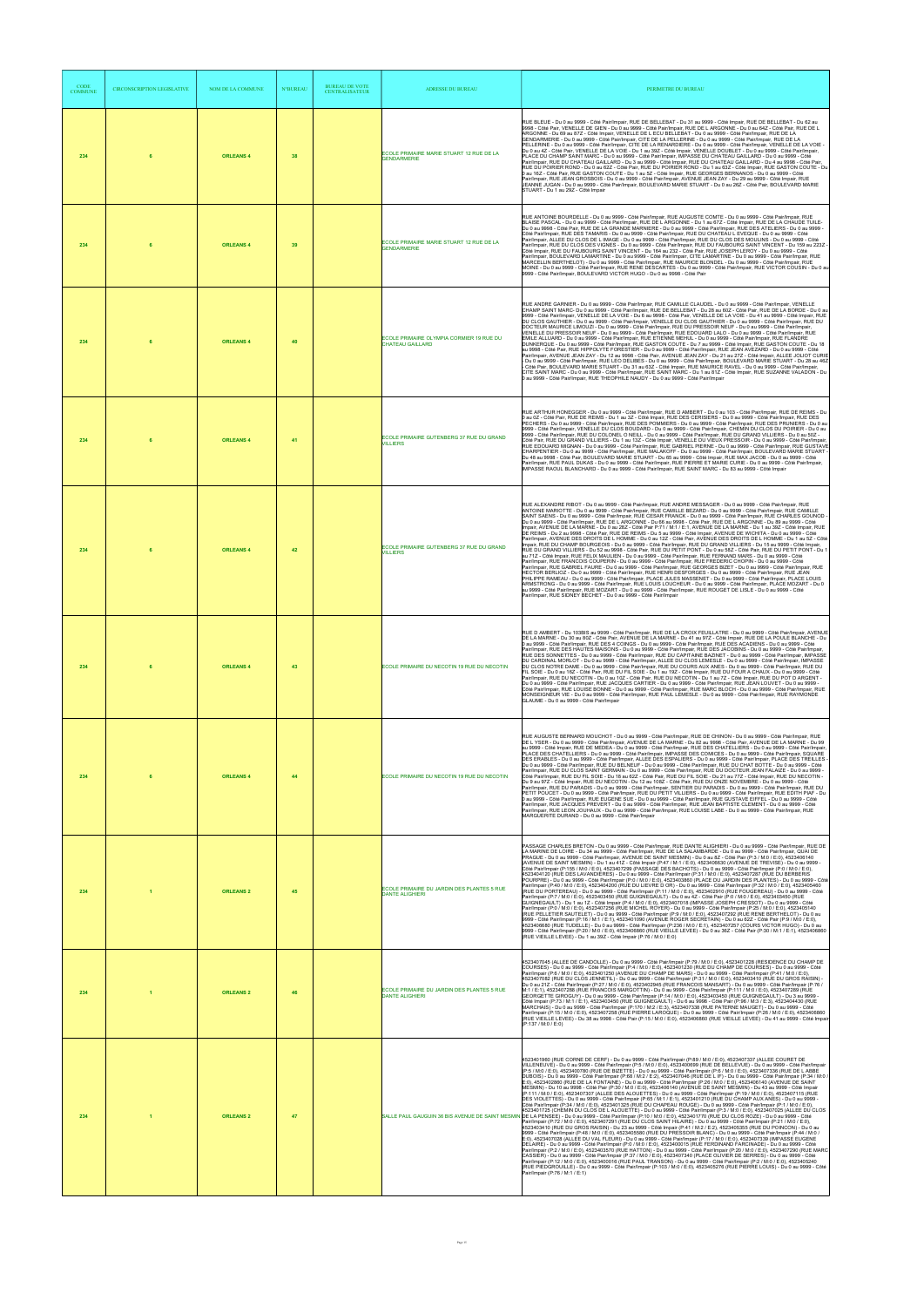| <b>CODE</b><br><b>COMMUNE</b> | <b>CIRCONSCRIPTION LEGISLATIVE</b> | NOM DE LA COMMUNE | <b>N°BUREAU</b> | <b>BUREAU DE VOTE</b><br><b>CENTRALISATEUR</b> | <b>ADRESSE DU BUREAU</b>                                             | PERIMETRE DU BUREAU                                                                                                                                                                                                                                                                                                                                                                                                                                                                                                                                                                                                                                                                                                                                                                                                                                                                                                                                                                                                                                                                                                                                                                                                                                                                                                                                                                                                                                                                                                                                                                                                                                                                                                                                                                                                                                                                                                                                                                                                                                                                                                                                                                                                                                                                                                                                                                                                                                                                                                                                                                                                                                                                                                |
|-------------------------------|------------------------------------|-------------------|-----------------|------------------------------------------------|----------------------------------------------------------------------|--------------------------------------------------------------------------------------------------------------------------------------------------------------------------------------------------------------------------------------------------------------------------------------------------------------------------------------------------------------------------------------------------------------------------------------------------------------------------------------------------------------------------------------------------------------------------------------------------------------------------------------------------------------------------------------------------------------------------------------------------------------------------------------------------------------------------------------------------------------------------------------------------------------------------------------------------------------------------------------------------------------------------------------------------------------------------------------------------------------------------------------------------------------------------------------------------------------------------------------------------------------------------------------------------------------------------------------------------------------------------------------------------------------------------------------------------------------------------------------------------------------------------------------------------------------------------------------------------------------------------------------------------------------------------------------------------------------------------------------------------------------------------------------------------------------------------------------------------------------------------------------------------------------------------------------------------------------------------------------------------------------------------------------------------------------------------------------------------------------------------------------------------------------------------------------------------------------------------------------------------------------------------------------------------------------------------------------------------------------------------------------------------------------------------------------------------------------------------------------------------------------------------------------------------------------------------------------------------------------------------------------------------------------------------------------------------------------------|
| 234                           |                                    | <b>ORLEANS 4</b>  | 38              |                                                | ECOLE PRIMAIRE MARIE STUART 12 RUE DE LA<br><b>GENDARMERIE</b>       | RUE BLEUE - Du 0 au 9999 - Côté Pair/Impair, RUE DE BELLEBAT - Du 31 au 9999 - Côté Impair, RUE DE BELLEBAT - Du 62 au<br>9998 - Côté Pair, VENELLE DE GIEN - Du 0 au 9999 - Côté Pair/Impair, RUE DE L ARGONNE - Du 0 au 64Z - Côté Pair, RUE DE L<br>ARGONNE - Du 69 au 87Z - Côté Impair, VENELLE DE L ECU BELLEBAT - Du 0 au 9999 - Côté Pair/Impair, RUE DE LA<br>GENDARMERIE - Du 0 au 9999 - Côté Pair/Impair, CITE DE LA PELLERINE - Du 0 au 9999 - Côté Pair/Impair, RUE DE LA<br>PELLERINE - Du 0 au 9999 - Côté Pair/Impair, CITE DE LA RENARDIERE - Du 0 au 9999 - Côté Pair/Impair, VENELLE DE LA VOIE -<br>Du 0 au 4Z - Côté Pair, VENELLE DE LA VOIE - Du 1 au 39Z - Côté Impair, VENELLE DOUBLET - Du 0 au 9999 - Côté Pair/Impair,<br>PLACE DU CHAMP SAINT MARC - Du 0 au 9999 - Côté Pair/Impair, IMPASSE DU CHATEAU GAILLARD - Du 0 au 9999 - Côté<br>Pair/Impair, RUE DU CHATEAU GAILLARD - Du 3 au 9999 - Côté Impair, RUE DU CHATEAU GAILLARD - Du 4 au 9998 - Côté Pair,<br>RUE DU POIRIER ROND - Du 0 au 62Z - Côté Pair, RUE DU POIRIER ROND - Du 1 au 63Z - Côté Impair, RUE GASTON COUTE - Du<br>0 au 16Z - Côté Pair, RUE GASTON COUTE - Du 1 au 5Z - Côté Impair, RUE GEORGES BERNANOS - Du 0 au 9999 - Côté<br>Pair/Impair, RUE JEAN GROSBOIS - Du 0 au 9999 - Côté Pair/Impair, AVENUE JEAN ZAY - Du 29 au 9999 - Côté Impair, RUE<br>JEANNE JUGAN - Du 0 au 9999 - Côté Pair/Impair, BOULEVARD MARIE STUART - Du 0 au 26Z - Côté Pair, BOULEVARD MARIE<br>STUART - Du 1 au 29Z - Côté Impair                                                                                                                                                                                                                                                                                                                                                                                                                                                                                                                                                                                                                                                                                                                                                                                                                                                                                                                                                                                                                                                                                                                                                                                       |
| 234                           | 6                                  | <b>ORLEANS 4</b>  | 39              |                                                | ECOLE PRIMAIRE MARIE STUART 12 RUE DE LA<br><b>GENDARMERIE</b>       | RUE ANTOINE BOURDELLE - Du 0 au 9999 - Côté Pair/Impair, RUE AUGUSTE COMTE - Du 0 au 9999 - Côté Pair/Impair, RUE<br>BLAISE PASCAL - Du 0 au 9999 - Côté Pair/Impair, RUE DE L ARGONNE - Du 1 au 67Z - Côté Impair, RUE DE LA CHAUDE TUILE-<br>Du 0 au 9998 - Côté Pair, RUE DE LA GRANDE MARNIERE - Du 0 au 9999 - Côté Pair/Impair, RUE DES ATELIERS - Du 0 au 9999 -<br>Côté Pair/Impair, RUE DES TAMARIS - Du 0 au 9999 - Côté Pair/Impair, RUE DU CHATEAU L EVEQUE - Du 0 au 9999 - Côté<br>Pair/Impair, ALLEE DU CLOS DE L IMAGE - Du 0 au 9999 - Côté Pair/Impair, RUE DU CLOS DES MOULINS - Du 0 au 9999 - Côté<br>Pair/Impair, RUE DU CLOS DES VIGNES - Du 0 au 9999 - Côté Pair/Impair, RUE DU FAUBOURG SAINT VINCENT - Du 159 au 223Z -<br>Côté Impair, RUE DU FAUBOURG SAINT VINCENT - Du 164 au 232 - Côté Pair, RUE JOSEPH LEROY - Du 0 au 9999 - Côté<br>Pair/Impair, BOULEVARD LAMARTINE - Du 0 au 9999 - Côté Pair/Impair, CITE LAMARTINE - Du 0 au 9999 - Côté Pair/Impair, RUE<br>MARCELLIN BERTHELOT) - Du 0 au 9999 - Côté Pair/Impair, RUE MAURICE BLONDEL - Du 0 au 9999 - Côté Pair/Impair, RUE<br>MOINE - Du 0 au 9999 - Côté Pair/Impair, RUE RENE DESCARTES - Du 0 au 9999 - Côté Pair/Impair, RUE VICTOR COUSIN - Du 0 au<br>9999 - Côté Pair/Impair, BOULEVARD VICTOR HUGO - Du 0 au 9998 - Côté Pair                                                                                                                                                                                                                                                                                                                                                                                                                                                                                                                                                                                                                                                                                                                                                                                                                                                                                                                                                                                                                                                                                                                                                                                                                                                                                                                                                                                 |
| 234                           |                                    | <b>ORLEANS 4</b>  | 40              |                                                | ECOLE PRIMAIRE OLYMPIA CORMIER 19 RUE DU<br><b>CHATEAU GAILLARD</b>  | RUE ANDRE GARNIER - Du 0 au 9999 - Côté Pair/Impair, RUE CAMILLE CLAUDEL - Du 0 au 9999 - Côté Pair/Impair, VENELLE<br>CHAMP SAINT MARC- Du 0 au 9999 - Côté Pair/Impair, RUE DE BELLEBAT - Du 28 au 60Z - Côté Pair, RUE DE LA BORDE - Du 0 au<br>9999 - Côté Pair/Impair, VENELLE DE LA VOIE - Du 6 au 9998 - Côté Pair, VENELLE DE LA VOIE - Du 41 au 9999 - Côté Impair, RUE<br>DU CLOS GAUTHIER - Du 0 au 9999 - Côté Pair/Impair, VENELLE DU CLOS GAUTHIER - Du 0 au 9999 - Côté Pair/Impair, RUE DU<br>DOCTEUR MAURICE LIMOUZI - Du 0 au 9999 - Côté Pair/Impair, RUE DU PRESSOIR NEUF - Du 0 au 9999 - Côté Pair/Impair,<br>VENELLE DU PRESSOIR NEUF - Du 0 au 9999 - Côté Pair/Impair, RUE EDOUARD LALO - Du 0 au 9999 - Côté Pair/Impair, RUE<br>EMILE ALLUARD - Du 0 au 9999 - Côté Pair/Impair, RUE ETIENNE MEHUL - Du 0 au 9999 - Côté Pair/Impair, RUE FLANDRE<br>DUNKERQUE - Du 0 au 9999 - Côté Pair/Impair, RUE GASTON COUTE - Du 7 au 9999 - Côté Impair, RUE GASTON COUTE - Du 18<br>au 9998 - Côté Pair, RUE HIPPOLYTE FORESTIER - Du 0 au 9999 - Côté Pair/Impair, RUE JEAN AVEZARD - Du 0 au 9999 - Côté<br>Pair/Impair, AVENUE JEAN ZAY - Du 12 au 9998 - Côté Pair, AVENUE JEAN ZAY - Du 21 au 27Z - Côté Impair, ALLEE JOLIOT CURIE<br>- Du 0 au 9999 - Côté Pair/Impair, RUE LEO DELIBES - Du 0 au 9999 - Côté Pair/Impair, BOULEVARD MARIE STUART - Du 28 au 46Z<br>Côté Pair, BOULEVARD MARIE STUART - Du 31 au 63Z - Côté Impair, RUE MAURICE RAVEL - Du 0 au 9999 - Côté Pair/Impair,<br>CITE SAINT MARC - Du 0 au 9999 - Côté Pair/Impair, RUE SAINT MARC - Du 1 au 81Z - Côté Impair, RUE SUZANNE VALADON - Du<br>0 au 9999 - Côté Pair/Impair, RUE THEOPHILE NAUDY - Du 0 au 9999 - Côté Pair/Impair                                                                                                                                                                                                                                                                                                                                                                                                                                                                                                                                                                                                                                                                                                                                                                                                                                                                                                                                                                              |
| 234                           | 6                                  | <b>ORLEANS 4</b>  | 41              |                                                | ECOLE PRIMAIRE GUTENBERG 37 RUE DU GRAND<br><b>VILLIERS</b>          | RUE ARTHUR HONEGGER - Du 0 au 9999 - Côté Pair/Impair, RUE D AMBERT - Du 0 au 103 - Côté Pair/Impair, RUE DE REIMS - Du<br>0 au 0Z - Côté Pair, RUE DE REIMS - Du 1 au 3Z - Côté Impair, RUE DES CERISIERS - Du 0 au 9999 - Côté Pair/Impair, RUE DES<br>PECHERS - Du 0 au 9999 - Côté Pair/Impair, RUE DES POMMIERS - Du 0 au 9999 - Côté Pair/Impair, RUE DES PRUNIERS - Du 0 au<br>9999 - Côté Pair/Impair, VENELLE DU CLOS BOUDARD - Du 0 au 9999 - Côté Pair/Impair, CHEMIN DU CLOS DU POIRIER - Du 0 au<br>9999 - Côté Pair/Impair, RUE DU COLONEL O NEILL - Du 0 au 9999 - Côté Pair/Impair, RUE DU GRAND VILLIERS - Du 0 au 50Z -<br>Côté Pair, RUE DU GRAND VILLIERS - Du 1 au 13Z - Côté Impair, VENELLE DU VIEUX PRESSOIR - Du 0 au 9999 - Côté Pair/Impair,<br>RUE EDOUARD MIGNAN - Du 0 au 9999 - Côté Pair/Impair, RUE GABRIEL PIERNE - Du 0 au 9999 - Côté Pair/Impair, RUE GUSTAVE<br>CHARPENTIER - Du 0 au 9999 - Côté Pair/Impair, RUE MALAKOFF - Du 0 au 9999 - Côté Pair/Impair, BOULEVARD MARIE STUART -<br>Du 48 au 9998 - Côté Pair, BOULEVARD MARIE STUART - Du 65 au 9999 - Côté Impair, RUE MAX JACOB - Du 0 au 9999 - Côté<br>Pair/Impair, RUE PAUL DUKAS - Du 0 au 9999 - Côté Pair/Impair, RUE PIERRE ET MARIE CURIE - Du 0 au 9999 - Côté Pair/Impair,<br>IMPASSE RAOUL BLANCHARD - Du 0 au 9999 - Côté Pair/Impair, RUE SAINT MARC - Du 83 au 9999 - Côté Impair                                                                                                                                                                                                                                                                                                                                                                                                                                                                                                                                                                                                                                                                                                                                                                                                                                                                                                                                                                                                                                                                                                                                                                                                                                                                                                                    |
| 234                           | 6                                  | <b>ORLEANS 4</b>  | 42              |                                                | ECOLE PRIMAIRE GUTENBERG 37 RUE DU GRAND<br><b>VILLIERS</b>          | RUE ALEXANDRE RIBOT - Du 0 au 9999 - Côté Pair/Impair, RUE ANDRE MESSAGER - Du 0 au 9999 - Côté Pair/Impair, RUE<br>ANTOINE MARIOTTE - Du 0 au 9999 - Côté Pair/Impair. RUE CAMILLE BEZARD - Du 0 au 9999 - Côté Pair/Impair. RUE CAMILLE<br>SAINT SAENS - Du 0 au 9999 - Côté Pair/Impair, RUE CESAR FRANCK - Du 0 au 9999 - Côté Pair/Impair, RUE CHARLES GOUNOD<br>Du 0 au 9999 - Côté Pair/Impair, RUE DE L ARGONNE - Du 66 au 9998 - Côté Pair, RUE DE L ARGONNE - Du 89 au 9999 - Côté<br>Impair, AVENUE DE LA MARNE - Du 0 au 28Z - Côté Pair P:71 / M:1 / E:1, AVENUE DE LA MARNE - Du 1 au 39Z - Côté Impair, RUE<br>DE REIMS - Du 2 au 9998 - Côté Pair, RUE DE REIMS - Du 5 au 9999 - Côté Impair, AVENUE DE WICHITA - Du 0 au 9999 - Côté<br>Pair/Impair, AVENUE DES DROITS DE L HOMME - Du 0 au 12Z - Côté Pair, AVENUE DES DROITS DE L HOMME - Du 1 au 5Z - Côté<br>Impair, RUE DU CHAMP BOURGEOIS - Du 0 au 9999 - Côté Pair/Impair, RUE DU GRAND VILLIERS - Du 15 au 9999 - Côté Impair,<br>RUE DU GRAND VILLIERS - Du 52 au 9998 - Côté Pair, RUE DU PETIT PONT - Du 0 au 58Z - Côté Pair, RUE DU PETIT PONT - Du 1<br>au 71Z - Côté Impair, RUE FELIX MAULIEN - Du 0 au 9999 - Côté Pair/Impair, RUE FERNAND MARS - Du 0 au 9999 - Côté<br>Pair/Impair, RUE FRANCOIS COUPERIN - Du 0 au 9999 - Côté Pair/Impair, RUE FREDERIC CHOPIN - Du 0 au 9999 - Côté<br>Pair/Impair, RUE GABRIEL FAURE - Du 0 au 9999 - Côté Pair/Impair, RUE GEORGES BIZET - Du 0 au 9999 - Côté Pair/Impair, RUE<br>HECTOR BERLIOZ - Du 0 au 9999 - Côté Pair/Impair, RUE HENRI DESFORGES - Du 0 au 9999 - Côté Pair/Impair, RUE JEAN<br>PHILIPPE RAMEAU - Du 0 au 9999 - Côté Pair/Impair, PLACE JULES MASSENET - Du 0 au 9999 - Côté Pair/Impair, PLACE LOUIS<br>ARMSTRONG - Du 0 au 9999 - Côté Pair/Impair, RUE LOUIS LOUCHEUR - Du 0 au 9999 - Côté Pair/Impair, PLACE MOZART - Du 0<br>au 9999 - Côté Pair/Impair, RUE MOZART - Du 0 au 9999 - Côté Pair/Impair, RUE ROUGET DE LISLE - Du 0 au 9999 - Côté<br>Pair/Impair, RUE SIDNEY BECHET - Du 0 au 9999 - Côté Pair/Impair                                                                                                                                                                                                                                                                                                                                                                                                                                                                                                                                                                                                                                     |
| 234                           |                                    | <b>ORLEANS 4</b>  | 43              |                                                | ECOLE PRIMAIRE DU NECOTIN 19 RUE DU NECOTIN                          | RUE D AMBERT - Du 103BIS au 9999 - Côté Pair/Impair, RUE DE LA CROIX FEUILLATRE - Du 0 au 9999 - Côté Pair/Impair, AVENUE<br>DE LA MARNE - Du 30 au 80Z - Côté Pair, AVENUE DE LA MARNE - Du 41 au 97Z - Côté Impair, RUE DE LA POULE BLANCHE - Du<br>0 au 9999 - Côté Pair/Impair, RUE DES 4 COINGS - Du 0 au 9999 - Côté Pair/Impair, RUE DES ACADIENS - Du 0 au 9999 - Côté<br>Pair/Impair, RUE DES HAUTES MAISONS - Du 0 au 9999 - Côté Pair/Impair, RUE DES JACOBINS - Du 0 au 9999 - Côté Pair/Impair,<br>RUE DES SONNETTES - Du 0 au 9999 - Côté Pair/Impair, RUE DU CAPITAINE BAZINET - Du 0 au 9999 - Côté Pair/Impair, IMPASSE<br>DU CARDINAL MORLOT - Du 0 au 9999 - Côté Pair/Impair, ALLEE DU CLOS LEMESLE - Du 0 au 9999 - Côté Pair/Impair, IMPASSE<br>DU CLOS NOTRE DAME - Du 0 au 9999 - Côté Pair/Impair, RUE DU COURS AUX ANES - Du 0 au 9999 - Côté Pair/Impair, RUE DU<br>FIL SOIE - Du 0 au 16Z - Côté Pair, RUE DU FIL SOIE - Du 1 au 19Z - Côté Impair, RUE DU FOUR A CHAUX - Du 0 au 9999 - Côté<br>Pair/Impair, RUE DU NECOTIN - Du 0 au 10Z - Côté Pair, RUE DU NECOTIN - Du 1 au 7Z - Côté Impair, RUE DU POT D ARGENT -<br>Du 0 au 9999 - Côté Pair/Impair, RUE JACQUES CARTIER - Du 0 au 9999 - Côté Pair/Impair, RUE JEAN LOUVET - Du 0 au 9999 -<br>Côté Pair/Impair, RUE LOUISE BONNE - Du 0 au 9999 - Côté Pair/Impair, RUE MARC BLOCH - Du 0 au 9999 - Côté Pair/Impair, RUE<br>MONSEIGNEUR VIE - Du 0 au 9999 - Côté Pair/Impair, RUE PAUL LEMESLE - Du 0 au 9999 - Côté Pair/Impair, RUE RAYMONDE<br>GLAUME - Du 0 au 9999 - Côté Pair/Impair                                                                                                                                                                                                                                                                                                                                                                                                                                                                                                                                                                                                                                                                                                                                                                                                                                                                                                                                                                                                                                                                                                                                 |
| 234                           | 6                                  | <b>ORLEANS 4</b>  | 44              |                                                | ECOLE PRIMAIRE DU NECOTIN 19 RUE DU NECOTIN                          | RUE AUGUSTE BERNARD MOUCHOT - Du 0 au 9999 - Côté Pair/Impair, RUE DE CHINON - Du 0 au 9999 - Côté Pair/Impair, RUE<br>DE L YSER - Du 0 au 9999 - Côté Pair/Impair, AVENUE DE LA MARNE - Du 82 au 9998 - Côté Pair, AVENUE DE LA MARNE - Du 99<br>au 9999 - Côté Impair, RUE DE MEDEA - Du 0 au 9999 - Côté Pair/Impair, RUE DES CHATELLIERS - Du 0 au 9999 - Côté Pair/Impair,<br>PLACE DES CHATELLIERS - Du 0 au 9999 - Côté Pair/Impair, IMPASSE DES COMICES - Du 0 au 9999 - Côté Pair/Impair, SQUARE<br>DES ERABLES - Du 0 au 9999 - Côté Pair/Impair, ALLEE DES ESPALIERS - Du 0 au 9999 - Côté Pair/Impair, PLACE DES TREILLES<br>Du 0 au 9999 - Côté Pair/Impair, RUE DU BELNEUF - Du 0 au 9999 - Côté Pair/Impair, RUE DU CHAT BOTTE - Du 0 au 9999 - Côté<br>Pair/Impair, RUE DU CLOS SAINT GERMAIN - Du 0 au 9999 - Côté Pair/Impair, RUE DU DOCTEUR JEAN FALAIZE - Du 0 au 9999 -<br>Côté Pair/Impair, RUE DU FIL SOIE - Du 18 au 62Z - Côté Pair, RUE DU FIL SOIE - Du 21 au 77Z - Côté Impair, RUE DU NECOTIN -<br>Du 9 au 97Z - Côté Impair, RUE DU NECOTIN - Du 12 au 108Z - Côté Pair, RUE DU ONZE NOVEMBRE - Du 0 au 9999 - Côté<br>Pair/Impair, RUE DU PARADIS - Du 0 au 9999 - Côté Pair/Impair, SENTIER DU PARADIS - Du 0 au 9999 - Côté Pair/Impair, RUE DU<br>PETIT POUCET - Du 0 au 9999 - Côté Pair/Impair, RUE DU PETIT VILLIERS - Du 0 au 9999 - Côté Pair/Impair, RUE EDITH PIAF - Du<br>0 au 9999 - Côté Pair/Impair, RUE EUGENE SUE - Du 0 au 9999 - Côté Pair/Impair, RUE GUSTAVE EIFFEL - Du 0 au 9999 - Côté<br>Pair/Impair, RUE JACQUES PREVERT - Du 0 au 9999 - Côté Pair/Impair, RUE JEAN BAPTISTE CLEMENT - Du 0 au 9999 - Côté<br>Pair/Impair, RUE LEON JOUHAUX - Du 0 au 9999 - Côté Pair/Impair, RUE LOUISE LABE - Du 0 au 9999 - Côté Pair/Impair, RUE<br>MARGUERITE DURAND - Du 0 au 9999 - Côté Pair/Impair                                                                                                                                                                                                                                                                                                                                                                                                                                                                                                                                                                                                                                                                                                                                                                                                                                                             |
| 234                           |                                    | <b>ORLEANS 2</b>  | 45              |                                                | ECOLE PRIMAIRE DU JARDIN DES PLANTES 5 RUE<br><b>DANTE ALIGHIERI</b> | PASSAGE CHARLES BRETON - Du 0 au 9999 - Côté Pair/Impair, RUE DANTE ALIGHIERI - Du 0 au 9999 - Côté Pair/Impair, RUE DE<br>LA MARINE DE LOIRE - Du 34 au 9999 - Côté Pair/Impair, RUE DE LA SALAMBARDE - Du 0 au 9999 - Côté Pair/Impair, QUAI DE<br>PRAGUE - Du 0 au 9999 - Côté Pair/Impair, AVENUE DE SAINT MESMIN) - Du 0 au 8Z - Côté Pair (P:3 / M:0 / E:0), 4523406140<br>(AVENUE DE SAINT MESMIN) - Du 1 au 41Z - Côté Impair (P:47 / M:1 / E:0), 4523406630 (AVENUE DE TREVISE) - Du 0 au 9999 -<br>Côté Pair/Impair (P:155 / M:0 / E:0), 4523407299 (PASSAGE DES BACHOTS) - Du 0 au 9999 - Côté Pair/Impair (P:0 / M:0 / E:0),<br>4523404120 (RUE DES LAVANDIERES) - Du 0 au 9999 - Côté Pair/Impair (P:31 / M:0 / E:0), 4523407287 (RUE DU BERBERIS<br>POURPRE) - Du 0 au 9999 - Côté Pair/Impair (P:0 / M:0 / E:0), 4523403860 (PLACE DU JARDIN DES PLANTES) - Du 0 au 9999 - Côté<br>Pair/Impair (P:40 / M:0 / E:0), 4523404200 (RUE DU LIEVRE D OR) - Du 0 au 9999 - Côté Pair/Impair (P:32 / M:0 / E:0), 4523405460<br>(RUE DU PORTEREAU) - Du 0 au 9999 - Côté Pair/Impair (P:11 / M:0 / E:0), 4523402910 (RUE FOUGEREAU) - Du 0 au 9999 - Côté<br>Pair/Impair (P:7 / M:0 / E:0), 4523403450 (RUE GUIGNEGAULT) - Du 0 au 4Z - Côté Pair (P:0 / M:0 / E:0), 4523403450 (RUE<br>GUIGNEGAULT) - Du 1 au 1Z - Côté Impair (P:4 / M:0 / E:0), 4523407018 (IMPASSE JOSEPH CRESSOT) - Du 0 au 9999 - Côté<br>Pair/Impair (P:0 / M:0 / E:0), 4523407256 (RUE MICHEL ROYER) - Du 0 au 9999 - Côté Pair/Impair (P:25 / M:0 / E:0), 4523405140<br>(RUE PELLETIER SAUTELET) - Du 0 au 9999 - Côté Pair/Impair (P:9 / M:0 / E:0). 4523407292 (RUÈ RENE BERTHÉLOT) - Du 0 au<br>.<br>9999 - Côté Pair/Impair (P:16 / M:1 / E:1), 4523401090 (AVENUE ROGER SECRETAIN) - Du 0 au 62Z - Côté Pair (P:9 / M:0 / E:0),<br>4523406680 (RUE TUDELLE) - Du 0 au 9999 - Côté Pair/Impair (P:236 / M:0 / E:1). 4523407257 (COURS VICTOR HUGO) - Du 0 au<br>9999 - Côté Pair/Impair (P:20 / M:0 / E:0), 4523406860 (RUE VIEILLE LEVEE) - Du 0 au 36Z - Côté Pair (P:30 / M:1 / E:1), 4523406860<br>(RUE VIEILLE LEVEE) - Du 1 au 39Z - Côté Impair (P:76 / M:0 / E:0)                                                                                                                                                                                                                                                                                                                                                                                                                                                                                                                                                       |
| 234                           |                                    | <b>ORLEANS 2</b>  | 46              |                                                | ECOLE PRIMAIRE DU JARDIN DES PLANTES 5 RUE<br><b>DANTE ALIGHIERI</b> | 4523407045 (ALLEE DE CANDOLLE) - Du 0 au 9999 - Côté Pair/Impair (P:79 / M:0 / E:0), 4523401228 (RESIDENCE DU CHAMP DE<br>COURSES) - Du 0 au 9999 - Côté Pair/Impair (P:4 / M:0 / E:0), 4523401230 (RUE DU CHAMP DE COURSES) - Du 0 au 9999 - Côté<br>Pair/Impair (P:6 / M:0 / E:0), 4523401250 (AVENUE DU CHAMP DE MARS) - Du 0 au 9999 - Côté Pair/Impair (P:41 / M:0 / E:0),<br>4523407082 (RUE DU CLOS JENNETIL) - Du 0 au 9999 - Côté Pair/Impair (P:31 / M:0 / E:0), 4523403410 (RUE DU GROS RAISIN) -<br>Du 0 au 21Z - Côté Pair/Impair (P:27 / M:0 / E:0), 4523402945 (RUE FRANCOIS MANSART) - Du 0 au 9999 - Côté Pair/Impair (P:76 /<br>M:1 / E:1), 4523407288 (RUE FRANCOIS MARGOTTIN) - Du 0 au 9999 - Côté Pair/Impair (P:111 / M:0 / E:0), 4523407289 (RUE<br>GEORGETTE GIROGUY) - Du 0 au 9999 - Côté Pair/Impair (P:14 / M:0 / E:0), 4523403450 (RUE GUIGNEGAULT) - Du 3 au 9999 -<br>Côté Impair (P:73 / M:1 / E:1), 4523403450 (RUE GUIGNEGAULT) - Du 6 au 9998 - Côté Pair (P:96 / M:3 / E:3), 4523404430 (RUE<br>MARCHAIS) - Du 0 au 9999 - Côté Pair/Impair (P:170 / M:2 / E:3), 4523407338 (RUE PATERNE MAUGET) - Du 0 au 9999 - Côté<br>Pair/Impair (P:15 / M:0 / E:0), 4523407258 (RUE PIERRE LAROQUE) - Du 0 au 9999 - Côté Pair/Impair (P:26 / M:0 / E:0), 4523406860<br>(RUE VIEILLE LEVEE) - Du 38 au 9998 - Côté Pair (P:15 / M:0 / E:0), 4523406860 (RUE VIEILLE LEVEE) - Du 41 au 9999 - Côté Impair<br>(P:137 / M:0 / E:0)                                                                                                                                                                                                                                                                                                                                                                                                                                                                                                                                                                                                                                                                                                                                                                                                                                                                                                                                                                                                                                                                                                                                                                                                                                                         |
| 234                           |                                    | <b>ORLEANS 2</b>  | 47              |                                                |                                                                      | 4523401960 (RUE CORNE DE CERF) - Du 0 au 9999 - Côté Pair/Impair (P:89 / M:0 / E:0), 4523407337 (ALLEE COURET DE<br>VILLENEUVE) - Du 0 au 9999 - Côté Pair/Impair (P:5 / M:0 / E:0), 4523400699 (RUE DE BELLEVUE) - Du 0 au 9999 - Côté Pair/Impair<br>(P:5 / M:0 / E:0), 4523400780 (RUE DE BIZETTE) - Du 0 au 9999 - Côté Pair/Impair (P:6 / M:0 / E:0), 4523407336 (RUE DE L ABBE<br>DUBOIS) - Du 0 au 9999 - Côté Pair/Impair (P:68 / M:2 / E:2), 4523407046 (RUE DE L IF) - Du 0 au 9999 - Côté Pair/Impair (P:34 / M:0 /<br>E:0), 4523402860 (RUE DE LA FONTAINE) - Du 0 au 9999 - Côté Pair/Impair (P:26 / M:0 / E:0), 4523406140 (AVENUE DE SAINT<br>MESMIN) - Du 10 au 9998 - Côté Pair (P:30 / M:0 / E:0), 4523406140 (AVENUE DE SAINT MESMIN) - Du 43 au 9999 - Côté Impair<br>(P:111 / M:0 / E:0), 4523407307 (ALLEE DES ALOUETTES) - Du 0 au 9999 - Côté Pair/Impair (P:19 / M:0 / E:0), 4523407115 (RUE<br>DES VIOLETTES) - Du 0 au 9999 - Côté Pair/Impair (P:65 / M:1 / E:1), 4523401210 (RUE DU CHAMP AUX ANES) - Du 0 au 9999 -<br>Côté Pair/Impair (P:34 / M:0 / E:0), 4523401325 (RUE DU CHAPEAU ROUGE) - Du Ò au 9999 - Côté Pair/Impair (P:1 / M:0 / E:0),<br>4523401725 (CHEMIN DU CLOS DE L ALOUETTE) - Du 0 au 9999 - Côté Pair/Impair (P:3 / M:0 / E:0), 4523407025 (ALLEE DU CLOS<br>SALLE PAUL GAUGUIN 36 BIS AVENUE DE SAINT MESMIN DE LA PENSEE) - Du 0 au 9999 - Côté Pair/Impair (P:10 / M:0 / E:0), 4523401770 (RUE DU CLOS ROZE) - Du 0 au 9999 - Côté<br>Pair/Impair (P:72 / M:0 / E:0), 4523407291 (RUE DU CLOS SAINT HILAIRE) - Du 0 au 9999 - Côté Pair/Impair (P:21 / M:0 / E:0),<br>4523403410 (RUE DU GROS RAISIN) - Du 23 au 9999 - Côté Impair (P:41 / M:2 / E:2), 4523405355 (RUE DU POINCON) - Du 0 au<br>9999 - Côté Pair/Impair (P:48 / M:0 / E:0), 4523405580 (RUE DU PRESSOIR BLANC) - Du 0 au 9999 - Côté Pair/Impair (P:44 / M:0 /<br>E:0), 4523407028 (ALLEE DU VAL FLEURI) - Du 0 au 9999 - Côté Pair/Impair (P:17 / M:0 / E:0), 4523407339 (IMPASSE EUGENE<br>DELAIRE) - Du 0 au 9999 - Côté Pair/Impair (P:0 / M:0 / E:0), 4523400015 (RUE FERDINAND FARCINADE) - Du 0 au 9999 - Côté<br>Pair/Impair (P:2 / M:0 / E:0), 4523403570 (RUE HATTON) - Du 0 au 9999 - Côté Pair/Impair (P:20 / M:0 / E:0), 4523407290 (RUE MARC<br>CASSIER) - Du 0 au 9999 - Côté Pair/Impair (P:37 / M:0 / E:0). 4523407340 (PLACE OLIVIER DE SERRES) - Du 0 au 9999 - Côté<br>Pair/Impair (P:12 / M:0 / E:0), 4523400016 (RUE PAUL TRANSON) - Du 0 au 9999 - Côté Pair/Impair (P:2 / M:0 / E:0), 4523405240<br>(RUE PIEDGROUILLE) - Du 0 au 9999 - Côté Pair/Impair (P:103 / M:0 / E:0), 4523405276 (RUE PIERRE LOUIS) - Du 0 au 9999 - Côté<br>Pair/Impair (P:76 / M:1 / E:1) |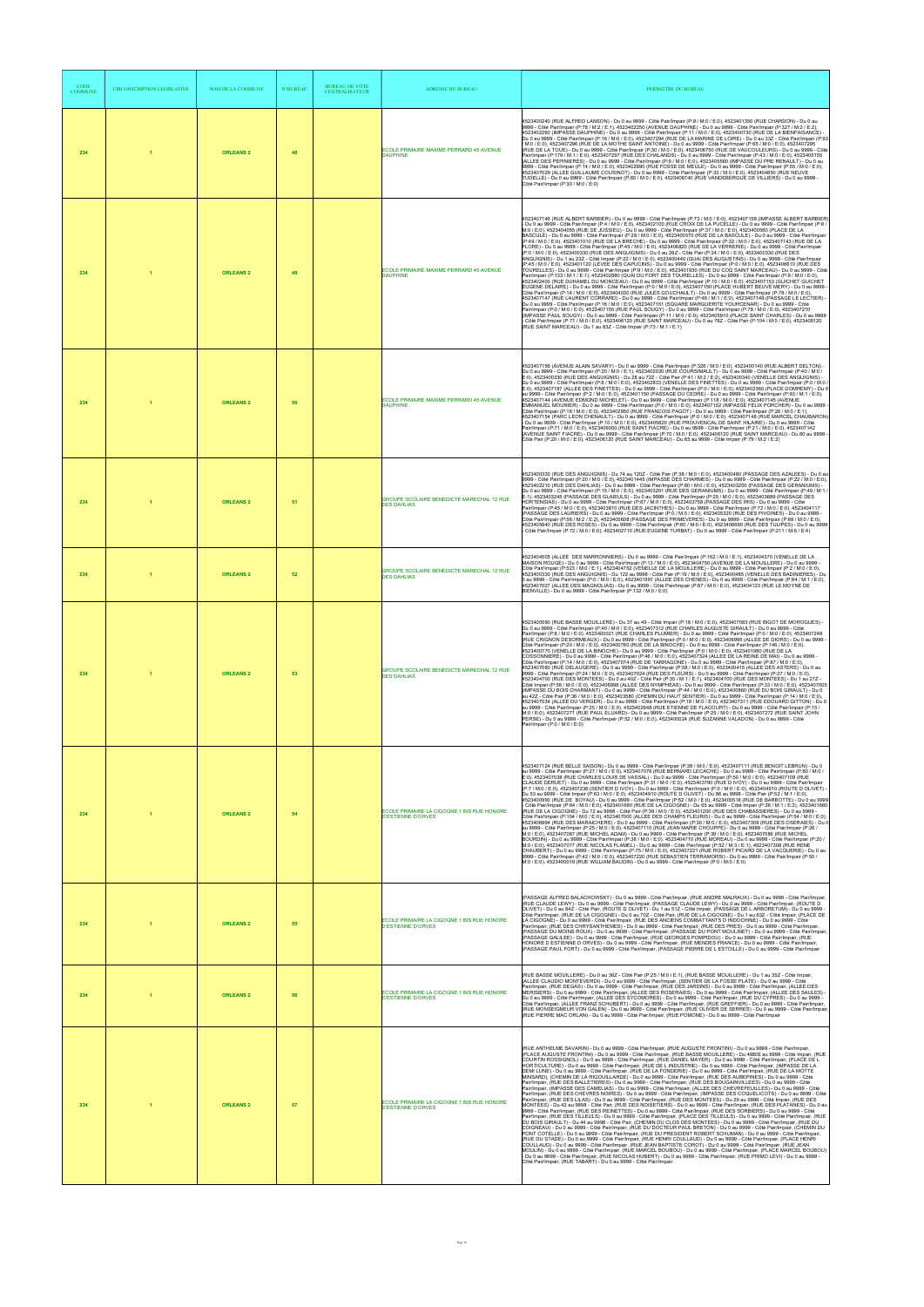| <b>CODE</b><br><b>COMMUNE</b> | <b>CIRCONSCRIPTION LEGISLATIVE</b> | NOM DE LA COMMUNE | <b>N°BUREAU</b> | <b>BUREAU DE VOTE</b><br><b>CENTRALISATEUR</b> | <b>ADRESSE DU BUREAU</b>                                                | PERIMETRE DU BUREAU                                                                                                                                                                                                                                                                                                                                                                                                                                                                                                                                                                                                                                                                                                                                                                                                                                                                                                                                                                                                                                                                                                                                                                                                                                                                                                                                                                                                                                                                                                                                                                                                                                                                                                                                                                                                                                                                                                                                                                                                                                                                                                                                                                                                                                                                                                                                                                                                                                                                                                                                                                                                        |
|-------------------------------|------------------------------------|-------------------|-----------------|------------------------------------------------|-------------------------------------------------------------------------|----------------------------------------------------------------------------------------------------------------------------------------------------------------------------------------------------------------------------------------------------------------------------------------------------------------------------------------------------------------------------------------------------------------------------------------------------------------------------------------------------------------------------------------------------------------------------------------------------------------------------------------------------------------------------------------------------------------------------------------------------------------------------------------------------------------------------------------------------------------------------------------------------------------------------------------------------------------------------------------------------------------------------------------------------------------------------------------------------------------------------------------------------------------------------------------------------------------------------------------------------------------------------------------------------------------------------------------------------------------------------------------------------------------------------------------------------------------------------------------------------------------------------------------------------------------------------------------------------------------------------------------------------------------------------------------------------------------------------------------------------------------------------------------------------------------------------------------------------------------------------------------------------------------------------------------------------------------------------------------------------------------------------------------------------------------------------------------------------------------------------------------------------------------------------------------------------------------------------------------------------------------------------------------------------------------------------------------------------------------------------------------------------------------------------------------------------------------------------------------------------------------------------------------------------------------------------------------------------------------------------|
| 234                           | и                                  | <b>ORLEANS 2</b>  | 48              |                                                | ECOLE PRIMAIRE MAXIME PERRARD 45 AVENUE<br><b>DAUPHINE</b>              | 4523400240 (RUE ALFRED LANSON) - Du 0 au 9999 - Côté Pair/Impair (P:9 / M:0 / E:0), 4523401350 (RUE CHARDON) - Du 0 au<br>9999 - Côté Pair/Impair (P:78 / M:2 / E:1), 4523402250 (AVENUE DAUPHINE) - Du 0 au 9999 - Côté Pair/Impair (P:327 / M:2 / E:2),<br>4523402260 (IMPASSE DAUPHINE) - Du 0 au 9999 - Côté Pair/Impair (P:11 / M:0 / E:0), 4523400730 (RUE DE LA BIENFAISANCE) ·<br>Du 0 au 9999 - Côté Pair/Impair (P:16 / M:0 / E:0), 4523407294 (RUE DE LA MARINE DE LOIRE) - Du 0 au 33Z - Côté Pair/Impair (P:93<br>.<br>7 M:0 / E:0), 4523407296 (RUE DE LA MOTHE SAINT ANTOINE) - Du 0 au 9999 - Côté Pair/Impair (P:65 / M:0 / E:0), 4523407295<br>(RUE DE LA TOUE) - Du 0 au 9999 - Côté Pair/Impair (P:30 / M:0 / E:0), 4523406750 (RUE DE VAUCOULEURS) - Du 0 au 9999 - Côté<br>.<br>Pair/Impair (P:179 / M:1 / E:0), 4523407297 (RUE DES CHALANDS) - Du 0 au 9999 - Côté Pair/Impair (P:43 / M:0 / E:0), 4523405155<br>(ALLEE DES PEPINIERES) - Du 0 au 9999 - Côté Pair/Impair (P:9 / M:0 / E:0), 4523405560 (IMPASSE DU PRE RENAULT) - Du 0 au<br>.<br>9999 - Côté Pair/Impair (P:14 / M:0 / E:0), 4523402890 (RUE FOSSE DE MEÚLE) - Du 0 au 9999 - Côté Pair/Impair (P:55 / M:0 / E:0),<br>4523407029 (ALLEE GUILLAUME COUSINOT) - Du 0 au 9999 - Côté Pair/Impair (P:33 / M:0 / E:0), 4523404850 (RUE NEUVE<br>TUDELLE) - Du 0 au 9999 - Côté Pair/Impair (P:80 / M:0 / E:0), 4523406740 (RUE VANDEBERGUE DE VILLIERS) - Du 0 au 9999 -<br>Côté Pair/Impair (P:30 / M:0 / E:0)                                                                                                                                                                                                                                                                                                                                                                                                                                                                                                                                                                                                                                                                                                                                                                                                                                                                                                                                                                                                                                                                                                                       |
| 234                           |                                    | <b>ORLEANS 2</b>  | 49              |                                                | ECOLE PRIMAIRE MAXIME PERRARD 45 AVENUE<br><b>DAUPHINE</b>              | 4523407146 (RUE ALBERT BARBIER) - Du 0 au 9999 - Côté Pair/Impair (P:73 / M:0 / E:0), 4523407158 (IMPASSE ALBERT BARBIER)<br>- Du 0 au 9999 - Côté Pair/Impair (P:4 / M:0 / E:0), 4523402100 (RUE CROIX DE LA PUCELLE) - Du 0 au 9999 - Côté Pair/Impair (P:6 /<br>M:0 / E:0), 4523404055 (RUE DE JUSSIEU) - Du 0 au 9999 - Côté Pair/Impair (P:37 / M:0 / E:0), 4523400560 (PLACE DE LA<br>BASCULE) - Du 0 au 9999 - Côté Pair/Impair (P:28 / M:0 / E:0), 4523400570 (RUE DE LA BASCULE) - Du 0 au 9999 - Côté Pair/Impair<br>(P:49 / M:0 / E:0), 4523401010 (RUE DE LA BRECHE) - Du 0 au 9999 - Côté Pair/Impair (P:32 / M:0 / E:0), 4523407143 (RUE DE LA<br>FLORE) - Du 0 au 9999 - Côté Pair/Impair (P:45 / M:0 / E:0), 4523406820 (RUE DE LA VERRERIE) - Du 0 au 9999 - Côté Pair/Impair<br>(P:0 / M:0 / E:0), 4523400330 (RUE DES ANGUIGNIS) - Du 0 au 26Z - Côté Pair (P:24 / M:0 / E:0), 4523400330 (RUE DES<br>ANGUIGNIS) - Du 1 au 23Z - Côté Impair (P:22 / M:0 / E:0), 4523400440 (QUAI DES AUGUSTINS) - Du 0 au 9999 - Côté Pair/Impair<br>(P:45 / M:0 / E:0), 4523401120 (LEVEE DES CAPUCINS) - Du 0 au 9999 - Côté Pair/Impair (P:0 / M:0 / E:0), 4523406610 (RUE DES<br>TOURELLES) - Du 0 au 9999 - Côté Pair/Impair (P:9 / M:0 / E:0), 4523401930 (RUE DU COQ SAINT MARCEAU) - Du 0 au 9999 - Côté<br>Pair/Impair (P:133 / M:1 / E:1), 4523402880 (QUÀI DU FORT DÉS TOURELLES) - Du 0 au 9999 - Côté Pair/Impair (P:9 / M:0 / E:0),<br>4523402400 (RUE DUHAMEL DU MONCEAU) - Du 0 au 9999 - Côté Pair/Impair (P:10 / M:0 / E:0), 4523407153 (GUICHET GUICHET<br>EUGENE DELAIRE) - Du 0 au 9999 - Côté Pair/Impair (P:0 / M:0 / E:0), 4523407150 (PLACE HUBERT BEUVE MERY) - Du 0 au 9999<br>Côté Pair/Impair (P:14 / M:0 / E:0), 4523404030 (RUE JULES GOUCHAULT) - Du 0 au 9999 - Côté Pair/Impair (P:78 / M:0 / E:0),<br>4523407147 (RUE LAURENT CORRARD) - Du 0 au 9999 - Côté Pair/Impair (P:46 / M:1 / E:0), 4523407149 (PASSAGE LE LECTIER)<br>Du 0 au 9999 - Côté Pair/Impair (P.16 / M.0 / E.0), 4523407151 (SQUARE MARGUERITE YOURCENAR) - Du 0 au 9999 - Côté<br>Pair/Impair (P:0 / M:0 / E.0), 4523407155 (RUE PAUL SOUGY) - Du 0 au 9999 - Côté Pair/Impair (P.78 / M:0 /<br>(IMPASSE PAUL SOUGY) - Du 0 au 9999 - Côté Pair/Impair (P:11 / M:0 / E:0). 4523405910 (PLACE SAINT CHARLES) - Du 0 au 9999<br>.<br>- Côté Pair/Impair (P:71 / M:0 / E:0), 4523406120 (RUE SAINT MARCEAU) - Du 0 au 78Z - Côté Pair (P:104 / M:0 / E:0), 4523406120<br>(RUE SAINT MARCEAU) - Du 1 au 83Z - Côté Impair (P:73 / M:1 / E:1)                                                                        |
| 234                           |                                    | <b>ORLEANS 2</b>  | 50              |                                                | ECOLE PRIMAIRE MAXIME PERRARD 45 AVENUE<br><b>DAUPHINE</b>              | 4523407156 (AVENUE ALAIN SAVARY) - Du 0 au 9999 - Côté Pair/Impair (P:326 / M:0 / E:0), 4523400140 (RUE ALBERT DELTON) -<br>Du 0 au 9999 - Côté Pair/Impair (P:20 / M:0 / E:1), 4523402030 (RUE COURSIMAULT) - Du 0 au 9999 - Côté Pair/Impair (P:40 / M:0 /<br>E:0), 4523400330 (RUE DES ANGUIGNIS) - Du 28 au 72Z - Côté Pair (P:41 / M:2 / E:2), 4523400340 (VENELLE DES ANGUIGNIS) -<br>Du 0 au 9999 - Côté Pair/Impair (P:6 / M:0 / E:0), 4523402833 (VENELLE DES FINETTES) - Du 0 au 9999 - Côté Pair/Impair (P:0 / M:0 /<br>E:0), 4523407187 (ALLEE DES FINETTES) - Du 0 au 9999 - Côté Pair/Impair (P:0 / M:0 / E:0), 4523402360 (PLACE DOMREMY) - Du 0<br>au 9999 - Côté Pair/Impair (P:2 / M:0 / E:0), 4523401150 (PASSAGE DU CEDRE) - Du 0 au 9999 - Côté Pair/Impair (P:93 / M:1 / E:0),<br>4523407144 (AVENUE EDMOND MICHELET) - Du 0 au 9999 - Côté Pair/Impair (P:118 / M:0 / E:0), 4523407145 (AVENUE<br>EMMANUEL MOUNIER) - Du 0 au 9999 - Côté Pair/Impair (P:0 / M:0 / E:0), 4523407152 (IMPASSE FELIX PORCHER) - Du 0 au 9999 -<br>Côté Pair/Impair (P:16 / M:0 / E:0), 4523402950 (RUE FRANCOIS PAGOT) - Du 0 au 9999 - Côté Pair/Impair (P:26 / M:0 / E:1),<br>4523407154 (PARC LEON CHENAULT) - Du 0 au 9999 - Côté Pair/Impair (P:0 / M:0 / E:0), 4523407148 (RUE MARCEL CHAUBARON)<br>- Du 0 au 9999 - Côté Pair/Impair (P:10 / M:0 / E:0), 4523405620 (RUE PROUVENCAL DE SAINT HILAIRE) - Du 0 au 9999 - Côté<br>Pair/Impair (P:71 / M:0 / E:0), 4523406000 (RUE SAINT FIACRE) - Du 0 au 9999 - Côté Pair/Impair (P:21 / M:0 / E:0), 4523407142<br>(AVENUE SAINT FIACRE) - Du 0 au 9999 - Côté Pair/Impair (P:70 / M:0 / E:0), 4523406120 (RUE SAINT MARCEAU) - Du 80 au 9998 -<br>Côté Pair (P:20 / M:0 / E:0), 4523406120 (RUE SAINT MARCEAU) - Du 85 au 9999 - Côté Impair (P:79 / M:2 / E:2)                                                                                                                                                                                                                                                                                                                                                                                                                                                                                                                                                                                                                                                                                                                                                                                                 |
| 234                           |                                    | <b>ORLEANS 2</b>  | 51              |                                                | GROUPE SCOLAIRE BENEDICTE MARECHAL 12 RUE<br><b>DES DAHLIAS</b>         | 4523400330 (RUE DES ANGUIGNIS) - Du 74 au 120Z - Côté Pair (P:38 / M:0 / E:0), 4523400480 (PASSAGE DES AZALEES) - Du 0 au<br>9999 - Côté Pair/Impair (P:20 / M:0 / E:0), 4523401445 (IMPASSE DES CHARMES) - Du 0 au 9999 - Côté Pair/Impair (P:22 / M:0 / E:0),<br>4523402210 (RUE DES DAHLIAS) - Du 0 au 9999 - Côté Pair/Impair (P:80 / M:0 / É:0), 4523403200 (PASSAGE DES GERANIUMS) -<br>Du 0 au 9999 - Côté Pair/Impair (P:15 / M:0 / E:0), 4523403201 (RUE DES GERANIUMS) - Du 0 au 9999 - Côté Pair/Impair (P:49 / M:1 /<br>E:1), 4523403245 (PASSAGE DES GLAIEULS) - Du 0 au 9999 - Côté Pair/Impair (P:25 / M:0 / E:0), 4523403689 (PASSAGE DES<br>HORTENSIAS) - Du 0 au 9999 - Côté Pair/Impair (P:67 / M:0 / E:0), 4523403758 (PASSAGE DES IRIS) - Du 0 au 9999 - Côté<br>Pair/Impair (P:45 / M:0 / E:0), 4523403810 (RUE DES JACINTHES) - Du 0 au 9999 - Côté Pair/Impair (P:72 / M:0 / E:0), 4523404117<br>(PASSAGE DES LAURIERS) - Du 0 au 9999 - Côté Pair/Impair (P:0 / M:0 / E:0), 4523405320 (RUE DES PIVOINES) - Du 0 au 9999 -<br>Côté Pair/Impair (P:56 / M:2 / E:2), 4523405608 (PASSAGE DES PRIMEVERES) - Du 0 au 9999 - Côté Pair/Impair (P:68 / M:0 / E:0),<br>4523405840 (RUE DES ROSES) - Du 0 au 9999 - Côté Pair/Impair (P:60 / M:0 / E:0), 4523406690 (RUE DES TULIPES) - Du 0 au 9999<br>Côté Pair/Impair (P:72 / M:0 / E:0), 4523402710 (RUE EUGENE TURBAT) - Du 0 au 9999 - Côté Pair/Impair (P:211 / M:6 / E:4)                                                                                                                                                                                                                                                                                                                                                                                                                                                                                                                                                                                                                                                                                                                                                                                                                                                                                                                                                                                                                                                                                                                                                                         |
| 234                           |                                    | <b>ORLEANS 2</b>  | 52              |                                                | GROUPE SCOLAIRE BENEDICTE MARECHAL 12 RUE<br><b>DES DAHLIAS</b>         | 523404505 (ALLEE DES MARRONNIERS) - Du 0 au 9999 - Côté Pair/Impair (P:162 / M:0 / E:1), 4523404370 (VENELLE DE LA<br>MAISON ROUGE) - Du 0 au 9999 - Côté Pair/Impair (P:13 / M:0 / E:0), 4523404750 (AVENUE DE LA MOUILLERE) - Du 0 au 9999<br>Côté Pair/Impair (P:523 / M:0 / E:1), 4523404752 (VENELLE DE LA MOUILLERE) - Du 0 au 9999 - Côté Pair/Impair (P:2 / M:0 / E:0),<br>4523400330 (RUE DES ANGUIGNIS) - Du 122 au 9998 - Côté Pair (P:19 / M:0 / É:0), 4523400485 (VENELLE DES BADINIERES) - Du<br>0 au 9999 - Côté Pair/Impair (P:0 / M:0 / E:0), 4523401591 (ALLEE DES CHENES) - Du 0 au 9999 - Côté Pair/Impair (P:94 / M:1 / E:0),<br>4523407027 (ALLEE DES MAGNOLIAS) - Du 0 au 9999 - Côté Pair/Impair (P:67 / M:0 / E:0), 4523404123 (RUE LE MOYNE DE<br>BIENVILLE) - Du 0 au 9999 - Côté Pair/Impair (P:132 / M:0 / E:0)                                                                                                                                                                                                                                                                                                                                                                                                                                                                                                                                                                                                                                                                                                                                                                                                                                                                                                                                                                                                                                                                                                                                                                                                                                                                                                                                                                                                                                                                                                                                                                                                                                                                                                                                                                               |
| 234                           |                                    | <b>ORLEANS 2</b>  | 53              |                                                | GROUPE SCOLAIRE BENEDICTE MARECHAL 12 RUE<br><b>DES DAHLIAS</b>         | 4523400590 (RUE BASSE MOUILLERE) - Du 37 au 49 - Côté Impair (P:18 / M:0 / E:0), 4523407083 (RUE BIGOT DE MOROGUES) -<br>Du 0 au 9999 - Côté Pair/Impair (P:40 / M:0 / E:0), 4523407312 (RUE CHARLES AUGUSTE GIRAULT) - Du 0 au 9999 - Côté<br>Pair/Impair (P:8 / M:0 / E:0), 4523400021 (RUE CHARLES PLUMIER) - Du 0 au 9999 - Côté Pair/Impair (P:0 / M:0 / E:0), 4523407248<br>(RUE CRIGNON DESORMEAUX) - Du 0 au 9999 - Côté Pair/Impair (P:0 / M:0 / E:0), 4523406995 (ALLEE DE DIORS) - Du 0 au 9999 -<br>Côté Pair/Impair (P:20 / M:0 / E:0), 4523400760 (RUE DE LA BINOCHE) - Du 0 au 9999 - Côté Pair/Impair (P:146 / M:0 / E:0),<br>4523400770 (VENELLE DE LA BINOCHE) - Du 0 au 9999 - Côté Pair/Impair (P:0 / M:0 / E:0), 4523401980 (RUE DE LA<br>COSSONNIERE) - Du 0 au 9999 - Côté Pair/Impair (P:46 / M:0 / E:0), 4523407324 (ALLEE DE LA REINE DE MAI) - Du 0 au 9999 -<br>Côté Pair/Impair (P:14 / M:0 / E:0), 4523407074 (RUE DE TARRAGONE) - Du 0 au 9999 - Côté Pair/Impair (P:87 / M:0 / E:0),<br>4523407080 (RUE DELAUGERE) - Du 0 au 9999 - Côté Pair/Impair (P:58 / M:0 / E:0), 4523400415 (ALLEE DES ASTERS) - Du 0 au<br>9999 - Côté Pair/Impair (P:24 / M:0 / E:0), 4523407024 (RUE DES FLEURS) - Du 0 au 9999 - Côté Pair/Impair (P:27 / M:0 / E:0),<br>4523404700 (RUE DES MONTEES) - Du 0 au 40Z - Côté Pair (P:35 / M:1 / E:1), 4523404700 (RUE DES MONTEES) - Du 1 au 27Z -<br>Côté Impair (P:58 / M:0 / E:0), 4523406998 (ALLEE DES NYMPHEAS) - Du 0 au 9999 - Côté Pair/Impair (P:33 / M:0 / E:0), 4523407005<br>(IMPASSE DU BOIS CHARMANT) - Du 0 au 9999 - Côté Pair/Impair (P:44 / M:0 / E:0), 4523400860 (RUE DU BOIS GIRAULT) - Du 0<br>au 42Z - Côté Pair (P:36 / M:0 / E:0), 4523403580 (CHEMIN DU HAUT SENTIER) - Du 0 au 9999 - Côté Pair/Impair (P:14 / M:0 / E:0),<br>4523407034 (ALLEE DU VERGER) - Du 0 au 9999 - Côté Pair/Impair (P:19 / M:0 / E:0), 4523407311 (RUE EDOUARD GITTON) - Du 0<br>au 9999 - Côté Pair/Impair (P:25 / M:0 / E:0), 4523402648 (RUE ETIENNE DE FLACOURT) - Du 0 au 9999 - Côté Pair/Impair (P:15 /<br>M:0 / E:0), 4523407271 (RÚE PAUL ELUARD) - Du 0 au 9999 - Côté Pair/Impair (P:25 / M:0 / E:0), 4523407272 (RUE SAINT JOHN<br>PERSE) - Du 0 au 9999 - Côté Pair/Impair (P:52 / M:0 / E:0), 4523400024 (RUE SUZANNE VALADON) - Du 0 au 9999 - Côté<br>Pair/Impair (P:0 / M:0 / E:0)                                                                                                                                                                                                                                                        |
| 234                           |                                    | <b>ORLEANS 2</b>  | 54              |                                                | ECOLE PRIMAIRE LA CIGOGNE 1 BIS RUE HONORE<br><b>D'ESTIENNE D'ORVES</b> | 4523407124 (RUE BELLE SAISON) - Du 0 au 9999 - Côté Pair/Impair (P:38 / M:0 / E:0), 4523407111 (RUE BENOIT LEBRUN) - Du 0<br>au 9999 - Côté Pair/Impair (P:27 / M:0 / E:0), 4523407076 (RUE BERNARD LECACHE) - Du 0 au 9999 - Côté Pair/Impair (P:80 / M:0 /<br>E:0), 4523407038 (RUE CHARLES LOUIS DE VASSAL) - Du 0 au 9999 - Côté Pair/Impair (P:50 / M:0 / E:0), 4523407109 (RUE<br>CLAUDE DERUET) - Du 0 au 9999 - Côté Pair/Impair (P:31 / M:0 / E:0), 4523403790 (RUE D IVOY) - Du 0 au 9999 - Côté Pair/Impair<br>(P:7 / M:0 / E:0), 4523407236 (SENTIER D IVOY) - Du 0 au 9999 - Côté Pair/Impair (P:0 / M:0 / E:0), 4523404910 (ROUTE D OLIVET)<br>Du 53 au 9999 - Côté Impair (P:63 / M:0 / E:0), 4523404910 (ROUTE D OLIVET) - Du 86 au 9998 - Côté Pair (P:52 / M:1 / E:0),<br>4523400990 (RUE DE BOYAU) - Du 0 au 9999 - Côté Pair/Impair (P:52 / M:0 / E:0), 4523400516 (RUE DE BARBOTTE) - Du 0 au 9999<br>Côté Pair/Impair (P:64 / M:0 / E:0), 4523401660 (RUE DE LA CIGOGNE) - Du 65 au 9999 - Côté Impair (P:36 / M:1 / E:2), 4523401660<br>(RUE DE LA CIGOGNE) - Du 72 au 9998 - Côté Pair (P:39 / M:0 / E:0), 4523401200 (RUE DES CHABASSIERES) - Du 0 au 9999 -<br>Côté Pair/Impair (P:104 / M:0 / E:0), 4523407000 (ALLEE DES CHAMPS FLEURIS) - Du 0 au 9999 - Côté Pair/Impair (P:54 / M:0 / E:0),<br>4523406994 (RUE DES MARAICHERS) - Du 0 au 9999 - Côté Pair/Impair (P:30 / M:0 / E:0), 4523407309 (RUE DES OSERAIES) - Du 0<br>au 9999 - Côté Pair/Impair (P:25 / M:0 / E:0), 4523407110 (RUE JEAN MARIE CHOUPPE) - Du 0 au 9999 - Côté Pair/Impair (P:26 /<br>M:0 / E:0), 4523407087 (RUE MICHEL ADAM) - Du 0 au 9999 - Côté Pair/Impair (P:39 / M:0 / E:0), 4523407086 (RUE MICHEL<br>/ BOURDIN) - Du 0 au 9999 - Côté Pair/Impair (P:38 / M:0 / E:0), 4523404710 (RUE MOREAU) - Du 0 au 9999 - Côté Pair/Impair (P:20<br>M:0 / E:0), 4523407077 (RUE NICOLAS FLAMEL) - Du 0 au 9999 - Côté Pair/Impair (P:52 / M:3 / E:1), 4523407308 (RUE RENE<br>CHAUBERT) - Du 0 au 9999 - Côté Pair/Impair (P:75 / M:0 / E:0), 4523407221 (RUE ROBERT PICARD DE LA VACQUERIE) - Du 0 au<br>9999 - Côté Pair/Impair (P:42 / M:0 / E:0), 4523407220 (RUE SEBASTIEN TERRAMORSI) - Du 0 au 9999 - Côté Pair/Impair (P:50 /<br>M:0 / E:0), 4523400019 (RUE WILLIAM BAUDIN) - Du 0 au 9999 - Côté Pair/Impair (P:0 / M:0 / E:0)                                                                                                                                                                                                                                                                              |
| 234                           |                                    | <b>ORLEANS 2</b>  | 55              |                                                | ECOLE PRIMAIRE LA CIGOGNE 1 BIS RUE HONORE<br><b>D'ESTIENNE D'ORVES</b> | (PASSAGE ALFRED BALACHOWSKY) - Du 0 au 9999 - Côté Pair/Impair, (RUE ANDRE MALRAUX) - Du 0 au 9999 - Côté Pair/Impair,<br>(RUE CLAUDE LEWY) - Du 0 au 9999 - Côté Pair/Impair, (PASSAGE CLAUDE LEWY) - Du 0 au 9999 - Côté Pair/Impair, (ROUTE D<br>OLIVET) - Du 0 au 842 - Côté Pair, (ROUTE D OLIVET) - Du 1 au 51Z - Côté Impair, (PASSAGE DE L ARBORETUM) - Du 0 au 9999 -<br>Côté Pair/Impair, (RUE DE LA CIGOGNE) - Du 0 au 70Z - Côté Pair, (RUE DE LA CIGOGNE) - Du 1 au 63Z - Côté Impair, (PLACE DE<br>LA CIGOGNE) - Du 0 au 9999 - Côté Pair/Impair, (RUE DES ANCIENS COMBATTANTS D INDOCHINE) - Du 0 au 9999 - Côté<br>Pair/Impair, (RUE DES CHRYSANTHEMES) - Du 0 au 9999 - Côté Pair/Impair, (RUE DES PRES) - Du 0 au 9999 - Côté Pair/Impair,<br>(PASSAGE DU MOINS ROUX) - Du 0 au 9999 - Côté Pair/Impair, (PASSAGE DU PONT MOULINET) - Du 0 au 9999 - Côté Pair/Impair,<br>(PASSAGE GALILEE) - Du 0 au 9999 - Côté Pair/Impair. (RUE GEORGES POMPIDOU) - Du 0 au 9999 - Côté Pair/Impair. (RUE<br>HONORE D ESTIENNE D ORVES) - Du 0 au 9999 - Côté Pair/Impair, (RUE MENDES FRANCE) - Du 0 au 9999 - Côté Pair/Impair,<br>(PASSAGE PAUL FORT) - Du 0 au 9999 - Côté Pair/Impair, (PASSAGE PIERRE DE L ESTOILLE) - Du 0 au 9999 - Côté Pair/Impair                                                                                                                                                                                                                                                                                                                                                                                                                                                                                                                                                                                                                                                                                                                                                                                                                                                                                                                                                                                                                                                                                                                                                                                                                                                                                                                                                         |
| 234                           |                                    | <b>ORLEANS 2</b>  | 56              |                                                | ECOLE PRIMAIRE LA CIGOGNE 1 BIS RUE HONORE<br><b>D'ESTIENNE D'ORVES</b> | (RUE BASSE MOUILLERE) - Du 0 au 36Z - Côté Pair (P:25 / M:0 / E:1), (RUE BASSE MOUILLERE) - Du 1 au 35Z - Côté Impair,<br>(ALLEE CLAUDIO MONTEVERDI) - Du 0 au 9999 - Côté Pair/Impair, (SENTIER DE LA FOSSE PLATE) - Du 0 au 9999 - Côté<br>.<br>Pair/Impair, (RUE DEGAS) - Du 0 au 9999 - Côté Pair/Impair, (RÚE DÈS JARDINS) - Du 0 au 9999 - Côté Pair/Impair, (ALLEE DES<br>MERISIERS) - Du 0 au 9999 - Côté Pair/Impair, (ALLEE DES ROSERAIES) - Du 0 au 9999 - Côté Pair/Impair, (ALLEE DES SAULES) -<br>Du 0 au 9999 - Côté Pair/Impair, (ALLEE DES SYCOMORES) - Du 0 au 9999 - Côté Pair/Impair, (RUE DU CYPRES) - Du 0 au 9999 -<br>Côté Pair/Impair, (ALLEE FRANZ SCHUBERT) - Du 0 au 9999 - Côté Pair/Impair, (RUE GREFFIER) - Du 0 au 9999 - Côté Pair/Impair,<br>(RUE MONSEIGNEUR VON GALEN) - Du 0 au 9999 - Côté Pair/Impair, (RUE OLIVIER DE SERRES) - Du 0 au 9999 - Côté Pair/Impair<br>(RUE PIERRE MAC ORLAN) - Du 0 au 9999 - Côté Pair/Impair, (RUE POMONE) - Du 0 au 9999 - Côté Pair/Impair                                                                                                                                                                                                                                                                                                                                                                                                                                                                                                                                                                                                                                                                                                                                                                                                                                                                                                                                                                                                                                                                                                                                                                                                                                                                                                                                                                                                                                                                                                                                                                                                        |
| 234                           |                                    | <b>ORLEANS 2</b>  | 57              |                                                | ECOLE PRIMAIRE LA CIGOGNE 1 BIS RUE HONORE<br>D'ESTIENNE D'ORVES        | (RUE ANTHELME SAVARIN) - Du 0 au 9999 - Côté Pair/Impair, (RUE AUGUSTE FRONTINI) - Du 0 au 9999 - Côté Pair/Impair<br>(PLACE AUGUSTE FRONTINI) - Du 0 au 9999 - Côté Pair/Impair, (RUE BASSE MOUILLERE) - Du 49BIS au 9999 - Côté Impair, (RUE<br>COURTIN ROSSIGNOL) - Du Ó au 9999 - Côté Pair/Impair, (RUE DANIEL MAYER) - Du 0 au 9999 - Côté Pair/Impair, (PLACE DE L<br>HORTICULTURE) - Du 0 au 9999 - Côté Pair/Impair, (RUE DE L INDUSTRIE) - Du 0 au 9999 - Côté Pair/Impair, (IMPASSE DE LA<br>DEMI LUNE) - Du 0 au 9999 - Côté Pair/Impair, (RUE DE LA FONDERIE) - Du 0 au 9999 - Côté Pair/Impair, (RUE DE LA MOTTE<br>MINSARD), (CHEMIN DE LA RIGOUILLARDE) - Du 0 au 9999 - Côté Pair/Impair, (RUE DES AUBEPINES) - Du 0 au 9999 - Côté<br>Pair/Impair. (RUE DES BALLETIERES) - Du 0 au 9999 - Côté Pair/Impair. (RUE DÈS BOUGAINVILLEES) - Du 0 au 9999 - Côté<br>Pair/Impair, (IMPASSE DES CAMELIAS) - Du 0 au 9999 - Côté Pair/Impair, (ALLEE DES CHEVREFEUILLES) - Du 0 au 9999 - Côté<br>Pair/Impair, (RUE DES CHEVRES NOIRES) - Du 0 au 9999 - Côté Pair/Impair, (IMPASSE DES COQUELICOTS) - Du 0 au 9999 - Côté<br>Pair/Impair, (RUE DES LILAS) - Du 0 au 9999 - Côté Pair/Impair, (RUE DES MONTEES) - Du 29 au 9999 - Côté Impair, (RUE DES<br>MONTÉES) - Du 42 au 9998 - Côté Pair, (RUE DES NOISETIERS) - Du 0 au 9999 - Côté Pair/Impair, (RUE DES PLATANES) - Du 0 au<br>9999 - Côté Pair/Impair, (RUE DES REINETTES) - Du 0 au 9999 - Côté Pair/Impair, (RUE DES SORBIERS) - Du 0 au 9999 - Côté<br>Pair/Impair, (RUE DES TILLEULS) - Du 0 au 9999 - Côté Pair/Impair, (PLACE DES TILLEULS) - Du 0 au 9999 - Côté Pair/Impair, (RUE<br>DU BOIS GIRAULT) - Du 44 au 9998 - Côté Pair, (CHEMIN DU CLOS DES MONTEES) - Du 0 au 9999 - Côté Pair/Impair, (RUE DU<br>COIGNEAU) - Du 0 au 9999 - Côté Pair/Impair, (RUE DU DOCTEUR PAUL BRETON) - Du 0 au 9999 - Côté Pair/Impair, (CHEMIN DU<br>PONT COTELLE) - Du 0 au 9999 - Côté Pair/Impair, (RUE DU PRESIDENT ROBERT SCHUMAN) - Du 0 au 9999 - Côté Pair/Impair,<br>(RUE DU STADE) - Du 0 au 9999 - Côté Pair/Impair, (RUE HENRI COULLAUD) - Du 0 au 9999 - Côté Pair/Impair, (PLACE HENRI<br>COULLAUD) - Du 0 au 9999 - Côté Pair/Impair, (RUE JEAN BAPTISTE COROT) - Du 0 au 9999 - Côté Pair/Impair, (RUE JEAN<br>MOULIN) - Du 0 au 9999 - Côté Pair/Impair, (RUE MARCEL BOUBOU) - Du 0 au 9999 - Côté Pair/Impair, (PLACE MARCEL BOUBOU)<br>- Du 0 au 9999 - Côté Pair/Impair, (RUE NICOLAS HUBERT) - Du 0 au 9999 - Côté Pair/Impair, (RUE PRIMO LEVI) - Du 0 au 9999 -<br>Côté Pair/Impair, (RUE TABART) - Du 0 au 9999 - Côté Pair/Impair |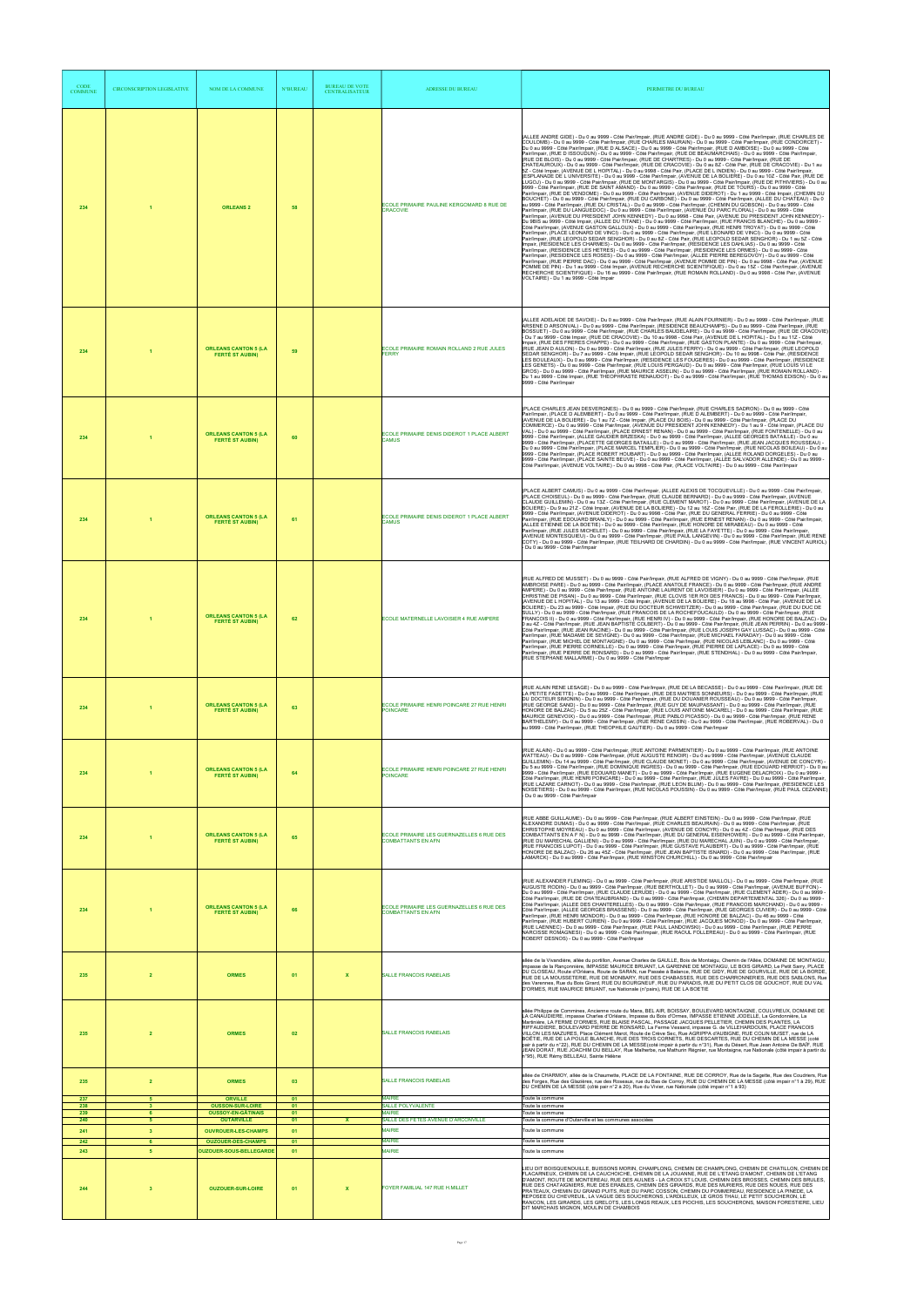| <b>CODE</b><br><b>COMMUNE</b> | CIRCONSCRIPTION LEGISLATIVE   | NOM DE LA COMMUNE                                          | <b>N°BUREAU</b> | <b>BUREAU DE VOTE</b><br><b>CENTRALISATEUR</b> | <b>ADRESSE DU BUREAU</b>                                               | PERIMETRE DU BUREAU                                                                                                                                                                                                                                                                                                                                                                                                                                                                                                                                                                                                                                                                                                                                                                                                                                                                                                                                                                                                                                                                                                                                                                                                                                                                                                                                                                                                                                                                                                                                                                                                                                                                                                                                                                                                                                                                                                                                                                                                                                                                                                                                                                                                                                                                                                                                                                                                                                                                                                                                                                                                                                                                                                                                                                                                                                                                                                                                                                                                                                                                                                                                                                                           |
|-------------------------------|-------------------------------|------------------------------------------------------------|-----------------|------------------------------------------------|------------------------------------------------------------------------|---------------------------------------------------------------------------------------------------------------------------------------------------------------------------------------------------------------------------------------------------------------------------------------------------------------------------------------------------------------------------------------------------------------------------------------------------------------------------------------------------------------------------------------------------------------------------------------------------------------------------------------------------------------------------------------------------------------------------------------------------------------------------------------------------------------------------------------------------------------------------------------------------------------------------------------------------------------------------------------------------------------------------------------------------------------------------------------------------------------------------------------------------------------------------------------------------------------------------------------------------------------------------------------------------------------------------------------------------------------------------------------------------------------------------------------------------------------------------------------------------------------------------------------------------------------------------------------------------------------------------------------------------------------------------------------------------------------------------------------------------------------------------------------------------------------------------------------------------------------------------------------------------------------------------------------------------------------------------------------------------------------------------------------------------------------------------------------------------------------------------------------------------------------------------------------------------------------------------------------------------------------------------------------------------------------------------------------------------------------------------------------------------------------------------------------------------------------------------------------------------------------------------------------------------------------------------------------------------------------------------------------------------------------------------------------------------------------------------------------------------------------------------------------------------------------------------------------------------------------------------------------------------------------------------------------------------------------------------------------------------------------------------------------------------------------------------------------------------------------------------------------------------------------------------------------------------------------|
| 234                           |                               | <b>ORLEANS 2</b>                                           | 58              |                                                | ECOLE PRIMAIRE PAULINE KERGOMARD 8 RUE DE<br><b>CRACOVIE</b>           | (ALLEE ANDRE GIDE) - Du 0 au 9999 - Côté Pair/Impair, (RUE ANDRE GIDE) - Du 0 au 9999 - Côté Pair/Impair, (RUE CHARLES DE<br>COULOMB) - Du 0 au 9999 - Côté Pair/Impair, (RUE CHARLES MAURAIN) - Du 0 au 9999 - Côté Pair/Impair, (RUE CONDORCET) -<br>Du 0 au 9999 - Côté Pair/Impair, (RUE D ALSACE) - Du 0 au 9999 - Côté Pair/Impair, (RUE D AMBOISE) - Du 0 au 9999 - Côté<br>Pair/Impair, (RUE D ISSOUDUN) - Du 0 au 9999 - Côté Pair/Impair, (RUE DE BEAUMARCHAIS) - Du 0 au 9999 - Côté Pair/Impair,<br>(RUE DE BLOIS) - Du 0 au 9999 - Côté Pair/Impair, (RUE DE CHARTRES) - Du 0 au 9999 - Côté Pair/Impair, (RUE DE<br>CHATEAUROUX) - Du 0 au 9999 - Côté Pair/Impair, (RUE DE CRACOVIE) - Du 0 au 8Z - Côté Pair, (RUE DE CRACOVIE) - Du 1 au<br>5Z - Côté Impair, (AVENUE DE L HOPITAL) - Du 0 au 9998 - Côté Pair, (PLACE DE L INDIEN) - Du 0 au 9999 - Côté Pair/Impair,<br>(ESPLANADE DE L UNIVERSITE) - Du 0 au 9999 - Côté Pair/Impair, (AVENUE DE LA BOLIERE) - Du 0 au 10Z - Côté Pair, (RUE DE<br>LUGOJ) - Du 0 au 9999 - Côté Pair/Impair, (RUE DE MONTARGIS) - Du 0 au 9999 - Côté Pair/Impair, (RUE DE PITHIVIERS) - Du 0 au<br>9999 - Côté Pair/Impair, (RUE DE SAINT AMAND) - Du 0 au 9999 - Côté Pair/Impair, (RUE DE TOURS) - Du 0 au 9999 - Côté<br>Pair/Impair, (RUE DE VENDOME) - Du 0 au 9999 - Côté Pair/Impair, (AVENUE DIDEROT) - Du 1 au 9999 - Côté Impair, (CHEMIN DU<br>BOUCHET) - Du 0 au 9999 - Côté Pair/Impair, (RUE DU CARBONE) - Du 0 au 9999 - Côté Pair/Impair, (ALLEE DU CHATEAU) - Du 0<br>au 9999 - Côté Pair/Impair, (RUE DU CRISTAL) - Du 0 au 9999 - Côté Pair/Impair, (CHEMIN DU GOBSON) - Du 0 au 9999 - Côté<br>Pair/Impair, (RUE DU LANGUEDOC) - Du 0 au 9999 - Côté Pair/Impair, (AVENUE DU PARC FLORAL) - Du 0 au 9999 - Côté<br>Pair/Impair, (AVENUE DU PRESIDENT JOHN KENNEDY) - Du 0 au 9998 - Côté Pair, (AVENUE DU PRESIDENT JOHN KENNEDY) -<br>Du 9BIS au 9999 - Côté Impair, (ALLEE DU TITANE) - Du 0 au 9999 - Côté Pair/Impair, (RUE FRANCIS BLANCHE) - Du 0 au 9999 -<br>Côté Pair/Impair, (AVENUE GASTON GALLOUX) - Du 0 au 9999 - Côté Pair/Impair, (RUE HENRI TROYAT) - Du 0 au 9999 - Côté<br>Pair/Impair, (PLACE LEONARD DE VINCI) - Du 0 au 9999 - Côté Pair/Impair, (RUE LEONARD DE VINCI) - Du 0 au 9999 - Côté<br>Pair/Impair, (RUE LEOPOLD SEDAR SENGHOR) - Du 0 au 8Z - Côté Pair, (RUE LEOPOLD SEDAR SENGHOR) - Du 1 au 5Z - Côté<br>Impair, (RESIDENCE LES CHARMES) - Du 0 au 9999 - Côté Pair/Impair, (RESIDENCE LES DAHLIAS) - Du 0 au 9999 - Côté<br>Pair/Impair, (RESIDENCE LES HETRES) - Du 0 au 9999 - Côté Pair/İmpair, (RESIDENCE LES ORMES) - Du 0 au 9999 - Côté<br>Pair/Impair, (RESIDENCE LES ROSES) - Du 0 au 9999 - Côté Pair/Impair, (ALLEE PIERRE BEREGOVOY) - Du 0 au 9999 - Côté<br>Pair/Impair, (RUE PIERRE DAC) - Du 0 au 9999 - Côté Pair/Impair, (AVENUE POMME DE PIN) - Du 0 au 9998 - Côté Pair, (AVENUE<br>POMME DE PIN) - Du 1 au 9999 - Côté Impair, (AVENUE RECHERCHE SCIENTIFIQUE) - Du 0 au 15Z - Côté Pair/Impair, (AVENUE<br>RECHERCHE SCIENTIFIQUE) - Du 16 au 9999 - Côté Pair/Impair, (RUE ROMAIN ROLLAND) - Du 0 au 9998 - Côté Pair, (AVENUE<br>VOLTAIRE) - Du 1 au 9999 - Côté Impair |
| 234                           |                               | <b>ORLEANS CANTON 5 (LA</b><br><b>FERTÉ ST AUBIN)</b>      | 59              |                                                | ECOLE PRIMAIRE ROMAIN ROLLAND 2 RUE JULES<br>FERRY                     | (ALLEE ADELAIDE DE SAVOIE) - Du 0 au 9999 - Côté Pair/Impair, (RUE ALAIN FOURNIER) - Du 0 au 9999 - Côté Pair/Impair, (RUE<br>ARSENE D ARSONVAL) - Du 0 au 9999 - Côté Pair/Impair, (RESIDENCE BEAUCHAMPS) - Du 0 au 9999 - Côté Pair/Impair, (RUE<br>BOSSUET) - Du 0 au 9999 - Côté Pair/Impair, (RUE CHARLES BAUDELAIRE) - Du 0 au 9999 - Côté Pair/Impair, (RUE DE CRACOVIE)<br>- Du 7 au 9999 - Côté Impair, (RUE DE CRACOVIE) - Du 10 au 9998 - Côté Pair, (AVENUE DE L HOPITAL) - Du 1 au 11Z - Côté<br>Impair, (RUE DES FRERES CHAPPE) - Du 0 au 9999 - Côté Pair/Impair, (RUE GASTON PLANTE) - Du 0 au 9999 - Côté Pair/Impair,<br>(RUE JEAN D AULON) - Du 0 au 9999 - Côté Pair/Impair, (RUE JULES FERRY) - Du 0 au 9999 - Côté Pair/Impair, (RUE LEOPOLD<br>SEDAR SENGHOR) - Du 7 au 9999 - Côté Impair, (RUE LEOPOLD SEDAR SENGHOR) - Du 10 au 9998 - Côté Pair, (RESIDENCE<br>LES BOULEAUX) - Du 0 au 9999 - Côté Pair/Impair, (RESIDENCE LES FOUGERES) - Du 0 au 9999 - Côté Pair/Impair, (RESIDENCE<br>LES GENETS) - Du 0 au 9999 - Côté Pair/Impair, (RUE LOUIS PERGAUD) - Du 0 au 9999 - Côté Pair/Impair, (RUE LOUIS VI LE<br>GROS) - Du 0 au 9999 - Côté Pair/Impair, (RUE MAURICE ASSELIN) - Du 0 au 9999 - Côté Pair/Impair, (RUE ROMAIN ROLLAND) -<br>Du 1 au 9999 - Côté Impair, (RUE THEOPHRASTE RENAUDOT) - Du 0 au 9999 - Côté Pair/Impair, (RUE THOMAS EDISON) - Du 0 au<br>9999 - Côté Pair/Impair                                                                                                                                                                                                                                                                                                                                                                                                                                                                                                                                                                                                                                                                                                                                                                                                                                                                                                                                                                                                                                                                                                                                                                                                                                                                                                                                                                                                                                                                                                                                                                                                                                                                                                                                                                                 |
| 234                           |                               | <b>ORLEANS CANTON 5 (LA</b><br><b>FERTÉ ST AUBIN)</b>      | 60              |                                                | ECOLE PRIMAIRE DENIS DIDEROT 1 PLACE ALBERT<br><b>CAMUS</b>            | (PLACE CHARLES JEAN DESVERGNES) - Du 0 au 9999 - Côté Pair/Impair, (RUE CHARLES SADRON) - Du 0 au 9999 - Côté<br>Pair/Impair, (PLACE D ALEMBERT) - Du 0 au 9999 - Côté Pair/Impair, (RUE D ALEMBERT) - Du 0 au 9999 - Côté Pair/Impair,<br>(AVENUE DE LA BOLIERE) - Du 1 au 7Z - Côté Impair, (PLACE DU BOIS) - Du 0 au 9999 - Côté Pair/Impair, (PLACE DU<br>COMMERCE) - Du 0 au 9999 - Côté Pair/Impair, (AVENUE DU PRESIDENT JOHN KENNEDY) - Du 1 au 9 - Côté Impair, (PLACE DU<br>VAL) - Du 0 au 9999 - Côté Pair/Impair, (PLACE ERNEST RENAN) - Du 0 au 9999 - Côté Pair/Impair, (RUE FONTENELLE) - Du 0 au<br>9999 - Côté Pair/Impair, (ALLEE GAUDIER BRZESKA) - Du 0 au 9999 - Côté Pair/Impair, (ALLEE GEORGES BATAILLE) - Du 0 au<br>9999 - Côté Pair/Impair, (PLACETTE GEORGES BATÁILLE) - Du 0 au 9999 - Côté Pair/Impair, (RUE JEAN JACQUES ROUSSEAU) -<br>Du 0 au 9999 - Côté Pair/Impair, (PLACE MARCEL TEMPLIER) - Du 0 au 9999 - Côté Pair/Impair, (RUE NICOLAS BOILEAU) - Du 0 au<br>9999 - Côté Pair/Impair, (PLACE ROBERT HOUBART) - Du 0 au 9999 - Côté Pair/Impair, (ALLEE ROLAND DORGELES) - Du 0 au<br>9999 - Côté Pair/Impair, (PLACE SAINTE BEUVE) - Du 0 au 9999 - Côté Pair/Impair, (ALLEE SALVADOR ALLENDE) - Du 0 au 9999 -<br>Côté Pair/Impair, (AVENUE VOLTAIRE) - Du 0 au 9998 - Côté Pair, (PLACE VOLTAIRE) - Du 0 au 9999 - Côté Pair/Impair                                                                                                                                                                                                                                                                                                                                                                                                                                                                                                                                                                                                                                                                                                                                                                                                                                                                                                                                                                                                                                                                                                                                                                                                                                                                                                                                                                                                                                                                                                                                                                                                                                                                                                                                                                                                                                |
| 234                           |                               | <b>ORLEANS CANTON 5 (LA</b><br><b>FERTÉ ST AUBIN)</b>      | 61              |                                                | ECOLE PRIMAIRE DENIS DIDEROT 1 PLACE ALBERT<br>CAMUS                   | (PLACE ALBERT CAMUS) - Du 0 au 9999 - Côté Pair/Impair, (ALLEE ALEXIS DE TOCQUEVILLE) - Du 0 au 9999 - Côté Pair/Impair,<br>(PLACE CHOISEUL) - Du 0 au 9999 - Côté Pair/Impair, (RUE CLAUDE BERNARD) - Du 0 au 9999 - Côté Pair/Impair, (AVENUE<br>CLAUDE GUILLEMIN) - Du 0 au 13Z - Côté Pair/Impair, (RUE CLEMENT MAROT) - Du 0 au 9999 - Côté Pair/Impair, (AVENUE DE LA<br>BOLIERE) - Du 9 au 21Z - Côté Impair, (AVENUE DE LA BOLIERE) - Du 12 au 16Z - Côté Pair, (RUE DE LA FEROLLERIE) - Du 0 au<br>9999 - Côté Pair/Impair, (AVENUE DIDEROT) - Du 0 au 9998 - Côté Pair, (RUE DU GENERAL FERRIE) - Du 0 au 9999 - Côté<br>Pair/Impair, (RUE EDOUARD BRANLY) - Du 0 au 9999 - Côté Pair/Impair, (RUE ERNEST RENAN) - Du 0 au 9999 - Côté Pair/Impair<br>(ALLEE ETIENNE DE LA BOETIE) - Du 0 au 9999 - Côté Pair/Impair, (RUE HONORE DE MIRABEAU) - Du 0 au 9999 - Côté<br>.<br>Pair/Impair, (RUE JULES MICHELET) - Du 0 au 9999 - Côté Pair/Impair, (RUE LA FAYETTE) - Du 0 au 9999 - Côté Pair/Impair<br>(AVENUE MONTESQUIEU) - Du 0 au 9999 - Côté Pair/Impair, (RUE PAUL LANGEVIN) - Du 0 au 9999 - Côté Pair/Impair, (RUE RENE<br>.<br>COTY) - Du 0 au 9999 - Côté Pair/Impair, (RUE TEILHARD DE CHARDIN) - Du 0 au 9999 - Côté Pair/Impair, (RUE VINCENT AURIOL)<br>- Du 0 au 9999 - Côté Pair/Impair                                                                                                                                                                                                                                                                                                                                                                                                                                                                                                                                                                                                                                                                                                                                                                                                                                                                                                                                                                                                                                                                                                                                                                                                                                                                                                                                                                                                                                                                                                                                                                                                                                                                                                                                                                                                                                                                                            |
| 234                           |                               | <b>ORLEANS CANTON 5 (LA</b><br><b>FERTÉ ST AUBIN)</b>      | 62              |                                                | ECOLE MATERNELLE LAVOISIER 4 RUE AMPERE                                | (RUE ALFRED DE MUSSET) - Du 0 au 9999 - Côté Pair/Impair, (RUE ALFRED DE VIGNY) - Du 0 au 9999 - Côté Pair/Impair, (RUE<br>AMBROISE PARE) - Du 0 au 9999 - Côté Pair/Impair, (PLACE ANATOLE FRANCE) - Du 0 au 9999 - Côté Pair/Impair, (RUE ANDRE<br>AMPERE) - Du 0 au 9999 - Côté Pair/Impair, (RUE ANTOINE LAURENT DE LAVOISIER) - Du 0 au 9999 - Côté Pair/Impair, (ALLEE<br>CHRISTINE DE PISAN) - Du 0 au 9999 - Côté Pair/Impair, (RUE CLOVIS 1ER ROI DES FRANCS) - Du 0 au 9999 - Côté Pair/Impair,<br>(AVENUE DE LHOPITAL) - Du 13 au 9999 - Côté Impair, (AVENUE DE LA BOLIERE) - Du 18 au 9998 - Côté Pair, (AVENUE DE LA<br>BOLIERE) - Du 23 au 9999 - Côté Impair, (RUE DU DOCTEUR SCHWEITZER) - Du 0 au 9999 - Côté Pair/Impair, (RUE DU DUC DE<br>SULLY) - Du 0 au 9999 - Côté Pair/Impair, (RUE FRANCOIS DE LA ROCHEFOUCAULD) - Du 0 au 9999 - Côté Pair/Impair, (RUE<br>FRANCOIS II) - Du 0 au 9999 - Côté Pair/Impair, (RUE HENRI IV) - Du 0 au 9999 - Côté Pair/Impair, (RUE HONORE DE BALZAC) - Du<br>0 au 4Z - Côté Pair/Impair, (RUE JEAN BAPTISTÈ COLBERT) - Du 0 au 9999 - Côté Pair/Impair, (RUE JEAN PERRIN) - Du 0 au 9999 -<br>Côté Pair/Impair, (RUE JEAN RACINE) - Du 0 au 9999 - Côté Pair/Impair, (RUE LOUIS JOSEPH GAY LUSSAC) - Du 0 au 9999 - Côté<br>Pair/Impair, (RUE MADAME DE SEVIGNE) - Du 0 au 9999 - Côté Pair/Impair, (RUE MICHAEL FARADAY) - Du 0 au 9999 - Côté<br>Pair/Impair, (RUE MICHEL DE MONTAIGNE) - Du 0 au 9999 - Côté Pair/Impair, (RUE NICOLAS LEBLANC) - Du 0 au 9999 - Côté<br>Pair/Impair, (RUE PIERRE CORNEILLE) - Du 0 au 9999 - Côté Pair/Impair, (RUE PIERRE DE LAPLACE) - Du 0 au 9999 - Côté<br>Pair/Impair, (RUE PIERRE DE RONSARD) - Du 0 au 9999 - Côté Pair/Impair, (RUE STENDHAL) - Du 0 au 9999 - Côté Pair/Impair,<br>(RUE STEPHANE MALLARME) - Du 0 au 9999 - Côté Pair/Impair                                                                                                                                                                                                                                                                                                                                                                                                                                                                                                                                                                                                                                                                                                                                                                                                                                                                                                                                                                                                                                                                                                                                                                                                                                                                                                                                                         |
| 234                           |                               | <b>ORLEANS CANTON 5 (LA</b><br><b>FERTÉ ST AUBIN)</b>      | 63              |                                                | ECOLE PRIMAIRE HENRI POINCARE 27 RUE HENRI<br><b>POINCARE</b>          | (RUE ALAIN RENE LESAGE) - Du 0 au 9999 - Côté Pair/Impair, (RUE DE LA BECASSE) - Du 0 au 9999 - Côté Pair/Impair, (RUE DE<br>.<br>LA PETITE FADETTE) - Du 0 au 9999 - Côté Pair/Impair, (RUE DES MAITRES SONNEURS) - Du 0 au 9999 - Côté Pair/Impair, (RUE<br>DU DOCTEUR SIMONIN) - Du 0 au 9999 - Côté Pair/Impair, (RUE DU DOUANIER ROUSSEAU) - Du 0 au 9999 - Côté Pair/Impair,<br>(RUE GEORGE SAND) - Du 0 au 9999 - Côté Pair/Impair, (RUE GUY DE MAUPASSANT) - Du 0 au 9999 - Côté Pair/Impair, (RUE<br>HONORE DE BALZAC) - Du 5 au 25Z - Côté Pair/Impair, (RUE LOUIS ANTOINE MACAREL) - Du 0 au 9999 - Côté Pair/Impair, (RUE<br>MAURICE GENEVOIX) - Du 0 au 9999 - Côté Pair/Impair, (RUE PABLO PICASSO) - Du 0 au 9999 - Côté Pair/Impair, (RUE RENE<br>BARTHELEMY) - Du 0 au 9999 - Côté Pair/Impair, (RUE RENE CASSIN) - Du 0 au 9999 - Côté Pair/Impair, (RUE ROBERVAL) - Du 0<br>au 9999 - Côté Pair/Impair, (RUE THEOPHILE GAUTIER) - Du 0 au 9999 - Côté Pair/Impair                                                                                                                                                                                                                                                                                                                                                                                                                                                                                                                                                                                                                                                                                                                                                                                                                                                                                                                                                                                                                                                                                                                                                                                                                                                                                                                                                                                                                                                                                                                                                                                                                                                                                                                                                                                                                                                                                                                                                                                                                                                                                                                                                                                                                          |
| 234                           |                               | <b>ORLEANS CANTON 5 (LA</b><br><b>FERTÉ ST AUBIN)</b>      | 64              |                                                | ECOLE PRIMAIRE HENRI POINCARE 27 RUE HENRI<br><b>POINCARE</b>          | (RUE ALAIN) - Du 0 au 9999 - Côté Pair/Impair, (RUE ANTOINE PARMENTIER) - Du 0 au 9999 - Côté Pair/Impair, (RUE ANTOINE<br>WATTEAU) - Du 0 au 9999 - Côté Pair/Impair, (RUE AUGUSTE RENOIR) - Du 0 au 9999 - Côté Pair/Impair, (AVENUE CLAUDE<br>GUILLEMIN) - Du 14 au 9999 - Côté Pair/Impair, (RUE CLAUDE MONET) - Du 0 au 9999 - Côté Pair/Impair, (AVENUE DE CONCYR) -<br>Du 5 au 9999 - Côté Pair/Impair, (RUE DOMINIQUE INGRES) - Du 0 au 9999 - Côté Pair/Impair, (RUE EDOUARD HERRIOT) - Du 0 au<br>9999 - Côté Pair/Impair, (RUE EDOUARD MANET) - Du 0 au 9999 - Côté Pair/Impair, (RUE EUGÈNE DELACROIX) - Du 0 au 9999 -<br>Côté Pair/Impair, (RUE HENRI POINCARE) - Du 0 au 9999 - Côté Pair/Impair, (RUE JULES FAVRE) - Du 0 au 9999 - Côté Pair/Impair,<br>(RUE LAZARE CARNOT) - Du 0 au 9999 - Côté Pair/Impair, (RUE LEON BLUM) - Du 0 au 9999 - Côté Pair/Impair, (RESIDENCE LES<br>NOISETIERS) - Du 0 au 9999 - Côté Pair/Impair, (RUE NICOLAS POUSSIN) - Du 0 au 9999 - Côté Pair/Impair, (RUE PAUL CEZANNE)<br>- Du 0 au 9999 - Côté Pair/Impair                                                                                                                                                                                                                                                                                                                                                                                                                                                                                                                                                                                                                                                                                                                                                                                                                                                                                                                                                                                                                                                                                                                                                                                                                                                                                                                                                                                                                                                                                                                                                                                                                                                                                                                                                                                                                                                                                                                                                                                                                                                                                                                                          |
| 234                           |                               | <b>ORLEANS CANTON 5 (LA</b><br><b>FERTÉ ST AUBIN)</b>      | 65              |                                                | ECOLE PRIMAIRE LES GUERNAZELLES 6 RUE DES<br><b>COMBATTANTS EN AFN</b> | (RUE ABBE GUILLAUME) - Du 0 au 9999 - Côté Pair/Impair, (RUE ALBERT EINSTEIN) - Du 0 au 9999 - Côté Pair/Impair, (RUE<br>.<br>ALEXANDRE DUMAS) - Du 0 au 9999 - Côté Pair/Impair, (RUE CHARLES BEAURAIN) - Du 0 au 9999 - Côté Pair/Impair, (RUE<br>CHRISTOPHE MOYREAU) - Du 0 au 9999 - Côté Pair/Impair, (AVENUE DE CONCYR) - Du 0 au 4Z - Côté Pair/Impair, (RUE DES<br>COMBATTANTS EN A F N) - Du 0 au 9999 - Côté Pair/Impair, (RUE DU GENERAL EISENHOWER) - Du 0 au 9999 - Côté Pair/Impair,<br>(RUE DU MARECHAL GALLIENI) - Du 0 au 9999 - Côté Pair/Impair, (RUE DU MARECHAL JUIN) - Du 0 au 9999 - Côté Pair/Impair,<br>.<br>(RUE FRANCOIS LUPOT) - Du 0 au 9999 - Côté Pair/Impair, (RUE GUSTAVE FLAUBERT) - Du 0 au 9999 - Côté Pair/Impair, (RUE<br>HONORE DE BALZAC) - Du 26 au 45Z - Côté Pair/Impair, (RUE JEAN BAPTISTE ISNARD) - Du 0 au 9999 - Côté Pair/Impair, (RUE<br>LAMARCK) - Du 0 au 9999 - Côté Pair/Impair, (RUE WINSTON CHURCHILL) - Du 0 au 9999 - Côté Pair/Impair                                                                                                                                                                                                                                                                                                                                                                                                                                                                                                                                                                                                                                                                                                                                                                                                                                                                                                                                                                                                                                                                                                                                                                                                                                                                                                                                                                                                                                                                                                                                                                                                                                                                                                                                                                                                                                                                                                                                                                                                                                                                                                                                                                                                              |
| 234                           |                               | <b>ORLEANS CANTON 5 (LA</b><br><b>FERTÉ ST AUBIN)</b>      | 66              |                                                | ECOLE PRIMAIRE LES GUERNAZELLES 6 RUE DES<br><b>COMBATTANTS EN AFN</b> | (RUE ALEXANDER FLEMING) - Du 0 au 9999 - Côté Pair/Impair, (RUE ARISTIDE MAILLOL) - Du 0 au 9999 - Côté Pair/Impair, (RUE<br>AUGUSTE RODIN) - Du 0 au 9999 - Côté Pair/Impair, (RUE BERTHOLLET) - Du 0 au 9999 - Côté Pair/Impair, (AVENUE BUFFON) -<br>Du 0 au 9999 - Côté Pair/Impair, (RUE CLAUDE LERUDE) - Du 0 au 9999 - Côté Pair/Impair, (RUE CLEMENT ADER) - Du 0 au 9999 -<br>Côté Pair/Impair, (RUE DE CHATEAUBRIAND) - Du 0 au 9999 - Côté Pair/Impair, (CHEMIN DEPARTEMENTAL 326) - Du 0 au 9999 -<br>Côté Pair/Impair, (ALLEE DES CHANTERELLÉS) - Du 0 au 9999 - Côté Pair/İmpair, (RUE FRANCOIS MARCHAND) - Du 0 au 9999 -<br>Côté Pair/Impair, (ALLEE GEORGES BRASSENS) - Du 0 au 9999 - Côté Pair/Impair, (RUE GEORGES CUVIER) - Du 0 au 9999 - Côté<br>Pair/Impair, (RUE HENRI MONDOR) - Du 0 au 9999 - Côté Pair/Impair, (RUE HONORE DE BALZAC) - Du 46 au 9999 - Côté<br>Pair/Impair, (RUE HUBERT CURIEN) - Du 0 au 9999 - Côté Pair/Impair, (RUE JACQUES MONOD) - Du 0 au 9999 - Côté Pair/Impair,<br>(RUE LAENNEC) - Du 0 au 9999 - Côté Pair/Impair, (RUE PAUL LANDOWSKI) - Du 0 au 9999 - Côté Pair/Impair, (RUE PIERRE<br>NARCISSE ROMAGNESI) - Du 0 au 9999 - Côté Pair/Impair, (RUE RAOUL FOLLEREAU) - Du 0 au 9999 - Côté Pair/Impair, (RUE<br>ROBERT DESNOS) - Du 0 au 9999 - Côté Pair/Impair                                                                                                                                                                                                                                                                                                                                                                                                                                                                                                                                                                                                                                                                                                                                                                                                                                                                                                                                                                                                                                                                                                                                                                                                                                                                                                                                                                                                                                                                                                                                                                                                                                                                                                                                                                                                                                                                                    |
| 235                           | $\overline{2}$                | <b>ORMES</b>                                               | 01              | $\boldsymbol{\mathsf{x}}$                      | <b>SALLE FRANCOIS RABELAIS</b>                                         | allée de la Vivandière, allée du portillon, Avenue Charles de GAULLE, Bois de Montaigu, Chemin de l'Allée, DOMAINE DE MONTAIGU<br>impasse de la Ranconnière, IMPASSE MAURICE BRUANT, LA GARENNE DE MONTAIGU, LE BOIS GIRARD, Le Petit Sarry, PLACE<br>DU CLOSEAU, Route d'Orléans, Route de SARAN, rue Passée à Balance, RUE DE GIDY, RUE DE GOURVILLE, RUE DE LA BORDE,<br>RUE DE LA MOUSSETERIE, RUE DE MONBARY, RUE DES CHABASSES, RUE DES CHARRONNERIES, RUE DES SABLONS, Rue<br>des Varennes, Rue du Bois Girard, RUE DU BOURGNEUF, RUE DU PARADIS, RUE DU PETIT CLOS DE GOUCHOT, RUE DU VAL<br>D'ORMES, RUE MAURICE BRUANT, rue Nationale (n°pairs), RUE DE LA BOETIE                                                                                                                                                                                                                                                                                                                                                                                                                                                                                                                                                                                                                                                                                                                                                                                                                                                                                                                                                                                                                                                                                                                                                                                                                                                                                                                                                                                                                                                                                                                                                                                                                                                                                                                                                                                                                                                                                                                                                                                                                                                                                                                                                                                                                                                                                                                                                                                                                                                                                                                                   |
| 235                           |                               | <b>ORMES</b>                                               | 02              |                                                | <b>SALLE FRANCOIS RABELAIS</b>                                         | allée Philippe de Commines, Ancienne route du Mans, BEL AIR, BOISSAY, BOULEVARD MONTAIGNE, COULVREUX, DOMAINE DE<br>LA CANAUDIERE, impasse Charles d'Orléans, Impasse du Bois d'Ormes, IMPASSE ETIENNE JODELLE, La Gondonnière, La<br>Martinière, LA FERME D'ORMES, RUE BLAISE PASCAL, PASSAGE JACQUES PELLETIER, CHEMIN DES PLANTES, LA<br>RIFFAUDIERE, BOULEVARD PIERRE DE RONSARD, La Ferme Vessard, impasse G. de VILLEHARDOUIN, PLACE FRANCOIS<br>VILLON LES MAZURES, Place Clément Marot, Route de Crève Sec, Rue AGRIPPA d'AUBIGNE, RUE COLIN MUSET, rue de LA<br>BOËTIE. RUE DE LA POULE BLANCHE. RUE DES TROIS CORNETS, RUE DESCARTES, RUE DU CHEMIN DE LA MESSE (coté<br>pair à partir du n°22), RUE DU CHEMIN DE LA MESSE(coté impair à partir du n°31), Rue du Désert, Rue Jean Antoine De BAÏF, RUE<br>.<br>JEAN DORAT, RUE JOACHIM DU BELLAY, Rue Malherbe, rue Mathurin Régnier, rue Montaigne, rue Nationale (côté impair à partir du<br>n°95), RUE Rémy BELLEAU, Sainte Hélène                                                                                                                                                                                                                                                                                                                                                                                                                                                                                                                                                                                                                                                                                                                                                                                                                                                                                                                                                                                                                                                                                                                                                                                                                                                                                                                                                                                                                                                                                                                                                                                                                                                                                                                                                                                                                                                                                                                                                                                                                                                                                                                                                                                                               |
| 235                           | $\overline{2}$                | <b>ORMES</b>                                               | 03              |                                                | SALLE FRANCOIS RABELAIS                                                | allée de CHARMOY, allée de la Chaumette, PLACE DE LA FONTAINE, RUE DE CORROY, Rue de la Sagette, Rue des Coudriers, Rue<br>des Forges, Rue des Glazières, rue des Roseaux, rue du Bas de Corroy, RUE DU CHEMIN DE LA MESSE (côté impair n°1 à 29), RUE<br>DU CHEMIN DE LA MESSE (côté pair n°2 à 20), Rue du Vivier, rue Nationale (côté impair n°1 à 93)                                                                                                                                                                                                                                                                                                                                                                                                                                                                                                                                                                                                                                                                                                                                                                                                                                                                                                                                                                                                                                                                                                                                                                                                                                                                                                                                                                                                                                                                                                                                                                                                                                                                                                                                                                                                                                                                                                                                                                                                                                                                                                                                                                                                                                                                                                                                                                                                                                                                                                                                                                                                                                                                                                                                                                                                                                                     |
| 237<br>238                    | 5<br>3 <sup>2</sup>           | <b>ORVILLE</b><br><b>OUSSON-SUR-LOIRE</b>                  | 01<br>01        |                                                | <b>MAIRIE</b><br>SALLE POLYVALENTE<br><b>MAIRIE</b>                    | Toute la commune<br>Toute la commune<br>Toute la commune                                                                                                                                                                                                                                                                                                                                                                                                                                                                                                                                                                                                                                                                                                                                                                                                                                                                                                                                                                                                                                                                                                                                                                                                                                                                                                                                                                                                                                                                                                                                                                                                                                                                                                                                                                                                                                                                                                                                                                                                                                                                                                                                                                                                                                                                                                                                                                                                                                                                                                                                                                                                                                                                                                                                                                                                                                                                                                                                                                                                                                                                                                                                                      |
| 239<br>240                    | 6<br>-5                       | <b>OUSSOY-EN-GÂTINAIS</b><br><b>OUTARVILLE</b>             | 01<br>01        | $\mathbf{x}$                                   | SALLE DES FETES AVENUE D'ARCONVILLE                                    | Toute la commune d'Outarville et les communes associées                                                                                                                                                                                                                                                                                                                                                                                                                                                                                                                                                                                                                                                                                                                                                                                                                                                                                                                                                                                                                                                                                                                                                                                                                                                                                                                                                                                                                                                                                                                                                                                                                                                                                                                                                                                                                                                                                                                                                                                                                                                                                                                                                                                                                                                                                                                                                                                                                                                                                                                                                                                                                                                                                                                                                                                                                                                                                                                                                                                                                                                                                                                                                       |
| 241<br>242                    | $\overline{\mathbf{3}}$<br>-6 | <b>OUVROUER-LES-CHAMPS</b><br><b>OUZOUER-DES-CHAMPS</b>    | 01<br>01        |                                                | <b>MAIRIE</b><br><b>MAIRIE</b>                                         | Toute la commune<br>Toute la commune                                                                                                                                                                                                                                                                                                                                                                                                                                                                                                                                                                                                                                                                                                                                                                                                                                                                                                                                                                                                                                                                                                                                                                                                                                                                                                                                                                                                                                                                                                                                                                                                                                                                                                                                                                                                                                                                                                                                                                                                                                                                                                                                                                                                                                                                                                                                                                                                                                                                                                                                                                                                                                                                                                                                                                                                                                                                                                                                                                                                                                                                                                                                                                          |
| 243<br>244                    | 5 <sub>5</sub>                | <b>OUZOUER-SOUS-BELLEGARDE</b><br><b>OUZOUER-SUR-LOIRE</b> | 01<br>01        | $\boldsymbol{\mathsf{x}}$                      | <b>MAIRIE</b><br>FOYER FAMILIAL 147 RUE H.MILLET                       | Toute la commune<br>LIEU DIT BOISQUENOUILLE, BUISSONS MORIN, CHAMPLONG, CHEMIN DE CHAMPLONG, CHEMIN DE CHATILLON, CHEMIN DE<br>FLACARNEUX, CHEMIN DE LA CAUCHOICHE, CHEMIN DE LA JOUANNE, RUE DE L'ETANG D'AMONT, CHEMIN DE L'ETANG<br>D'AMONT, ROUTE DE MONTEREAU, RUE DES AULNES - LA CROIX ST LOUIS, CHEMIN DES BROSSES, CHEMIN DES BRULES,<br>RUE DES CHATAIGNIERS, RUE DES ERABLES, CHEMIN DES GIRARDS, RUE DES MURIERS, RUE DES NOUES, RUE DES<br>PRATEAUX, CHEMIN DU GRAND PUITS, RUE DU PARC COSSON, CHEMIN DU POMMEREAU, RESIDENCE LA PINEDE, LA<br>REPOSEE DU CHEVREUIL, LA VAGUE DES SOUCHERONS, L'ARDILLEUX, LE GROS THAU, LE PETIT SOUCHERON, LE<br>RANCON, LES GIRARDS, LES GRELOTS, LES LONGS REAUX, LES PIOCHIS, LES SOUCHERONS, MAISON FORESTIERE, LIEU<br>DIT MARCHAIS MIGNON, MOULIN DE CHAMBOIS                                                                                                                                                                                                                                                                                                                                                                                                                                                                                                                                                                                                                                                                                                                                                                                                                                                                                                                                                                                                                                                                                                                                                                                                                                                                                                                                                                                                                                                                                                                                                                                                                                                                                                                                                                                                                                                                                                                                                                                                                                                                                                                                                                                                                                                                                                                                                                                           |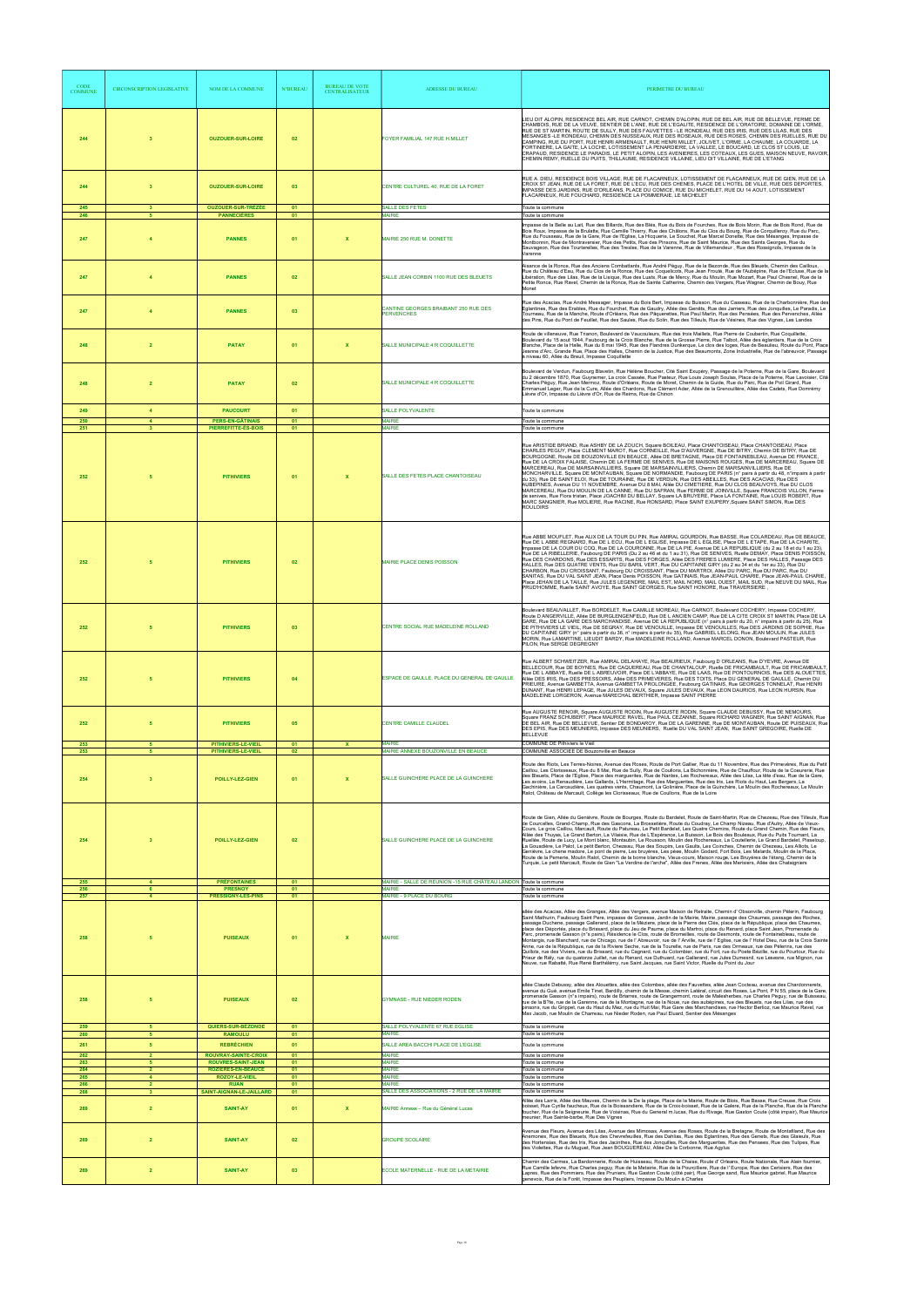| <b>CODE</b><br><b>COMMUNE</b> | <b>CIRCONSCRIPTION LEGISLATIVE</b> | <b>NOM DE LA COMMUNE</b>                           | <b>N°BUREAL</b> | <b>BUREAU DE VOTE</b><br><b>CENTRALISATEUR</b> | <b>ADRESSE DU BUREAU</b>                                                           | PERIMETRE DU BUREAU                                                                                                                                                                                                                                                                                                                                                                                                                                                                                                                                                                                                                                                                                                                                                                                                                                                                                                                                                                                                                                                                                                                                                                                                                                                                                                                                                  |
|-------------------------------|------------------------------------|----------------------------------------------------|-----------------|------------------------------------------------|------------------------------------------------------------------------------------|----------------------------------------------------------------------------------------------------------------------------------------------------------------------------------------------------------------------------------------------------------------------------------------------------------------------------------------------------------------------------------------------------------------------------------------------------------------------------------------------------------------------------------------------------------------------------------------------------------------------------------------------------------------------------------------------------------------------------------------------------------------------------------------------------------------------------------------------------------------------------------------------------------------------------------------------------------------------------------------------------------------------------------------------------------------------------------------------------------------------------------------------------------------------------------------------------------------------------------------------------------------------------------------------------------------------------------------------------------------------|
| 244                           | $\overline{\mathbf{3}}$            | <b>OUZOUER-SUR-LOIRE</b>                           | 02              |                                                | FOYER FAMILIAL 147 RUE H.MILLET                                                    | LIEU DIT ALOPIN, RESIDENCE BEL AIR, RUE CARNOT, CHEMIN D'ALOPIN, RUE DE BEL AIR, RUE DE BELLEVUE, FERME DE<br>CHAMBOIS, RUE DE LA VEUVE, SENTIER DE L'ANE, RUE DE L'EGALITE, RESIDENCE DE L'ORATOIRE, DOMAINE DE L'ORME,<br>RUE DE ST MARTIN, ROUTE DE SULLY, RUE DES FAUVETTES - LE RONDEAU, RUE DES IRIS, RUE DES LILAS, RUE DES<br>MESANGES -LE RONDEAU, CHEMIN DES NUSSEAUX, RUE DES ROSEAUX, RUE DES ROSES, CHEMIN DES RUELLES, RUE DU<br>CAMPING, RUE DU PORT, RUE HENRI ARMENAULT, RUE HENRI MILLET, JOLIVET, L'ORME, LA CHAUME, LA COUARDE, LA<br>FORTINIERE, LA GAITE, LA LOCHE, LOTISSEMENT LA PENARDIERE, LA VALLEE, LE BOUCARD, LE CLOS ST LOUIS, LE<br>CRAPAUD, RESIDENCE LE PARADIS, LE PETIT ALOPIN, LES AVENIERES, LES COTEAUX, LES GUES, MAISON NEUVE, RAVOIR,<br>CHEMIN REMY, RUELLE DU PUITS, THILLAUME, RESIDENCE VILLAINE, LIEU DIT VILLAINE, RUE DE L'ETANG                                                                                                                                                                                                                                                                                                                                                                                                                                                                                    |
| 244                           | $\overline{\mathbf{3}}$            | <b>OUZOUER-SUR-LOIRE</b>                           | 03              |                                                | CENTRE CULTUREL 40, RUE DE LA FORET                                                | RUE A. DIEU, RESIDENCE BOIS VILLAGE, RUE DE FLACARNEUX, LOTISSEMENT DE FLACARNEUX, RUE DE GIEN, RUE DE LA<br>CROIX ST JEAN, RUE DE LA FORET, RUE DE L'ECU, RUE DES CHENES, PLACE DE L'HOTEL DE VILLE, RUE DES DEPORTES,<br>IMPASSE DES JARDINS, RUE D'ORLEANS, PLACE DU COMICE, RUE DU MICHELET, RUE DU 14 AOUT, LOTISSEMENT<br>FLACARNEUX, RUE FOUCHARD, RESIDENCE LA POMMERAIE, LE MICHELET                                                                                                                                                                                                                                                                                                                                                                                                                                                                                                                                                                                                                                                                                                                                                                                                                                                                                                                                                                        |
| 245<br>246                    | $\mathbf{3}$<br>-5                 | <b>OUZOUER-SUR-TRÉZÉE</b><br><b>PANNECIÈRES</b>    | 01<br>01        |                                                | SALLE DES FETES<br><b>MAIRIE</b>                                                   | Toute la commune<br>Toute la commune                                                                                                                                                                                                                                                                                                                                                                                                                                                                                                                                                                                                                                                                                                                                                                                                                                                                                                                                                                                                                                                                                                                                                                                                                                                                                                                                 |
| 247                           |                                    | <b>PANNES</b>                                      | 01              | $\mathbf x$                                    | <b>MAIRIE 250 RUE M. DONETTE</b>                                                   | Impasse de la Belle au Lait, Rue des Billards, Rue des Blés, Rue du Bois de Fourches, Rue de Bois Morin, Rue de Bois Rond, Rue de<br>Bois Roux, Impasse de la Brulatte, Rue Camille Thierry, Rue des Châlons, Rue du Clos du Bourg, Rue de Corquilleroy, Rue du Parc,<br>Rue du Fousseau, Rue de la Gare, Rue de l'Eglise, La Hicquerie, Le Souchet, Rue Marcel Donette, Rue des Mésanges, Impasse de<br>Montbonnin, Rue de Montraversier, Rue des Petits, Rue des Pinsons, Rue de Saint Maurice, Rue des Saints Georges, Rue du<br>Sauvageon, Rue des Tourterelles, Rue des Tresles, Rue de la Varenne, Rue de Villemandeur, Rue des Rossignols, Impasse de la<br>Varenne                                                                                                                                                                                                                                                                                                                                                                                                                                                                                                                                                                                                                                                                                           |
| 247                           |                                    | <b>PANNES</b>                                      | 02              |                                                | SALLE JEAN CORBIN 1100 RUE DES BLEUETS                                             | Aisance de la Ronce, Rue des Anciens Combattants, Rue André Péguy, Rue de la Bezonde, Rue des Bleuets, Chemin des Cailloux,<br>Rue du Château d'Eau, Rue du Clos de la Ronce, Rue des Coquelicots, Rue Jean Frouté, Rue de l'Aubépine, Rue de l'Ecluse, Rue de la<br>Libération, Rue des Lilas, Rue de la Lisique, Rue des Luats, Rue de Mercy, Rue du Moulin, Rue Mozart, Rue Paul Chesnel, Rue de la<br>Petite Ronce, Rue Ravel, Chemin de la Ronce, Rue de Sainte Catherine, Chemin des Vergers, Rue Wagner, Chemin de Bouy, Rue<br>Monet                                                                                                                                                                                                                                                                                                                                                                                                                                                                                                                                                                                                                                                                                                                                                                                                                         |
| 247                           |                                    | <b>PANNES</b>                                      | 03              |                                                | CANTINE GEORGES BRAIBANT 250 RUE DES<br><b>PERVENCHES</b>                          | Rue des Acacias, Rue André Messager, Impasse du Bois Bert, Impasse du Buisson, Rue du Casseau, Rue de la Charbonnière, Rue des<br>Eglantines, Rue des Erables, Rue du Fourchet, Rue de Gaudry, Allée des Genêts, Rue des Jarriers, Rue des Jonquilles, Le Paradis, Le<br>Tourneau, Rue de la Manche, Route d'Orléans, Rue des Pâquerettes, Rue Paul Marlin, Rue des Pensées, Rue des Pervenches, Allée<br>des Pins, Rue du Pont de Feuillet, Rue des Saules, Rue du Solin, Rue des Tilleuls, Rue de Vésines, Rue des Vignes, Les Landes                                                                                                                                                                                                                                                                                                                                                                                                                                                                                                                                                                                                                                                                                                                                                                                                                              |
| 248                           | $\overline{2}$                     | <b>PATAY</b>                                       | 01              | $\boldsymbol{\mathsf{x}}$                      | SALLE MUNICIPALE 4 R COQUILLETTE                                                   | Route de villeneuve, Rue Trianon, Boulevard de Vaucouleurs, Rue des trois Maillets, Rue Pierre de Coubertin, Rue Coquillette,<br>Boulevard du 15 aout 1944, Faubourg de la Croix Blanche, Rue de la Grosse Pierre, Rue Talbot, Allée des églantiers, Rue de la Croix<br>Blanche, Place de la Halle, Rue du 8 mai 1945, Rue des Flandres Dunkerque, Le clos des loges, Rue de Beaulieu, Route du Pont, Place<br>Jeanne d'Arc, Grande Rue, Place des Halles, Chemin de la Justice, Rue des Beaumonts, Zone Industrielle, Rue de l'abreuvoir, Passage<br>à niveau 60, Allée du Breuil, Impasse Coquillette                                                                                                                                                                                                                                                                                                                                                                                                                                                                                                                                                                                                                                                                                                                                                              |
| 248                           | $\overline{2}$                     | <b>PATAY</b>                                       | 02              |                                                | SALLE MUNICIPALE 4 R COQUILLETTE                                                   | Boulevard de Verdun, Faubourg Blavetin, Rue Hélène Boucher, Cité Saint Exupéry, Passage de la Poterne, Rue de la Gare, Boulevard<br>du 2 décembre 1870, Rue Guynemer, La croix Cassée, Rue Pasteur, Rue Louis Joseph Soulas, Place de la Poterne, Rue Lavoisier, Cité<br>Charles Péguy, Rue Jean Mermoz, Route d'Orléans, Route de Moret, Chemin de la Guide, Rue du Parc, Rue de Poil Girard, Rue<br>Emmanuel Leger, Rue de la Cure, Allée des Chardons, Rue Clément Ader, Allée de la Grenouillère, Allée des Cadets, Rue Domrémy<br>Lièvre d'Or, Impasse du Lièvre d'Or, Rue de Reims, Rue de Chinon                                                                                                                                                                                                                                                                                                                                                                                                                                                                                                                                                                                                                                                                                                                                                              |
| 249                           | $\overline{4}$                     | <b>PAUCOURT</b>                                    | 01              |                                                | SALLE POLYVALENTE                                                                  | Toute la commune                                                                                                                                                                                                                                                                                                                                                                                                                                                                                                                                                                                                                                                                                                                                                                                                                                                                                                                                                                                                                                                                                                                                                                                                                                                                                                                                                     |
| 250<br>251                    | $\blacktriangle$                   | <b>PERS-EN-GÂTINAIS</b><br>PIERREFITTE-ÈS-BOIS     | 01<br>01        |                                                | <b>MAIRIE</b><br><b>MAIRIE</b>                                                     | Toute la commune<br>Toute la commune                                                                                                                                                                                                                                                                                                                                                                                                                                                                                                                                                                                                                                                                                                                                                                                                                                                                                                                                                                                                                                                                                                                                                                                                                                                                                                                                 |
| 252                           |                                    | <b>PITHIVIERS</b>                                  | 01              | $\boldsymbol{\mathsf{x}}$                      | SALLE DES FETES PLACE CHANTOISEAU                                                  | Rue ARISTIDE BRIAND, Rue ASHBY DE LA ZOUCH, Square BOILEAU, Place CHANTOISEAU, Place CHANTOISEAU, Place<br>CHARLES PEGUY, Place CLEMENT MAROT, Rue CORNEILLE, Rue D'AUVERGNE, Rue DE BITRY, Chemin DE BITRY, Rue DE<br>BOURGOGNE, Route DE BOUZONVILLE EN BEAUCE, Allée DE BRETAGNE, Place DE FONTAINEBLEAU, Avenue DE FRANCE,<br>Rue DE LA CROIX FALAISE, Chemin DE LA FERME DE SENIVES, Rue DE MAISONS ROUGES, Rue DE MARCEREAU, Square DE<br>MARCEREAU, Rue DE MARSAINVILLIERS, Square DE MARSAINVILLIERS, Chemin DE MARSAINVILLIERS, Rue DE<br>MONCHARVILLE, Square DE MONTAUBAN, Square DE NORMANDIE, Faubourg DE PARIS (n° pairs à partir du 48, n°impairs à partir<br>du 33), Rue DE SAINT ELOI, Rue DE TOURAINE, Rue DE VERDUN, Rue DES ABEILLES, Rue DES ACACIAS, Rue DES<br>AUBEPINES, Avenue DU 11 NOVEMBRE, Avenue DU 8 MAI, Allee DU CIMETIERE, Rue DU CLOS BEAUVOYS, Rue DU CLOS<br>MARCEREAU, Rue DU MOULIN DE LA CANNE, Rue DU SAFRAN, Rue FERME DE JOINVILLE, Square FRANCOIS VILLON, Ferme<br>de senives, Rue Flora tristan, Place JOACHIM DU BELLAY, Square LA BRUYERE, Place LA FONTAINE, Rue LOUIS ROBERT, Rue<br>MARC SANGNIER, Rue MOLIERE, Rue RACINE, Rue RONSARD, Place SAINT EXUPERY, Square SAINT SIMON, Rue DES<br><b>ROULOIRS</b>                                                                                                      |
| 252                           |                                    | <b>PITHIVIERS</b>                                  | 02              |                                                | MAIRIE PLACE DENIS POISSON                                                         | Rue ABBE MOUFLET, Rue ALIX DE LA TOUR DU PIN, Rue AMIRAL GOURDON, Rue BASSE, Rue COLARDEAU, Rue DE BEAUCE,<br>Rue DE L ABBE REGNARD, Rue DE L ECU, Rue DE L EGLISE, Impasse DE L EGLISE, Place DE L ETAPE, Rue DE LA CHARITE,<br>Impasse DE LA COUR DU COQ, Rue DE LA COURONNE, Rue DE LA PIE, Avenue DE LA REPUBLIQUE (du 2 au 18 et du 1 au 23),<br>Rue DE LA RIBELLERIE, Faubourg DE PARIS (Du 2 au 46 et du 1 au 31), Rue DE SENIVES, Ruelle DEMAY, Place DENIS POISSON,<br>ESSARTS, Rue DES FORGES, Allée DES FRERES LUMIERE, Place DES HALLES, Passage DES<br>HALLES, Rue DES QUATRE VENTS, Rue DU BARIL VERT, Rue DU CAPITAINE GIRY (du 2 au 34 et du 1er au 33), Rue DU<br>CHARBON, Rue DU CROISSANT, Faubourg DU CROISSANT, Place DU MARTROI, Allée DU PARC, Rue DU PARC, Rue DU<br>SANITAS, Rue DU VAL SAINT JEAN, Place Denis POISSON, Rue GATINAIS, Rue JEAN-PAUL CHARIE, Place JEAN-PAUL CHARIE,<br>Place JEHAN DE LA TAILLE, Rue JULES LEGENDRE, MAIL EST, MAIL NORD, MAIL OUEST, MAIL SUD, Rue NEUVE DU MAIL, Rue<br>PRUD'HOMME, Ruelle SAINT AVOYE, Rue SAINT GEORGES, Rue SAINT HONORE, Rue TRAVERSIERE,                                                                                                                                                                                                                                            |
| 252                           |                                    | <b>PITHIVIERS</b>                                  | 03              |                                                | CENTRE SOCIAL RUE MADELEINE ROLLAND                                                | Boulevard BEAUVALLET, Rue BORDELET, Rue CAMILLE MOREAU, Rue CARNOT, Boulevard COCHERY, Impasse COCHERY,<br>Route D ANGERVILLE, Allée DE BURGLENGENFELD, Rue DE L ANCIEN CAMP, Rue DE LA CITE CROIX ST MARTIN, Place DE LA<br>GARE, Rue DE LA GARE DES MARCHANDISE, Avenue DE LA REPUBLIQUE (n° pairs à partir du 20, n° impairs à partir du 25), Rue<br>DE PITHIVIERS LE VIEIL, Rue DE SEGRAY, Rue DE VENOUILLE, Impasse DE VENOUILLES, Rue DES JARDINS DE SOPHIE, Rue<br>DU CAPITAINE GIRY (nº pairs à partir du 36, nº impairs à partir du 35), Rue GABRIEL LELONG, Rue JEAN MOULIN, Rue JULES<br>MORIN, Rue LAMARTINE, LIEUDIT BARDY, Rue MADELEINE ROLLAND, Avenue MARCEL DONON, Boulevard PASTEUR, Rue<br>PILON. Rue SERGE DEGREGNY                                                                                                                                                                                                                                                                                                                                                                                                                                                                                                                                                                                                                             |
| 252                           |                                    | <b>PITHIVIERS</b>                                  | 04              |                                                | ESPACE DE GAULLE, PLACE DU GENERAL DE GAULLE                                       | Rue ALBERT SCHWEITZER, Rue AMIRAL DELAHAYE, Rue BEAURIEUX, Faubourg D ORLEANS, Rue D'YEVRE, Avenue DE<br>BELLECOUR, Rue DE BOYNES, Rue DE CAQUEREAU, Rue DE CHANTALOUP, Ruelle DE FRICAMBAULT, Rue DE FRICAMBAULT<br>Rue DE L ABBAYE, Ruelle DE L ABREUVOIR, Place DE L'ABBAYE, Rue DE LAAS, Rue DE PONTOURNOIS, Rue DES ALOUETTES,<br>Allée DES IRIS, Rue DES PRESSOIRS, Allée DES PRIMEVERES, Rue DES TOITS, Place DU GENERAL DE GAULLE, Chemin DU<br>PRIEURE, Avenue GAMBETTA, Avenue GAMBETTA PROLONGEE, Faubourg GATINAIS, Rue GEORGES TONNELAT, Rue HENRI<br>DUNANT, Rue HENRI LEPAGE, Rue JULES DEVAUX, Square JULES DEVAUX, Rue LEON DAURIOS, Rue LEON HURSIN, Rue<br>MADELEINE LORGERON, Avenue MARECHAL BERTHIER, Impasse SAINT PIERRE                                                                                                                                                                                                                                                                                                                                                                                                                                                                                                                                                                                                                     |
| 252                           |                                    | <b>PITHIVIERS</b>                                  | 05              |                                                | <b>CENTRE CAMILLE CLAUDEL</b>                                                      | Rue AUGUSTE RENOIR, Square AUGUSTE RODIN, Rue AUGUSTE RODIN, Square CLAUDE DEBUSSY, Rue DE NEMOURS,<br>Square FRANZ SCHUBERT, Place MAURICE RAVEL, Rue PAUL CEZANNE, Square RICHARD WAGNER, Rue SAINT AIGNAN, Rue<br>DE BEL AIR, Rue DE BELLEVUE, Sentier DE BONDAROY, Rue DE LA GARENNE, Rue DE MONTAUBAN, Route DE PUISEAUX, Rue<br>DES EPIS, Rue DES MEUNIERS, Impasse DES MEUNIERS, Ruelle DU VAL SAINT JEAN, Rue SAINT GREGOIRE, Ruelle DE<br><b>BELLEVUE</b>                                                                                                                                                                                                                                                                                                                                                                                                                                                                                                                                                                                                                                                                                                                                                                                                                                                                                                   |
| 253<br>253                    | 5                                  | PITHIVIERS-LE-VIEIL<br>PITHIVIERS-LE-VIEIL         | 01<br>02        | $\mathbf x$                                    | <b>MAIRIE</b><br>MAIRIE ANNEXE BOUZONVILLE EN BEAUCE                               | COMMUNE DE Pithiviers le Vieil<br>COMMUNE ASSOCIEE DE Bouzonville en Beauce                                                                                                                                                                                                                                                                                                                                                                                                                                                                                                                                                                                                                                                                                                                                                                                                                                                                                                                                                                                                                                                                                                                                                                                                                                                                                          |
| 254                           | $\mathbf{3}$                       | POILLY-LEZ-GIEN                                    | 01              |                                                | SALLE GUINCHERE PLACE DE LA GUINCHERE                                              | Route des Riots, Les Terres-Noires, Avenue des Roses, Route de Port Gallier, Rue du 11 Novembre, Rue des Primevères, Rue du Petit<br>Caillou, Les Clorisseaux, Rue du 8 Mai, Rue de Sully, Rue de Coullons, La Bichonnière, Rue de Chauffour, Route de la Coeurerie, Rue<br>des Bleuets, Place de l'Eglise, Place des marguerites, Rue de Nantes, Les Rochereaux, Allée des Lilas, La tête d'eau, Rue de la Gare,<br>Les avoins, La Renaudière, Les Gallards, L'Hermitage, Rue des Marguerites, Rue des Iris, Les Riots du Haut, Les Bergers, La<br>Gachinière, La Carcaudière, Les quatres vents, Chaumont, La Golinière, Place de la Guinchère, Le Moulin des Rochereaux, Le Moulin<br>Ralot, Château de Marcault, Collège les Clorisseaux, Rue de Coullons, Rue de la Loire                                                                                                                                                                                                                                                                                                                                                                                                                                                                                                                                                                                       |
| 254                           | $\mathbf{3}$                       | POILLY-LEZ-GIEN                                    | 02              |                                                | SALLE GUINCHERE PLACE DE LA GUINCHERE                                              | Route de Gien, Allée du Genièvre, Route de Bourges, Route du Bardelet, Route de Saint-Martin, Rue de Chezeau, Rue des Tilleuls, Rue<br>de Courcelles, Grand-Champ, Rue des Gascons, La Brossetière, Route du Coudray, Le Champ Nizeau, Rue d'Autry, Allée de Vieux-<br>Cours, Le gros Caillou, Marcault, Route du Patureau, Le Petit Bardelet, Les Quatre Chemins, Route du Grand Chemin, Rue des Fleurs,<br>Allée des Thuyas, Le Grand Berton, La Vilaisie, Rue de L'Espérance, Le Buisson, Le Bois des Bouleaux, Rue du Puits Tournant, La<br>Ruellée, Route de Lucy, Le Mont blanc, Montaubin, Le Rousson, Moulin des Rochereaux, La Coutellerie, Le Grand Bardelet, Pisseloup,<br>La Gouadière, Le Palot, Le petit Berton, Chezeau, Rue des Soupirs, Les Gaults, Les Coinches, Chemin de Chezeau, Les Alliots, Le<br>Genièvre, Le chene madore, Le pont de pierre, Les bruyères, Les péee, Moulin Godard, Fort Bois, Les Malards, Moulin de la Place,<br>Route de la Pemerie, Moulin Ralot, Chemin de la borne blanche, Vieux-cours, Maison rouge, Les Bruyères de l'étang, Chemin de la<br>Turquie, Le petit Marcault, Route de Gien "La Verdine de l'arche", Allée des Frenes, Allée des Merisiers, Allée des Chataigniers                                                                                                                                     |
| 255<br>256                    |                                    | <b>PRÉFONTAINES</b><br><b>PRESNOY</b>              | 01<br>01        |                                                | MAIRIE - SALLE DE REUNION -15 RUE CHÂTEAU LANDON Toute la commune<br><b>MAIRIE</b> | oute la commune                                                                                                                                                                                                                                                                                                                                                                                                                                                                                                                                                                                                                                                                                                                                                                                                                                                                                                                                                                                                                                                                                                                                                                                                                                                                                                                                                      |
| 257                           |                                    | PRESSIGNY-LES-PINS                                 | 01              |                                                | <b>MAIRIE - 9 PLACE DU BOURG</b>                                                   | Toute la commune                                                                                                                                                                                                                                                                                                                                                                                                                                                                                                                                                                                                                                                                                                                                                                                                                                                                                                                                                                                                                                                                                                                                                                                                                                                                                                                                                     |
| 258                           |                                    | <b>PUISEAUX</b>                                    | 01              | $\boldsymbol{\mathsf{x}}$                      | <b>MAIRIE</b>                                                                      | allée des Acacias, Allée des Granges, Allée des Vergers, avenue Maison de Retraite, Chemin d' Obsonville, chemin Pélerin, Faubourg<br>Saint Mathurin, Faubourg Saint Pere, impasse de Gonesse, Jardin de la Mairie, Mairie, passage des Chaumes, passage des Roches,<br>passage Duchene, passage Gallerand, place de la Méziere, place de la Pierre des Clés, place de la République, place des Chaumes,<br>place des Déportés, place du Brissard, place du Jeu de Paume, place du Martroi, place du Renard, place Saint Jean, Promenade du<br>Parc, promenade Gasson (n°s pairs), Résidence le Clos, route de Bromeilles, route de Desmonts, route de Fontainebleau, route de<br>Montargis, rue Blanchard, rue de Chicago, rue de l' Abreuvoir, rue de l' Arville, rue de l' Eglise, rue de l' Hotel Dieu, rue de la Croix Saint<br>Anne, rue de la République, rue de la Riviere Seche, rue de la Tourelle, rue de Paris, rue des Ormeaux, rue des Pélerins, rue des<br>Quillots, rue des Viviers, rue du Brissard, rue du Cagnard, rue du Colombier, rue du Fort, rue du Poete Bézille, rue du Pourtour, Rue du<br>Prieur de Rély, rue du quatorze Juillet, rue du Renard, rue Duthuard, rue Gallerand, rue Jules Dumesnil, rue Lesesne, rue Mignon, rue<br>Neuve, rue Rabatté, Rue René Barthélémy, rue Saint Jacques, rue Saint Victor, Ruelle du Point du Jour |
| 258                           |                                    | <b>PUISEAUX</b>                                    | 02              |                                                | <b>GYMNASE - RUE NIEDER RODEN</b>                                                  | allée Claude Debussy, allée des Alouettes, allée des Colombes, allée des Fauvettes, allée Jean Cocteau, avenue des Chardonnerets,<br>avenue du Gué, avenue Emile Tinet, Bardilly, chemin de la Messe, chemin Latéral, circuit des Roses, Le Pont, P N 55, place de la Gare,<br>promenade Gasson (n°s impairs), route de Briarres, route de Grangermont, route de Malesherbes, rue Charles Peguy, rue de Buisseau,<br>rue de la B?te, rue de la Garenne, rue de la Montagne, rue de la Noue, rue des aubépines, rue des Bleuets, rue des Lilas, rue des<br>pinsons, rue du Grippet, rue du Haut du Mez, rue du Huit Mai, Rue Gare des Marchandises, rue Hector Berlioz, rue Maurice Ravel, rue<br>Max Jacob, rue Moulin de Charreau, rue Nieder Roden, rue Paul Eluard, Sentier des Mésanges                                                                                                                                                                                                                                                                                                                                                                                                                                                                                                                                                                          |
| 259<br>260                    | -5<br>5                            | QUIERS-SUR-BÉZONDE                                 | 01<br>01        |                                                | SALLE POLYVALENTE 67 RUE EGLISE<br><b>MAIRIE</b>                                   | Toute la commune<br>Toute la commune                                                                                                                                                                                                                                                                                                                                                                                                                                                                                                                                                                                                                                                                                                                                                                                                                                                                                                                                                                                                                                                                                                                                                                                                                                                                                                                                 |
| 261                           | 5 <sub>5</sub>                     | <b>RAMOULU</b><br><b>REBRÉCHIEN</b>                | 01              |                                                | SALLE AREA BACCHI PLACE DE L'EGLISE                                                | Toute la commune                                                                                                                                                                                                                                                                                                                                                                                                                                                                                                                                                                                                                                                                                                                                                                                                                                                                                                                                                                                                                                                                                                                                                                                                                                                                                                                                                     |
| 262<br>263                    | -5                                 | ROUVRAY-SAINTE-CROIX<br><b>ROUVRES-SAINT-JEAN</b>  | 01<br>01        |                                                | MAIRIE<br><b>MAIRIE</b>                                                            | Toute la commune<br>Toute la commune                                                                                                                                                                                                                                                                                                                                                                                                                                                                                                                                                                                                                                                                                                                                                                                                                                                                                                                                                                                                                                                                                                                                                                                                                                                                                                                                 |
| 264<br>265                    | $\overline{2}$<br>$\overline{4}$   | <b>ROZIÈRES-EN-BEAUCE</b><br><b>ROZOY-LE-VIEIL</b> | 01<br>01        |                                                | <b>MAIRIE</b><br><b>MAIRIE</b>                                                     | Toute la commune<br>Toute la commune                                                                                                                                                                                                                                                                                                                                                                                                                                                                                                                                                                                                                                                                                                                                                                                                                                                                                                                                                                                                                                                                                                                                                                                                                                                                                                                                 |
| 266<br>268                    | $\overline{2}$<br>$\mathbf{3}$     | <b>RUAN</b><br>SAINT-AIGNAN-LE-JAILLARD            | 01<br>01        |                                                | <b>MAIRIE</b><br>SALLE DES ASSOCIATIONS - 2 RUE DE LA MAIRIE                       | Toute la commune<br>Toute la commune                                                                                                                                                                                                                                                                                                                                                                                                                                                                                                                                                                                                                                                                                                                                                                                                                                                                                                                                                                                                                                                                                                                                                                                                                                                                                                                                 |
| 269                           | $\overline{2}$                     | <b>SAINT-AY</b>                                    | 01              | $\mathbf{x}$                                   | MAIRIE Annexe - Rue du Général Lucas                                               | Allée des Larris, Allée des Mauves, Chemin de la De la plage, Place de la Mairie, Route de Blois, Rue Basse, Rue Creuse, Rue Croix<br>boisset, Rue Cyrille faucheux, Rue de la Boissandiere, Rue de la Croix-boisset, Rue de la Galere, Rue de la Planche, Rue de la Planche<br>foucher, Rue de la Seigneurie, Rue de Voisinas, Rue du General m.lucas, Rue du Rivage, Rue Gaston Coute (côté impair), Rue Maurice<br>meunier, Rue Sainte-barbe, Rue Des Vignes                                                                                                                                                                                                                                                                                                                                                                                                                                                                                                                                                                                                                                                                                                                                                                                                                                                                                                      |
| 269                           | $\overline{2}$                     | <b>SAINT-AY</b>                                    | 02              |                                                | <b>GROUPE SCOLAIRE</b>                                                             | Avenue des Fleurs, Avenue des Lilas, Avenue des Mimosas, Avenue des Roses, Route de la Bretagne, Route de Montafiland, Rue des<br>Anemones, Rue des Bleuets, Rue des Chevrefeuilles, Rue des Dahlias, Rue des Eglantines, Rue des Genets, Rue des Glaieuls, Rue<br>des Hortensias, Rue des Iris, Rue des Jacinthes, Rue des Jonquilles, Rue des Marquerites, Rue des Pensees, Rue des Tulipes, Rue<br>des Violettes, Rue du Muguet, Rue Jean BOUGUEREAU, Allée De la Corbonne, Rue Agylus                                                                                                                                                                                                                                                                                                                                                                                                                                                                                                                                                                                                                                                                                                                                                                                                                                                                            |
| 269                           | $\overline{2}$                     | <b>SAINT-AY</b>                                    | 03              |                                                | ECOLE MATERNELLE - RUE DE LA METAIRIE                                              | Chemin des Carmes, La Bardonnerie, Route de Huisseau, Route de la Chaise, Route d' Orleans, Route Nationale, Rue Alain fournier,<br>Rue Camille lefevre, Rue Charles pequy, Rue de la Metairie, Rue de la Pourcilliere, Rue de l' Europe, Rue des Cerisiers, Rue des<br>Lapres, Rue des Pommiers, Rue des Pruniers, Rue Gaston Coute (côté pair), Rue George sand, Rue Maurice gabriel, Rue Maurice<br>genevoix, Rue de la Forêt, Impasse des Peupliers, Impasse Du Moulin à Charles                                                                                                                                                                                                                                                                                                                                                                                                                                                                                                                                                                                                                                                                                                                                                                                                                                                                                 |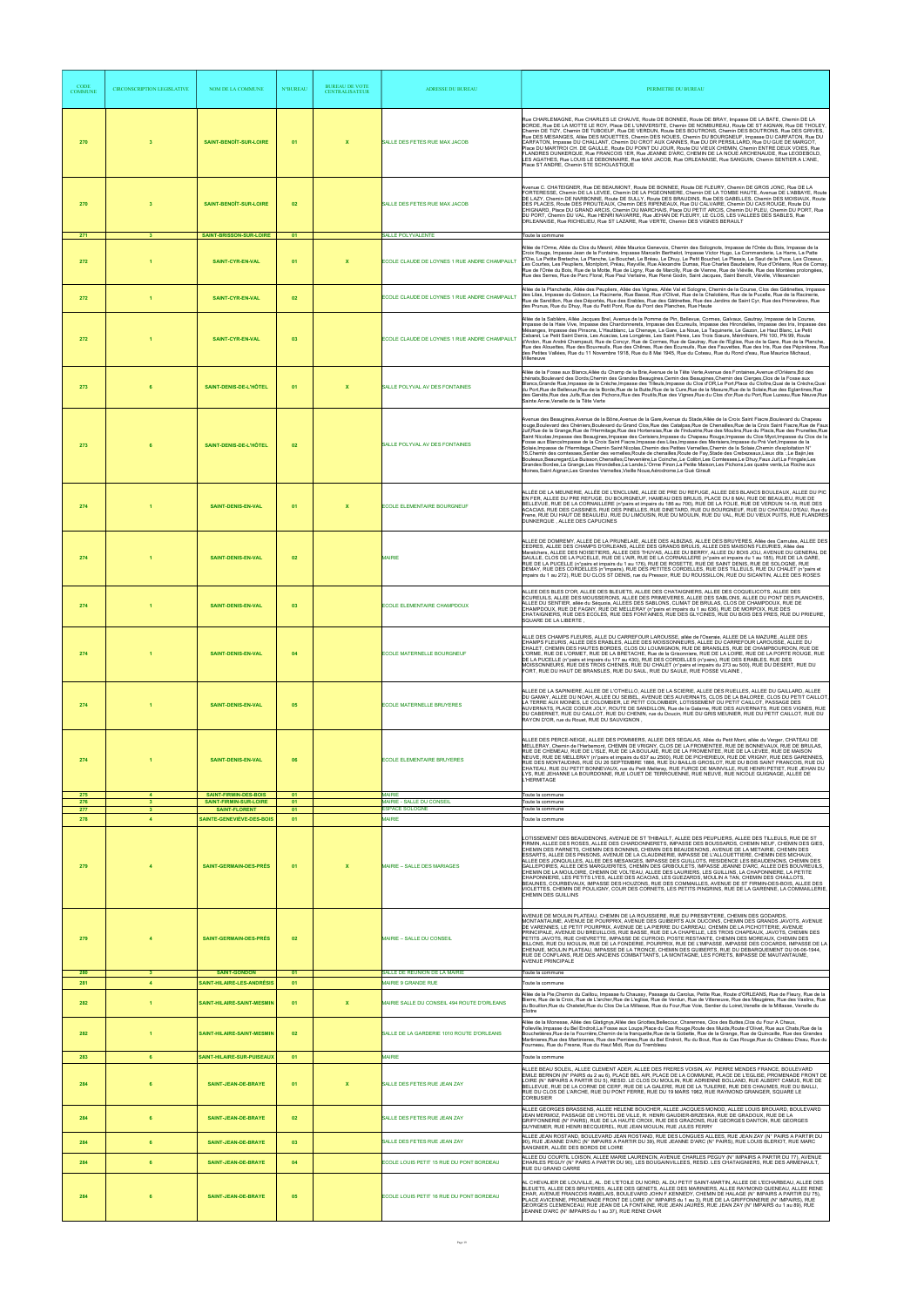| <b>CODE</b><br><b>COMMUNE</b> | <b>CIRCONSCRIPTION LEGISLATIVE</b> | NOM DE LA COMMUNE                                        | <b>N°BUREAU</b> | <b>BUREAU DE VOTE</b><br><b>CENTRALISATEUR</b> | <b>ADRESSE DU BUREAU</b>                                                 | PERIMETRE DU BUREAU                                                                                                                                                                                                                                                                                                                                                                                                                                                                                                                                                                                                                                                                                                                                                                                                                                                                                                                                                                                                                                                                                                                                                                                                                                                                                                  |
|-------------------------------|------------------------------------|----------------------------------------------------------|-----------------|------------------------------------------------|--------------------------------------------------------------------------|----------------------------------------------------------------------------------------------------------------------------------------------------------------------------------------------------------------------------------------------------------------------------------------------------------------------------------------------------------------------------------------------------------------------------------------------------------------------------------------------------------------------------------------------------------------------------------------------------------------------------------------------------------------------------------------------------------------------------------------------------------------------------------------------------------------------------------------------------------------------------------------------------------------------------------------------------------------------------------------------------------------------------------------------------------------------------------------------------------------------------------------------------------------------------------------------------------------------------------------------------------------------------------------------------------------------|
| 270                           | $\overline{\mathbf{3}}$            | <b>SAINT-BENOÎT-SUR-LOIRE</b>                            | 01              | $\mathbf x$                                    | SALLE DES FETES RUE MAX JACOB                                            | Rue CHARLEMAGNE, Rue CHARLES LE CHAUVE, Route DE BONNEE, Route DE BRAY, Impasse DE LA BATE, Chemin DE LA<br>BORDE, Rue DE LA MOTTE LE ROY, Place DE L'UNIVERSITE, Chemin DE NOMBUREAU, Route DE ST AIGNAN, Rue DE THOLEY,<br>Chemin DE TIZY, Chemin DE TUBOEUF, Rue DE VERDUN, Route DES BOUTRONS, Chemin DES BOUTRONS, Rue DES GRIVES,<br>Rue DES MESANGES, Allée DES MOUETTES, Chemin DES NOUES, Chemin DU BOURGNEUF, Impasse DU CARFATON, Rue DU<br>CARFATON. Impasse DU CHALLANT, Chemin DU CROT AUX CANNES, Rue DU DR PERSILLARD, Rue DU GUE DE MARGOT.<br>Place DU MARTROI CH. DE GAULLE, Route DU POINT DU JOUR, Route DU VIEUX CHEMIN, Chemin ENTRE DEUX VOIES, Rue<br>FLANDRES DUNKERQUE, Rue FRANCOIS 1ER, Rue JEANNE D'ARC, CHEMIN DE LA NOUE ARCHENAUDE, Rue LEODEBOLD,<br>LES AGATHES, Rue LOUIS LE DEBONNAIRE, Rue MAX JACOB, Rue ORLEANAISE, Rue SANGUIN, Chemin SENTIER A L'ANE,<br>Place ST ANDRE, Chemin STE SCHOLASTIQUE                                                                                                                                                                                                                                                                                                                                                                          |
| 270                           | $\overline{\mathbf{3}}$            | SAINT-BENOIT-SUR-LOIRE                                   | 02              |                                                | SALLE DES FETES RUE MAX JACOB                                            | Avenue C. CHATEIGNER, Rue DE BEAUMONT, Route DE BONNEE, Route DE FLEURY, Chemin DE GROS JONC, Rue DE LA<br>FORTERESSE, Chemin DE LA LEVEE, Chemin DE LA PIGEONNIERE, Chemin DE LA TOMBE HAUTE, Avenue DE L'ABBAYE, Route<br>DE LAZY, Chemin DE NARBONNE, Route DE SULLY, Route DES BRAUDINS, Rue DES GABELLES, Chemin DES MOISIAUX, Route<br>DES PLACES, Route DES PROUTEAUX, Chemin DES RIPENEAUX, Rue DU CALVAIRE, Chemin DU CAS ROUGE, Route DU<br>CHIGNARD, Place DU GRAND ARCIS, Chemin DU MARCHAIS, Place DU PETIT ARCIS, Chemin DU PLEU, Chemin DU PORT, Rue<br>DU PORT, Chemin DU VAL, Rue HENRI NAVARRE, Rue JEHAN DE FLEURY, LE CLOS, LES VALLEES DES SABLES, Rue<br>ORLEANAISE, Rue RICHELIEU, Rue ST LAZARE, Rue VERTE, Chemin DES VIGNES BERAULT                                                                                                                                                                                                                                                                                                                                                                                                                                                                                                                                                        |
| 271<br>272                    | $\mathbf{3}$                       | SAINT-BRISSON-SUR-LOIRE<br><b>SAINT-CYR-EN-VAL</b>       | 01<br>01        | $\mathbf x$                                    | <b>SALLE POLYVALENTE</b><br>ECOLE CLAUDE DE LOYNES 1 RUE ANDRE CHAMPAULT | Toute la commune<br>Allée de l'Orme, Allée du Clos du Mesnil, Allée Maurice Genevoix, Chemin des Solognots, Impasse de l'Orée du Bois, Impasse de la<br>Croix Rouge, Impasse Jean de la Fontaine, Impasse Marcelin Berthelot, Impasse Victor Hugo, La Commanderie, La Harre, La Patte<br>d'Oie, La Petite Bretache, La Planche, Le Bouchet, Le Bréau, Le Dhuy, Le Petit Bouchet, Le Plessis, Le Saut de la Puce, Les Closeux,<br>es Courtes, Les Peupliers, Montplont, Préau, Reyville, Rue Alexandre Dumas, Rue Charles Baudelaire, Rue d'Orléans, Rue de Cornay<br>Rue de l'Orée du Bois, Rue de la Motte, Rue de Ligny, Rue de Marcilly, Rue de Vienne, Rue de Viéville, Rue des Montées prolongées,<br>Rue des Serres, Rue de Parc Floral, Rue Paul Verlaine, Rue René Godin, Saint Jacques, Saint Benoît, Viéville, Villesancien                                                                                                                                                                                                                                                                                                                                                                                                                                                                                |
| 272                           | $\blacktriangleleft$               | <b>SAINT-CYR-EN-VAL</b>                                  | 02              |                                                | ECOLE CLAUDE DE LOYNES 1 RUE ANDRE CHAMPAULT                             | Allée de la Planchette, Allée des Peupliers, Allée des Vignes, Allée Val et Sologne, Chemin de la Course, Clos des Gâtinettes, Impasse<br>des Lilas, Impasse du Gobson, La Racinerie, Rue Basse, Rue d'Olivet, Rue de la Chalotière, Rue de la Pucelle, Rue de la Racinerie,<br>Rue de Sandillon, Rue des Déportés, Rue des Erables, Rue des Gâtinettes, Rue des Jardins de Saint Cyr, Rue des Primevères, Rue<br>des Prunus, Rue du Dhuy, Rue du Petit Pont, Rue du Pont des Planches, Rue Haute                                                                                                                                                                                                                                                                                                                                                                                                                                                                                                                                                                                                                                                                                                                                                                                                                    |
| 272                           | $\blacktriangleleft$               | SAINT-CYR-EN-VAL                                         | 03              |                                                | ECOLE CLAUDE DE LOYNES 1 RUE ANDRE CHAMPAULT                             | Allée de la Sablière, Allée Jacques Brel, Avenue de la Pomme de Pin, Bellevue, Cormes, Galvaux, Gautray, Impasse de la Course,<br>Impasse de la Haie Vive, Impasse des Chardonnerets, Impasse des Ecureuils, Impasse des Hirondelles, Impasse des Iris, Impasse des<br>Mésanges, Impasse des Pinsons, L'Hautblanc, La Chenaye, La Gare, La Noue, La Taquinerie, Le Gazon, Le Haut Blanc, Le Petit<br>Cabaret, Le Petit Saint Denis, Les Acacias, Les Longères, Les Saint Pères, Les Trois Sœurs, Mérinthiers, PN 100, PN 99, Route<br>d'Ardon, Rue André Champault, Rue de Concyr, Rue de Cormes, Rue de Gautray, Rue de l'Eglise, Rue de la Gare, Rue de la Planche,<br>Rue des Alouettes, Rue des Bouvreuils, Rue des Chênes, Rue des Ecureuils, Rue des Fauvettes, Rue des Iris, Rue des Pépinières, Rue<br>des Petites Vallées, Rue du 11 Novembre 1918, Rue du 8 Mai 1945, Rue du Coteau, Rue du Rond d'eau, Rue Maurice Michaud,<br>Villeneuve                                                                                                                                                                                                                                                                                                                                                                 |
| 273                           |                                    | SAINT-DENIS-DE-L'HÔTEL                                   | 01              | $\boldsymbol{\mathsf{x}}$                      | SALLE POLYVAL AV DES FONTAINES                                           | Allée de la Fosse aux Blancs,Allée du Champ de la Brie,Avenue de la Tête Verte,Avenue des Fontaines,Avenue d'Orléans,Bd des<br>chénats, Boulevard des Dords, Chemin des Grandes Beaugines, Cemin des Beaugines, Chemin des Cierges, Clos de la Fosse aux<br>Blancs, Grande Rue, Impasse de la Crèche, Impasse des Tilleuls, Impasse du Clos d'OR, Le Port, Place du Cloître, Quai de la Crèche, Quai<br>du Port,Rue de Bellevue,Rue de la Borde,Rue de la Butte,Rue de la Cure,Rue de la Masure,Rue de la Solaie,Rue des Eglantines,Rue<br>des Genêts, Rue des Juifs, Rue des Pichons, Rue des Poutils, Rue des Vignes, Rue du Clos d'or, Rue du Port, Rue Luzeau, Rue Neuve, Rue<br>Sainte Anne, Venelle de la Tête Verte                                                                                                                                                                                                                                                                                                                                                                                                                                                                                                                                                                                           |
| 273                           |                                    | SAINT-DENIS-DE-L'HÔTEL                                   | 02              |                                                | SALLE POLYVAL AV DES FONTAINES                                           | Avenue des Beaugines, Avenue de la Bône, Avenue de la Gare, Avenue du Stade, Allée de la Croix Saint Fiacre, Boulevard du Chapeau<br>rouge,Boulevard des Chéniers,Boulevard du Grand Clos,Rue des Catalpas,Rue de Chenailles,Rue de la Croix Saint Fiacre,Rue de Faux<br>Juif, Rue de la Grange, Rue de l'Hermitage, Rue des Hortensias, Rue de l'Industrie, Rue des Moulins, Rue du Placis, Rue des Prunelles, Rue<br>Saint Nicolas, Impasse des Beaugines, Impasse des Cerisiers, Impasse du Chapeau Rouge, Impasse du Clos Myot, Impasse du Clos de la<br>Fosse aux BlancsImpasse de la Croix Saint Fiacre, Impasse des Lilas, Impasse des Merisiers, Impasse du Pré Vert, Impasse de la<br>Solaie, Impasse de l'Hermitage, Chemin Saint Nicolas, Chemin des Petites Vernelles, Chemin de la Solaie, Chemin d'exploitation N°<br>15, 15 Chemin des comtesses Sentier des vernelles Route de chenailles Route de Fay Stade des Crebezeaux Lieux dits<br>Bouleaux, Beauregard, Le Buisson, Chenailles, Chevenière, La Coinche, Le Colibri, Les Comtesses, Le Dhuy, Faux Juif, La Fringale, Les<br>Grandes Bordes,La Grange,Les Hirondelles,La Lande,L'Orme Pinon,La Petite Maison,Les Pichons,Les quatre vents,La Roche aux<br>Moines, Saint Aignan, Les Grandes Vernelles, Vieille Noue, Aérodrome, Le Gué Girault |
| 274                           |                                    | SAINT-DENIS-EN-VAL                                       | 01              | $\mathbf{x}$                                   | <b>ECOLE ELEMENTAIRE BOURGNEUF</b>                                       | ALLÉE DE LA MEUNERIE, ALLÉE DE L'ENCLUME, ALLEE DE PRE DU REFUGE, ALLEE DES BLANCS BOULEAUX, ALLEE DU PIC<br>EN FER. ALLEE DU PRE REFUGE, DU BOURGNEUF, HAMEAU DES BRULIS, PLACE DU 8 MAI, RUE DE BEAULIEU, RUE DE<br>BELLEVUE, RUE DE LA CORNAILLERE (n°pairs et impairs du 186 au 700), RUE DE LA FOLIE, RUE DE VERDUN 14-18, RUE DES<br>ACACIAS, RUE DES CASSINES, RUE DES PINELLES, RUE DINETARD, RUE DU BOURGNEUF, RUE DU CHATEAU D'EAU, Rue du<br>Frene, RUE DU HAUT DE BEAULIEU, RUE DU LIMOUSIN, RUE DU MOULIN, RUE DU VAL, RUE DU VIEUX PUITS, RUE FLANDRES<br>DUNKERQUE, ALLEE DES CAPUCINES                                                                                                                                                                                                                                                                                                                                                                                                                                                                                                                                                                                                                                                                                                               |
| 274                           |                                    | SAINT-DENIS-EN-VAL                                       | 02              |                                                | <b>MAIRIE</b>                                                            | ALLEE DE DOMREMY, ALLEE DE LA PRUNELAIE, ALLEE DES ALBIZIAS, ALLEE DES BRUYERES, Allée des Carnutes, ALLEE DES<br>CEDRES, ALLEE DES CHAMPS D'ORLEANS, ALLEE DES GRANDS BRULIS, ALLEE DES MAISONS FLEURIES, Allée des<br>Maraīchers, ALLEE DES NOISETIERS, ALLEE DES THUYAS, ALLEE DU BERRY, ALLEE DU BOIS JOLI, AVENUE DU GENERAL DE<br>GAULLE, CLOS DE LA PUCELLE, RUE DE L'AIR, RUE DE LA CORNAILLERE (n°pairs et impairs du 1 au 185), RUE DE LA GARE,<br>RUE DE LA PUCELLE (n°pairs et impairs du 1 au 176), RUE DE ROSETTE, RUE DE SAINT DENIS, RUE DE SOLOGNE, RUE<br>DEMAY, RUE DES CORDELLES (n°impairs), RUE DES PETITES CORDELLES, RUE DES TILLEULS, RUE DU CHALET (n°pairs et<br>impairs du 1 au 272), RUE DU CLOS ST DENIS, rue du Pressoir, RUE DU ROUSSILLON, RUE DU SICANTIN, ALLEE DES ROSES                                                                                                                                                                                                                                                                                                                                                                                                                                                                                                         |
| 274                           |                                    | SAINT-DENIS-EN-VAL                                       | 03              |                                                | ECOLE ELEMENTAIRE CHAMPDOUX                                              | ALLEE DES BLES D'OR, ALLEE DES BLEUETS, ALLEE DES CHATAIGNIERS, ALLEE DES COQUELICOTS, ALLEE DES<br>ECUREUILS, ALLEE DES MOUSSERONS, ALLEE DES PRIMEVERES, ALLEE DES SABLONS, ALLEE DU PONT DES PLANCHES,<br>ALLEE DU SENTIER, allée du Séquoia, ALLEES DES SABLONS, CLIMAT DE BRULAS, CLOS DE CHAMPDOUX, RUE DE<br>CHAMPDOUX, RUE DE FAGNY, RUE DE MELLERAY (n°pairs et impairs du 1 au 636), RUE DE MORPOIX, RUE DES<br>CHATAIGNIERS, RUE DES ECOLES, RUE DES FONTAINES, RUE DES GLYCINES, RUE DU BOIS DES PRES, RUE DU PRIEURE,<br>SQUARE DE LA LIBERTE.                                                                                                                                                                                                                                                                                                                                                                                                                                                                                                                                                                                                                                                                                                                                                          |
| 274                           |                                    | SAINT-DENIS-EN-VAL                                       | 04              |                                                | ECOLE MATERNELLE BOURGNEUF                                               | ALLE DES CHAMPS FLEURIS, ALLE DU CARREFOUR LAROUSSE, allée de l'Oseraie, ALLEE DE LA MAZURE, ALLEE DES<br>CHAMPS FLEURIS, ALLEE DES ERABLES, ALLEE DES MOISSONNEURS, ALLEE DU CARREFOUR LAROUSSE, ALLEE DU<br>CHALET, CHEMIN DES HAUTES BORDES, CLOS DU LOUMIGNON, RUE DE BRANSLES, RUE DE CHAMPBOURDON, RUE DE<br>L'ORME, RUE DE L'ORMET, RUE DE LA BRETACHE, Rue de la Grisonniere, RUE DE LA LOIRE, RUE DE LA PORTE ROUGE, RUE<br>DE LA PUCELLE (n°pairs et impairs du 177 au 430), RUE DES CORDELLES (n°pairs), RUE DES ERABLES, RUE DES<br>MOISSONNEURS, RUE DES TROIS CHENES, RUE DU CHALET (n°pairs et impairs du 273 au 500), RUE DU DESERT, RUE DU<br>FORT, RUE DU HAUT DE BRANSLES, RUE DU SAUL, RUE DU SAULE, RUE FOSSE VILAINE,                                                                                                                                                                                                                                                                                                                                                                                                                                                                                                                                                                          |
| 274                           |                                    | SAINT-DENIS-EN-VAL                                       | 05              |                                                | <b>ECOLE MATERNELLE BRUYERES</b>                                         | ALLEE DE LA SAPINIERE, ALLEE DE L'OTHELLO, ALLEE DE LA SCIERIE, ALLEE DES RUELLES, ALLEE DU GAILLARD, ALLEE<br>DU GAMAY, ALLEE DU NOAH, ALLEE DU SEIBEL, AVENUE DES AUVERNATS, CLOS DE LA BALOREE, CLOS DU PETIT CAILLOT,<br>LA TERRE AUX MOINES, LE COLOMBIER, LE PETIT COLOMBIER, LOTISSEMENT DU PETIT CAILLOT, PASSAGE DES<br>AUVERNATS, PLACE COEUR JOLY, ROUTE DE SANDILLON, Rue de la Galarne, RUE DES AUVERNATS, RUE DES VIGNES, RUE<br>DU CABERNET, RUE DU CAILLOT, RUE DU CHENIN, rue du Doucin, RUE DU GRIS MEUNIER, RUE DU PETIT CAILLOT, RUE DU<br>RAYON D'OR, rue du Rouet, RUE DU SAUVIGNON                                                                                                                                                                                                                                                                                                                                                                                                                                                                                                                                                                                                                                                                                                            |
| 274                           |                                    | SAINT-DENIS-EN-VAL                                       | 06              |                                                | <b>ECOLE ELEMENTAIRE BRUYERES</b>                                        | ALLEE DES PERCE-NEIGE, ALLEE DES POMMIERS, ALLEE DES SEGALAS, Allée du Petit Mont, allée du Verger, CHATEAU DE<br>MELLERAY, Chemin de l'Herbemont, CHEMIN DE VRIGNY, CLOS DE LA FROMENTEE, RUE DE BONNEVAUX, RUE DE BRULAS,<br>RUE DE CHEMEAU, RUE DE L'ISLE, RUE DE LA BOULAIE, RUE DE LA FROMENTEE, RUE DE LA LEVEE, RUE DE MAISON<br>NEUVE, RUE DE MELLERAY (n°pairs et impairs du 637 au 2500), RUE DE PICHERIEUX, RUE DE VRIGNY, RUE DES GARENNES,<br>RUE DES MONTAUDINS, RUE DU 26 SEPTEMBRE 1866, RUE DU BAILLIS GROSLOT, RUE DU BOIS SAINT FRANCOIS, RUE DU<br>CHATEAU, RUE DU PETIT BONNEVAUX, rue du Petit Melleray, RUE FURCE DE MAINVILLE, RUE HENRI PETIET, RUE JEHAN DU<br>LYS, RUE JEHANNE LA BOURDONNE, RUE LOUET DE TERROUENNE, RUE NEUVE, RUE NICOLE GUIGNAGE, ALLEE DE<br>L'HERMITAGE                                                                                                                                                                                                                                                                                                                                                                                                                                                                                                             |
| 275<br>276                    | $\overline{a}$<br>$\mathbf{3}$     | SAINT-FIRMIN-DES-BOIS<br>SAINT-FIRMIN-SUR-LOIRE          | 01<br>01        |                                                | <b>MAIRIE</b><br>MAIRIE - SALLE DU CONSEIL                               | loute la commune<br>loute la commune                                                                                                                                                                                                                                                                                                                                                                                                                                                                                                                                                                                                                                                                                                                                                                                                                                                                                                                                                                                                                                                                                                                                                                                                                                                                                 |
| 277<br>278                    | 3 <sup>2</sup><br>$\overline{4}$   | <b>SAINT-FLORENT</b><br>SAINTE-GENEVIÈVE-DES-BOIS        | 01<br>01        |                                                | <b>ESPACE SOLOGNE</b><br><b>MAIRIE</b>                                   | Toute la commune<br>Toute la commune                                                                                                                                                                                                                                                                                                                                                                                                                                                                                                                                                                                                                                                                                                                                                                                                                                                                                                                                                                                                                                                                                                                                                                                                                                                                                 |
| 279                           |                                    | <b>SAINT-GERMAIN-DES-PRES</b>                            | 01              | $\boldsymbol{\mathsf{x}}$                      | MAIRIE - SALLE DES MARIAGES                                              | LOTISSEMENT DES BEAUDENONS, AVENUE DE ST THIBAULT, ALLEE DES PEUPLIERS, ALLEE DES TILLEULS, RUE DE ST<br>FIRMIN, ALLEE DES ROSES, ALLEE DES CHARDONNERETS, IMPASSE DES BOUSSARDS, CHEMIN NEUF, CHEMIN DES GIES,<br>CHEMIN DES PARNETS, CHEMIN DES BONNINS, CHEMIN DES BEAUDENONS, AVENUE DE LA METAIRIE, CHEMIN DES<br>ESSARTS, ALLEE DES PINSONS, AVENUE DE LA CLAUDINERIE, IMPASSE DE L'ALLOUETTIERE, CHEMIN DES MICHAUX.<br>ALLEE DES JONQUILLES, ALLEE DES MESANGES, IMPASSE DES GUILLOTS, RESIDENCE LES BEAUDENONS, CHEMIN DES<br>GALLEPOIRES, ALLEE DES MARGUERITES, CHEMIN DES GRIBOULETS, IMPASSE JEANNE D'ARC, ALLEE DES BOUVREUILS,<br>CHEMIN DE LA MOULOIRE, CHEMIN DE VOLTEAU, ALLEE DES LAURIERS, LES GUILLINS, LA CHAPONNIERE, LA PETITE<br>CHAPONNIERE, LES PETITS LYES, ALLEE DES ACACIAS, LES GUEZARDS, MOULIN A TAN, CHEMIN DES CHAILLOTS,<br>BEAUNES, COURBEVAUX, IMPASSE DES HOUZONS, RUE DES COMMAILLES, AVENUE DE ST FIRMIN-DES-BOIS, ALLEE DES<br>VIOLETTES, CHEMIN DE POULIGNY, COUR DES CORNETS, LES PETITS PINGRINS, RUE DE LA GARENNE, LA COMMAILLERIE,<br>CHEMIN DES GUILLINS                                                                                                                                                                                                            |
| 279                           |                                    | <b>SAINT-GERMAIN-DES-PRÉS</b>                            | 02              |                                                | MAIRIE - SALLE DU CONSEIL                                                | AVENUE DE MOULIN PLATEAU, CHEMIN DE LA ROUSSIERE, RUE DU PRESBYTERE, CHEMIN DES GODARDS<br>MONTANTAUME, AVENUE DE POURPRIX, AVENUE DES GUIBERTS AUX DUCOINS, CHEMIN DES GRANDS JAVOTS, AVENUE<br>DE VARENNES, LE PETIT POURPRIX, AVENUE DE LA PIERRE DU CARREAU, CHEMIN DE LA PICHOTTERIE, AVENUE<br>PRINCIPALE, AVENUE DU BREUILLOIS, RUE BASSE, RUE DE LA CHAPELLE, LES TROIS CHAPEAUX, JAVOTS, CHEMIN DES<br>PETITS JAVOTS, RUE CHEVRETTE, IMPASSE DE CUFROID, POSTE RESTANTE, CHEMIN DES MOREAUX, CHEMIN DES<br>BILLONS, RUE DU MOULIN, RUE DE LA FONDERIE, POURPRIX, RUE DE L'IMPASSE, IMPASSE DES COCARDS, IMPASSE DE LA<br>CHENAIE, MOULIN PLATEAU, IMPASSE DE LA TRONCE, CHEMIN DES GUIBERTS, RUE DU DEBARQUEMENT DU 06-06-1944,<br>RUE DE CONFLANS, RUE DES ANCIENS COMBATTANTS, LA MONTAGNE, LES FORETS, IMPASSE DE MAUTANTAUME,<br><b>AVENUE PRINCIPALE</b>                                                                                                                                                                                                                                                                                                                                                                                                                                               |
| 280<br>281                    | $\mathbf{3}$<br>$\overline{4}$     | <b>SAINT-GONDON</b><br><b>SAINT-HILAIRE-LES-ANDRÉSIS</b> | 01<br>01        |                                                | SALLE DE REUNION DE LA MAIRIE<br>MAIRIE 9 GRANDE RUE                     | Toute la commune<br>Toute la commune                                                                                                                                                                                                                                                                                                                                                                                                                                                                                                                                                                                                                                                                                                                                                                                                                                                                                                                                                                                                                                                                                                                                                                                                                                                                                 |
| 282                           | $\blacksquare$                     | SAINT-HILAIRE-SAINT-MESMIN                               | 01              | $\mathbf{x}$                                   | MAIRIE SALLE DU CONSEIL 494 ROUTE D'ORLEANS                              | Allée de la Pie,Chemin du Caillou, Impasse fu Chaussy, Passage du Carolus, Petite Rue, Route d'ORLEANS, Rue de Fleury, Rue de la<br>Bierre, Rue de la Croix, Rue de L'archer Rue de L'eglise, Rue de Verdun, Rue de Villeneuve, Rue des Maugéres, Rue des Vaslins, Rue<br>du Bouillon,Rue du Chatelet,Rue du Clos De La Millasse, Rue du Four,Rue Voie, Sentier du Loiret,Venelle de la Millasse, Venelle du<br>Cloitre                                                                                                                                                                                                                                                                                                                                                                                                                                                                                                                                                                                                                                                                                                                                                                                                                                                                                              |
| 282                           |                                    | SAINT-HILAIRE-SAINT-MESMIN                               | 02              |                                                | SALLE DE LA GARDERIE 1010 ROUTE D'ORLEANS                                | Allée de la Monesse, Allée des Glatignys,Allée des Griottes,Bellecour, Charennes, Clos des Buttes,Clos du Four A Chaux,<br>Folleville, Impasse du Bel Endroit, La Fosse aux Loups, Place du Cas Rouge, Route des Muids, Route d'Olivet, Rue aux Chats, Rue de la<br>Bouchetières,Rue de la Fourrière,Chemin de la franquette,Rue de la Gobette, Rue de la Grange, Rue de Quincaille, Rue des Grandes<br>Martinieres, Rue des Martinieres, Rue des Perriéres, Rue du Bel Endroit, Ru du Bout, Rue du Cas Rouge, Rue du Château D'eau, Rue du<br>Fourneau, Rue du Fresne, Rue du Haut Midi, Rue du Trembleau                                                                                                                                                                                                                                                                                                                                                                                                                                                                                                                                                                                                                                                                                                           |
| 283                           | -6                                 | SAINT-HILAIRE-SUR-PUISEAUX                               | 01              |                                                | <b>MAIRIE</b>                                                            | Toute la commune                                                                                                                                                                                                                                                                                                                                                                                                                                                                                                                                                                                                                                                                                                                                                                                                                                                                                                                                                                                                                                                                                                                                                                                                                                                                                                     |
| 284                           | 6                                  | <b>SAINT-JEAN-DE-BRAYE</b>                               | 01              | $\mathbf x$                                    | SALLE DES FETES RUE JEAN ZAY                                             | ALLEE BEAU SOLEIL, ALLEE CLEMENT ADER, ALLEE DES FRERES VOISIN, AV. PIERRE MENDES FRANCE, BOULEVARD<br>EMILE BERNON (N° PAIRS du 2 au 6), PLACE BEL AIR, PLACE DE LA COMMUNE, PLACE DE L'EGLISE, PROMENADE FRONT DE<br>LOIRE (N° IMPAIRS A PARTIR DU 5), RESID. LE CLOS DU MOULIN, RUE ADRIENNE BOLLAND, RUE ALBERT CAMUS, RUE DE<br>BELLEVUE, RUE DE LA CORNE DE CERF, RUE DE LA GALERE, RUE DE LA TUILERIE, RUE DES CHAUMES, RUE DU BAILLI,<br>RUE DU CLOS DE L'ARCHE, RUE DU PONT FERRE, RUE DU 19 MARS 1962, RUE RAYMOND GRANGER, SQUARE LE<br><b>CORBUSIER</b>                                                                                                                                                                                                                                                                                                                                                                                                                                                                                                                                                                                                                                                                                                                                                  |
| 284                           | 6                                  | SAINT-JEAN-DE-BRAYE                                      | 02              |                                                | SALLE DES FETES RUE JEAN ZAY                                             | ALLEE GEORGES BRASSENS, ALLEE HELENE BOUCHER, ALLEE JACQUES MONOD, ALLEE LOUIS BROUARD, BOULEVARD<br>JEAN MERMOZ, PASSAGE DE L'HOTEL DE VILLE, R. HENRI GAUDIER-BRZESKA, RUE DE GRADOUX, RUE DE LA<br>GRIFFONNERIE (N° PAIRS), RUE DE LA HAUTE CROIX, RUE DES GRAZONS, RUE GEORGES DANTON, RUE GEORGES<br>GUYNEMER, RUE HENRI BECQUEREL, RUE JEAN MOULIN, RUE JULES FERRY                                                                                                                                                                                                                                                                                                                                                                                                                                                                                                                                                                                                                                                                                                                                                                                                                                                                                                                                            |
| 284                           | 6                                  | SAINT-JEAN-DE-BRAYE                                      | 03              |                                                | SALLE DES FETES RUE JEAN ZAY                                             | ALLEE JEAN ROSTAND, BOULEVARD JEAN ROSTAND, RUE DES LONGUES ALLEES, RUE JEAN ZAY (N° PAIRS A PARTIR DU<br>90). RUE JEANNE D'ARC (N° IMPAIRS A PARTIR DU 39). RUE JEANNE D'ARC (N° PAIRS). RUE LOUIS BLERIOT. RUE MARC<br>SANGNIER, ALLÉE DES BORDS DE LOIRE                                                                                                                                                                                                                                                                                                                                                                                                                                                                                                                                                                                                                                                                                                                                                                                                                                                                                                                                                                                                                                                          |
| 284                           | 6                                  | SAINT-JEAN-DE-BRAYE                                      | 04              |                                                | ECOLE LOUIS PETIT 15 RUE DU PONT BORDEAU                                 | ALLEE DU COURTIL LOISON, ALLEE MARIE LAURENCIN, AVENUE CHARLES PEGUY (N° IMPAIRS A PARTIR DU 77), AVENUE<br>CHARLES PEGUY (N° PAIRS A PARTIR DU 90). LES BOUGAINVILLEES. RESID. LES CHATAIGNIERS. RUE DES ARMENAULT.<br>RUE DU GRAND CARRE                                                                                                                                                                                                                                                                                                                                                                                                                                                                                                                                                                                                                                                                                                                                                                                                                                                                                                                                                                                                                                                                           |
| 284                           | 6                                  | SAINT-JEAN-DE-BRAYE                                      | 05              |                                                | ECOLE LOUIS PETIT 16 RUE DU PONT BORDEAU                                 | AL CHEVALIER DE LOUVILLE, AL. DE L'ETOILE DU NORD, AL.DU PETIT SAINT-MARTIN, ALLEE DE L'ECHARBEAU, ALLEE DES<br>BLEUETS, ALLEE DES BRUYERES, ALLEE DES GENETS, ALLEE DES MARINIERS, ALLEE RAYMOND QUENEAU, ALLEE RENE<br>CHAR, AVENUE FRANCOIS RABELAIS, BOULEVARD JOHN F.KENNEDY, CHEMIN DE HALAGE (N° IMPAIRS A PARTIR DU 75),<br>PLACE AVICENNE, PROMENADE FRONT DE LOIRE (N° IMPAIRS du 1 au 3), RUE DE LA GRIFFONNERIE (N° IMPAIRS), RUE<br>GEORGES CLEMENCEAU, RUE JEAN DE LA FONTAINE, RUE JEAN JAURÉS, RUE JEAN ZAY (N° IMPAIRS du 1 au 89), RUE<br>JEANNE D'ARC (N° IMPAIRS du 1 au 37), RUE RENE CHAR                                                                                                                                                                                                                                                                                                                                                                                                                                                                                                                                                                                                                                                                                                      |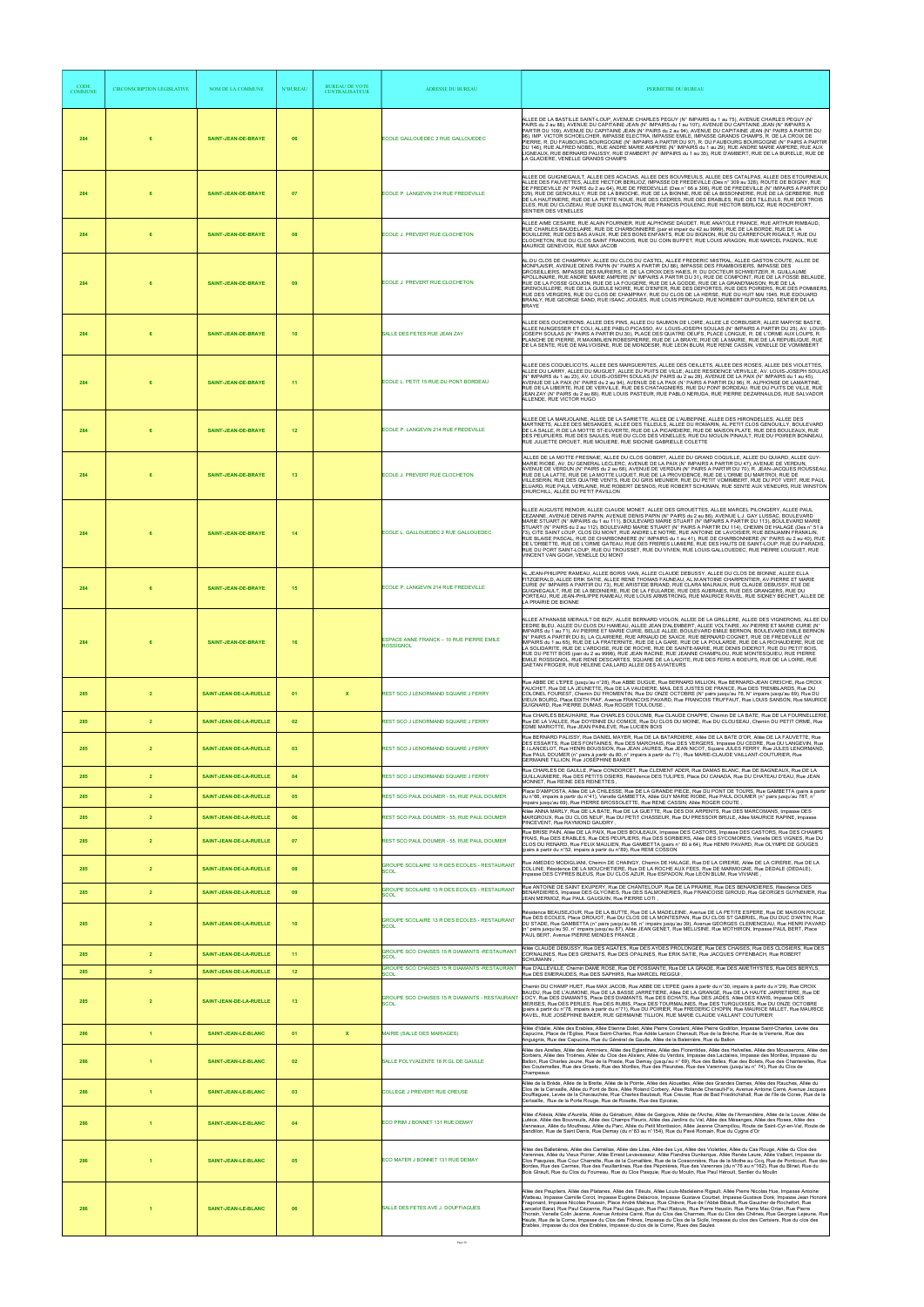| <b>CODE</b><br><b>COMMUNE</b> | <b>CIRCONSCRIPTION LEGISLATIVE</b> | NOM DE LA COMMUNE                                  | <b>N°BUREAU</b> | <b>BUREAU DE VOTE</b><br><b>CENTRALISATEUR</b> | <b>ADRESSE DU BUREAU</b>                                                                               | PERIMETRE DU BUREAU                                                                                                                                                                                                                                                                                                                                                                                                                                                                                                                                                                                                                                                                                                                                                                                                                                                                                                                                         |
|-------------------------------|------------------------------------|----------------------------------------------------|-----------------|------------------------------------------------|--------------------------------------------------------------------------------------------------------|-------------------------------------------------------------------------------------------------------------------------------------------------------------------------------------------------------------------------------------------------------------------------------------------------------------------------------------------------------------------------------------------------------------------------------------------------------------------------------------------------------------------------------------------------------------------------------------------------------------------------------------------------------------------------------------------------------------------------------------------------------------------------------------------------------------------------------------------------------------------------------------------------------------------------------------------------------------|
| 284                           |                                    | SAINT-JEAN-DE-BRAYE                                | 06              |                                                | ECOLE GALLOUEDEC 2 RUE GALLOUEDEC                                                                      | ALLEE DE LA BASTILLE SAINT-LOUP, AVENUE CHARLES PEGUY (N° IMPAIRS du 1 au 75), AVENUE CHARLES PEGUY (N°<br>PAIRS du 2 au 88), AVENUE DU CAPITAINE JEAN (N° IMPAIRS du 1 au 107), AVENUE DU CAPITAINE JEAN (N° IMPAIRS A<br>PARTIR DU 109), AVENUE DU CAPITAINE JEAN (N° PAIRS du 2 au 94), AVENUE DU CAPITAINE JEAN (N° PAIRS A PARTIR DU<br>96), IMP. VICTOR SCHOELCHER, IMPASSE ELECTRA, IMPASSE EMILE, IMPASSE GRANDS CHAMPS, R. DE LA CROIX DE<br>PIËRRE, R. DU FAUBOURG BOURGOGNE (N° IMPAIRS A PARTIR DU 97), R. DU FAUBOURG BOURGOGNE (N° PAIRS A PARTIR<br>DU 146), RUE ALFRED NOBEL, RUE ANDRE MARIE AMPERE (N° IMPAIRS du 1 au 29), RUE ANDRE MARIE AMPERE, RUE AUX<br>LIGNEAUX, RUE BERNARD PALISSY, RUE D'AMBERT (N° IMPAIRS du 1 au 35), RUE D'AMBERT, RUE DE LA BURELLE, RUE DE<br>LA GLACIERE, VENELLE GRANDS CHAMPS                                                                                                                         |
| 284                           |                                    | SAINT-JEAN-DE-BRAYE                                | 07              |                                                | ECOLE P. LANGEVIN 214 RUE FREDEVILLE                                                                   | ALLEE DE GUIGNEGAULT, ALLEE DES ACACIAS, ALLEE DES BOUVREUILS, ALLEE DES CATALPAS, ALLEE DES ETOURNEAUX<br>ALLEE DES FAUVETTES. ALLEE HECTOR BERLIOZ. IMPASSE DE FREDEVILLE (Des n° 309 au 328). ROUTE DE BOIGNY. RUE<br>DE FREDEVILLE (N° PAIRS du 2 au 64), RUE DE FREDEVILLE (Des n° 66 à 308), RUE DE FREDEVILLE (N° IMPAIRS A PARTIR DU<br>329). RUE DE GENOUILLY. RUE DE LA BINOCHE. RUE DE LA BIONNE. RUE DE LA BISSONNERIE. RUE DE LA GERBERIE. RUE<br>DE LA HAUTINIERE, RUE DE LA PETITE NOUE, RUE DES CEDRES, RUE DES ERABLES, RUE DES TILLEULS, RUE DES TROIS<br>CLES, RUE DU CLOZEAU, RUE DUKE ELLINGTON, RUE FRANCIS POULENC, RUE HECTOR BERLIOZ, RUE ROCHEFORT,<br>SENTIER DES VENELLES                                                                                                                                                                                                                                                       |
| 284                           |                                    | SAINT-JEAN-DE-BRAYE                                | 08              |                                                | ECOLE J. PREVERT RUE CLOCHETON                                                                         | ALLEE AIME CESAIRE, RUE ALAIN FOURNIER, RUE ALPHONSE DAUDET, RUE ANATOLE FRANCE, RUE ARTHUR RIMBAUD,<br>RUE CHARLES BAUDELAIRE, RUE DE CHARBONNIERE (pair et impair du 42 au 9999), RUE DE LA BORDE, RUE DE LA<br>BOUILLERE, RUE DES BAS AVAUX, RUE DES BONS ENFANTS, RUE DU BIGNON, RUE DU CARREFOUR RIGAULT, RUE DU<br>CLOCHETON, RUE DU CLOS SAINT FRANCOIS, RUE DU COIN BUFFET, RUE LOUIS ARAGON, RUE MARCEL PAGNOL, RUE<br>MAURICE GENEVOIX, RUE MAX JACOB                                                                                                                                                                                                                                                                                                                                                                                                                                                                                             |
| 284                           |                                    | <b>SAINT-JEAN-DE-BRAYE</b>                         | 09              |                                                | ECOLE J. PREVERT RUE CLOCHETON                                                                         | AL.DU CLOS DE CHAMPRAY, ALLEE DU CLOS DU CASTEL, ALLEE FREDERIC MISTRAL, ALLEE GASTON COUTE, ALLEE DE<br>MONPLAISIR, AVENUE DENIS PAPIN (N° PAIRS A PARTIR DU 88), IMPASSE DES FRAMBOISIERS, IMPASSE DES<br>GROSEILLIERS, IMPASSE DES MURIERS, R. DE LA CROIX DES HAIES, R. DU DOCTEUR SCHWEITZER, R. GUILLAUME<br>APOLLINAIRE, RUE ANDRE MARIE AMPERE (N° IMPAIRS A PARTIR DU 31), RUE DE COMPOINT, RUE DE LA FOSSE BELAUDE,<br>RUE DE LA FOSSE GOUJON. RUE DE LA FOÙGERE. RUE DE LA GODDE. RUE DE LA GRAND'MAISON. RUE DE LA<br>GRENOUILLERE, RUE DE LA GUEULE NOIRE, RUE D'ENFER, RUE DES DEPORTES, RUE DES POIRIERS, RUE DES POMMIERS<br>RUE DES VERGERS, RUE DU CLOS DE CHAMPRAY, RUE DU CLOS DE LA HERSE, RUE DU HUIT MAI 1945, RUE EDOUARD<br>BRANLY, RUE GEORGE SAND, RUE ISAAC JOGUES, RUE LOUIS PERGAUD, RUE NORBERT DUFOURCQ, SENTIER DE LA<br><b>BRAYE</b>                                                                                      |
| 284                           |                                    | <b>SAINT-JEAN-DE-BRAYE</b>                         | 10              |                                                | SALLE DES FETES RUE JEAN ZAY                                                                           | ALLEE DES OUCHERONS, ALLEE DES PINS, ALLEE DU SAUMON DE LOIRE, ALLEE LE CORBUSIER, ALLEE MARYSE BASTIE,<br>ALLEE NUNGESSER ET COLI, ALLEE PABLO PICASSO, AV. LOUIS-JOSEPH SOULAS (N° IMPAIRS A PARTIR DU 25), AV. LOUIS-<br>JOSEPH SOULAS (N° PAIRS A PARTIR DU 30), PLACE DES QUATRE OEUFS, PLACE LONGUE, R. DE L'ORME AUX LOUPS, R.<br>PLANCHE DE PIERRE, R.MAXIMILIEN ROBESPIERRE, RUE DE LA BRAYE, RUE DE LA MAIRIE, RUE DE LA REPUBLIQUE, RUE<br>DE LA SENTE, RUE DE MALVOISINE, RUE DE MONDESIR, RUE LEON BLUM, RUE RENE CASSIN, VENELLE DE VOMIMBERT                                                                                                                                                                                                                                                                                                                                                                                                 |
| 284                           |                                    | <b>SAINT-JEAN-DE-BRAYE</b>                         | 11              |                                                | ECOLE L. PETIT 15 RUE DU PONT BORDEAU                                                                  | ALLEE DES COQUELICOTS. ALLEE DES MARGUERITES. ALLEE DES OEILLETS. ALLEE DES ROSES. ALLEE DES VIOLETTES.<br>ALLEE DU LARRY, ALLEE DU MUGUET, ALLEE DU PUITS DE VILLE, ALLEE RESIDENCE VERVILLE, AV. LOUIS-JOSEPH SOULAS<br>(N° IMPAIRS du 1 au 23), AV. LOUIS-JOSEPH SOULAS (N° PAIRS du 2 au 28), AVENUE DE LA PAIX (N° IMPAIRS du 1 au 45),<br>ÀVENUE DE LA PAIX (N° PAIRS du 2 au 94), AVENUE DE LA PAIX (N° PAIRS A PARTIR DU 96), R. ALPHONSE DE LAMARTÍNE,<br>RUE DE LA LIBERTE, RUE DE VERVILLE, RUE DES CHATAIGNIERS, RUE DU PONT BORDEAU, RUE DU PUITS DE VILLE, RUE<br>JEAN ZAY (N° PAIRS du 2 au 88), RUE LOUIS PASTEUR, RUE PABLO NERUDA, RUE PIERRE DEZARNAULDS, RUE SALVADOR<br>ALLENDE, RUE VICTOR HUGO                                                                                                                                                                                                                                       |
| 284                           |                                    | SAINT-JEAN-DE-BRAYE                                | 12              |                                                | ECOLE P. LANGEVIN 214 RUE FREDEVILLE                                                                   | ALLEE DE LA MARJOLAINE, ALLEE DE LA SARIETTE, ALLEE DE L'AUBEPINE, ALLEE DES HIRONDELLES, ALLEE DES<br>MARTINETS, ALLEE DES MESANGES, ALLEE DES TILLEULS, ALLEE DU ROMARIN, AL PETIT CLOS GENOUILLY, BOULEVARD<br>DE LA SALLE, R.DE LA MOTTE ST-EUVERTE, RUE DE LA PICARDIERE, RUE DE MAISON PLATE, RUE DES BOULEAUX, RUE<br>DES PEUPLIERS, RUE DES SAULES, RUE DU CLOS DES VENELLES, RUE DU MOULIN PINAULT, RUE DU POIRIER BONNEAU,<br>RUE JULIETTE DROUET, RUE MOLIERE, RUE SIDONIE GABRIELLE COLETTE                                                                                                                                                                                                                                                                                                                                                                                                                                                     |
| 284                           |                                    | SAINT-JEAN-DE-BRAYE                                | 13              |                                                | ECOLE J. PREVERT RUE CLOCHETON                                                                         | ALLEE DE LA MOTTE FRESNAIE, ALLEE DU CLOS GOBERT, ALLEE DU GRAND COQUILLE, ALLEE DU QUIARD, ALLEE GUY-<br>MARIE RIOBE, AV. DU GENERAL LECLERC, AVENUE DE LA PAIX (N° IMPAIRS A PARTIR DU 47), AVENUE DE VERDUN,<br>AVENUE DE VERDUN (N° PAIRS du 2 au 68), AVENUE DE VERDUN (N° PAIRS A PARTIR DU 70), R. JEAN-JACQUES ROUSSEAU.<br>RUE DE LA LATTE, RUE DE LA MOTTE LUQUET, RUE DE LA PROVIDENCE, RUE DE L'ORME DU MARTROI, RUE DE<br>VILLESERIN, RUE DES QUATRE VENTS, RUE DU GRIS MEUNIER, RUE DU PETIT VOMIMBERT, RUE DU POT VERT, RUE PAUL<br>ELUARD, RUE PAUL VERLAINE, RUE ROBERT DESNOS, RUE ROBERT SCHUMAN, RUE SENTE AUX VENEURS, RUE WINSTON<br>CHURCHILL, ALLÉE DU PETIT PAVILLON                                                                                                                                                                                                                                                               |
| 284                           |                                    | <b>SAINT-JEAN-DE-BRAYE</b>                         | 14              |                                                | ECOLE L. GALLOUEDEC 2 RUE GALLOUEDEC                                                                   | ALLEE AUGUSTE RENOIR, ALLEE CLAUDE MONET, ALLEE DES GROUETTES, ALLEE MARCEL PILONGERY, ALLEE PAUL<br>CEZANNE, AVENUE DENIS PAPIN, AVENUE DENIS PAPIN (N° PAIRS du 2 au 86), AVENUE L.J. GAY LUSSAC, BOULEVARD<br>MARIE STUART (N° IMPAIRS du 1 au 111), BOULEVARD MARIE STUART (N° IMPAIRS A PARTIR DU 113), BOULEVARD MARIE<br>STUART (N° PAIRS du 2 au 112), BOULEVARD MARIE STUART (N° PAIRS A PARTIR DU 114), CHEMIN DE HALAGE (Des n° 51 à<br>73). CITE SAINT LOUP, CLOS DU MONT, RUE ANDRE LE NOTRE, RUE ANTOINE DE LAVOISIER, RUE BENJAMIN FRANKLIN.<br>RÚE BLAISE PASCAL, RUE DE CHARBONNIERE (N° IMPAIRS du 1 au 41), RUE DE CHARBONNIERE (N° PAIRS du 2 au 40), RUE<br>DE L'ORBETTE, RUE DE L'ORME GATEAU, RUE DES FRERES LUMIERE, RUE DES HAUTS DE SAINT-LOUP, RUE DU PARADIS.<br>RUE DU PORT SAINT-LOUP, RUE DU TROUSSET, RUE DU VIVIEN, RUE LOUIS GALLOUEDEC, RUE PIERRE LOUGUET, RUE<br>VINCENT VAN GOGH, VENELLE DU MONT                     |
| 284                           |                                    | SAINT-JEAN-DE-BRAYE                                | 15              |                                                | ECOLE P. LANGEVIN 214 RUE FREDEVILLE                                                                   | AL.JEAN-PHILIPPE RAMEAU, ALLEE BORIS VIAN, ALLEE CLAUDE DEBUSSY, ALLEE DU CLOS DE BIONNE, ALLEE ELLA<br>FITZGERALD, ALLEE ERIK SATIE, ALLEE RENE THOMAS FAUNEAU, AL.M.ANTOINE CHARPENTIER, AV.PIERRE ET MARIE<br>CURIE (N° IMPAIRS A PARTIR DU 73), RUE ARISTIDE BRIAND, RUE CLARA MALRAUX, RUE CLAUDE DEBUSSY, RUE DE<br>GUIGNEGAULT, RUE DE LA BEDINIERE, RUE DE LA FEULARDE, RUE DES AUBRAIES, RUE DES GRANGERS, RUE DU<br>PORTEAU, RUE JEAN-PHILIPPE RAMEAU, RUE LOUIS ARMSTRONG, RUE MAURICE RAVEL, RUE SIDNEY BECHET, ALLEE DE<br>LA PRAIRIE DE BIONNE                                                                                                                                                                                                                                                                                                                                                                                                |
| 284                           |                                    | <b>SAINT-JEAN-DE-BRAYE</b>                         | 16              |                                                | ESPACE ANNE FRANCK - 10 RUE PIERRE EMILE<br><b>ROSSIGNOL</b>                                           | ALLEE ATHANASE MERAULT DE BIZY, ALLEE BERNARD VIOLON, ALLEE DE LA GRILLERE, ALLEE DES VIGNERONS, ALLEE DU<br>CEDRE BLEU, ALLEE DU CLOS DU HAMEAU, ALLEE JEAN D'ALEMBERT, ALLEE VOLTAIRE, AV PIERRE ET MARIE CURIE (N°<br>IMPAIRS du 1 au 71), AV.PIERRE ET MARIE CURIE, BELLE ALLEE, BOULEVARD EMILE BERNON, BOULEVARD EMILE BERNON<br>(N° PAIRS A PARTIR DU 8), LA CLAIRIERE, RUE ARNAUD DE SAXCE, RUE BERNARD COGNET, RUE DE FREDEVILLE (N°<br>IMPAIRS du 1 au 65), RUE DE LA FRATERNITE, RUE DE LA GARE, RUE DE LA POULARDE, RUE DE LA RICHAUDIERE, RUE DE<br>LA SOLIDARITE, RUE DE L'ARDOISE, RUE DE ROCHE, RUE DE SAINTE-MARIE, RUE DENIS DIDEROT, RUE DU PETIT BOIS,<br>RUE DU PETIT BOIS (pair du 2 au 9998), RUE JEAN RACINE, RUE JEANNE CHAMPILOU, RUE MONTESQUIEU, RUE PIERRE<br>EMILE ROSSIGNOL, RUE RENE DESCARTES, SQUARE DE LA LAICITE, RUE DES FERS A BOEUFS, RUE DE LA LOIRE, RUE<br>GAETAN FROGER, RUE HELENE CAILLARD ALLEE DES AVIATEURS |
| 285                           | $\overline{2}$                     | SAINT-JEAN-DE-LA-RUELLE                            | 01              | X                                              | REST SCO J LENORMAND SQUARE J FERRY                                                                    | Rue ABBE DE L'EPEE (jusqu'au n°28), Rue ABBE DUGUE, Rue BERNARD MILLION, Rue BERNARD-JEAN CREICHE, Rue CROIX<br>FAUCHET, Rue DE LA JEUNETTE, Rue DE LA VAUDIERE, MAIL DES JUSTES DE FRANCE, Rue DES TREMBLARDS, Rue DU<br>COLONEL FOUREST, Chemin DU FROMENTIN, Rue DU ONZE OCTOBRE (N° pairs jusqu'au 76, N° impairs jusqu'au 69), Rue DU<br>VIEUX BOURG, Place EDITH PIAF, Avenue FRANCOIS PAVARD, Rue FRANCOIS TRUFFAUT, Rue LOUIS SANSON, Rue MAURICE<br>GUIGNARD, Rue PIERRE DUMAS, Rue ROGER TOULOUSE                                                                                                                                                                                                                                                                                                                                                                                                                                                 |
| 285                           | $\overline{2}$                     | SAINT-JEAN-DE-LA-RUELLE                            | 02              |                                                | REST SCO J LENORMAND SQUARE J FERRY                                                                    | Rue CHARLES BEAUHAIRE, Rue CHARLES COULOMB, Rue CLAUDE CHAPPE, Chemin DE LA BATE, Rue DE LA FOURNELLERIE<br>Rue DE LA VALLEE, Rue DOYENNE DU COMICE, Rue DU CLOS DU MOINE, Rue DU CLOUSEAU, Chemin DU PETIT ORME, Rue<br>EDME MARIOTTE, Rue JEAN PAINLEVE, Rue LUCIEN BOIS                                                                                                                                                                                                                                                                                                                                                                                                                                                                                                                                                                                                                                                                                  |
| 285                           | $\overline{2}$                     | SAINT-JEAN-DE-LA-RUELLE                            | 03              |                                                | REST SCO J LENORMAND SQUARE J FERRY                                                                    | Rue BERNARD PALISSY, Rue DANIEL MAYER, Rue DE LA BATARDIERE, Allée DE LA BATE D'OR, Allée DE LA FAUVETTE, Rue<br>DES ESSARTS, Rue DES FONTAINES, Rue DES MARCHAIS, Rue DES VERGERS, Impasse DU CEDRE, Rue DU LANGEVIN, Rue<br>E.I.LANCELOT, Rue HENRI BOUSSION, Rue JEAN JAURES, Rue JEAN NICOT, Square JULES FERRY, Rue JULES LENORMAND,<br>Rue PAUL DOUMER (n° pairs à partir du 80, n° impairs à partir du 71), Rue MARIE-CLAUDE VAILLANT-COUTURIER, Rue<br>GERMAINE TILLION, Rue JOSÉPHINE BAKER                                                                                                                                                                                                                                                                                                                                                                                                                                                        |
| 285                           | $\overline{2}$                     | SAINT-JEAN-DE-LA-RUELLE                            | 04              |                                                | REST SCO J LENORMAND SQUARE J FERRY                                                                    | Rue CHARLES DE GAULLE, Place CONDORCET, Rue CLEMENT ADER, Rue DAMAS BLANC, Rue DE BAGNEAUX, Rue DE LA<br>GUILLAUMIERE, Rue DES PETITS OSIERS, Résidence DES TULIPES, Place DU CANADA, Rue DU CHATEAU D'EAU, Rue JEAN<br>MONNET, Rue REINE DES REINETTES<br>Place D'AMPOSTA, Allée DE LA CHILESSE, Rue DE LA GRANDE PIECE, Rue DU PONT DE TOURS, Rue GAMBETTA (pairs à partir                                                                                                                                                                                                                                                                                                                                                                                                                                                                                                                                                                                |
| 285                           | $\overline{2}$                     | SAINT-JEAN-DE-LA-RUELLE                            | 05              |                                                | REST SCO PAUL DOUMER - 55, RUE PAUL DOUMER                                                             | du n°66, impairs à partir du n°41), Venelle GAMBETTA, Allée GUY MARIE RIOBE, Rue PAUL DOUMER (n° pairs jusqu'au 78T, n°<br>impairs jusqu'au 69), Rue PIERRE BROSSOLETTE, Rue RENE CASSIN, Allée ROGER COUTE,<br>Allée ANNA MARLY, Rue DE LA BATE, Rue DE LA GUETTE, Rue DES DIX ARPENTS, Rue DES MARCOMANS, Impasse DES                                                                                                                                                                                                                                                                                                                                                                                                                                                                                                                                                                                                                                     |
| 285<br>285                    | $\overline{2}$<br>$\overline{2}$   | SAINT-JEAN-DE-LA-RUELLE<br>SAINT-JEAN-DE-LA-RUELLE | 06<br>07        |                                                | REST SCO PAUL DOUMER - 55, RUE PAUL DOUMER<br>REST SCO PAUL DOUMER - 55, RUE PAUL DOUMER               | MARGROUX, Rue DU CLOS NEUF, Rue DU PETIT CHASSEUR, Rue DU PRESSOIR BRULE, Allée MAURICE RAPINE, Impasse<br>PINCEVENT, Rue RAYMOND GAUDRY,<br>Rue BRISE PAIN, Allée DE LA PAIX, Rue DES BOULEAUX, Impasse DES CASTORS, Impasse DES CASTORS, Rue DES CHAMPS<br>FRAIS, Rue DES ERABLES, Rue DES PEUPLIERS, Rue DES SORBIERS, Allée DES SYCOMORES, Venelle DES VIGNES, Rue DU                                                                                                                                                                                                                                                                                                                                                                                                                                                                                                                                                                                   |
|                               |                                    |                                                    |                 |                                                | GROUPE SCOLAIRE 13 R DES ECOLES - RESTAURANT                                                           | CLOS DU RENARD, Rue FELIX MAULIEN, Rue GAMBETTA (pairs n° 60 à 64), Rue HENRI PAVARD, Rue OLYMPE DE GOUGES<br>(pairs à partir du n°52, impairs à partir du n°89), Rue REMI COSSON<br>Rue AMEDEO MODIGLIANI, Chemin DE CHAINGY, Chemin DE HALAGE, Rue DE LA CIRERIE, Allée DE LA CIRERIE, Rue DE LA                                                                                                                                                                                                                                                                                                                                                                                                                                                                                                                                                                                                                                                          |
| 285<br>285                    | $\overline{2}$<br>$\overline{2}$   | SAINT-JEAN-DE-LA-RUELLE                            | 08<br>09        |                                                | SCOL.<br>GROUPE SCOLAIRE 13 R DES ECOLES - RESTAURANT                                                  | COLLINE, Résidence DE LA MOUCHETIERE, Rue DE LA ROCHE AUX FEES, Rue DE MARMOGNE, Rue DEDALE (DEDALE),<br>Impasse DES CYPRES BLEUS, Rue DU CLOS AZUR, Rue ESPADON, Rue LEON BLUM, Rue VIVIANE,<br>Rue ANTOINE DE SAINT EXUPERY, Rue DE CHANTELOUP, Rue DE LA PRAIRIE, Rue DES BENARDIERES, Résidence DES<br>BENARDIERES, Impasse DES GLYCINES, Rue DES SALMONERIES, Rue FRANCOISE GIROUD, Rue GEORGES GUYNEMER, Rue                                                                                                                                                                                                                                                                                                                                                                                                                                                                                                                                          |
|                               |                                    | SAINT-JEAN-DE-LA-RUELLE                            |                 |                                                | SCOL<br>GROUPE SCOLAIRE 13 R DES ECOLES - RESTAURANT                                                   | JEAN MERMOZ, Rue PAUL GAUGUIN, Rue PIERRE LOTI,<br>Résidence BEAUSEJOUR, Rue DE LA BUTTE, Rue DE LA MADELEINE, Avenue DE LA PETITE ESPERE, Rue DE MAISON ROUGE,<br>Rue DES ECOLES, Place DROUOT, Rue DU CLOS DE LA MONTESPAN, Rue DU CLOS ST GABRIEL, Rue DU DUC D'ANTIN, Rue                                                                                                                                                                                                                                                                                                                                                                                                                                                                                                                                                                                                                                                                               |
| 285                           |                                    | SAINT-JEAN-DE-LA-RUELLE                            | 10              |                                                | SCOL.                                                                                                  | DU STADE, Rue GAMBETTA (n° pairs jusqu'au 58, n° impairs jusqu'au 39), Avenue GEORGES CLEMENCEAU, Rue HENRI PAVARD<br>(n° pairs jusqu'au 50, n° impairs jusqu'au 87), Allée JEAN GENET, Rue MELUSINE, Rue MOTHIRON, Impasse PAUL BERT, Place<br>PAUL BERT, Avenue PIERRE MENDES FRANCE,                                                                                                                                                                                                                                                                                                                                                                                                                                                                                                                                                                                                                                                                     |
| 285<br>285                    | $\overline{2}$<br>$\overline{2}$   | SAINT-JEAN-DE-LA-RUELLE<br>SAINT-JEAN-DE-LA-RUELLE | 11<br>12        |                                                | GROUPE SCO CHAISES 15 R DIAMANTS - RESTAURANT<br>SCOL.<br>GROUPE SCO CHAISES 15 R DIAMANTS -RESTAURANT | Allée CLAUDE DEBUSSY, Rue DES AGATES, Rue DES AYDES PROLONGEE, Rue DES CHAISES, Rue DES CLOSIERS, Rue DES<br>CORNALINES, Rue DES GRENATS, Rue DES OPALINES, Rue ERIK SATIE, Rue JACQUES OFFENBACH, Rue ROBERT<br><b>SCHUMANN</b><br>Rue D'ALLEVILLE, Chemin DAME ROSE, Rue DE FOSSIANTE, Rue DE LA GRADE, Rue DES AMETHYSTES, Rue DES BERYLS,                                                                                                                                                                                                                                                                                                                                                                                                                                                                                                                                                                                                               |
| 285                           |                                    | SAINT-JEAN-DE-LA-RUELLE                            | 13              |                                                | SCOL<br>GROUPE SCO CHAISES 15 R DIAMANTS - RESTAURANT<br>SCOL.                                         | Rue DES EMERAUDES, Rue DES SAPHIRS, Rue MARCEL REGGUI,<br>Chemin DU CHAMP HUET, Rue MAX JACOB, Rue ABBE DE L'EPEE (pairs à partir du n°30, impairs à partir du n°29), Rue CROIX<br>BAUDU, Rue DE L'AUMONE, Rue DE LA BASSE JARRETIERE, AIIée DE LA GRANGE, Rue DE LA HAUTE JARRETIERE, Rue DE<br>LOCY, Rue DES DIAMANTS, Place DES DIAMANTS, Rue DES ECHATS, Rue DES JADES, Allée DES KIWIS, Impasse DES<br>MERISES, Rue DES PERLES, Rue DES RUBIS, Place DES TOURMALINES, Rue DES TURQUOISES, Rue DU ONZE OCTOBRE<br>(pairs à partir du n°78, impairs à partir du n°71), Rue DU POIRIER, Rue FREDERIC CHOPIN, Rue MAURICE MILLET, Rue MAURICE<br>RAVEL, RUE JOSÉPHINE BAKER, RUE GERMAINE TILLION, RUE MARIE CLAUDE VAILLANT COUTURIER                                                                                                                                                                                                                     |
| 286                           | $\blacktriangleleft$               | SAINT-JEAN-LE-BLANC                                | 01              | $\mathbf{x}$                                   | MAIRIE (SALLE DES MARIAGES)                                                                            | Allée d'Idalie, Allée des Erables, Allée Etienne Dolet, Allée Pierre Constant, Allée Pierre Godillon, Impasse Saint-Charles, Levée des<br>Capucins, Place de l'Eglise, Place Saint-Charles, Rue Adèle Lanson Chenault, Rue de la Brèche, Rue de la Verrerie, Rue des<br>Anguignis, Rue des Capucins, Rue du Général de Gaulle, Allée de la Baleinière, Rue du Ballon                                                                                                                                                                                                                                                                                                                                                                                                                                                                                                                                                                                        |
| 286                           |                                    | SAINT-JEAN-LE-BLANC                                | 02              |                                                | SALLE POLYVALENTE 18 R GL DE GAULLE                                                                    | Allée des Airelles, Allée des Arminiers, Allée des Eglantines, Allée des Florentides, Allée des Helvelles, Allée des Mousserons, Allée des<br>Sorbiers. Allée des Troënes. Allée du Clos des Alisiers. Allée du Verdois. Impasse des Lactaires. Impasse des Morilles. Impasse du<br>Ballon, Rue Charles Jeune, Rue de la Prasle, Rue Demay (jusqu'au n° 69), Rue des Balles, Rue des Bolets, Rue des Chanterelles, Rue<br>des Coulemelles. Rue des Grisets, Rue des Morilles, Rue des Pleurotes, Rue des Varennes (jusqu'au n° 74), Rue du Clos de<br>Champeaux                                                                                                                                                                                                                                                                                                                                                                                             |
| 286                           | $\overline{1}$                     | SAINT-JEAN-LE-BLANC                                | 03              |                                                | COLLEGE J PREVERT RUE CREUSE                                                                           | Allée de la Brède, Allée de la Brette, Allée de la Pointe, Allée des Alouettes, Allée des Grandes Dames, Allée des Rauches, Allée du<br>Clos de la Cerisaille, Allée du Pont de Bois, Allée Roland Corbery, Allée Rolande Chenault-Fix, Avenue Antoine Carré, Avenue Jacques<br>Douffiagues, Levée de la Chavauchée, Rue Charles Baubault, Rue Creuse, Rue de Bad Friedrichshall, Rue de l'Ile de Corse, Rue de la<br>Cerisaille, Rue de la Porte Rouge, Rue de Rosette, Rue des Epicéas,                                                                                                                                                                                                                                                                                                                                                                                                                                                                   |
| 286                           | $\overline{1}$                     | <b>SAINT-JEAN-LE-BLANC</b>                         | 04              |                                                | ECO PRIM J BONNET 131 RUE DEMAY                                                                        | Allée d'Alésia, Allée d'Aurélia, Allée du Génabum, Allée de Gergovie, Allée de l'Arche, Allée de l'Armandière, Allée de la Louve, Allée de<br>Lutèce, Allée des Bouvreuils, Allée des Champs Fleuris, Allée des Jardins du Val, Allée des Mésanges, Allée des Roses, Allée des<br>Vanneaux, Allée du Moutheau, Allée du Parc, Allée du Petit Montission, Allée Jeanne Champillou, Route de Saint-Cyr-en-Val, Route de<br>Sandillon, Rue de Saint Denis, Rue Demay (du n°83 au n°154), Rue du Pavé Romain, Rue du Cygne d'Or                                                                                                                                                                                                                                                                                                                                                                                                                                 |
| 286                           |                                    | SAINT-JEAN-LE-BLANC                                | 05              |                                                | ECO MATER J BONNET 131 RUE DEMAY                                                                       | Allée des Balletières. Allée des Camélias, Allée des Lilas, Allée des Lys, Allée des Violettes, Allée du Cas Rouge, Allée du Clos des<br>Varennes, Allée du Vieux Poirier, Allée Ernest Levavasseur, Allée Flandres Dunkerque, Allée Renée Laure, Allée Valbert, Impasse du<br>Clos Pasquies, Rue Cour Charrette, Rue de la Cornaillère, Rue de la Cossonnière, Rue de la Mothe au Coq, Rue de Pontcourt, Rue des<br>Bordes, Rue des Carmes, Rue des Feuillantines, Rue des Pépinières, Rue des Varennes (du n°76 au n°162), Rue du Blinet, Rue du<br>Bois Glrault, Rue du Clos du Fourreau, Rue du Clos Pasquie, Rue du Moulin, Rue Paul Héroult, Sentier du Moulin                                                                                                                                                                                                                                                                                        |
| 286                           | -1                                 | <b>SAINT-JEAN-LE-BLANC</b>                         | 06              |                                                | SALLE DES FETES AVE J. DOUFFIAGUES                                                                     | Allée des Peupliers, Allée des Platanes, Allée des Tilleuls, Allée Louis-Madeleine Rigault, Allée Pierre Nicolas Hue, Impasse Antoine<br>Watteau, Impasse Camille Corot, Impasse Eugène Delacroix, Impasse Gustave Courbet, Impasse Gustave Doré, Impasse Jean Honoré<br>Fragonard, Impasse Nicolas Poussin, Place André Malraux, Rue Chèvre, Rue de l'Abbé Bibault, Rue Gaucher de Rochefort, Rue<br>Lancelot Barat, Rue Paul Cézanne, Rue Paul Gauguin, Rue Paul Ratouis, Rue Pierre Heuslin, Rue Pierre Mac Orlan, Rue Pierre<br>Thorain, Venelle Colin Jeanne, Avenue Antoine Carré, Rue du Clos des Charmes, Rue du Clos des Chênes, Rue Georges Lejeune, Rue<br>Haute, Rue de la Corne, Impasse du Clos des Frênes, Impasse du Clos de la Sicile, Impasse du clos des Cerisiers, Rue du clos des<br>Erables, Impasse du clos des Erables, Impasse du clos de la Corne, Rues des Saules                                                                |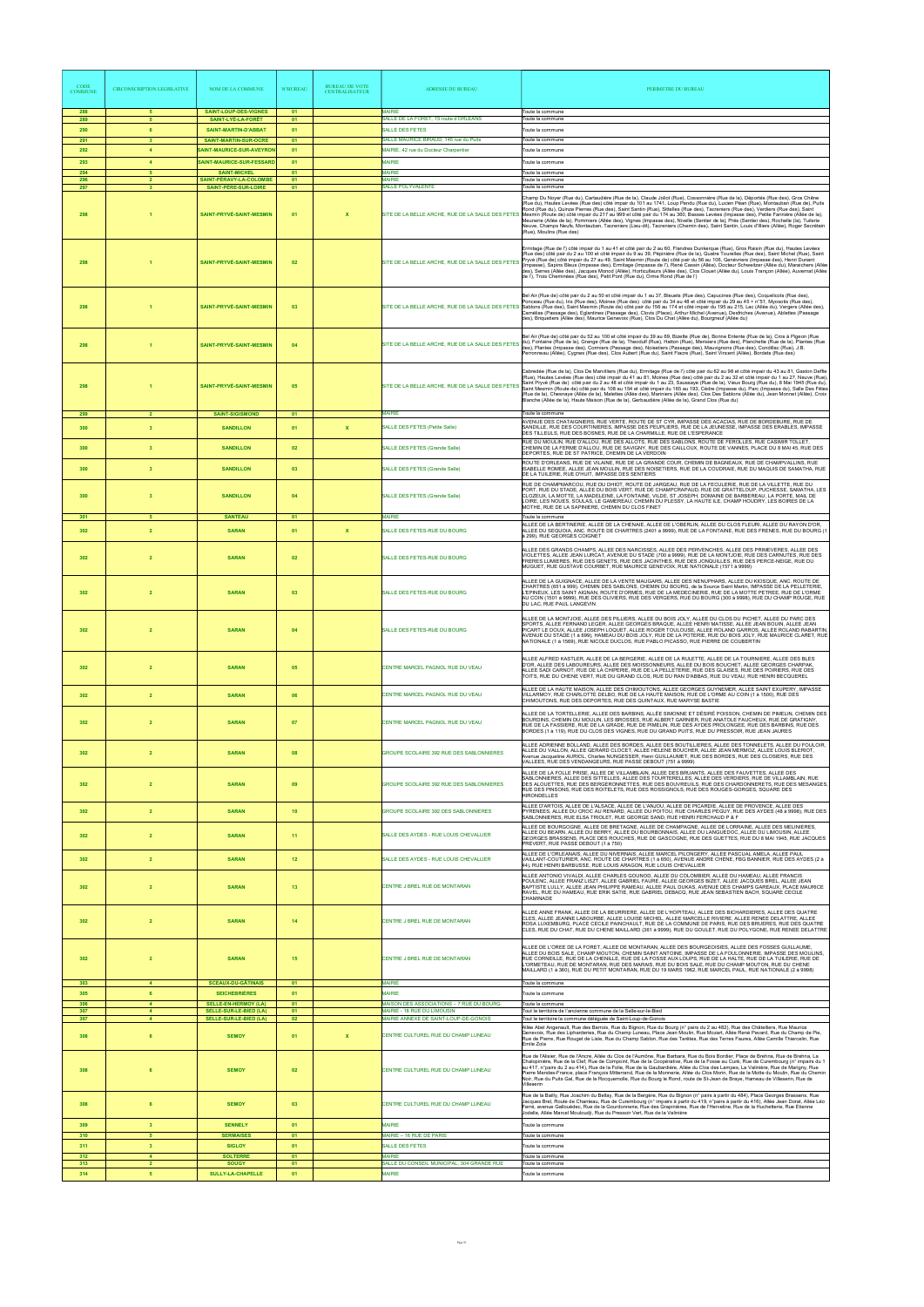| <b>CODE</b><br><b>COMMUNE</b> | <b>CIRCONSCRIPTION LEGISLATIVE</b>        | NOM DE LA COMMUNE                                                                             | <b>N°BUREAU</b> | <b>BUREAU DE VOTE</b><br><b>CENTRALISATEUR</b> | <b>ADRESSE DU BUREAU</b>                                             | PERIMETRE DU BUREAU                                                                                                                                                                                                                                                                                                                                                                                                                                                                                                                                                                                                                                                                                                                                                                                                                                                                                                |
|-------------------------------|-------------------------------------------|-----------------------------------------------------------------------------------------------|-----------------|------------------------------------------------|----------------------------------------------------------------------|--------------------------------------------------------------------------------------------------------------------------------------------------------------------------------------------------------------------------------------------------------------------------------------------------------------------------------------------------------------------------------------------------------------------------------------------------------------------------------------------------------------------------------------------------------------------------------------------------------------------------------------------------------------------------------------------------------------------------------------------------------------------------------------------------------------------------------------------------------------------------------------------------------------------|
| 288<br>289                    | 5 <sub>5</sub><br>5 <sup>5</sup>          | <b>SAINT-LOUP-DES-VIGNES</b><br>SAINT-LYÉ-LA-FORÊT                                            | 01<br>01        |                                                | <b>MAIRIE</b><br>SALLE DE LA FORET, 15 route d'ORLEANS               | Toute la commune<br>Toute la commune                                                                                                                                                                                                                                                                                                                                                                                                                                                                                                                                                                                                                                                                                                                                                                                                                                                                               |
| 290                           | 6                                         | <b>SAINT-MARTIN-D'ABBAT</b>                                                                   | 01              |                                                | <b>SALLE DES FETES</b>                                               | Toute la commune                                                                                                                                                                                                                                                                                                                                                                                                                                                                                                                                                                                                                                                                                                                                                                                                                                                                                                   |
| 291                           | $\mathbf{3}$                              | SAINT-MARTIN-SUR-OCRE                                                                         | 01              |                                                | SALLE MAURICE BIRAUD, 145 rue du Puits                               | Toute la commune                                                                                                                                                                                                                                                                                                                                                                                                                                                                                                                                                                                                                                                                                                                                                                                                                                                                                                   |
| 292<br>293                    | $\overline{4}$<br>$\overline{4}$          | SAINT-MAURICE-SUR-AVEYRON<br>SAINT-MAURICE-SUR-FESSARD                                        | 01<br>01        |                                                | MAIRIE, 42 rue du Docteur Charpentier<br><b>MAIRIE</b>               | Toute la commune<br>Toute la commune                                                                                                                                                                                                                                                                                                                                                                                                                                                                                                                                                                                                                                                                                                                                                                                                                                                                               |
| 294                           | 5                                         | <b>SAINT-MICHEL</b>                                                                           | 01              |                                                | <b>MAIRIE</b>                                                        | Toute la commune                                                                                                                                                                                                                                                                                                                                                                                                                                                                                                                                                                                                                                                                                                                                                                                                                                                                                                   |
| 296<br>297                    | $\overline{2}$<br>$\overline{\mathbf{3}}$ | SAINT-PÉRAVY-LA-COLOMBE<br><b>SAINT-PÈRE-SUR-LOIRE</b>                                        | 01<br>01        |                                                | <b>MAIRIE</b><br><b>SALLE POLYVALENTE</b>                            | Toute la commune<br>Toute la commune                                                                                                                                                                                                                                                                                                                                                                                                                                                                                                                                                                                                                                                                                                                                                                                                                                                                               |
| 298                           |                                           | <b>SAINT-PRYVÉ-SAINT-MESMIN</b>                                                               | 01              | X                                              |                                                                      | Champ Du Noyer (Rue du), Cartaudière (Rue de la), Claude Joliot (Rue), Cossonnière (Rue de la), Déportés (Rue des), Gros Chêne<br>(Rue du), Hautes Levées (Rue des) côté impair du 101 au 1741, Loup Pendu (Rue du), Lucien Péan (Rue), Montauban (Rue de), Puits<br>Rond (Rue du), Quinze Pierres (Rue des), Saint Santin (Rue), Sittelles (Rue des), Tacreniers (Rue des), Verdiers (Rue des), Saint<br>SITE DE LA BELLE ARCHE, RUE DE LA SALLE DES FETES Mesmin (Route de) côté impair du 217 au 999 et côté pair du 174 au 360, Basses Levées (Impasse des), Petite Farinière (Allée de la),<br>Meunerie (Allée de la), Pommiers (Allée des), Vignes (Impasse des), Nivelle (Sentier de la), Prés (Sentier des), Rochelle (Ia), Tuilerie<br>Neuve, Champs Neufs, Montauban, Tacreniers (Lieu-dit), Tacreniers (Chemin des), Saint Santin, Louis d'Illiers (Allée), Roger Secrétain<br>(Rue), Moulins (Rue des) |
| 298                           |                                           | SAINT-PRYVÉ-SAINT-MESMIN                                                                      | 02              |                                                | SITE DE LA BELLE ARCHE, RUE DE LA SALLE DES FETES                    | Ermitage (Rue de l') côté impair du 1 au 41 et côté pair du 2 au 60, Flandres Dunkerque (Rue), Gros Raisin (Rue du), Hautes Levées<br>(Rue des) côté pair du 2 au 100 et côté impair du 9 au 39, Pépinière (Rue de la), Quatre Tourelles (Rue des), Saint Michel (Rue), Saint<br>Pryvé (Rue de) côté impair du 27 au 49, Saint Mesmin (Route de) côté pair du 56 au 106, Genévriers (Impasse des), Henri Dunant<br>(Impasse), Sapins Bleus (Impasse des), Ermitage (Impasse de l'), René Cassin (Allée), Docteur Schweitzer (Allée du), Maraichers (Allée<br>des), Serres (Allée des), Jacques Monod (Allée), Horticulteurs (Allée des), Clos Clouet (Allée du), Louis Trançon (Allée), Auvernat (Allée<br>de l'), Trois Cheminées (Rue des), Petit Pont (Rue du), Orme Rond (Rue de l')                                                                                                                           |
| 298                           |                                           | SAINT-PRYVÉ-SAINT-MESMIN                                                                      | 03              |                                                |                                                                      | Bel Air (Rue de) côté pair du 2 au 50 et côté impair du 1 au 37, Bleuets (Rue des), Capucines (Rue des), Coquelicots (Rue des),<br>Ponceau (Rue du), Iris (Rue des), Moines (Rue des) côté pair du 34 au 48 et côté impair du 29 au 45 + n°51, Myosotis (Rue des),<br>SITE DE LA BELLE ARCHE, RUE DE LA SALLE DES FETES Sablons (Rue des), Saint Mesmin (Route de) côté pair du 156 au 174 et côté impair du 195 au 215, Lac (Allée du), Vergers (Allée des),<br>Camélias (Passage des), Eglantines (Passage des), Clovis (Place), Arthur Michel (Avenue), Desfriches (Avenue), Ablettes (Passage<br>des), Briquetiers (Allée des), Maurice Genevoix (Rue), Clos Du Chat (Allée du), Bourgneuf (Allée du)                                                                                                                                                                                                          |
| 298                           |                                           | <b>SAINT-PRYVÉ-SAINT-MESMIN</b>                                                               | 04              |                                                |                                                                      | Bel Air (Rue de) côté pair du 52 au 100 et côté impair du 39 au 69, Bizette (Rue de), Bonne Entente (Rue de la), Cros à Pigeon (Rue<br>SITE DE LA BELLE ARCHE, RUE DE LA SALLE DES FETES (du), Fontaine (Rue de la), Grange (Rue de la), Theodulf (Rue), Hatton (Rue), Merisiers (Rue des), Planchette (Rue de la), Plantes (Rue<br>SITE DE LA BELLE ARCHE, RUE DE LA SA<br>des), Plantes (Impasse des), Cormiers (Passage des), Noisetiers (Passage des), Mauvignons (Rue des), Condillac (Rue), J.B.<br>Perronneau (Allée), Cygnes (Rue des), Clos Aubert (Rue du), Saint Fiacre (Rue), Saint Vincent (Allée), Bordets (Rue des)                                                                                                                                                                                                                                                                                 |
| 298                           |                                           | SAINT-PRYVÉ-SAINT-MESMIN                                                                      | 05              |                                                | SITE DE LA BELLE ARCHE, RUE DE LA SALLE DES FETES                    | Cabredée (Rue de la), Clos De Marvilliers (Rue du), Ermitage (Rue de l') côté pair du 62 au 98 et côté impair du 43 au 81, Gaston Deffie<br>(Rue), Hautes Levées (Rue des) côté impair du 41 au 81, Moines (Rue des) côté pair du 2 au 32 et côté impair du 1 au 27, Neuve (Rue).<br>Saint Pryvé (Rue de) côté pair du 2 au 48 et côté impair du 1 au 23, Saussaye (Rue de la), Vieux Bourg (Rue du), 8 Mai 1945 (Rue du),<br>Saint Mesmin (Route de) côté pair du 108 au 154 et côté impair du 165 au 193, Cèdre (Impasse du), Parc (Impasse du), Salle Des Fêtes<br>(Rue de la), Chesnaye (Allée de la), Malettes (Allée des), Mariniers (Allée des), Clos Des Sablons (Allée du), Jean Monnet (Allée), Croix<br>Blanche (Allée de la), Haute Maison (Rue de la), Gerbaudière (Allée de la), Grand Clos (Rue du)                                                                                                 |
| 299                           | $\overline{2}$                            | <b>SAINT-SIGISMOND</b>                                                                        | 01              |                                                | <b>MAIRIE</b>                                                        | Toute la commune<br>AVENUE DES CHATAIGNIERS, RUE VERTE, ROUTE DE ST CYR, IMPASSE DES ACACIAS, RUE DE BORDEBURE, RUE DE                                                                                                                                                                                                                                                                                                                                                                                                                                                                                                                                                                                                                                                                                                                                                                                             |
| 300                           | $\overline{\mathbf{3}}$                   | <b>SANDILLON</b>                                                                              | 01              | $\mathbf{x}$                                   | <b>SALLE DES FETES (Petite Salle)</b>                                | SANDILLE, RUE DES COURTINIERES, IMPASSE DES PEUPLIERS, RUE DE LA JEUNESSE, IMPASSE DES ERABLES, IMPASSE<br>DES TILLEULS, RUE DES BOSNES, RUE DE LA CHARMILLE, RUE DE L'ESPERANCE                                                                                                                                                                                                                                                                                                                                                                                                                                                                                                                                                                                                                                                                                                                                   |
| 300                           | $\overline{\mathbf{3}}$                   | <b>SANDILLON</b>                                                                              | 02              |                                                | <b>SALLE DES FETES (Grande Salle)</b>                                | RUE DU MOULIN, RUE D'ALLOU, RUE DES ALLOTS, RUE DES SABLONS, ROUTE DE FEROLLES, RUE CASIMIR TOLLET,<br>CHEMIN DE LA FERME D'ALLOU, RUE DE SAVIGNY, RUE DES CAILLOUX, ROUTE DE VANNES, PLACE DU 8 MAI 45, RUE DES                                                                                                                                                                                                                                                                                                                                                                                                                                                                                                                                                                                                                                                                                                   |
|                               |                                           |                                                                                               |                 |                                                |                                                                      | DEPORTES, RUE DE ST PATRICE, CHEMIN DE LA VERDOIN<br>ROUTE D'ORLEANS, RUE DE VILAINE, RUE DE LA GRANDE COUR, CHEMIN DE BAGNEAUX, RUE DE CHAMPVALLINS, RUE                                                                                                                                                                                                                                                                                                                                                                                                                                                                                                                                                                                                                                                                                                                                                          |
| 300                           | $\overline{\mathbf{3}}$                   | <b>SANDILLON</b>                                                                              | 03              |                                                | <b>SALLE DES FETES (Grande Salle)</b>                                | ISABELLE ROMEE, ALLEE JEAN MOULIN, RUE DES NOISETIERS, RUE DE LA COUDRAIE, RUE DU MAQUIS DE SAMATHA, RUE<br>DE LA TUILERIE, RUE D'HUIT, IMPASSE DES SENTIERS                                                                                                                                                                                                                                                                                                                                                                                                                                                                                                                                                                                                                                                                                                                                                       |
| 300                           | 3                                         | <b>SANDILLON</b>                                                                              | 04              |                                                | <b>SALLE DES FETES (Grande Salle)</b>                                | RUE DE CHAMPMARCOU, RUE DU DHIOT, ROUTE DE JARGEAU, RUE DE LA FECULERIE, RUE DE LA VILLETTE, RUE DU<br>PORT, RUE DU STADE, ALLEE DU BOIS VERT, RUE DE CHAMPCRAPAUD, RUE DE GRATTELOUP, PUCHESSE, SAMATHA, LES<br>CLOZEUX, LA MOTTE, LA MADELEINE, LA FONTAINE, VILDE, ST JOSEPH, DOMAINE DE BARBEREAU, LA PORTE, MAIL DE<br>LOIRE, LES NOUES, SOULAS, LE GAMEREAU, CHEMIN DU PLESSY, LA HAUTE ILE, CHAMP HOUDRY, LES BOIRES DE LA<br>MOTHE, RUE DE LA SAPINIERE, CHEMIN DU CLOS FINET                                                                                                                                                                                                                                                                                                                                                                                                                              |
| 301                           | 5                                         | <b>SANTEAU</b>                                                                                | 01              |                                                | <b>MAIRIE</b>                                                        | Toute la commune<br>ALLEE DE LA BERTINERIE, ALLEE DE LA CHENAIE, ALLEE DE L'OBERLIN, ALLEE DU CLOS FLEURI, ALLEE DU RAYON D'OR.                                                                                                                                                                                                                                                                                                                                                                                                                                                                                                                                                                                                                                                                                                                                                                                    |
| 302                           | $\overline{2}$                            | <b>SARAN</b>                                                                                  | 01              | $\mathbf x$                                    | SALLE DES FETES-RUE DU BOURG                                         | ALLEE DU SEQUOIA, ANC. ROUTE DE CHARTRES (2401 à 9999), RUE DE LA FONTAINE, RUE DES FRENES, RUE DU BOURG (1<br>à 299), RUE GEORGES COIGNET                                                                                                                                                                                                                                                                                                                                                                                                                                                                                                                                                                                                                                                                                                                                                                         |
| 302                           |                                           | <b>SARAN</b>                                                                                  | 02              |                                                | SALLE DES FETES-RUE DU BOURG                                         | ALLEE DES GRANDS CHAMPS, ALLEE DES NARCISSES, ALLEE DES PERVENCHES, ALLEE DES PRIMEVERES, ALLEE DES<br>VIOLETTES, ALLEE JEAN LURCAT, AVENUE DU STADE (700 à 9999), RUE DE LA MONTJOIE, RUE DES CARNUTES, RUE DES<br>RERES LUMIERES, RUE DES GENETS, RUE DES JACINTHES, RUE DES JONQUILLES, RUE DES PERCE-NEIGE, RUE DU<br>MUGUET, RUE GUSTAVE COURBET, RUE MAURICE GENEVOIX, RUE NATIONALE (1571 à 9999)                                                                                                                                                                                                                                                                                                                                                                                                                                                                                                           |
| 302                           | $\overline{2}$                            | <b>SARAN</b>                                                                                  | 03              |                                                | SALLE DES FETES-RUE DU BOURG                                         | ALLEE DE LA GUIGNACE, ALLEE DE LA VENTE MAUGARS, ALLEE DES NENUPHARS, ALLEE DU KIOSQUE, ANC. ROUTE DE<br>CHARTRES (651 à 999), CHEMIN DES SABLONS, CHEMIN DU BOURG, de la Source Saint Martin, IMPASSE DE LA PELLETERIE,<br>L'EPINEUX, LES SAINT AIGNAN, ROUTE D'ORMES, RUE DE LA MEDECINERIE, RUE DE LA MOTTE PETREE, RUE DE L'ORME<br>AU COIN (1501 à 9999), RUE DES OLIVIERS, RUE DES VERGERS, RUE DU BOURG (300 à 9998), RUE DU CHAMP ROUGE, RUE<br>DU LAC, RUE PAUL LANGEVIN                                                                                                                                                                                                                                                                                                                                                                                                                                  |
| 302                           | $\overline{2}$                            | <b>SARAN</b>                                                                                  | 04              |                                                | SALLE DES FETES-RUE DU BOURG                                         | ALLEE DE LA MONTJOIE, ALLEE DES PILLIERS, ALLEE DU BOIS JOLY, ALLEE DU CLOS DU PICHET, ALLEE DU PARC DES<br>SPORTS, ALLEE FERNAND LEGER, ALLEE GEORGES BRAQUE, ALLEE HENRI MATISSE, ALLEE JEAN BOUIN, ALLEE JEAN<br>PICART LE DOUX, ALLEE JOSEPH LOQUET, ALLEE ROGER TOULOUSE, ALLEE ROLAND GARROS, ALLEE ROLAND RABARTIN<br>AVENUE DU STADE (1 à 699), HAMEAU DU BOIS JOLY, RUE DE LA POTERIE, RUE DU BOIS JOLY, RUE MAURICE CLARET, RUE<br>NATIONALE (1 à 1569), RUE NICOLE DUCLOS, RUE PABLO PICASSO, RUE PIERRE DE COUBERTIN                                                                                                                                                                                                                                                                                                                                                                                   |
| 302                           | $\overline{2}$                            | <b>SARAN</b>                                                                                  | 05              |                                                | CENTRE MARCEL PAGNOL RUE DU VEAU                                     | ALLEE ALFRED KASTLER, ALLEE DE LA BERGERIE, ALLEE DE LA RULETTE, ALLEE DE LA TOURNIERE, ALLEE DES BLES<br>D'OR, ALLEE DES LABOUREURS, ALLEE DES MOISSONNEURS, ALLEE DU BOIS BOUCHET, ALLEE GEORGES CHARPAK,<br>ALLEE SADI CARNOT, RUE DE LA CHIPERIE, RUE DE LA PELLETERIE, RUE DES GLAISES, RUE DES POIRIERS, RUE DES<br>TOITS, RUE DU CHENE VERT, RUE DU GRAND CLOS, RUE DU RAN D'ABBAS, RUE DU VEAU, RUE HENRI BECQUEREL                                                                                                                                                                                                                                                                                                                                                                                                                                                                                        |
| 302                           | $\overline{2}$                            | <b>SARAN</b>                                                                                  | 06              |                                                | CENTRE MARCEL PAGNOL RUE DU VEAU                                     | ALLEE DE LA HAUTE MAISON, ALLEE DES CHIMOUTONS, ALLEE GEORGES GUYNEMER, ALLEE SAINT EXUPERY, IMPASSE<br>VILLARMOY, RUE CHARLOTTE DELBO, RUE DE LA HAUTE MAISON, RUE DE L'ORME AU COIN (1 à 1500), RUE DES<br>CHIMOUTONS, RUE DES DEPORTES, RUE DES QUINTAUX, RUE MARYSE BASTIE                                                                                                                                                                                                                                                                                                                                                                                                                                                                                                                                                                                                                                     |
|                               |                                           |                                                                                               |                 |                                                |                                                                      | ALLEE DE LA TORTELLERIE, ALLEE DES BARBINS, ALLÉE SIMONNE ET DÉSIRÉ POISSON, CHEMIN DE PIMELIN, CHEMIN DES                                                                                                                                                                                                                                                                                                                                                                                                                                                                                                                                                                                                                                                                                                                                                                                                         |
| 302                           | $\overline{2}$                            | <b>SARAN</b>                                                                                  | 07              |                                                | CENTRE MARCEL PAGNOL RUE DU VEAU                                     | BOURDINS, CHEMIN DU MOULIN, LES BROSSES, RUE ALBERT GARNIER, RUE ANATOLE FAUCHEUX, RUE DE GRATIGNY,<br>RUE DE LA FASSIERE, RUE DE LA GRADE, RUE DE PIMELIN, RUE DES AYDES PROLONGEE, RUE DES BARBINS, RUE DES<br>BORDES (1 à 119), RUE DU CLOS DES VIGNES, RUE DU GRAND PUITS, RUE DU PRESSOIR, RUE JEAN JAURES<br>ALLEE ADRIENNE BOLLAND, ALLEE DES BORDES, ALLEE DES BOUTILLIERES, ALLEE DES TONNELETS, ALLEE DU FOULOIR,                                                                                                                                                                                                                                                                                                                                                                                                                                                                                        |
| 302                           | $\overline{2}$                            | <b>SARAN</b>                                                                                  | 08              |                                                | GROUPE SCOLAIRE 392 RUE DES SABLONNIERES                             | ALLEE DU VALLON, ALLEE GERARD CLOCET, ALLEE HELENE BOUCHER, ALLEE JEAN MERMOZ, ALLEE LOUIS BLERIOT,<br>Avenue Jacqueline AURIOL, Charles NUNGESSER, Henri GUILLAUMET, RUE DES BORDES, RUE DES CLOSIERS, RUE DES<br>VALLEES, RUE DES VENDANGEURS, RUE PASSE DEBOUT (751 à 9999)<br>ALLEE DE LA FOLLE PRISE, ALLEE DE VILLAMBLAIN, ALLEE DES BRUANTS, ALLEE DES FAUVETTES, ALLEE DES                                                                                                                                                                                                                                                                                                                                                                                                                                                                                                                                 |
| 302                           | $\overline{2}$                            | <b>SARAN</b>                                                                                  | 09              |                                                | GROUPE SCOLAIRE 392 RUE DES SABLONNIERES                             | SABLONNIERES, ALLEE DES SITTELLES, ALLEE DES TOURTERELLES, ALLEE DES VERDIERS, RUE DE VILLAMBLAIN, RUE<br>DES ALOUETTES, RUE DES BERGERONNETTES, RUE DES BOUVREUILS, RUE DES CHARDONNERETS, RUE DES MESANGES,<br>RUE DES PINSONS, RUE DES ROITELETS, RUE DES ROSSIGNOLS, RUE DES ROUGES-GORGES, SQUARE DES<br><b>HIRONDELLES</b><br>ALLEE D'ARTOIS, ALLEE DE L'ALSACE, ALLEE DE L'ANJOU, ALLEE DE PICARDIE, ALLEE DE PROVENCE, ALLEE DES                                                                                                                                                                                                                                                                                                                                                                                                                                                                           |
| 302                           | $\overline{2}$                            | <b>SARAN</b>                                                                                  | 10 <sub>1</sub> |                                                | GROUPE SCOLAIRE 392 DES SABLONNIERES                                 | PYRENEES, ALLEE DU CROC AU RENARD, ALLEE DU POITOU, RUE CHARLES PEGUY, RUE DES AYDES (48 à 9998), RUE DES<br>SABLONNIERES, RUE ELSA TRIOLET, RUE GEORGE SAND, RUE HENRI FERCHAUD P & F<br>ALLEE DE BOURGOGNE, ALLEE DE BRETAGNE, ALLEE DE CHAMPAGNE, ALLEE DE LORRAINE, ALLEE DES MELINIERES,<br>ALLEE DU BEARN, ALLEE DU BERRY, ALLEE DU BOURBONNAIS, ALLEE DU LANGUEDOC, ALLEE DU LIMOUSIN, ALLEE                                                                                                                                                                                                                                                                                                                                                                                                                                                                                                                |
| 302                           | $\overline{2}$                            | <b>SARAN</b>                                                                                  | 11 <sub>1</sub> |                                                | SALLE DES AYDES - RUE LOUIS CHEVALLIER                               | GEORGES BRASSENS, PLACE DES ROUCHES, RUE DE GASCOGNE, RUE DES GUETTES, RUE DU 8 MAI 1945, RUE JACQUES<br>PREVERT, RUE PASSE DEBOUT (1 à 750)                                                                                                                                                                                                                                                                                                                                                                                                                                                                                                                                                                                                                                                                                                                                                                       |
| 302                           | $\overline{2}$                            | <b>SARAN</b>                                                                                  | 12 <sub>2</sub> |                                                | SALLE DES AYDES - RUE LOUIS CHEVALLIER                               | ALLEE DE L'ORLEANAIS, ALLEE DU NIVERNAIS, ALLEE MARCEL PILONGERY, ALLEE PASCUAL AMELA, ALLEE PAUL<br>VAILLANT-COUTURIER, ANC. ROUTE DE CHARTRES (1 à 650), AVENUE ANDRE CHENE, FBG BANNIER, RUE DES AYDES (2 à<br>44), RUE HENRI BARBUSSE, RUE LOUIS ARAGON, RUE LOUIS CHEVALLIER                                                                                                                                                                                                                                                                                                                                                                                                                                                                                                                                                                                                                                  |
| 302                           | $\overline{2}$                            | <b>SARAN</b>                                                                                  | 13              |                                                | CENTRE J BREL RUE DE MONTARAN                                        | ALLEE ANTONIO VIVALDI, ALLEE CHARLES GOUNOD, ALLEE DU COLOMBIER, ALLEE DU HAMEAU, ALLEE FRANCIS<br> POULENC, ALLEE FRANZ LISZT, ALLEE GABRIEL FAURE, ALLEE GEORGES BIZET, ALLEE JACQUES BREL, ALLEE JEAN<br>BAPTISTE LULLY, ALLEE JEAN PHILIPPE RAMEAU, ALLEE PAUL DUKAS, AVENUE DES CHAMPS GAREAUX, PLACE MAURICE<br>RAVEL, RUE DU HAMEAU, RUE ERIK SATIE, RUE GABRIEL DEBACQ, RUE JEAN SEBASTIEN BACH, SQUARE CECILE<br>CHAMINADE                                                                                                                                                                                                                                                                                                                                                                                                                                                                                |
| 302                           | $\overline{2}$                            | <b>SARAN</b>                                                                                  | 14              |                                                | CENTRE J BREL RUE DE MONTARAN                                        | ALLEE ANNE FRANK, ALLEE DE LA BEURRIERE, ALLEE DE L'HOPITEAU, ALLEE DES BICHARDIERES, ALLEE DES QUATRE<br>CLES, ALLEE JEANNE LABOURBE, ALLEE LOUISE MICHEL, ALLEE MARCELLE RIVIERE, ALLEE RENEE DELATTRE, ALLEE<br>ROSA LUXEMBURG, PLACE CECILE PAINCHAULT, RUE DE LA COMMUNE DE PARIS, RUE DES BRUERES, RUE DES QUATRE<br>CLES, RUE DU CHAT, RUE DU CHENE MAILLARD (361 à 9999), RUE DU GOULET, RUE DU POLYGONE, RUE RENEE DELATTRE                                                                                                                                                                                                                                                                                                                                                                                                                                                                               |
| 302                           |                                           | <b>SARAN</b>                                                                                  | 15              |                                                | CENTRE J BREL RUE DE MONTARAN                                        | ALLEE DE L'OREE DE LA FORET, ALLEE DE MONTARAN, ALLEE DES BOURGEOISIES, ALLEE DES FOSSES GUILLAUME<br>ALLEE DU BOIS SALE, CHAMP MOUTON, CHEMIN SAINT ANTOINE, IMPASSE DE LA FOULONNERIE, IMPASSE DES MOULINS,<br>RUE CORNEILLE, RUE DE LA CHENILLE, RUE DE LA FOSSE AUX LOUPS, RUE DE LA HALTE, RUE DE LA TUILERIE, RUE DE<br>L'ORMETEAU, RUE DE MONTARAN, RUE DES MARAIS, RUE DU BOIS SALE, RUE DU CHAMP MOUTON, RUE DU CHENE<br>MAILLARD (1 à 360), RUE DU PETIT MONTARAN, RUE DU 19 MARS 1962, RUE MARCEL PAUL, RUE NATIONALE (2 à 9998)                                                                                                                                                                                                                                                                                                                                                                        |
| 303                           | $\overline{4}$                            | <b>SCEAUX-DU-GÂTINAIS</b>                                                                     | 01              |                                                | <b>MAIRIE</b>                                                        | Toute la commune                                                                                                                                                                                                                                                                                                                                                                                                                                                                                                                                                                                                                                                                                                                                                                                                                                                                                                   |
| 305<br>306                    | 6<br>$\blacktriangle$                     | <b>SEICHEBRIÈRES</b>                                                                          | 01              |                                                | MAIRIE<br>MAISON DES ASSOCIATIONS - 7 RUE DU BOURG                   | Toute la commune<br>Toute la commune                                                                                                                                                                                                                                                                                                                                                                                                                                                                                                                                                                                                                                                                                                                                                                                                                                                                               |
| 307<br>307                    | $\overline{4}$<br>$\overline{4}$          | <b>SELLE-EN-HERMOY (LA)</b><br><b>SELLE-SUR-LE-BIED (LA)</b><br><b>SELLE-SUR-LE-BIED (LA)</b> | 01<br>01<br>02  |                                                | MAIRIE - 18 RUE DU LIMOUSIN<br>MAIRIE ANNEXE DE SAINT-LOUP-DE-GONOIS | Tout le territoire de l'ancienne commune de la Selle-sur-le-Bied<br>Tout le territoire la commune déléguée de Saint-Loup-de-Gonois                                                                                                                                                                                                                                                                                                                                                                                                                                                                                                                                                                                                                                                                                                                                                                                 |
| 308                           | 6                                         | <b>SEMOY</b>                                                                                  | 01              | X                                              | CENTRE CULTUREL RUE DU CHAMP LUNEAU                                  | Allée Abel Angenault, Rue des Barrois, Rue du Bignon, Rue du Bourg (n° pairs du 2 au 482), Rue des Châtelliers, Rue Maurice<br>Genevoix, Rue des Lipharderies, Rue du Champ Luneau, Place Jean Moulin, Rue Mozart, Allée René Pavard, Rue du Champ de Pie,<br>Rue de Pierre, Rue Rouget de Lisle, Rue du Champ Sablon, Rue des Tarêtes, Rue des Terres Faures, Allée Camille Thiercelin, Rue<br>Emile Zola                                                                                                                                                                                                                                                                                                                                                                                                                                                                                                         |
| 308                           | 6                                         | <b>SEMOY</b>                                                                                  | 02              |                                                | CENTRE CULTUREL RUE DU CHAMP LUNEAU                                  | Rue de l'Alisier, Rue de l'Ancre, Allée du Clos de l'Aumône, Rue Barbara, Rue du Bois Bordier, Place de Brehna, Rue de Brehna, La<br>Chalopinière, Rue de la Clef, Rue de Compoint, Rue de la Coopérative, Rue de la Fosse au Curé, Rue de Curembourg (n° impairs du 1<br>au 417, n°pairs du 2 au 414), Rue de la Folie, Rue de la Gaubardière, Allée du Clos des Lampes, La Valinière, Rue de Marigny, Rue<br>Pierre Mendes-France, place François Mitterrand, Rue de la Monnerie, Allée du Clos Morin, Rue de la Motte du Moulin, Rue du Chemin<br>Noir, Rue du Puits Gal, Rue de la Rocquemolle, Rue du Bourg le Rond, route de St-Jean de Braye, Hameau de Villeserin, Rue de<br>Villeserin                                                                                                                                                                                                                    |
| 308                           | 6                                         | <b>SEMOY</b>                                                                                  | 03              |                                                | CENTRE CULTUREL RUE DU CHAMP LUNEAU                                  | Rue de la Bailly, Rue Joachim du Bellay, Rue de la Bergère, Rue du Bignon (n° pairs à partir du 484), Place Georges Brassens, Rue<br>Jacques Brel, Route de Chanteau, Rue de Curembourg (n° impairs à partir du 419, n°pairs à partir du 416). Allée Jean Dorat, Allée Léo<br>Ferré, avenue Gallouédec, Rue de la Gourdonnerie, Rue des Grapinières, Rue de l'Herveline, Rue de la Huchetterie, Rue Etienne<br>Jodelle, Allée Marcel Mouloudii, Rue du Pressoir Vert, Rue de la Valinière                                                                                                                                                                                                                                                                                                                                                                                                                          |
| 309                           | 3 <sup>2</sup>                            | <b>SENNELY</b>                                                                                | 01              |                                                | <b>MAIRIE</b>                                                        | Toute la commune                                                                                                                                                                                                                                                                                                                                                                                                                                                                                                                                                                                                                                                                                                                                                                                                                                                                                                   |
| 310<br>311                    | 5 <sup>5</sup><br>$\overline{\mathbf{3}}$ | <b>SERMAISES</b><br><b>SIGLOY</b>                                                             | 01<br>01        |                                                | MAIRIE - 16 RUE DE PARIS<br><b>SALLE DES FETES</b>                   | Toute la commune<br>Toute la commune                                                                                                                                                                                                                                                                                                                                                                                                                                                                                                                                                                                                                                                                                                                                                                                                                                                                               |
| 312                           | 4                                         | <b>SOLTERRE</b>                                                                               | 01              |                                                | <b>MAIRIE</b>                                                        | Toute la commune                                                                                                                                                                                                                                                                                                                                                                                                                                                                                                                                                                                                                                                                                                                                                                                                                                                                                                   |
| 313<br>314                    | $\overline{\mathbf{2}}$<br>5              | <b>SOUGY</b><br><b>SULLY-LA-CHAPELLE</b>                                                      | 01<br>01        |                                                | SALLE DU CONSEIL MUNICIPAL, 304 GRANDE RUE<br><b>MAIRIE</b>          | Toute la commune<br>Toute la commune                                                                                                                                                                                                                                                                                                                                                                                                                                                                                                                                                                                                                                                                                                                                                                                                                                                                               |
|                               |                                           |                                                                                               |                 |                                                |                                                                      |                                                                                                                                                                                                                                                                                                                                                                                                                                                                                                                                                                                                                                                                                                                                                                                                                                                                                                                    |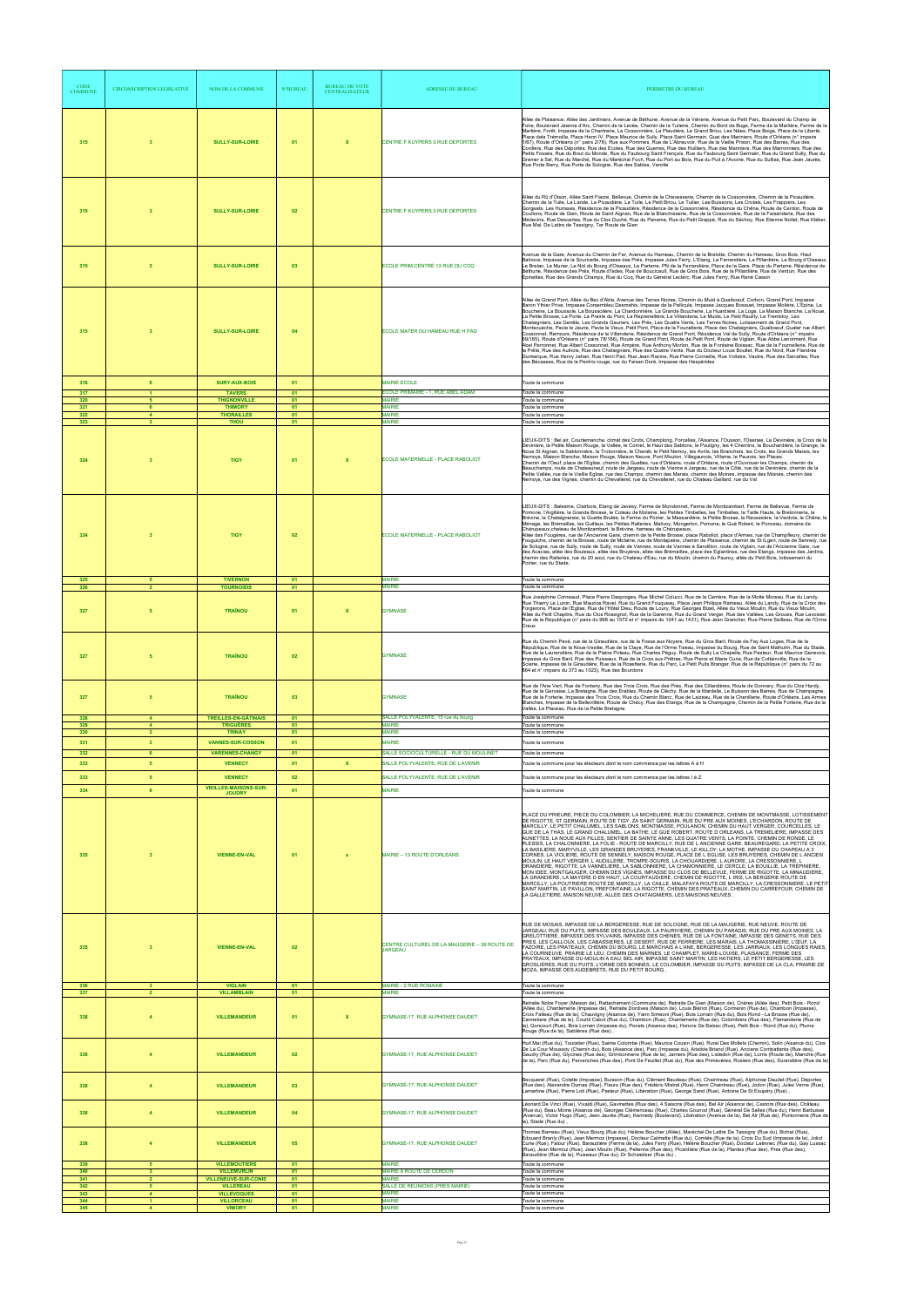| <b>CODE</b><br><b>COMMUNE</b> | <b>CIRCONSCRIPTION LEGISLATIVE</b>               | NOM DE LA COMMUNE                                                | <b>N°BUREAU</b> | <b>BUREAU DE VOTE</b><br><b>CENTRALISATEUR</b> | ADRESSE DU BUREAU                                                             | PERIMETRE DU BUREAU                                                                                                                                                                                                                                                                                                                                                                                                                                                                                                                                                                                                                                                                                                                                                                                                                                                                                                                                                                                                                                                                                                                                                                                                                                                                                                                                                                                                                                                                                                                                                                                                     |
|-------------------------------|--------------------------------------------------|------------------------------------------------------------------|-----------------|------------------------------------------------|-------------------------------------------------------------------------------|-------------------------------------------------------------------------------------------------------------------------------------------------------------------------------------------------------------------------------------------------------------------------------------------------------------------------------------------------------------------------------------------------------------------------------------------------------------------------------------------------------------------------------------------------------------------------------------------------------------------------------------------------------------------------------------------------------------------------------------------------------------------------------------------------------------------------------------------------------------------------------------------------------------------------------------------------------------------------------------------------------------------------------------------------------------------------------------------------------------------------------------------------------------------------------------------------------------------------------------------------------------------------------------------------------------------------------------------------------------------------------------------------------------------------------------------------------------------------------------------------------------------------------------------------------------------------------------------------------------------------|
| 315                           | $\overline{\mathbf{3}}$                          | <b>SULLY-SUR-LOIRE</b>                                           | 01              | $\mathbf{x}$                                   | CENTRE F KUYPERS 3 RUE DEPORTES                                               | Allée de Plaisance, Allée des Jardiniers, Avenue de Béthune, Avenue de la Vénerie, Avenue du Petit Parc, Boulevard du Champ de<br>Foire, Boulevard Jeanne d'Arc, Chemin de la Levée, Chemin de la Tuilerie, Chemin du Bord de Buge, Ferme de la Marlière, Ferme de la<br>Martière, Forêt, Impasse de la Chantrerie, La Cossonnière, La Plaudière, Le Grand Briou, Les Nées, Place Boige, Place de la Liberté,<br>Place dela Trémoille, Place Henri IV, Place Maurice de Sully, Place Saint Germain, Quai des Mariniers, Route d'Orléans (n° impairs<br>1/67), Route d'Orléans (n° pairs 2/76), Rue aux Pommes, Rue de L'Abreuvoir, Rue de la Vieille Prison, Rue des Barrés, Rue des<br>Cordiers, Rue des Déportés, Rue des Ecoles, Rue des Guerres, Rue des Huilliers, Rue des Mariniers, Rue des Marronniers, Rue des<br>Petits Fossés, Rue du Bout du Monde, Rue du Faubourg Saint François, Rue du Faubourg Saint Germain, Rue du Grand Sully, Rue du<br>Grenier à Sel, Rue du Marché, Rue du Maréchal Foch, Rue du Port au Bois, Rue du Puit à l'Avoine, Rue du Sullias, Rue Jean Jaurès,<br>Rue Porte Berry, Rue Porte de Sologne, Rue des Sables, Verotte                                                                                                                                                                                                                                                                                                                                                                                                                                                        |
| 315                           | $\mathbf{3}$                                     | <b>SULLY-SUR-LOIRE</b>                                           | 02              |                                                | CENTRE F KUYPERS 3 RUE DEPORTES                                               | Allée du Rû d'Oison, Allée Saint Fiacre, Bellevue, Chemin de la Chevesserie, Chemin de la Cossonnière, Chemin de la Picaudière,<br>Chemin de la Tuile, La Lande, La Picaudière, La Tuile, Le Petit Briou, Le Tuilier, Les Buissons, Les Crotats, Les Frappiers, Les<br>Gorgeats, Les Hurisses, Résidence de la Picaudière, Résidence de la Cossonnière, Résidence du Chêne, Route de Cerdon, Route de<br>Coullons, Route de Gien, Route de Saint Aignan, Rue de la Blanchisserie, Rue de la Cossonnière, Rue de la Faisanderie, Rue des<br>Médecins, Rue Descartes, Rue du Clos Duché, Rue du Panama, Rue du Petit Grappé, Rue du Séchoy, Rue Etienne Nollet, Rue Kléber,<br>Rue Mal. De Lattre de Tassigny, Ter Route de Gien                                                                                                                                                                                                                                                                                                                                                                                                                                                                                                                                                                                                                                                                                                                                                                                                                                                                                          |
| 315                           | $\overline{\mathbf{3}}$                          | <b>SULLY-SUR-LOIRE</b>                                           | 03              |                                                | ECOLE PRIM.CENTRE 13 RUE DU COQ                                               | Avenue de la Gare, Avenue du Chemin de Fer, Avenue du Hameau, Chemin de la Brelotte, Chemin du Hameau, Gros Bois, Haut<br>Balnoce, Impasse de la Souricette, Impasse des Prés, Impasse Jules Ferry, L'Etang, La Ferrandière, La Pillardière, Le Bourg d'Oiseaux,<br>Le Brelan, Le Murier, Le Nid du Bourg d'Oiseaux, Le Parterre, PN de la Ferrandière, Place de la Gare, Place du Parterre, Résidence de<br>Béthune, Résidence des Prés, Route d'Isdes, Rue de Boucicault, Rue de Gros Bois, Rue de la Pillardière, Rue de Verdun, Rue des<br>Epinettes, Rue des Grands Champs, Rue du Coq, Rue du Général Leclerc, Rue Jules Ferry, Rue René Cassin                                                                                                                                                                                                                                                                                                                                                                                                                                                                                                                                                                                                                                                                                                                                                                                                                                                                                                                                                                   |
| 315                           | $\overline{\mathbf{3}}$                          | <b>SULLY-SUR-LOIRE</b>                                           | 04              |                                                | ECOLE MATER DU HAMEAU RUE H PAD                                               | Allée de Grand Pont, Allée du Bec d'Able, Avenue des Terres Noires, Chemin du Muid à Quaiboeuf, Corbon, Grand Pont, Impasse<br>Baron Ythier Prive, Impasse Corsembleu Desmahis, Impasse de la Pellicule, Impasse Jacques Bossuet, Impasse Molière, L'Epine, La<br>Boucherie, La Boussole, La Boussolière, La Chardonnière, La Grande Boucherie, La Huardière, La Loge, La Maison Blanche, La Noue,<br>La Petite Brosse, La Porte, La Prairie du Pont, La Reprenellière, La Villanderie, Le Muids, Le Petit Reuilly, Le Trembloy, Les<br>Chataigniers, Les Genêts, Les Grands Gauriers, Les Prés, Les Quatre Vents, Les Terres Noires, Lotissement de Grand Pont,<br>Montsoueche, Pavie le Jeune, Pavie le Vieux, Petit Pont, Place de la Founellerie, Place des Chataigniers, Quaiboeuf, Quater rue Albert<br>Cossonnet, Remours, Résidence de la Villanderie, Résidence de Grand Pont, Résidence Val de Sully, Route d'Orléans (n° impairs<br>69/165), Route d'Orléans (n° pairs 78/166), Route de Grand Pont, Route de Petit Pont, Route de Viglain, Rue Abbe Lenormant, Rue<br>Abel Perronnet, Rue Albert Cossonnet, Rue Ampère, Rue Anthony Morlon, Rue de la Fontaine Boissac, Rue de la Fournellerie, Rue de<br>la Prêle, Rue des Aulnois, Rue des Chataigniers, Rue des Quatre Vents, Rue du Docteur Louis Boullet, Rue du Nord, Rue Flandres<br>Dunkergue, Rue Henry Jahan, Rue Henri Pad, Rue Jean Racine, Rue Pierre Corneille, Rue Voltaire, Vautre, Rue des Sarcelles, Rue<br>des Bécasses, Rue de la Perdrix rouge, rue du Faisan Doré, Impasse des Hespérides                                             |
| 316                           | 6                                                | <b>SURY-AUX-BOIS</b>                                             | 01              |                                                | <b>MAIRIE ECOLE</b>                                                           | Toute la commune                                                                                                                                                                                                                                                                                                                                                                                                                                                                                                                                                                                                                                                                                                                                                                                                                                                                                                                                                                                                                                                                                                                                                                                                                                                                                                                                                                                                                                                                                                                                                                                                        |
| 317<br>320                    | 5                                                | <b>TAVERS</b><br><b>THIGNONVILLE</b>                             | 01<br>01        |                                                | ECOLE PRIMAIRE - 1, RUE ABEL ADAM<br><b>MAIRIE</b>                            | Toute la commune<br>Toute la commune                                                                                                                                                                                                                                                                                                                                                                                                                                                                                                                                                                                                                                                                                                                                                                                                                                                                                                                                                                                                                                                                                                                                                                                                                                                                                                                                                                                                                                                                                                                                                                                    |
| 321<br>322<br>323             | 6<br>$\blacktriangle$<br>$\overline{\mathbf{3}}$ | <b>THIMORY</b><br><b>THORAILLES</b><br><b>THOU</b>               | 01<br>01<br>01  |                                                | <b>MAIRIE</b><br><b>MAIRIE</b><br><b>MAIRIE</b>                               | Toute la commune<br>Toute la commune<br>Toute la commune                                                                                                                                                                                                                                                                                                                                                                                                                                                                                                                                                                                                                                                                                                                                                                                                                                                                                                                                                                                                                                                                                                                                                                                                                                                                                                                                                                                                                                                                                                                                                                |
| 324                           | $\overline{\mathbf{3}}$                          | <b>TIGY</b>                                                      | 01              |                                                | ECOLE MATERNELLE - PLACE RABOLIOT                                             | LIEUX-DITS : Bel air, Courtemanche, climat des Crots, Champlong, Forcelles, l'Aisance, l'Ousson, l'Oseraie, La Devinière, la Croix de la<br>Devinière, la Petite Maison Rouge, la Vallée, le Cornet, le Haut des Sablons, le Pouligny, les 4 Chemins, la Bouchardière, la Grange, la<br>Noue St Aignan, la Sablonnière, la Trotonnière, le Chenêt, le Petit Nemoy, les Avrils, les Branchets, les Crots, les Grands Marais, les<br>Nemoys, Maison Blanche, Maison Rouge, Maison Neuve, Pont Mouton, Villegaunois, Villame, le Paurois, les Places.<br>Chemin de l'Oeuf, place de l'Eglise, chemin des Guettes, rue d'Orléans, route d'Orléans, route d'Ouvrouer les Champs, chemin de<br>Beauchamps, route de Chateauneuf, route de Jargeau, route de Vienne à Jargeau, rue de la Côte, rue de la Devinière, chemin de la<br>Petite Vallée, rue de la Vieille Eglise, rue des Champs, chemin des Marais, chemin des Moines, impasse des Moines, chemin des<br>Nemoys, rue des Vignes, chemin du Chevalleret, rue du Chevalleret, rue du Chateau Gaillard, rue du Val                                                                                                                                                                                                                                                                                                                                                                                                                                                                                                                                                    |
| 324                           | $\mathbf{3}$                                     | <b>TIGY</b>                                                      | 02              |                                                | ECOLE MATERNELLE - PLACE RABOLIOT                                             | LIEUX-DITS : Balesme, Clairbois, Etang de Javesy, Ferme de Mondonnet, Ferme de Montizambert, Ferme de Bellevue, Ferme de<br>Pomone, l'Argilière, la Grande Brosse, le Coteau de Molaine, les Petites Timbelles, les Timbelles, la Taille Haute, la Bretonnerie, la<br>Brévine, la Chataigneraie, la Guette Brulée, la Ferme du Poirier, la Messardière, la Petite Brosse, la Ravassière, la Verdoie, le Chêne, le<br>Ménage, les Brémailles, les Guilleux, les Petites Ralleries, Malivoy, Mongerlon, Pomone, le Gué Robert, le Ponceau, domaine de<br>Chérupeaux, chateau de Montizambert, la Brévine, hameau de Chérupeaux.<br>Allée des Fougères, rue de l'Ancienne Gare, chemin de la Petite Brosse, place Raboliot, place d'Armes, rue de Champfleury, chemin de<br>Fouguiche, chemin de la Brosse, route de Molaine, rue de Montapeine, chemin de Plaisance, chemin de St ILgen, route de Sennely, rue<br>de Sologne, rue de Sully, route de Sully, route de Vannes, route de Vannes à Sandillon, route de Viglain, rue de l'Ancienne Gare, rue<br>des Acacias, allée des Bouleaux, allée des Bruyères, allée des Brémailles, place des Eglantines, rue des Etangs, impasse des Jardins,<br>chemin des Ralleries, rue du 20 aout, rue du Chateau d'Eau, rue du Moulin, chemin du Pauroy, allée du Petit Bois, lotissement du<br>Poirier, rue du Stade.                                                                                                                                                                                                                                                            |
| 325<br>326                    |                                                  | <b>TIVERNON</b><br><b>TOURNOISIS</b>                             | 01<br>01        |                                                | <b>MAIRIE</b><br><b>AAIRIE</b>                                                | Toute la commune<br>Toute la commune                                                                                                                                                                                                                                                                                                                                                                                                                                                                                                                                                                                                                                                                                                                                                                                                                                                                                                                                                                                                                                                                                                                                                                                                                                                                                                                                                                                                                                                                                                                                                                                    |
| 327                           |                                                  | <b>TRAÎNOU</b>                                                   | 01              | $\mathbf{x}$                                   | <b>GYMNASE</b>                                                                | Rue Joséphine Corneaud, Place Pierre Desproges, Rue Michel Colucci, Rue de la Carrière, Rue de la Motte Moreau, Rue du Landy,<br>Rue Thierry Le Luron, Rue Maurice Ravel, Rue du Grand Fouqueau, Place Jean Philippe Rameau, Allée du Landy, Rue de la Croix des<br>Forgerons, Place de l'Eglise, Rue de l'Hôtel Dieu, Route de Loury, Rue Georges Bizet, Allée du Vieux Moulin, Rue du Vieux Moulin,<br>Allée du Petit Chapitre, Rue du Clos Rossignol, Rue de la Garenne, Rue du Grand Verger, Rue des Vallées, Les Groues, Rue Lavoisier,<br>Rue de la République (n° pairs du 968 au 1572 et n° impairs du 1041 au 1431), Rue Jean Grancher, Rue Pierre Sailleau, Rue de l'Orme<br>Creux                                                                                                                                                                                                                                                                                                                                                                                                                                                                                                                                                                                                                                                                                                                                                                                                                                                                                                                            |
| 327                           |                                                  | <b>TRAÎNOU</b>                                                   | 02              |                                                | <b>GYMNASE</b>                                                                | Rue du Chemin Pavé, rue de la Giraudière, rue de la Fosse aux Noyers, Rue du Gros Baril, Route de Fay Aux Loges, Rue de la<br>République, Rue de la Noue-Veslée, Rue de la Claye, Rue de l'Orme Tiseau, Impasse du Bourg, Rue de Saint Mathurin, Rue du Stade,<br>Rue de la Laurendière, Rue de la Plaine Poteau, Rue Charles Péguy, Route de Sully La Chapelle, Rue Pasteur, Rue Maurice Genevoix,<br>Impasse du Gros Baril, Rue des Puiseaux, Rue de la Croix aux Prêtres, Rue Pierre et Marie Curie, Rue de Cottainville, Rue de la<br>Scierie, Impasse de la Giraudière, Rue de la Rosetterie, Rue du Parc. Le Petit Puits Branger, Rue de la République (n° pairs du 72 au<br>864 et n° impairs du 373 au 1023), Rue des Bourdons                                                                                                                                                                                                                                                                                                                                                                                                                                                                                                                                                                                                                                                                                                                                                                                                                                                                                  |
| 327                           | 5<br>$\mathbf{A}$                                | <b>TRAÎNOU</b>                                                   | 03              |                                                | <b>GYMNASE</b><br>SALLE POLYVALENTE, 15 rue du bourg                          | Rue de l'Ane Vert, Rue de Fonteny, Rue des Trois Croix, Rue des Prés, Rue des Cillardières, Route de Donnery, Rue du Clos Hardy,<br>Rue de la Gervaise, La Bretagne, Rue des Erables, Route de Cléchy, Rue de la Mardelle, Le Buisson des Barres, Rue de Champagne,<br>Rue de la Forterie, Impasse des Trois Croix, Rue du Chemin Blanc, Rue de Laizeau, Rue de la Chenillerie, Route d'Orléans, Les Armes<br>Blanches, Impasse de la Bellevillière, Route de Chécy, Rue des Etangs, Rue de la Champagne, Chemin de la Petite Forterie, Rue de la<br>Vallée, Le Placeau, Rue de la Petite Bretagne                                                                                                                                                                                                                                                                                                                                                                                                                                                                                                                                                                                                                                                                                                                                                                                                                                                                                                                                                                                                                      |
| 328<br>329<br>330             | $\overline{4}$<br>$\overline{2}$                 | <b>TREILLES-EN-GÂTINAIS</b><br><b>TRIGUÈRES</b><br><b>TRINAY</b> | 01<br>01<br>01  |                                                | <b>MAIRIE</b><br><b>MAIRIE</b>                                                | Toute la commune<br>Toute la commune<br>Toute la commune                                                                                                                                                                                                                                                                                                                                                                                                                                                                                                                                                                                                                                                                                                                                                                                                                                                                                                                                                                                                                                                                                                                                                                                                                                                                                                                                                                                                                                                                                                                                                                |
| 331                           | 3 <sup>7</sup>                                   | <b>VANNES-SUR-COSSON</b>                                         | 01              |                                                | <b>MAIRIE</b>                                                                 | Toute la commune                                                                                                                                                                                                                                                                                                                                                                                                                                                                                                                                                                                                                                                                                                                                                                                                                                                                                                                                                                                                                                                                                                                                                                                                                                                                                                                                                                                                                                                                                                                                                                                                        |
| 332<br>333                    | 6<br>5                                           | <b>VARENNES-CHANGY</b><br><b>VENNECY</b>                         | 01<br>01        | $\mathbf{x}$                                   | SALLE SOCIOCULTURELLE - RUE DU MOULINET<br>SALLE POLYVALENTE, RUE DE L'AVENIR | Toute la commune<br>Toute la commune pour les électeurs dont le nom commence par les lettres A à H                                                                                                                                                                                                                                                                                                                                                                                                                                                                                                                                                                                                                                                                                                                                                                                                                                                                                                                                                                                                                                                                                                                                                                                                                                                                                                                                                                                                                                                                                                                      |
| 333                           | 5                                                | <b>VENNECY</b>                                                   | 02              |                                                | SALLE POLYVALENTE, RUE DE L'AVENIR                                            | Toute la commune pour les électeurs dont le nom commence par les lettres I à Z                                                                                                                                                                                                                                                                                                                                                                                                                                                                                                                                                                                                                                                                                                                                                                                                                                                                                                                                                                                                                                                                                                                                                                                                                                                                                                                                                                                                                                                                                                                                          |
| 334                           | 6                                                | <b>VIEILLES-MAISONS-SUR-</b><br><b>JOUDRY</b>                    | 01              |                                                | <b>MAIRIE</b>                                                                 | Toute la commune                                                                                                                                                                                                                                                                                                                                                                                                                                                                                                                                                                                                                                                                                                                                                                                                                                                                                                                                                                                                                                                                                                                                                                                                                                                                                                                                                                                                                                                                                                                                                                                                        |
| 335                           | $\mathbf{3}$                                     | <b>VIENNE-EN-VAL</b>                                             | 01              |                                                | MAIRIE - 13 ROUTE D'ORLEANS                                                   | PLACE DU PRIEURE, PIECE DU COLOMBIER, LA MICHELIERE, RUE DU COMMERCE, CHEMIN DE MONTMASSE, LOTISSEMENT<br>DE RIGOTTE, ST GERMAIN, ROUTE DE TIGY, ZA SAINT GERMAIN, RUE DU PRE AUX MOINES, L'ECHARDON, ROUTE DE<br>MARCILLY, LE PETIT CHALUMEL, LES SABLONS, MONTMASSE, POULANON, CHEMIN DU HAUT VERGER, COURCELLES, LE<br>GUE DE LA THAS, LE GRAND CHALUMEL, LA BATHE, LE GUE ROBERT, ROUTE D ORLEANS, LA TREMELIERE, IMPASSE DES<br>AUNETTES, LA NOUE AUX FILLES, SENTIER DE SAINTE ANNE, LES QUATRE VENTS, LA POINTE, CHEMIN DE RONDE, LE<br>PLESSIS, LA CHALONNIERE, LA FOLIE - ROUTE DE MARCILLY, RUE DE L ANCIENNE GARE, BEAUREGARD, LA PETITE CROIX,<br>LA BASILIERE, MARYVILLE, LES GRANDES BRUYERES, FRANKVILLE, LE KILLOY, LA MOTHE, IMPASSE DU CHAPEAU A 3<br>CORNES, LA VIOLIERE, ROUTE DE SENNELY, MAISON ROUGE, PLACE DE L EGLISE, LES BRUYERES, CHEMIN DE L ANCIEN<br>MOULIN, LE HAUT VERGER, L AUDILLERE, TROMPE-SOURIS, LA CHOUARDIERE, L AURORE, LA CRESSONNIERE, L<br>ORANDIERE, RIGOTTE, LA VANNELIERE, LA SABLONNIERE, LA CHAMONNIERE, LE CERCLE, LA BOUILLIE, LA TREPINIERE,<br>MON IDEE, MONTGAUGER, CHEMIN DES VIGNES, IMPASSE DU CLOS DE BELLEVUE, FERME DE RIGOTTE, LA MINAUDIERE,<br>LA GRANDIERE, LA MAYERE D EN HAUT, LA COURTAUDIERE, CHEMIN DE RIGOTTE, L IRIS, LA BERGERIE ROUTE DE<br>MARCILLY, LA POUTRIERE ROUTE DE MARCILLY, LA CAILLE, MALAFAYA ROUTE DE MARCILLY, LA CRESSONNIERE, LE PETIT<br>SAINT MARTIN, LE PAVILLON, PREFONTAINE, LA RIGOTTE, CHEMIN DES PRATEAUX, CHEMIN DU CARREFOUR, CHEMIN DE<br>LA GALLETIERE, MAISON NEUVE, ALLEE DES CHATAIGNIERS, LES MAISONS NEUVES, |
| 335                           |                                                  | <b>VIENNE-EN-VAL</b>                                             | 02              |                                                | CENTRE CULTUREL DE LA MAUGERIE - 39 ROUTE DE<br>JARGEAU                       | RUE DE MOSAIS, IMPASSE DE LA BERGERESSE, RUE DE SOLOGNE, RUE DE LA MAUGERIE, RUE NEUVE, ROUTE DE<br>JARGEAU, RUE DU PUITS, IMPASSE DES BOULEAUX, LA PAURIVIERE, CHEMIN DU PARADIS, RUE DU PRE AUX MOINES, LA<br>GRELOTTIERE, IMPASSE DES SYLVAINS, IMPASSE DES CHENES, RUE DE LA FONTAINE, IMPASSE DES GENETS, RUE DES<br>PRES, LES CAILLOUX, LES CABASSIERES, LE DESERT, RUE DE FERRIERE, LES MARAIS, LA THOMASSINIERE, L'ŒUF, LA<br>FAZOIRE, LES PRATEAUX, CHEMIN DU BOURG, LE MARCHAIS A L'ANE, BERGERESSE, LES JARRIAUX, LES LONGUES RAIES,<br>LA COURNEUVE, PRAIRIE LE LEU, CHEMIN DES MARNES, LE CHAMPLET, MARIE-LOUISE, PLAISANCE, FERME DES<br>PRATEAUX, IMPASSE DU MOULIN A EAU, BEL AIR, IMPASSE SAINT MARTIN, LES HATIERS, LE PETIT BERGERESSE, LES<br>GROSLIERES, RUE DU PUITS, L'ORME DES BONNES. LE COLOMBIER, IMPASSE DU PUITS, IMPASSE DE LA CLA, PRAIRIE DE<br>MOZA, IMPASSE DES AUDEBRETS, RUE DU PETIT BOURG.                                                                                                                                                                                                                                                                                                                                                                                                                                                                                                                                                                                                                                                                                        |
| 336<br>337                    |                                                  | <b>VIGLAIN</b><br><b>VILLAMBLAIN</b>                             | 01<br>01        |                                                | MAIRIE - 2 RUE ROMAINE<br><b>MAIRIE</b>                                       | Toute la commune<br>Toute la commune                                                                                                                                                                                                                                                                                                                                                                                                                                                                                                                                                                                                                                                                                                                                                                                                                                                                                                                                                                                                                                                                                                                                                                                                                                                                                                                                                                                                                                                                                                                                                                                    |
| 338                           |                                                  | <b>VILLEMANDEUR</b>                                              | 01              |                                                | <b>GYMNASE-17, RUE ALPHONSE DAUDET</b>                                        | Retraite Notre Foyer (Maison de), Rattachement (Commune de), Retraite De Gien (Maison de), Crières (Allée des), Petit Bois - Rond<br>(Allée du), Chantemerle (Impasse de), Retraite Dordives (Maison de), Louis Blériot (Rue), Cormenin (Rue de), Chambon (Impasse),<br>Croix Falleau (Rue de la), Chauvigny (Aisance de), Yann Simeoni (Rue), Bois Lorrain (Rue du), Bois Rond - La Brosse (Rue de),<br>Cannetiere (Rue de la), Courtil Cabot (Rue du), Chambon (Rue), Chantemerle (Rue de), Colombiers (Rue des), Flamanderie (Rue de<br>la), Goncourt (Rue), Bois Lorrain (Impasse du), Ponets (Aisance des), Honore De Balzac (Rue), Petit Bois - Rond (Rue du), Plume<br>Rouge (Rue de la), Sablières (Rue des),                                                                                                                                                                                                                                                                                                                                                                                                                                                                                                                                                                                                                                                                                                                                                                                                                                                                                                   |
|                               |                                                  | <b>VILLEMANDEUR</b>                                              |                 |                                                | <b>GYMNASE-17, RUE ALPHONSE DAUDET</b>                                        | Huit Mai (Rue du), Touratier (Rue), Sainte Colombe (Rue), Maurice Cousin (Rue), Rural Des Mollets (Chemin), Solin (Aisance du), Clos<br>De La Cour Moussoy (Chemin du), Bois (Aisance des), Parc (Impasse du), Aristide Briand (Rue), Anciens Combattants (Rue des),<br>3audry (Rue de), Glycines (Rue des), Grimbonnerie (Rue de la), Jarriers (Rue des), Lisledon (Rue de), Lorris (Route de), Manche (Rue<br>de la), Parc (Rue du), Pervenches (Rue des), Pont De Feuillet (Rue du), Rue des Primevères, Rosiers (Rue des), Surandière (Rue de la)                                                                                                                                                                                                                                                                                                                                                                                                                                                                                                                                                                                                                                                                                                                                                                                                                                                                                                                                                                                                                                                                   |
| 338                           | $\overline{4}$                                   | <b>VILLEMANDEUR</b>                                              | 03              |                                                | GYMNASE-17, RUE ALPHONSE DAUDET                                               | Becquerel (Rue), Colette (Impasse), Buisson (Rue du), Clément Baudeau (Rue), Chaintreau (Rue), Alphonse Daudet (Rue), Déportes<br>(Rue des), Alexandre Dumas (Rue), Fleurs (Rue des), Frédéric Mistral (Rue), Henri Chaintreau (Rue), Jodon (Rue), Jules Verne (Rue),<br>Lamartine (Rue), Pierre Loti (Rue), Pasteur (Rue), Libération (Rue), George Sand (Rue), Antoine De St Exupéry (Rue),<br>Léonard De Vinci (Rue), Vivaldi (Rue), Gavinettes (Rue des), 4 Saisons (Rue des), Bel Air (Aisance de), Castors (Rue des), Château                                                                                                                                                                                                                                                                                                                                                                                                                                                                                                                                                                                                                                                                                                                                                                                                                                                                                                                                                                                                                                                                                     |
| 338                           | $\overline{4}$                                   | <b>VILLEMANDEUR</b>                                              | 04              |                                                | GYMNASE-17, RUE ALPHONSE DAUDET                                               | (Rue du), Beau Moine (Aisance de), Georges Clémenceau (Rue), Charles Gounod (Rue), Général De Salles (Rue du), Henri Barbusse<br>(Avenue), Victor Hugo (Rue), Jean Jaurès (Rue), Kennedy (Boulevard), Libération (Avenue de la), Bel Air (Rue de), Pontonnerie (Rue de<br>la), Stade (Rue du),                                                                                                                                                                                                                                                                                                                                                                                                                                                                                                                                                                                                                                                                                                                                                                                                                                                                                                                                                                                                                                                                                                                                                                                                                                                                                                                          |
| 338<br>339                    | $\overline{4}$<br>-5                             | <b>VILLEMANDEUR</b><br><b>VILLEMOUTIERS</b>                      | 05<br>01        |                                                | GYMNASE-17, RUE ALPHONSE DAUDET<br><b>MAIRIE</b>                              | Thomas Barreau (Rue), Vieux Bourg (Rue du), Hélène Boucher (Allée), Maréchal De Lattre De Tassigny (Rue du), Bichat (Rue),<br>Edouard Branly (Rue), Jean Mermoz (Impasse), Docteur Calmette (Rue du), Comtée (Rue de la), Croix Du Sud (Impasse de la), Joliot<br>Curie (Rue), Falour (Rue), Baraudière (Ferme de la), Jules Ferry (Rue), Hélène Boucher (Rue), Docteur Laënnec (Rue du), Gay Lussac<br>(Rue), Jean Mermoz (Rue), Jean Moulin (Rue), Pellerins (Rue des), Picardière (Rue de la), Plantes (Rue des), Pres (Rue des),<br>Baraudière (Rue de la), Puiseaux (Rue du), Dr Schweitzer (Rue du),<br>Toute la commune                                                                                                                                                                                                                                                                                                                                                                                                                                                                                                                                                                                                                                                                                                                                                                                                                                                                                                                                                                                          |
| 340<br>341                    | $\mathbf{3}$<br>2 <sup>1</sup>                   | <b>VILLEMURLIN</b><br><b>VILLENEUVE-SUR-CONIE</b>                | 01<br>01        |                                                | MAIRIE 8 ROUTE DE CERDON<br><b>MAIRIE</b>                                     | Toute la commune<br>Toute la commune                                                                                                                                                                                                                                                                                                                                                                                                                                                                                                                                                                                                                                                                                                                                                                                                                                                                                                                                                                                                                                                                                                                                                                                                                                                                                                                                                                                                                                                                                                                                                                                    |
| 342<br>343                    | 5 <sub>1</sub><br>$\blacktriangle$               | <b>VILLEREAU</b><br><b>VILLEVOQUES</b>                           | 01<br>01        |                                                | SALLE DE REUNIONS (PRES MAIRIE)<br><b>MAIRIE</b>                              | Toute la commune<br>Toute la commune                                                                                                                                                                                                                                                                                                                                                                                                                                                                                                                                                                                                                                                                                                                                                                                                                                                                                                                                                                                                                                                                                                                                                                                                                                                                                                                                                                                                                                                                                                                                                                                    |
| 344<br>345                    | $\blacktriangleleft$<br>$\overline{4}$           | <b>VILLORCEAU</b><br><b>VIMORY</b>                               | 01<br>01        |                                                | <b>MAIRIE</b><br><b>MAIRIE</b>                                                | Toute la commune<br>Toute la commune                                                                                                                                                                                                                                                                                                                                                                                                                                                                                                                                                                                                                                                                                                                                                                                                                                                                                                                                                                                                                                                                                                                                                                                                                                                                                                                                                                                                                                                                                                                                                                                    |